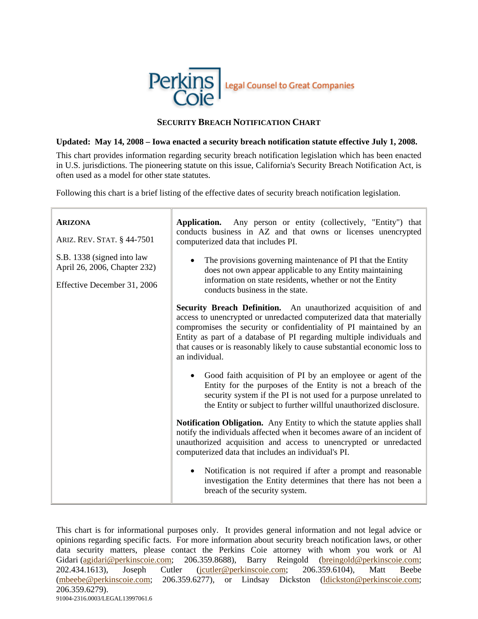

## **SECURITY BREACH NOTIFICATION CHART**

## **Updated: May 14, 2008 – Iowa enacted a security breach notification statute effective July 1, 2008.**

This chart provides information regarding security breach notification legislation which has been enacted in U.S. jurisdictions. The pioneering statute on this issue, California's Security Breach Notification Act, is often used as a model for other state statutes.

Following this chart is a brief listing of the effective dates of security breach notification legislation.

| <b>ARIZONA</b><br>ARIZ. REV. STAT. § 44-7501               | Application. Any person or entity (collectively, "Entity") that<br>conducts business in AZ and that owns or licenses unencrypted<br>computerized data that includes PI.                                                                                                                                                                                                               |
|------------------------------------------------------------|---------------------------------------------------------------------------------------------------------------------------------------------------------------------------------------------------------------------------------------------------------------------------------------------------------------------------------------------------------------------------------------|
| S.B. 1338 (signed into law<br>April 26, 2006, Chapter 232) | The provisions governing maintenance of PI that the Entity<br>does not own appear applicable to any Entity maintaining<br>information on state residents, whether or not the Entity                                                                                                                                                                                                   |
| Effective December 31, 2006                                | conducts business in the state.                                                                                                                                                                                                                                                                                                                                                       |
|                                                            | Security Breach Definition. An unauthorized acquisition of and<br>access to unencrypted or unredacted computerized data that materially<br>compromises the security or confidentiality of PI maintained by an<br>Entity as part of a database of PI regarding multiple individuals and<br>that causes or is reasonably likely to cause substantial economic loss to<br>an individual. |
|                                                            | Good faith acquisition of PI by an employee or agent of the<br>Entity for the purposes of the Entity is not a breach of the<br>security system if the PI is not used for a purpose unrelated to<br>the Entity or subject to further willful unauthorized disclosure.                                                                                                                  |
|                                                            | Notification Obligation. Any Entity to which the statute applies shall<br>notify the individuals affected when it becomes aware of an incident of<br>unauthorized acquisition and access to unencrypted or unredacted<br>computerized data that includes an individual's PI.                                                                                                          |
|                                                            | Notification is not required if after a prompt and reasonable<br>$\bullet$<br>investigation the Entity determines that there has not been a<br>breach of the security system.                                                                                                                                                                                                         |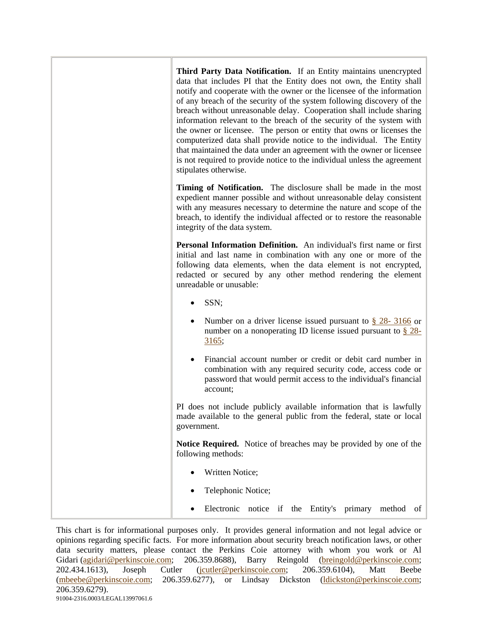**Third Party Data Notification.** If an Entity maintains unencrypted data that includes PI that the Entity does not own, the Entity shall notify and cooperate with the owner or the licensee of the information of any breach of the security of the system following discovery of the breach without unreasonable delay. Cooperation shall include sharing information relevant to the breach of the security of the system with the owner or licensee. The person or entity that owns or licenses the computerized data shall provide notice to the individual. The Entity that maintained the data under an agreement with the owner or licensee is not required to provide notice to the individual unless the agreement stipulates otherwise. **Timing of Notification.** The disclosure shall be made in the most expedient manner possible and without unreasonable delay consistent with any measures necessary to determine the nature and scope of the breach, to identify the individual affected or to restore the reasonable integrity of the data system. **Personal Information Definition.** An individual's first name or first initial and last name in combination with any one or more of the following data elements, when the data element is not encrypted, redacted or secured by any other method rendering the element unreadable or unusable: • SSN; Number on a driver license issued pursuant to  $\S$  28- 3166 or number on a nonoperating ID license issued pursuant to § 28- 3165; • Financial account number or credit or debit card number in combination with any required security code, access code or password that would permit access to the individual's financial account; PI does not include publicly available information that is lawfully made available to the general public from the federal, state or local government. **Notice Required.** Notice of breaches may be provided by one of the following methods: Written Notice: • Telephonic Notice; • Electronic notice if the Entity's primary method of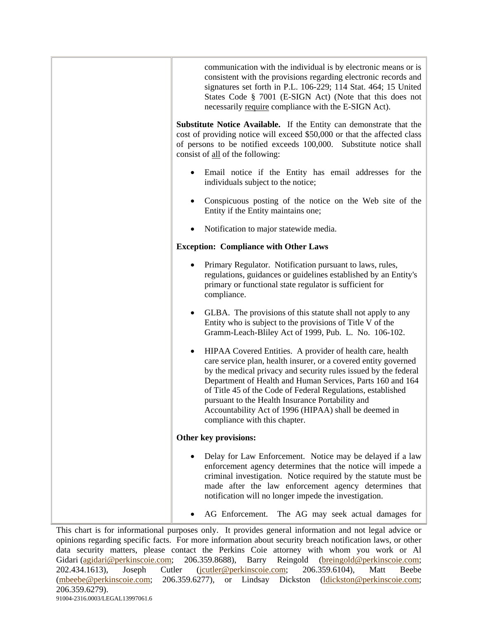| communication with the individual is by electronic means or is<br>consistent with the provisions regarding electronic records and<br>signatures set forth in P.L. 106-229; 114 Stat. 464; 15 United<br>States Code § 7001 (E-SIGN Act) (Note that this does not<br>necessarily require compliance with the E-SIGN Act).                                                                                                                                                    |
|----------------------------------------------------------------------------------------------------------------------------------------------------------------------------------------------------------------------------------------------------------------------------------------------------------------------------------------------------------------------------------------------------------------------------------------------------------------------------|
| Substitute Notice Available. If the Entity can demonstrate that the<br>cost of providing notice will exceed \$50,000 or that the affected class<br>of persons to be notified exceeds 100,000. Substitute notice shall<br>consist of all of the following:                                                                                                                                                                                                                  |
| Email notice if the Entity has email addresses for the<br>individuals subject to the notice;                                                                                                                                                                                                                                                                                                                                                                               |
| Conspicuous posting of the notice on the Web site of the<br>Entity if the Entity maintains one;                                                                                                                                                                                                                                                                                                                                                                            |
| Notification to major statewide media.                                                                                                                                                                                                                                                                                                                                                                                                                                     |
| <b>Exception: Compliance with Other Laws</b>                                                                                                                                                                                                                                                                                                                                                                                                                               |
| Primary Regulator. Notification pursuant to laws, rules,<br>regulations, guidances or guidelines established by an Entity's<br>primary or functional state regulator is sufficient for<br>compliance.                                                                                                                                                                                                                                                                      |
| GLBA. The provisions of this statute shall not apply to any<br>Entity who is subject to the provisions of Title V of the<br>Gramm-Leach-Bliley Act of 1999, Pub. L. No. 106-102.                                                                                                                                                                                                                                                                                           |
| HIPAA Covered Entities. A provider of health care, health<br>care service plan, health insurer, or a covered entity governed<br>by the medical privacy and security rules issued by the federal<br>Department of Health and Human Services, Parts 160 and 164<br>of Title 45 of the Code of Federal Regulations, established<br>pursuant to the Health Insurance Portability and<br>Accountability Act of 1996 (HIPAA) shall be deemed in<br>compliance with this chapter. |
| Other key provisions:                                                                                                                                                                                                                                                                                                                                                                                                                                                      |
| Delay for Law Enforcement. Notice may be delayed if a law<br>enforcement agency determines that the notice will impede a<br>criminal investigation. Notice required by the statute must be<br>made after the law enforcement agency determines that<br>notification will no longer impede the investigation.                                                                                                                                                               |
| AG Enforcement.<br>The AG may seek actual damages for                                                                                                                                                                                                                                                                                                                                                                                                                      |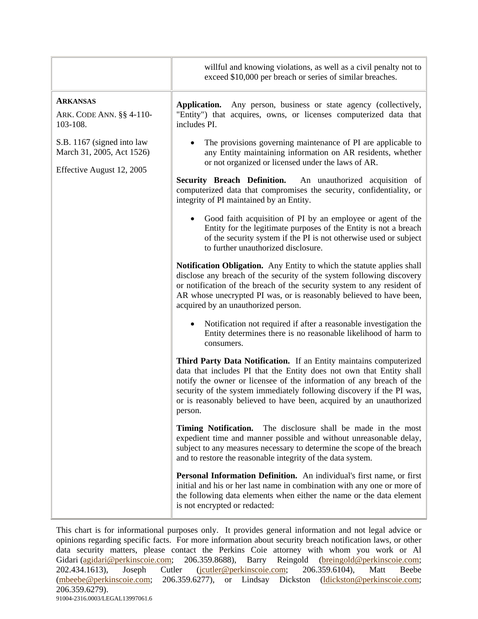|                                                                                      | willful and knowing violations, as well as a civil penalty not to<br>exceed \$10,000 per breach or series of similar breaches.                                                                                                                                                                                                                                                |
|--------------------------------------------------------------------------------------|-------------------------------------------------------------------------------------------------------------------------------------------------------------------------------------------------------------------------------------------------------------------------------------------------------------------------------------------------------------------------------|
| <b>ARKANSAS</b><br>ARK. CODE ANN. §§ 4-110-<br>103-108.                              | Application.<br>Any person, business or state agency (collectively,<br>"Entity") that acquires, owns, or licenses computerized data that<br>includes PI.                                                                                                                                                                                                                      |
| S.B. 1167 (signed into law<br>March 31, 2005, Act 1526)<br>Effective August 12, 2005 | The provisions governing maintenance of PI are applicable to<br>any Entity maintaining information on AR residents, whether<br>or not organized or licensed under the laws of AR.                                                                                                                                                                                             |
|                                                                                      | <b>Security Breach Definition.</b><br>An unauthorized acquisition of<br>computerized data that compromises the security, confidentiality, or<br>integrity of PI maintained by an Entity.                                                                                                                                                                                      |
|                                                                                      | Good faith acquisition of PI by an employee or agent of the<br>Entity for the legitimate purposes of the Entity is not a breach<br>of the security system if the PI is not otherwise used or subject<br>to further unauthorized disclosure.                                                                                                                                   |
|                                                                                      | Notification Obligation. Any Entity to which the statute applies shall<br>disclose any breach of the security of the system following discovery<br>or notification of the breach of the security system to any resident of<br>AR whose unecrypted PI was, or is reasonably believed to have been,<br>acquired by an unauthorized person.                                      |
|                                                                                      | Notification not required if after a reasonable investigation the<br>Entity determines there is no reasonable likelihood of harm to<br>consumers.                                                                                                                                                                                                                             |
|                                                                                      | Third Party Data Notification. If an Entity maintains computerized<br>data that includes PI that the Entity does not own that Entity shall<br>notify the owner or licensee of the information of any breach of the<br>security of the system immediately following discovery if the PI was,<br>or is reasonably believed to have been, acquired by an unauthorized<br>person. |
|                                                                                      | <b>Timing Notification.</b><br>The disclosure shall be made in the most<br>expedient time and manner possible and without unreasonable delay,<br>subject to any measures necessary to determine the scope of the breach<br>and to restore the reasonable integrity of the data system.                                                                                        |
|                                                                                      | Personal Information Definition. An individual's first name, or first<br>initial and his or her last name in combination with any one or more of<br>the following data elements when either the name or the data element<br>is not encrypted or redacted:                                                                                                                     |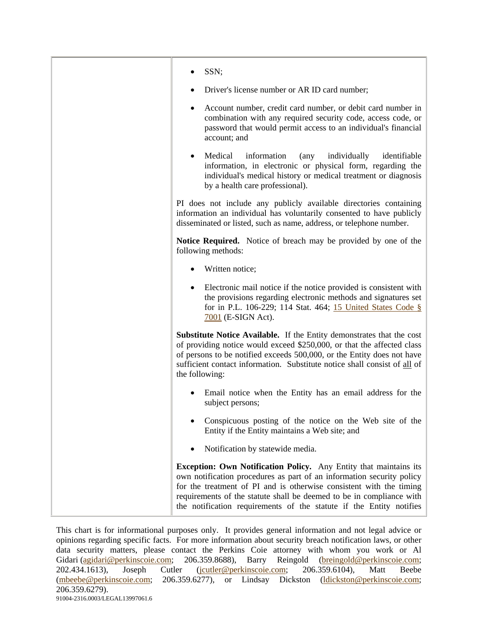| SSN;                                                                                                                                                                                                                                                                                                                                                                    |
|-------------------------------------------------------------------------------------------------------------------------------------------------------------------------------------------------------------------------------------------------------------------------------------------------------------------------------------------------------------------------|
| Driver's license number or AR ID card number;                                                                                                                                                                                                                                                                                                                           |
| Account number, credit card number, or debit card number in<br>combination with any required security code, access code, or<br>password that would permit access to an individual's financial<br>account; and                                                                                                                                                           |
| Medical<br>information<br>individually<br>identifiable<br>$\langle$ any<br>information, in electronic or physical form, regarding the<br>individual's medical history or medical treatment or diagnosis<br>by a health care professional).                                                                                                                              |
| PI does not include any publicly available directories containing<br>information an individual has voluntarily consented to have publicly<br>disseminated or listed, such as name, address, or telephone number.                                                                                                                                                        |
| Notice Required. Notice of breach may be provided by one of the<br>following methods:                                                                                                                                                                                                                                                                                   |
| Written notice;                                                                                                                                                                                                                                                                                                                                                         |
| Electronic mail notice if the notice provided is consistent with<br>the provisions regarding electronic methods and signatures set<br>for in P.L. 106-229; 114 Stat. 464; 15 United States Code §<br>$7001$ (E-SIGN Act).                                                                                                                                               |
| <b>Substitute Notice Available.</b> If the Entity demonstrates that the cost<br>of providing notice would exceed \$250,000, or that the affected class<br>of persons to be notified exceeds 500,000, or the Entity does not have<br>sufficient contact information. Substitute notice shall consist of all of<br>the following:                                         |
| Email notice when the Entity has an email address for the<br>subject persons;                                                                                                                                                                                                                                                                                           |
| Conspicuous posting of the notice on the Web site of the<br>Entity if the Entity maintains a Web site; and                                                                                                                                                                                                                                                              |
| Notification by statewide media.                                                                                                                                                                                                                                                                                                                                        |
| <b>Exception: Own Notification Policy.</b> Any Entity that maintains its<br>own notification procedures as part of an information security policy<br>for the treatment of PI and is otherwise consistent with the timing<br>requirements of the statute shall be deemed to be in compliance with<br>the notification requirements of the statute if the Entity notifies |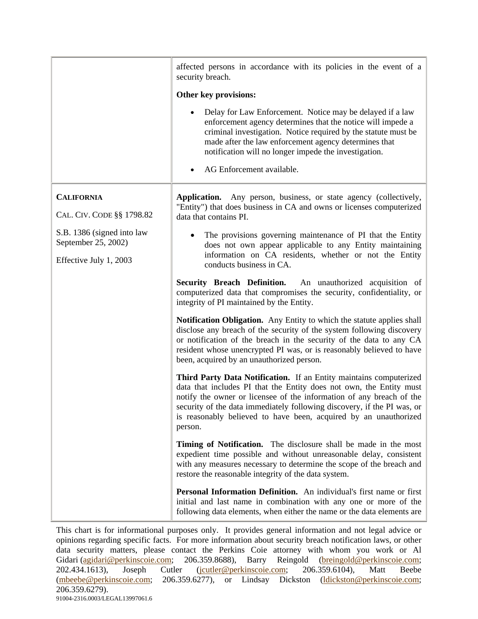|                                                   | affected persons in accordance with its policies in the event of a<br>security breach.                                                                                                                                                                                                                                                                                      |
|---------------------------------------------------|-----------------------------------------------------------------------------------------------------------------------------------------------------------------------------------------------------------------------------------------------------------------------------------------------------------------------------------------------------------------------------|
|                                                   | Other key provisions:                                                                                                                                                                                                                                                                                                                                                       |
|                                                   | Delay for Law Enforcement. Notice may be delayed if a law<br>enforcement agency determines that the notice will impede a<br>criminal investigation. Notice required by the statute must be<br>made after the law enforcement agency determines that<br>notification will no longer impede the investigation.<br>AG Enforcement available.                                   |
|                                                   |                                                                                                                                                                                                                                                                                                                                                                             |
| <b>CALIFORNIA</b><br>CAL. CIV. CODE §§ 1798.82    | Application. Any person, business, or state agency (collectively,<br>"Entity") that does business in CA and owns or licenses computerized<br>data that contains PI.                                                                                                                                                                                                         |
| S.B. 1386 (signed into law<br>September 25, 2002) | The provisions governing maintenance of PI that the Entity<br>does not own appear applicable to any Entity maintaining                                                                                                                                                                                                                                                      |
| Effective July 1, 2003                            | information on CA residents, whether or not the Entity<br>conducts business in CA.                                                                                                                                                                                                                                                                                          |
|                                                   | Security Breach Definition. An unauthorized acquisition of<br>computerized data that compromises the security, confidentiality, or<br>integrity of PI maintained by the Entity.                                                                                                                                                                                             |
|                                                   | Notification Obligation. Any Entity to which the statute applies shall<br>disclose any breach of the security of the system following discovery<br>or notification of the breach in the security of the data to any CA<br>resident whose unencrypted PI was, or is reasonably believed to have<br>been, acquired by an unauthorized person.                                 |
|                                                   | Third Party Data Notification. If an Entity maintains computerized<br>data that includes PI that the Entity does not own, the Entity must<br>notify the owner or licensee of the information of any breach of the<br>security of the data immediately following discovery, if the PI was, or<br>is reasonably believed to have been, acquired by an unauthorized<br>person. |
|                                                   | Timing of Notification. The disclosure shall be made in the most<br>expedient time possible and without unreasonable delay, consistent<br>with any measures necessary to determine the scope of the breach and<br>restore the reasonable integrity of the data system.                                                                                                      |
|                                                   | Personal Information Definition. An individual's first name or first<br>initial and last name in combination with any one or more of the<br>following data elements, when either the name or the data elements are                                                                                                                                                          |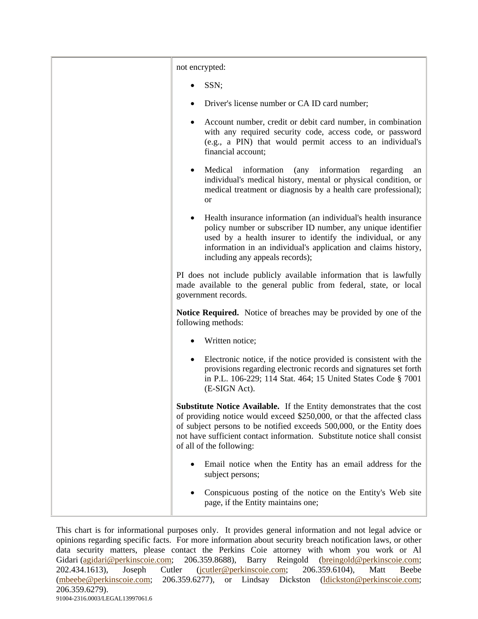| not encrypted:                                                                                                                                                                                                                                                                                                                          |
|-----------------------------------------------------------------------------------------------------------------------------------------------------------------------------------------------------------------------------------------------------------------------------------------------------------------------------------------|
| SSN;                                                                                                                                                                                                                                                                                                                                    |
| Driver's license number or CA ID card number;                                                                                                                                                                                                                                                                                           |
| Account number, credit or debit card number, in combination<br>with any required security code, access code, or password<br>(e.g., a PIN) that would permit access to an individual's<br>financial account;                                                                                                                             |
| Medical<br>information<br>(any information<br>regarding<br>an<br>individual's medical history, mental or physical condition, or<br>medical treatment or diagnosis by a health care professional);<br><b>or</b>                                                                                                                          |
| Health insurance information (an individual's health insurance<br>policy number or subscriber ID number, any unique identifier<br>used by a health insurer to identify the individual, or any<br>information in an individual's application and claims history,<br>including any appeals records);                                      |
| PI does not include publicly available information that is lawfully<br>made available to the general public from federal, state, or local<br>government records.                                                                                                                                                                        |
| Notice Required. Notice of breaches may be provided by one of the<br>following methods:                                                                                                                                                                                                                                                 |
| Written notice;                                                                                                                                                                                                                                                                                                                         |
| Electronic notice, if the notice provided is consistent with the<br>provisions regarding electronic records and signatures set forth<br>in P.L. 106-229; 114 Stat. 464; 15 United States Code § 7001<br>(E-SIGN Act).                                                                                                                   |
| <b>Substitute Notice Available.</b> If the Entity demonstrates that the cost<br>of providing notice would exceed \$250,000, or that the affected class<br>of subject persons to be notified exceeds 500,000, or the Entity does<br>not have sufficient contact information. Substitute notice shall consist<br>of all of the following: |
| Email notice when the Entity has an email address for the<br>subject persons;                                                                                                                                                                                                                                                           |
| Conspicuous posting of the notice on the Entity's Web site<br>page, if the Entity maintains one;                                                                                                                                                                                                                                        |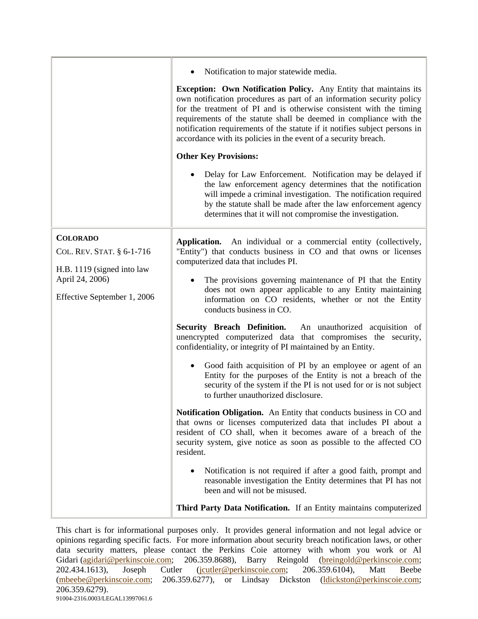|                                                                                                                              | Notification to major statewide media.<br><b>Exception: Own Notification Policy.</b> Any Entity that maintains its<br>own notification procedures as part of an information security policy<br>for the treatment of PI and is otherwise consistent with the timing<br>requirements of the statute shall be deemed in compliance with the<br>notification requirements of the statute if it notifies subject persons in<br>accordance with its policies in the event of a security breach.<br><b>Other Key Provisions:</b><br>Delay for Law Enforcement. Notification may be delayed if                                                                                                                                                                                                                                                                                                                                                                                                                                                                                                                                                                                                                                                                                                                                                                                                           |
|------------------------------------------------------------------------------------------------------------------------------|--------------------------------------------------------------------------------------------------------------------------------------------------------------------------------------------------------------------------------------------------------------------------------------------------------------------------------------------------------------------------------------------------------------------------------------------------------------------------------------------------------------------------------------------------------------------------------------------------------------------------------------------------------------------------------------------------------------------------------------------------------------------------------------------------------------------------------------------------------------------------------------------------------------------------------------------------------------------------------------------------------------------------------------------------------------------------------------------------------------------------------------------------------------------------------------------------------------------------------------------------------------------------------------------------------------------------------------------------------------------------------------------------|
|                                                                                                                              | the law enforcement agency determines that the notification<br>will impede a criminal investigation. The notification required<br>by the statute shall be made after the law enforcement agency<br>determines that it will not compromise the investigation.                                                                                                                                                                                                                                                                                                                                                                                                                                                                                                                                                                                                                                                                                                                                                                                                                                                                                                                                                                                                                                                                                                                                     |
| <b>COLORADO</b><br>COL. REV. STAT. § 6-1-716<br>H.B. 1119 (signed into law<br>April 24, 2006)<br>Effective September 1, 2006 | Application.<br>An individual or a commercial entity (collectively,<br>"Entity") that conducts business in CO and that owns or licenses<br>computerized data that includes PI.<br>The provisions governing maintenance of PI that the Entity<br>$\bullet$<br>does not own appear applicable to any Entity maintaining<br>information on CO residents, whether or not the Entity<br>conducts business in CO.<br>Security Breach Definition. An unauthorized acquisition of<br>unencrypted computerized data that compromises the security,<br>confidentiality, or integrity of PI maintained by an Entity.<br>Good faith acquisition of PI by an employee or agent of an<br>Entity for the purposes of the Entity is not a breach of the<br>security of the system if the PI is not used for or is not subject<br>to further unauthorized disclosure.<br>Notification Obligation. An Entity that conducts business in CO and<br>that owns or licenses computerized data that includes PI about a<br>resident of CO shall, when it becomes aware of a breach of the<br>security system, give notice as soon as possible to the affected CO<br>resident.<br>Notification is not required if after a good faith, prompt and<br>reasonable investigation the Entity determines that PI has not<br>been and will not be misused.<br>Third Party Data Notification. If an Entity maintains computerized |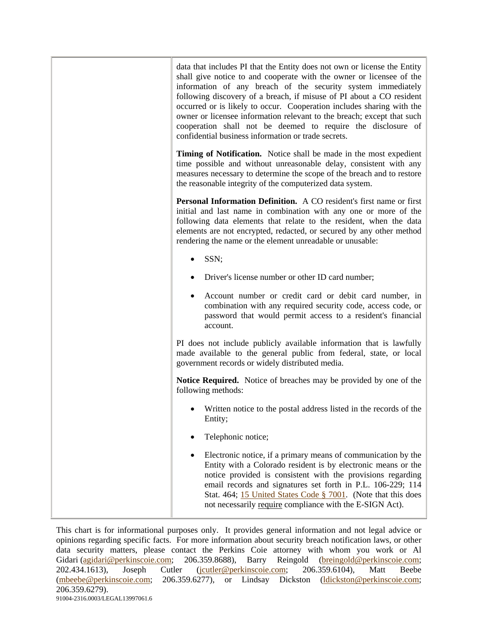| data that includes PI that the Entity does not own or license the Entity<br>shall give notice to and cooperate with the owner or licensee of the<br>information of any breach of the security system immediately<br>following discovery of a breach, if misuse of PI about a CO resident<br>occurred or is likely to occur. Cooperation includes sharing with the<br>owner or licensee information relevant to the breach; except that such<br>cooperation shall not be deemed to require the disclosure of<br>confidential business information or trade secrets. |
|--------------------------------------------------------------------------------------------------------------------------------------------------------------------------------------------------------------------------------------------------------------------------------------------------------------------------------------------------------------------------------------------------------------------------------------------------------------------------------------------------------------------------------------------------------------------|
| Timing of Notification. Notice shall be made in the most expedient<br>time possible and without unreasonable delay, consistent with any<br>measures necessary to determine the scope of the breach and to restore<br>the reasonable integrity of the computerized data system.                                                                                                                                                                                                                                                                                     |
| Personal Information Definition. A CO resident's first name or first<br>initial and last name in combination with any one or more of the<br>following data elements that relate to the resident, when the data<br>elements are not encrypted, redacted, or secured by any other method<br>rendering the name or the element unreadable or unusable:                                                                                                                                                                                                                |
| SSN;                                                                                                                                                                                                                                                                                                                                                                                                                                                                                                                                                               |
| Driver's license number or other ID card number;                                                                                                                                                                                                                                                                                                                                                                                                                                                                                                                   |
| Account number or credit card or debit card number, in<br>combination with any required security code, access code, or<br>password that would permit access to a resident's financial<br>account.                                                                                                                                                                                                                                                                                                                                                                  |
| PI does not include publicly available information that is lawfully<br>made available to the general public from federal, state, or local<br>government records or widely distributed media.                                                                                                                                                                                                                                                                                                                                                                       |
| <b>Notice Required.</b> Notice of breaches may be provided by one of the<br>following methods:                                                                                                                                                                                                                                                                                                                                                                                                                                                                     |
| Written notice to the postal address listed in the records of the<br>Entity;                                                                                                                                                                                                                                                                                                                                                                                                                                                                                       |
| Telephonic notice;                                                                                                                                                                                                                                                                                                                                                                                                                                                                                                                                                 |
| Electronic notice, if a primary means of communication by the<br>Entity with a Colorado resident is by electronic means or the<br>notice provided is consistent with the provisions regarding<br>email records and signatures set forth in P.L. 106-229; 114<br>Stat. 464; 15 United States Code § 7001. (Note that this does<br>not necessarily require compliance with the E-SIGN Act).                                                                                                                                                                          |
|                                                                                                                                                                                                                                                                                                                                                                                                                                                                                                                                                                    |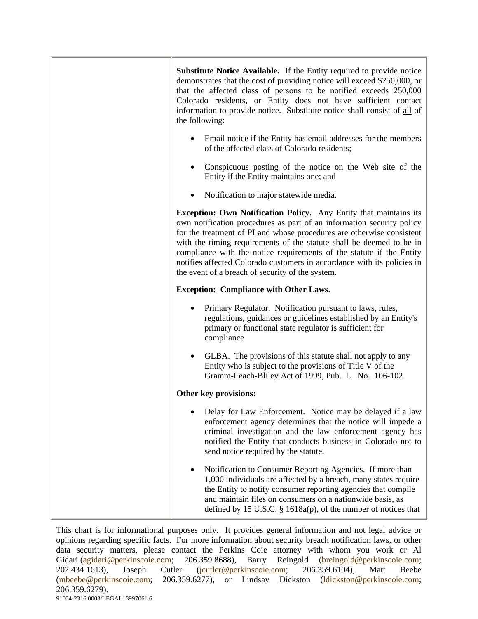| <b>Substitute Notice Available.</b> If the Entity required to provide notice<br>demonstrates that the cost of providing notice will exceed \$250,000, or<br>that the affected class of persons to be notified exceeds 250,000<br>Colorado residents, or Entity does not have sufficient contact<br>information to provide notice. Substitute notice shall consist of all of<br>the following:                                                                                                             |
|-----------------------------------------------------------------------------------------------------------------------------------------------------------------------------------------------------------------------------------------------------------------------------------------------------------------------------------------------------------------------------------------------------------------------------------------------------------------------------------------------------------|
| Email notice if the Entity has email addresses for the members<br>of the affected class of Colorado residents;                                                                                                                                                                                                                                                                                                                                                                                            |
| Conspicuous posting of the notice on the Web site of the<br>Entity if the Entity maintains one; and                                                                                                                                                                                                                                                                                                                                                                                                       |
| Notification to major statewide media.                                                                                                                                                                                                                                                                                                                                                                                                                                                                    |
| <b>Exception: Own Notification Policy.</b> Any Entity that maintains its<br>own notification procedures as part of an information security policy<br>for the treatment of PI and whose procedures are otherwise consistent<br>with the timing requirements of the statute shall be deemed to be in<br>compliance with the notice requirements of the statute if the Entity<br>notifies affected Colorado customers in accordance with its policies in<br>the event of a breach of security of the system. |
| <b>Exception: Compliance with Other Laws.</b>                                                                                                                                                                                                                                                                                                                                                                                                                                                             |
| Primary Regulator. Notification pursuant to laws, rules,<br>regulations, guidances or guidelines established by an Entity's<br>primary or functional state regulator is sufficient for<br>compliance                                                                                                                                                                                                                                                                                                      |
| GLBA. The provisions of this statute shall not apply to any<br>Entity who is subject to the provisions of Title V of the<br>Gramm-Leach-Bliley Act of 1999, Pub. L. No. 106-102.                                                                                                                                                                                                                                                                                                                          |
| Other key provisions:                                                                                                                                                                                                                                                                                                                                                                                                                                                                                     |
| Delay for Law Enforcement. Notice may be delayed if a law<br>enforcement agency determines that the notice will impede a<br>criminal investigation and the law enforcement agency has<br>notified the Entity that conducts business in Colorado not to<br>send notice required by the statute.                                                                                                                                                                                                            |
| Notification to Consumer Reporting Agencies. If more than<br>1,000 individuals are affected by a breach, many states require<br>the Entity to notify consumer reporting agencies that compile<br>and maintain files on consumers on a nationwide basis, as<br>defined by 15 U.S.C. § 1618a(p), of the number of notices that                                                                                                                                                                              |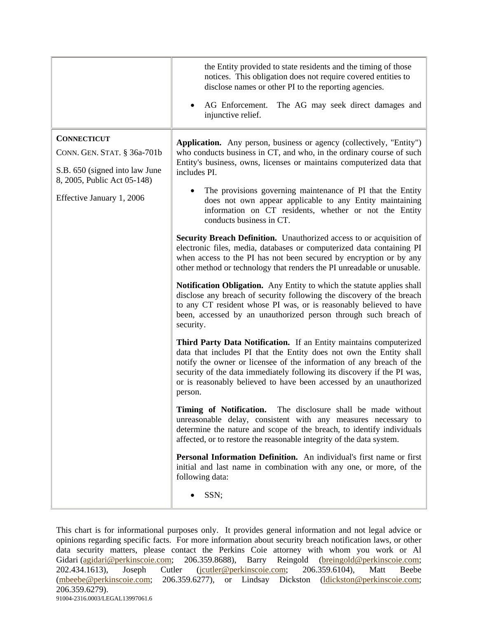|                                                                                                                                                 | the Entity provided to state residents and the timing of those<br>notices. This obligation does not require covered entities to<br>disclose names or other PI to the reporting agencies.<br>AG Enforcement.<br>The AG may seek direct damages and<br>injunctive relief.                                                                                                                                                                                                                                                                                                                                                                                                                                                                                                                                                                                                                                                                                                                                                                                                                                                                                                                                                                                                                                                                                                                                                                                                                                                                                                                                                                                                                                                                                                                                                                                                                                                      |
|-------------------------------------------------------------------------------------------------------------------------------------------------|------------------------------------------------------------------------------------------------------------------------------------------------------------------------------------------------------------------------------------------------------------------------------------------------------------------------------------------------------------------------------------------------------------------------------------------------------------------------------------------------------------------------------------------------------------------------------------------------------------------------------------------------------------------------------------------------------------------------------------------------------------------------------------------------------------------------------------------------------------------------------------------------------------------------------------------------------------------------------------------------------------------------------------------------------------------------------------------------------------------------------------------------------------------------------------------------------------------------------------------------------------------------------------------------------------------------------------------------------------------------------------------------------------------------------------------------------------------------------------------------------------------------------------------------------------------------------------------------------------------------------------------------------------------------------------------------------------------------------------------------------------------------------------------------------------------------------------------------------------------------------------------------------------------------------|
| <b>CONNECTICUT</b><br>CONN. GEN. STAT. § 36a-701b<br>S.B. 650 (signed into law June<br>8, 2005, Public Act 05-148)<br>Effective January 1, 2006 | Application. Any person, business or agency (collectively, "Entity")<br>who conducts business in CT, and who, in the ordinary course of such<br>Entity's business, owns, licenses or maintains computerized data that<br>includes PI.<br>The provisions governing maintenance of PI that the Entity<br>does not own appear applicable to any Entity maintaining<br>information on CT residents, whether or not the Entity<br>conducts business in CT.<br><b>Security Breach Definition.</b> Unauthorized access to or acquisition of<br>electronic files, media, databases or computerized data containing PI<br>when access to the PI has not been secured by encryption or by any<br>other method or technology that renders the PI unreadable or unusable.<br><b>Notification Obligation.</b> Any Entity to which the statute applies shall<br>disclose any breach of security following the discovery of the breach<br>to any CT resident whose PI was, or is reasonably believed to have<br>been, accessed by an unauthorized person through such breach of<br>security.<br>Third Party Data Notification. If an Entity maintains computerized<br>data that includes PI that the Entity does not own the Entity shall<br>notify the owner or licensee of the information of any breach of the<br>security of the data immediately following its discovery if the PI was,<br>or is reasonably believed to have been accessed by an unauthorized<br>person.<br>Timing of Notification.<br>The disclosure shall be made without<br>unreasonable delay, consistent with any measures necessary to<br>determine the nature and scope of the breach, to identify individuals<br>affected, or to restore the reasonable integrity of the data system.<br>Personal Information Definition. An individual's first name or first<br>initial and last name in combination with any one, or more, of the<br>following data:<br>SSN; |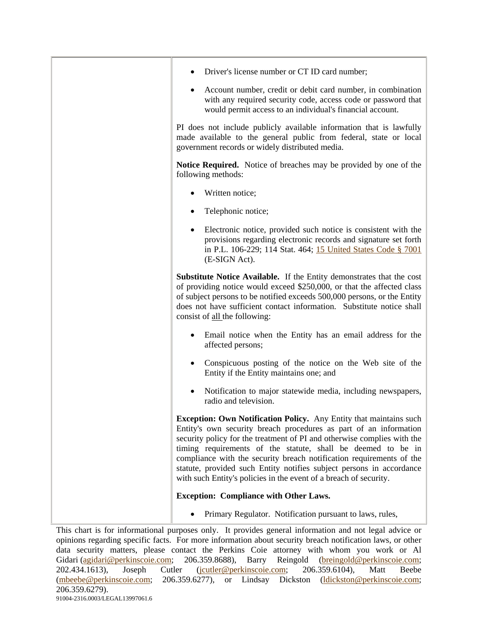| Driver's license number or CT ID card number;                                                                                                                                                                                                                                                                                                                                                                                                                                                                  |
|----------------------------------------------------------------------------------------------------------------------------------------------------------------------------------------------------------------------------------------------------------------------------------------------------------------------------------------------------------------------------------------------------------------------------------------------------------------------------------------------------------------|
| Account number, credit or debit card number, in combination<br>with any required security code, access code or password that<br>would permit access to an individual's financial account.                                                                                                                                                                                                                                                                                                                      |
| PI does not include publicly available information that is lawfully<br>made available to the general public from federal, state or local<br>government records or widely distributed media.                                                                                                                                                                                                                                                                                                                    |
| <b>Notice Required.</b> Notice of breaches may be provided by one of the<br>following methods:                                                                                                                                                                                                                                                                                                                                                                                                                 |
| Written notice;                                                                                                                                                                                                                                                                                                                                                                                                                                                                                                |
| Telephonic notice;                                                                                                                                                                                                                                                                                                                                                                                                                                                                                             |
| Electronic notice, provided such notice is consistent with the<br>$\bullet$<br>provisions regarding electronic records and signature set forth<br>in P.L. 106-229; 114 Stat. 464; 15 United States Code § 7001<br>(E-SIGN Act).                                                                                                                                                                                                                                                                                |
| <b>Substitute Notice Available.</b> If the Entity demonstrates that the cost<br>of providing notice would exceed \$250,000, or that the affected class<br>of subject persons to be notified exceeds 500,000 persons, or the Entity<br>does not have sufficient contact information. Substitute notice shall<br>consist of all the following:                                                                                                                                                                   |
| Email notice when the Entity has an email address for the<br>affected persons;                                                                                                                                                                                                                                                                                                                                                                                                                                 |
| Conspicuous posting of the notice on the Web site of the<br>Entity if the Entity maintains one; and                                                                                                                                                                                                                                                                                                                                                                                                            |
| Notification to major statewide media, including newspapers,<br>radio and television.                                                                                                                                                                                                                                                                                                                                                                                                                          |
| <b>Exception: Own Notification Policy.</b> Any Entity that maintains such<br>Entity's own security breach procedures as part of an information<br>security policy for the treatment of PI and otherwise complies with the<br>timing requirements of the statute, shall be deemed to be in<br>compliance with the security breach notification requirements of the<br>statute, provided such Entity notifies subject persons in accordance<br>with such Entity's policies in the event of a breach of security. |
| <b>Exception: Compliance with Other Laws.</b>                                                                                                                                                                                                                                                                                                                                                                                                                                                                  |
| Primary Regulator. Notification pursuant to laws, rules,                                                                                                                                                                                                                                                                                                                                                                                                                                                       |
|                                                                                                                                                                                                                                                                                                                                                                                                                                                                                                                |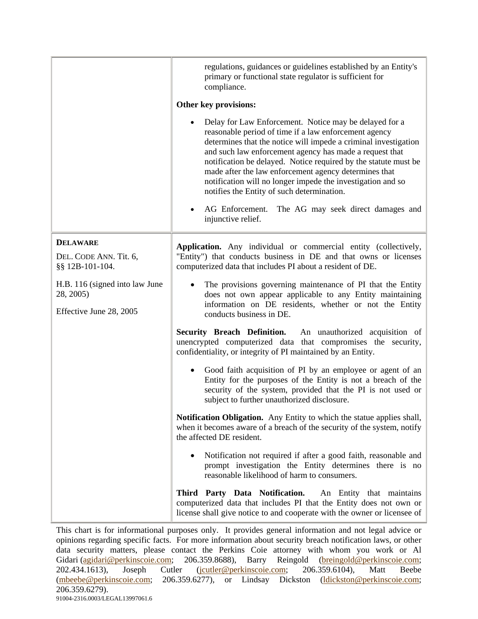|                                                                        | regulations, guidances or guidelines established by an Entity's<br>primary or functional state regulator is sufficient for<br>compliance.                                                                                                                                                                                                                                                                                                                                              |
|------------------------------------------------------------------------|----------------------------------------------------------------------------------------------------------------------------------------------------------------------------------------------------------------------------------------------------------------------------------------------------------------------------------------------------------------------------------------------------------------------------------------------------------------------------------------|
|                                                                        | Other key provisions:                                                                                                                                                                                                                                                                                                                                                                                                                                                                  |
|                                                                        | Delay for Law Enforcement. Notice may be delayed for a<br>reasonable period of time if a law enforcement agency<br>determines that the notice will impede a criminal investigation<br>and such law enforcement agency has made a request that<br>notification be delayed. Notice required by the statute must be<br>made after the law enforcement agency determines that<br>notification will no longer impede the investigation and so<br>notifies the Entity of such determination. |
|                                                                        | AG Enforcement. The AG may seek direct damages and<br>injunctive relief.                                                                                                                                                                                                                                                                                                                                                                                                               |
| <b>DELAWARE</b><br>DEL. CODE ANN. Tit. 6,<br>§§ 12B-101-104.           | Application. Any individual or commercial entity (collectively,<br>"Entity") that conducts business in DE and that owns or licenses<br>computerized data that includes PI about a resident of DE.                                                                                                                                                                                                                                                                                      |
| H.B. 116 (signed into law June<br>28, 2005)<br>Effective June 28, 2005 | The provisions governing maintenance of PI that the Entity<br>does not own appear applicable to any Entity maintaining<br>information on DE residents, whether or not the Entity<br>conducts business in DE.                                                                                                                                                                                                                                                                           |
|                                                                        | Security Breach Definition. An unauthorized acquisition of<br>unencrypted computerized data that compromises the security,<br>confidentiality, or integrity of PI maintained by an Entity.                                                                                                                                                                                                                                                                                             |
|                                                                        | Good faith acquisition of PI by an employee or agent of an<br>Entity for the purposes of the Entity is not a breach of the<br>security of the system, provided that the PI is not used or<br>subject to further unauthorized disclosure.                                                                                                                                                                                                                                               |
|                                                                        | Notification Obligation. Any Entity to which the statue applies shall,<br>when it becomes aware of a breach of the security of the system, notify<br>the affected DE resident.                                                                                                                                                                                                                                                                                                         |
|                                                                        | Notification not required if after a good faith, reasonable and<br>prompt investigation the Entity determines there is no<br>reasonable likelihood of harm to consumers.                                                                                                                                                                                                                                                                                                               |
|                                                                        | Third Party Data Notification.<br>An Entity that maintains<br>computerized data that includes PI that the Entity does not own or<br>license shall give notice to and cooperate with the owner or licensee of                                                                                                                                                                                                                                                                           |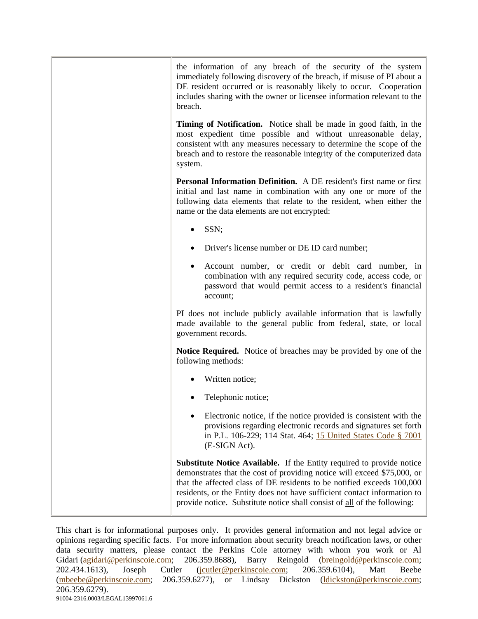| the information of any breach of the security of the system<br>immediately following discovery of the breach, if misuse of PI about a<br>DE resident occurred or is reasonably likely to occur. Cooperation<br>includes sharing with the owner or licensee information relevant to the<br>breach.                                                                                         |
|-------------------------------------------------------------------------------------------------------------------------------------------------------------------------------------------------------------------------------------------------------------------------------------------------------------------------------------------------------------------------------------------|
| Timing of Notification. Notice shall be made in good faith, in the<br>most expedient time possible and without unreasonable delay,<br>consistent with any measures necessary to determine the scope of the<br>breach and to restore the reasonable integrity of the computerized data<br>system.                                                                                          |
| <b>Personal Information Definition.</b> A DE resident's first name or first<br>initial and last name in combination with any one or more of the<br>following data elements that relate to the resident, when either the<br>name or the data elements are not encrypted:                                                                                                                   |
| SSN;                                                                                                                                                                                                                                                                                                                                                                                      |
| Driver's license number or DE ID card number;                                                                                                                                                                                                                                                                                                                                             |
| Account number, or credit or debit card number, in<br>combination with any required security code, access code, or<br>password that would permit access to a resident's financial<br>account;                                                                                                                                                                                             |
| PI does not include publicly available information that is lawfully<br>made available to the general public from federal, state, or local<br>government records.                                                                                                                                                                                                                          |
| <b>Notice Required.</b> Notice of breaches may be provided by one of the<br>following methods:                                                                                                                                                                                                                                                                                            |
| Written notice;                                                                                                                                                                                                                                                                                                                                                                           |
| Telephonic notice;                                                                                                                                                                                                                                                                                                                                                                        |
| Electronic notice, if the notice provided is consistent with the<br>provisions regarding electronic records and signatures set forth<br>in P.L. 106-229; 114 Stat. 464; 15 United States Code § 7001<br>(E-SIGN Act).                                                                                                                                                                     |
| <b>Substitute Notice Available.</b> If the Entity required to provide notice<br>demonstrates that the cost of providing notice will exceed \$75,000, or<br>that the affected class of DE residents to be notified exceeds 100,000<br>residents, or the Entity does not have sufficient contact information to<br>provide notice. Substitute notice shall consist of all of the following: |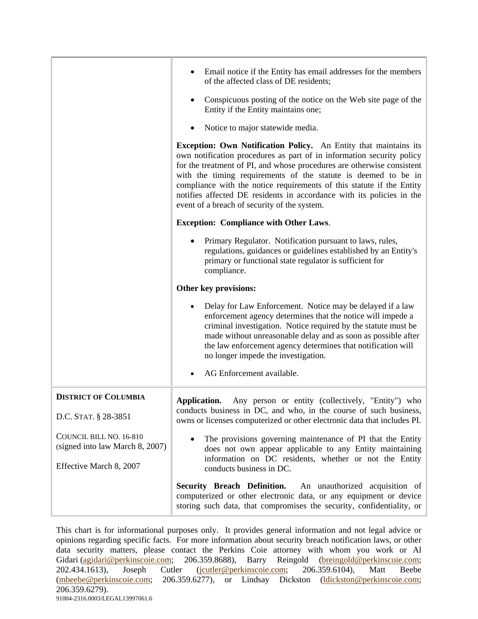|                                                            | Email notice if the Entity has email addresses for the members<br>of the affected class of DE residents;<br>Conspicuous posting of the notice on the Web site page of the<br>Entity if the Entity maintains one;<br>Notice to major statewide media.<br><b>Exception: Own Notification Policy.</b> An Entity that maintains its                                                                                     |
|------------------------------------------------------------|---------------------------------------------------------------------------------------------------------------------------------------------------------------------------------------------------------------------------------------------------------------------------------------------------------------------------------------------------------------------------------------------------------------------|
|                                                            | own notification procedures as part of in information security policy<br>for the treatment of PI, and whose procedures are otherwise consistent<br>with the timing requirements of the statute is deemed to be in<br>compliance with the notice requirements of this statute if the Entity<br>notifies affected DE residents in accordance with its policies in the<br>event of a breach of security of the system. |
|                                                            | <b>Exception: Compliance with Other Laws.</b>                                                                                                                                                                                                                                                                                                                                                                       |
|                                                            | Primary Regulator. Notification pursuant to laws, rules,<br>regulations, guidances or guidelines established by an Entity's<br>primary or functional state regulator is sufficient for<br>compliance.                                                                                                                                                                                                               |
|                                                            | Other key provisions:                                                                                                                                                                                                                                                                                                                                                                                               |
|                                                            | Delay for Law Enforcement. Notice may be delayed if a law<br>enforcement agency determines that the notice will impede a<br>criminal investigation. Notice required by the statute must be<br>made without unreasonable delay and as soon as possible after<br>the law enforcement agency determines that notification will<br>no longer impede the investigation.                                                  |
|                                                            | AG Enforcement available.                                                                                                                                                                                                                                                                                                                                                                                           |
| <b>DISTRICT OF COLUMBIA</b>                                | Application.<br>Any person or entity (collectively, "Entity") who                                                                                                                                                                                                                                                                                                                                                   |
| D.C. STAT. § 28-3851                                       | conducts business in DC, and who, in the course of such business,<br>owns or licenses computerized or other electronic data that includes PI.                                                                                                                                                                                                                                                                       |
| COUNCIL BILL NO. 16-810<br>(signed into law March 8, 2007) | The provisions governing maintenance of PI that the Entity<br>does not own appear applicable to any Entity maintaining<br>information on DC residents, whether or not the Entity                                                                                                                                                                                                                                    |
| Effective March 8, 2007                                    | conducts business in DC.                                                                                                                                                                                                                                                                                                                                                                                            |
|                                                            | <b>Security Breach Definition.</b><br>An unauthorized acquisition of<br>computerized or other electronic data, or any equipment or device<br>storing such data, that compromises the security, confidentiality, or                                                                                                                                                                                                  |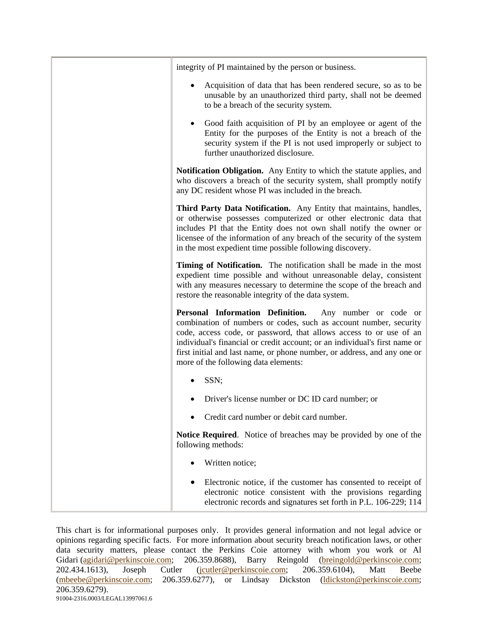| integrity of PI maintained by the person or business.                                                                                                                                                                                                                                                                                                                                                  |
|--------------------------------------------------------------------------------------------------------------------------------------------------------------------------------------------------------------------------------------------------------------------------------------------------------------------------------------------------------------------------------------------------------|
| Acquisition of data that has been rendered secure, so as to be<br>unusable by an unauthorized third party, shall not be deemed<br>to be a breach of the security system.                                                                                                                                                                                                                               |
| Good faith acquisition of PI by an employee or agent of the<br>٠<br>Entity for the purposes of the Entity is not a breach of the<br>security system if the PI is not used improperly or subject to<br>further unauthorized disclosure.                                                                                                                                                                 |
| <b>Notification Obligation.</b> Any Entity to which the statute applies, and<br>who discovers a breach of the security system, shall promptly notify<br>any DC resident whose PI was included in the breach.                                                                                                                                                                                           |
| Third Party Data Notification. Any Entity that maintains, handles,<br>or otherwise possesses computerized or other electronic data that<br>includes PI that the Entity does not own shall notify the owner or<br>licensee of the information of any breach of the security of the system<br>in the most expedient time possible following discovery.                                                   |
| Timing of Notification. The notification shall be made in the most<br>expedient time possible and without unreasonable delay, consistent<br>with any measures necessary to determine the scope of the breach and<br>restore the reasonable integrity of the data system.                                                                                                                               |
| Personal Information Definition.<br>Any number or code or<br>combination of numbers or codes, such as account number, security<br>code, access code, or password, that allows access to or use of an<br>individual's financial or credit account; or an individual's first name or<br>first initial and last name, or phone number, or address, and any one or<br>more of the following data elements: |
| SSN;                                                                                                                                                                                                                                                                                                                                                                                                   |
| Driver's license number or DC ID card number; or                                                                                                                                                                                                                                                                                                                                                       |
| Credit card number or debit card number.                                                                                                                                                                                                                                                                                                                                                               |
| <b>Notice Required.</b> Notice of breaches may be provided by one of the<br>following methods:                                                                                                                                                                                                                                                                                                         |
| Written notice;                                                                                                                                                                                                                                                                                                                                                                                        |
| Electronic notice, if the customer has consented to receipt of<br>electronic notice consistent with the provisions regarding<br>electronic records and signatures set forth in P.L. 106-229; 114                                                                                                                                                                                                       |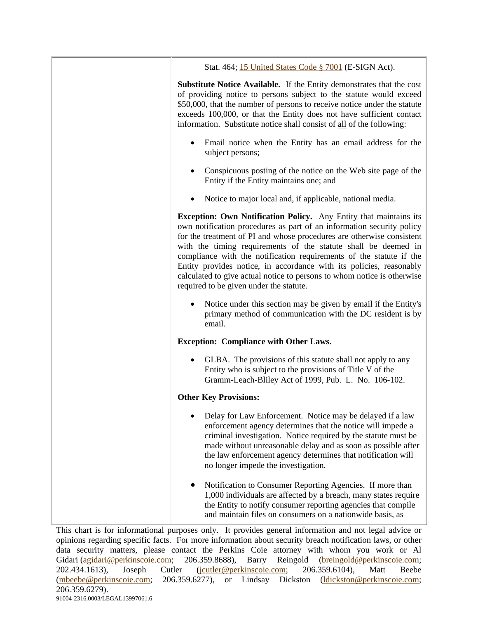| Stat. 464; 15 United States Code § 7001 (E-SIGN Act).                                                                                                                                                                                                                                                                                                                                                                                                                                                                                                            |
|------------------------------------------------------------------------------------------------------------------------------------------------------------------------------------------------------------------------------------------------------------------------------------------------------------------------------------------------------------------------------------------------------------------------------------------------------------------------------------------------------------------------------------------------------------------|
| <b>Substitute Notice Available.</b> If the Entity demonstrates that the cost<br>of providing notice to persons subject to the statute would exceed<br>\$50,000, that the number of persons to receive notice under the statute<br>exceeds 100,000, or that the Entity does not have sufficient contact<br>information. Substitute notice shall consist of all of the following:                                                                                                                                                                                  |
| Email notice when the Entity has an email address for the<br>subject persons;                                                                                                                                                                                                                                                                                                                                                                                                                                                                                    |
| Conspicuous posting of the notice on the Web site page of the<br>Entity if the Entity maintains one; and                                                                                                                                                                                                                                                                                                                                                                                                                                                         |
| Notice to major local and, if applicable, national media.                                                                                                                                                                                                                                                                                                                                                                                                                                                                                                        |
| <b>Exception: Own Notification Policy.</b> Any Entity that maintains its<br>own notification procedures as part of an information security policy<br>for the treatment of PI and whose procedures are otherwise consistent<br>with the timing requirements of the statute shall be deemed in<br>compliance with the notification requirements of the statute if the<br>Entity provides notice, in accordance with its policies, reasonably<br>calculated to give actual notice to persons to whom notice is otherwise<br>required to be given under the statute. |
| Notice under this section may be given by email if the Entity's<br>primary method of communication with the DC resident is by<br>email.                                                                                                                                                                                                                                                                                                                                                                                                                          |
| <b>Exception: Compliance with Other Laws.</b>                                                                                                                                                                                                                                                                                                                                                                                                                                                                                                                    |
| GLBA. The provisions of this statute shall not apply to any<br>Entity who is subject to the provisions of Title V of the<br>Gramm-Leach-Bliley Act of 1999, Pub. L. No. 106-102.                                                                                                                                                                                                                                                                                                                                                                                 |
| <b>Other Key Provisions:</b>                                                                                                                                                                                                                                                                                                                                                                                                                                                                                                                                     |
| Delay for Law Enforcement. Notice may be delayed if a law<br>enforcement agency determines that the notice will impede a<br>criminal investigation. Notice required by the statute must be<br>made without unreasonable delay and as soon as possible after<br>the law enforcement agency determines that notification will<br>no longer impede the investigation.                                                                                                                                                                                               |
| Notification to Consumer Reporting Agencies. If more than<br>1,000 individuals are affected by a breach, many states require<br>the Entity to notify consumer reporting agencies that compile<br>and maintain files on consumers on a nationwide basis, as                                                                                                                                                                                                                                                                                                       |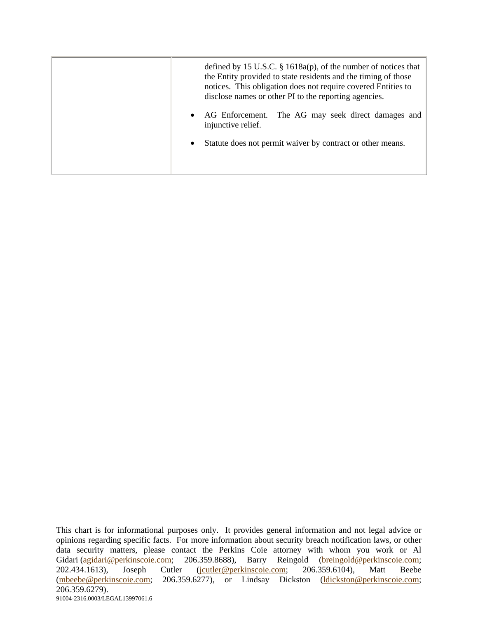| defined by 15 U.S.C. $\S$ 1618a(p), of the number of notices that<br>the Entity provided to state residents and the timing of those<br>notices. This obligation does not require covered Entities to<br>disclose names or other PI to the reporting agencies. |
|---------------------------------------------------------------------------------------------------------------------------------------------------------------------------------------------------------------------------------------------------------------|
| AG Enforcement. The AG may seek direct damages and<br>injunctive relief.                                                                                                                                                                                      |
| Statute does not permit waiver by contract or other means.<br>$\bullet$                                                                                                                                                                                       |
|                                                                                                                                                                                                                                                               |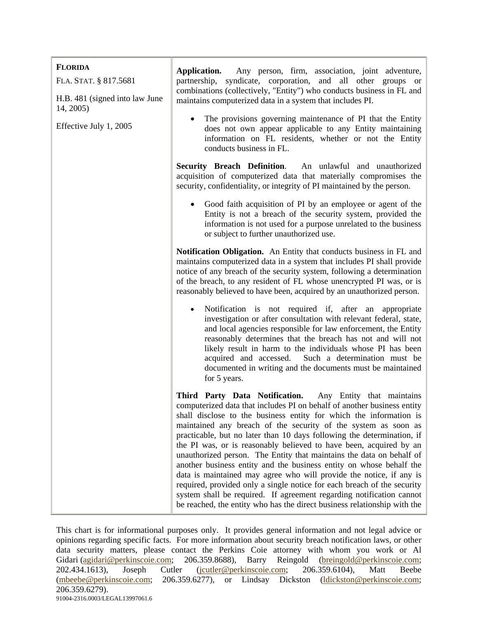| <b>FLORIDA</b><br>FLA. STAT. § 817.5681<br>H.B. 481 (signed into law June | Application.<br>Any person, firm, association, joint adventure,<br>partnership,<br>syndicate, corporation, and all other groups or<br>combinations (collectively, "Entity") who conducts business in FL and<br>maintains computerized data in a system that includes PI.                                                                                                                                                                                                                                                                                                                                                                                                                                                                                                                                                                                                         |
|---------------------------------------------------------------------------|----------------------------------------------------------------------------------------------------------------------------------------------------------------------------------------------------------------------------------------------------------------------------------------------------------------------------------------------------------------------------------------------------------------------------------------------------------------------------------------------------------------------------------------------------------------------------------------------------------------------------------------------------------------------------------------------------------------------------------------------------------------------------------------------------------------------------------------------------------------------------------|
| 14, 2005)<br>Effective July 1, 2005                                       | The provisions governing maintenance of PI that the Entity<br>does not own appear applicable to any Entity maintaining<br>information on FL residents, whether or not the Entity<br>conducts business in FL.                                                                                                                                                                                                                                                                                                                                                                                                                                                                                                                                                                                                                                                                     |
|                                                                           | Security Breach Definition. An unlawful and unauthorized<br>acquisition of computerized data that materially compromises the<br>security, confidentiality, or integrity of PI maintained by the person.                                                                                                                                                                                                                                                                                                                                                                                                                                                                                                                                                                                                                                                                          |
|                                                                           | Good faith acquisition of PI by an employee or agent of the<br>Entity is not a breach of the security system, provided the<br>information is not used for a purpose unrelated to the business<br>or subject to further unauthorized use.                                                                                                                                                                                                                                                                                                                                                                                                                                                                                                                                                                                                                                         |
|                                                                           | Notification Obligation. An Entity that conducts business in FL and<br>maintains computerized data in a system that includes PI shall provide<br>notice of any breach of the security system, following a determination<br>of the breach, to any resident of FL whose unencrypted PI was, or is<br>reasonably believed to have been, acquired by an unauthorized person.                                                                                                                                                                                                                                                                                                                                                                                                                                                                                                         |
|                                                                           | Notification is not required if, after an appropriate<br>$\bullet$<br>investigation or after consultation with relevant federal, state,<br>and local agencies responsible for law enforcement, the Entity<br>reasonably determines that the breach has not and will not<br>likely result in harm to the individuals whose PI has been<br>acquired and accessed.<br>Such a determination must be<br>documented in writing and the documents must be maintained<br>for 5 years.                                                                                                                                                                                                                                                                                                                                                                                                    |
|                                                                           | Third Party Data Notification. Any Entity that maintains<br>computerized data that includes PI on behalf of another business entity<br>shall disclose to the business entity for which the information is<br>maintained any breach of the security of the system as soon as<br>practicable, but no later than 10 days following the determination, if<br>the PI was, or is reasonably believed to have been, acquired by an<br>unauthorized person. The Entity that maintains the data on behalf of<br>another business entity and the business entity on whose behalf the<br>data is maintained may agree who will provide the notice, if any is<br>required, provided only a single notice for each breach of the security<br>system shall be required. If agreement regarding notification cannot<br>be reached, the entity who has the direct business relationship with the |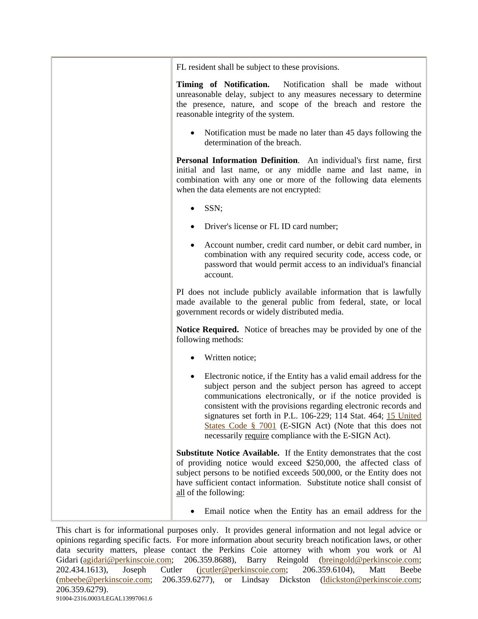FL resident shall be subject to these provisions.

**Timing of Notification.** Notification shall be made without unreasonable delay, subject to any measures necessary to determine the presence, nature, and scope of the breach and restore the reasonable integrity of the system.

• Notification must be made no later than 45 days following the determination of the breach.

**Personal Information Definition**. An individual's first name, first initial and last name, or any middle name and last name, in combination with any one or more of the following data elements when the data elements are not encrypted:

- SSN:
- Driver's license or FL ID card number;
- Account number, credit card number, or debit card number, in combination with any required security code, access code, or password that would permit access to an individual's financial account.

PI does not include publicly available information that is lawfully made available to the general public from federal, state, or local government records or widely distributed media.

**Notice Required.** Notice of breaches may be provided by one of the following methods:

- Written notice:
- Electronic notice, if the Entity has a valid email address for the subject person and the subject person has agreed to accept communications electronically, or if the notice provided is consistent with the provisions regarding electronic records and signatures set forth in P.L. 106-229; 114 Stat. 464; 15 United States Code § 7001 (E-SIGN Act) (Note that this does not necessarily require compliance with the E-SIGN Act).

**Substitute Notice Available.** If the Entity demonstrates that the cost of providing notice would exceed \$250,000, the affected class of subject persons to be notified exceeds 500,000, or the Entity does not have sufficient contact information. Substitute notice shall consist of all of the following:

• Email notice when the Entity has an email address for the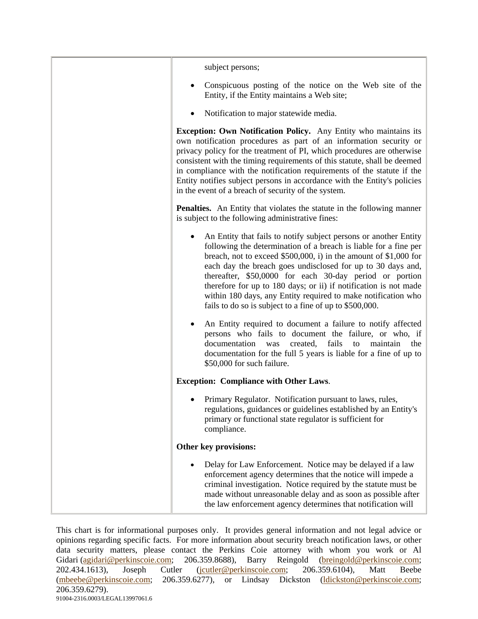| subject persons;                                                                                                                                                                                                                                                                                                                                                                                                                                                                                                                      |
|---------------------------------------------------------------------------------------------------------------------------------------------------------------------------------------------------------------------------------------------------------------------------------------------------------------------------------------------------------------------------------------------------------------------------------------------------------------------------------------------------------------------------------------|
| Conspicuous posting of the notice on the Web site of the<br>Entity, if the Entity maintains a Web site;                                                                                                                                                                                                                                                                                                                                                                                                                               |
| Notification to major statewide media.                                                                                                                                                                                                                                                                                                                                                                                                                                                                                                |
| Exception: Own Notification Policy. Any Entity who maintains its<br>own notification procedures as part of an information security or<br>privacy policy for the treatment of PI, which procedures are otherwise<br>consistent with the timing requirements of this statute, shall be deemed<br>in compliance with the notification requirements of the statute if the<br>Entity notifies subject persons in accordance with the Entity's policies<br>in the event of a breach of security of the system.                              |
| <b>Penalties.</b> An Entity that violates the statute in the following manner<br>is subject to the following administrative fines:                                                                                                                                                                                                                                                                                                                                                                                                    |
| An Entity that fails to notify subject persons or another Entity<br>following the determination of a breach is liable for a fine per<br>breach, not to exceed $$500,000$ , i) in the amount of $$1,000$ for<br>each day the breach goes undisclosed for up to 30 days and,<br>thereafter, \$50,0000 for each 30-day period or portion<br>therefore for up to 180 days; or ii) if notification is not made<br>within 180 days, any Entity required to make notification who<br>fails to do so is subject to a fine of up to \$500,000. |
| An Entity required to document a failure to notify affected<br>persons who fails to document the failure, or who, if<br>fails<br>documentation<br>the<br>created,<br>to<br>maintain<br>was<br>documentation for the full 5 years is liable for a fine of up to<br>\$50,000 for such failure.                                                                                                                                                                                                                                          |
| <b>Exception: Compliance with Other Laws.</b>                                                                                                                                                                                                                                                                                                                                                                                                                                                                                         |
| Primary Regulator. Notification pursuant to laws, rules,<br>regulations, guidances or guidelines established by an Entity's<br>primary or functional state regulator is sufficient for<br>compliance.                                                                                                                                                                                                                                                                                                                                 |
| Other key provisions:                                                                                                                                                                                                                                                                                                                                                                                                                                                                                                                 |
| Delay for Law Enforcement. Notice may be delayed if a law<br>enforcement agency determines that the notice will impede a<br>criminal investigation. Notice required by the statute must be<br>made without unreasonable delay and as soon as possible after<br>the law enforcement agency determines that notification will                                                                                                                                                                                                           |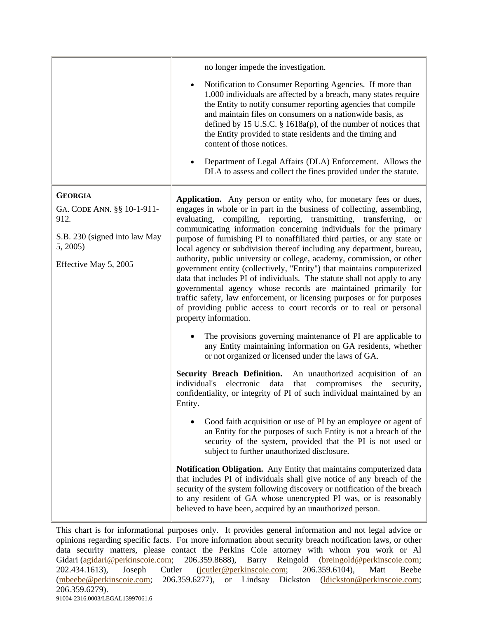|                                                                                                                            | no longer impede the investigation.                                                                                                                                                                                                                                                                                                                                                                                                                                                                                                                                                                                                                                                                                                                                                                                                                                                                                                                                                                                                                |
|----------------------------------------------------------------------------------------------------------------------------|----------------------------------------------------------------------------------------------------------------------------------------------------------------------------------------------------------------------------------------------------------------------------------------------------------------------------------------------------------------------------------------------------------------------------------------------------------------------------------------------------------------------------------------------------------------------------------------------------------------------------------------------------------------------------------------------------------------------------------------------------------------------------------------------------------------------------------------------------------------------------------------------------------------------------------------------------------------------------------------------------------------------------------------------------|
|                                                                                                                            | Notification to Consumer Reporting Agencies. If more than<br>1,000 individuals are affected by a breach, many states require<br>the Entity to notify consumer reporting agencies that compile<br>and maintain files on consumers on a nationwide basis, as<br>defined by 15 U.S.C. $\S$ 1618a(p), of the number of notices that<br>the Entity provided to state residents and the timing and<br>content of those notices.                                                                                                                                                                                                                                                                                                                                                                                                                                                                                                                                                                                                                          |
|                                                                                                                            | Department of Legal Affairs (DLA) Enforcement. Allows the<br>$\bullet$<br>DLA to assess and collect the fines provided under the statute.                                                                                                                                                                                                                                                                                                                                                                                                                                                                                                                                                                                                                                                                                                                                                                                                                                                                                                          |
| <b>GEORGIA</b><br>GA. CODE ANN. §§ 10-1-911-<br>912.<br>S.B. 230 (signed into law May<br>5, 2005)<br>Effective May 5, 2005 | Application. Any person or entity who, for monetary fees or dues,<br>engages in whole or in part in the business of collecting, assembling,<br>evaluating, compiling, reporting, transmitting, transferring, or<br>communicating information concerning individuals for the primary<br>purpose of furnishing PI to nonaffiliated third parties, or any state or<br>local agency or subdivision thereof including any department, bureau,<br>authority, public university or college, academy, commission, or other<br>government entity (collectively, "Entity") that maintains computerized<br>data that includes PI of individuals. The statute shall not apply to any<br>governmental agency whose records are maintained primarily for<br>traffic safety, law enforcement, or licensing purposes or for purposes<br>of providing public access to court records or to real or personal<br>property information.<br>The provisions governing maintenance of PI are applicable to<br>any Entity maintaining information on GA residents, whether |
|                                                                                                                            | or not organized or licensed under the laws of GA.                                                                                                                                                                                                                                                                                                                                                                                                                                                                                                                                                                                                                                                                                                                                                                                                                                                                                                                                                                                                 |
|                                                                                                                            | Security Breach Definition. An unauthorized acquisition of an<br>electronic<br>data<br>that<br>compromises the security,<br>individual's<br>confidentiality, or integrity of PI of such individual maintained by an<br>Entity.                                                                                                                                                                                                                                                                                                                                                                                                                                                                                                                                                                                                                                                                                                                                                                                                                     |
|                                                                                                                            | Good faith acquisition or use of PI by an employee or agent of<br>an Entity for the purposes of such Entity is not a breach of the<br>security of the system, provided that the PI is not used or<br>subject to further unauthorized disclosure.                                                                                                                                                                                                                                                                                                                                                                                                                                                                                                                                                                                                                                                                                                                                                                                                   |
|                                                                                                                            | Notification Obligation. Any Entity that maintains computerized data<br>that includes PI of individuals shall give notice of any breach of the<br>security of the system following discovery or notification of the breach<br>to any resident of GA whose unencrypted PI was, or is reasonably<br>believed to have been, acquired by an unauthorized person.                                                                                                                                                                                                                                                                                                                                                                                                                                                                                                                                                                                                                                                                                       |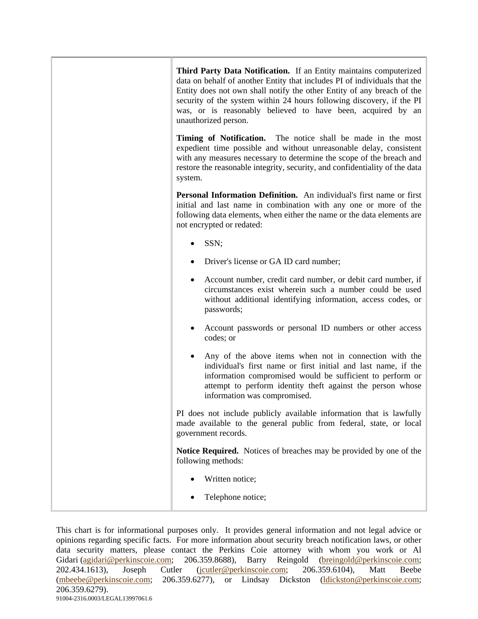| Third Party Data Notification. If an Entity maintains computerized<br>data on behalf of another Entity that includes PI of individuals that the<br>Entity does not own shall notify the other Entity of any breach of the<br>security of the system within 24 hours following discovery, if the PI<br>was, or is reasonably believed to have been, acquired by an<br>unauthorized person. |
|-------------------------------------------------------------------------------------------------------------------------------------------------------------------------------------------------------------------------------------------------------------------------------------------------------------------------------------------------------------------------------------------|
| Timing of Notification. The notice shall be made in the most<br>expedient time possible and without unreasonable delay, consistent<br>with any measures necessary to determine the scope of the breach and<br>restore the reasonable integrity, security, and confidentiality of the data<br>system.                                                                                      |
| Personal Information Definition. An individual's first name or first<br>initial and last name in combination with any one or more of the<br>following data elements, when either the name or the data elements are<br>not encrypted or redated:                                                                                                                                           |
| SSN;                                                                                                                                                                                                                                                                                                                                                                                      |
| Driver's license or GA ID card number;                                                                                                                                                                                                                                                                                                                                                    |
| Account number, credit card number, or debit card number, if<br>circumstances exist wherein such a number could be used<br>without additional identifying information, access codes, or<br>passwords;                                                                                                                                                                                     |
| Account passwords or personal ID numbers or other access<br>codes; or                                                                                                                                                                                                                                                                                                                     |
| Any of the above items when not in connection with the<br>individual's first name or first initial and last name, if the<br>information compromised would be sufficient to perform or<br>attempt to perform identity theft against the person whose<br>information was compromised.                                                                                                       |
| PI does not include publicly available information that is lawfully<br>made available to the general public from federal, state, or local<br>government records.                                                                                                                                                                                                                          |
| <b>Notice Required.</b> Notices of breaches may be provided by one of the<br>following methods:                                                                                                                                                                                                                                                                                           |
| Written notice;                                                                                                                                                                                                                                                                                                                                                                           |
| Telephone notice;                                                                                                                                                                                                                                                                                                                                                                         |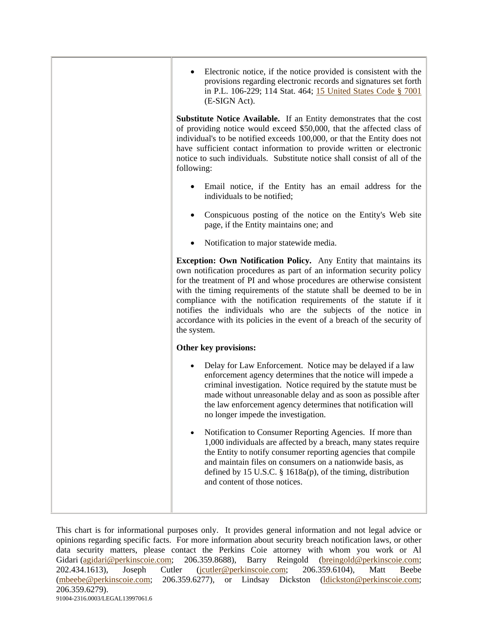| Electronic notice, if the notice provided is consistent with the<br>provisions regarding electronic records and signatures set forth<br>in P.L. 106-229; 114 Stat. 464; 15 United States Code § 7001<br>(E-SIGN Act).                                                                                                                                                                                                                                                                                                          |
|--------------------------------------------------------------------------------------------------------------------------------------------------------------------------------------------------------------------------------------------------------------------------------------------------------------------------------------------------------------------------------------------------------------------------------------------------------------------------------------------------------------------------------|
| Substitute Notice Available. If an Entity demonstrates that the cost<br>of providing notice would exceed \$50,000, that the affected class of<br>individual's to be notified exceeds 100,000, or that the Entity does not<br>have sufficient contact information to provide written or electronic<br>notice to such individuals. Substitute notice shall consist of all of the<br>following:                                                                                                                                   |
| Email notice, if the Entity has an email address for the<br>individuals to be notified;                                                                                                                                                                                                                                                                                                                                                                                                                                        |
| Conspicuous posting of the notice on the Entity's Web site<br>page, if the Entity maintains one; and                                                                                                                                                                                                                                                                                                                                                                                                                           |
| Notification to major statewide media.                                                                                                                                                                                                                                                                                                                                                                                                                                                                                         |
| Exception: Own Notification Policy. Any Entity that maintains its<br>own notification procedures as part of an information security policy<br>for the treatment of PI and whose procedures are otherwise consistent<br>with the timing requirements of the statute shall be deemed to be in<br>compliance with the notification requirements of the statute if it<br>notifies the individuals who are the subjects of the notice in<br>accordance with its policies in the event of a breach of the security of<br>the system. |
| Other key provisions:                                                                                                                                                                                                                                                                                                                                                                                                                                                                                                          |
| Delay for Law Enforcement. Notice may be delayed if a law<br>enforcement agency determines that the notice will impede a<br>criminal investigation. Notice required by the statute must be<br>made without unreasonable delay and as soon as possible after<br>the law enforcement agency determines that notification will<br>no longer impede the investigation.                                                                                                                                                             |
| Notification to Consumer Reporting Agencies. If more than<br>1,000 individuals are affected by a breach, many states require<br>the Entity to notify consumer reporting agencies that compile<br>and maintain files on consumers on a nationwide basis, as<br>defined by 15 U.S.C. $\S$ 1618a(p), of the timing, distribution<br>and content of those notices.                                                                                                                                                                 |
|                                                                                                                                                                                                                                                                                                                                                                                                                                                                                                                                |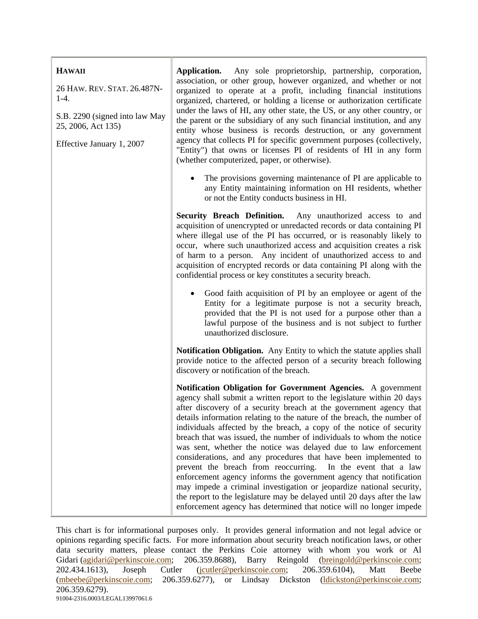| <b>HAWAII</b><br>26 HAW. REV. STAT. 26.487N-<br>$1-4.$<br>S.B. 2290 (signed into law May<br>25, 2006, Act 135)<br>Effective January 1, 2007 | Any sole proprietorship, partnership, corporation,<br>Application.<br>association, or other group, however organized, and whether or not<br>organized to operate at a profit, including financial institutions<br>organized, chartered, or holding a license or authorization certificate<br>under the laws of HI, any other state, the US, or any other country, or<br>the parent or the subsidiary of any such financial institution, and any<br>entity whose business is records destruction, or any government<br>agency that collects PI for specific government purposes (collectively,<br>"Entity") that owns or licenses PI of residents of HI in any form<br>(whether computerized, paper, or otherwise).                                                                                                                                                                                                                                  |
|---------------------------------------------------------------------------------------------------------------------------------------------|-----------------------------------------------------------------------------------------------------------------------------------------------------------------------------------------------------------------------------------------------------------------------------------------------------------------------------------------------------------------------------------------------------------------------------------------------------------------------------------------------------------------------------------------------------------------------------------------------------------------------------------------------------------------------------------------------------------------------------------------------------------------------------------------------------------------------------------------------------------------------------------------------------------------------------------------------------|
|                                                                                                                                             | The provisions governing maintenance of PI are applicable to<br>any Entity maintaining information on HI residents, whether<br>or not the Entity conducts business in HI.                                                                                                                                                                                                                                                                                                                                                                                                                                                                                                                                                                                                                                                                                                                                                                           |
|                                                                                                                                             | <b>Security Breach Definition.</b><br>Any unauthorized access to and<br>acquisition of unencrypted or unredacted records or data containing PI<br>where illegal use of the PI has occurred, or is reasonably likely to<br>occur, where such unauthorized access and acquisition creates a risk<br>of harm to a person. Any incident of unauthorized access to and<br>acquisition of encrypted records or data containing PI along with the<br>confidential process or key constitutes a security breach.                                                                                                                                                                                                                                                                                                                                                                                                                                            |
|                                                                                                                                             | Good faith acquisition of PI by an employee or agent of the<br>Entity for a legitimate purpose is not a security breach,<br>provided that the PI is not used for a purpose other than a<br>lawful purpose of the business and is not subject to further<br>unauthorized disclosure.                                                                                                                                                                                                                                                                                                                                                                                                                                                                                                                                                                                                                                                                 |
|                                                                                                                                             | Notification Obligation. Any Entity to which the statute applies shall<br>provide notice to the affected person of a security breach following<br>discovery or notification of the breach.                                                                                                                                                                                                                                                                                                                                                                                                                                                                                                                                                                                                                                                                                                                                                          |
|                                                                                                                                             | Notification Obligation for Government Agencies. A government<br>agency shall submit a written report to the legislature within 20 days<br>after discovery of a security breach at the government agency that<br>details information relating to the nature of the breach, the number of<br>individuals affected by the breach, a copy of the notice of security<br>breach that was issued, the number of individuals to whom the notice<br>was sent, whether the notice was delayed due to law enforcement<br>considerations, and any procedures that have been implemented to<br>prevent the breach from reoccurring.<br>In the event that a law<br>enforcement agency informs the government agency that notification<br>may impede a criminal investigation or jeopardize national security,<br>the report to the legislature may be delayed until 20 days after the law<br>enforcement agency has determined that notice will no longer impede |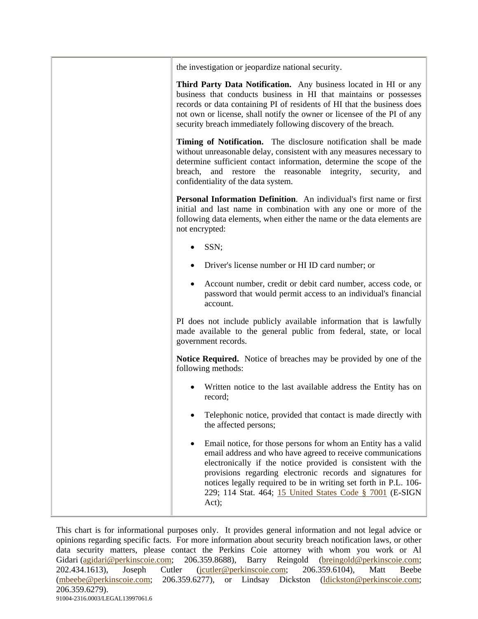| the investigation or jeopardize national security.                                                                                                                                                                                                                                                                                                                                                   |
|------------------------------------------------------------------------------------------------------------------------------------------------------------------------------------------------------------------------------------------------------------------------------------------------------------------------------------------------------------------------------------------------------|
| Third Party Data Notification. Any business located in HI or any<br>business that conducts business in HI that maintains or possesses<br>records or data containing PI of residents of HI that the business does<br>not own or license, shall notify the owner or licensee of the PI of any<br>security breach immediately following discovery of the breach.                                        |
| Timing of Notification. The disclosure notification shall be made<br>without unreasonable delay, consistent with any measures necessary to<br>determine sufficient contact information, determine the scope of the<br>breach, and restore the reasonable integrity, security,<br>and<br>confidentiality of the data system.                                                                          |
| Personal Information Definition. An individual's first name or first<br>initial and last name in combination with any one or more of the<br>following data elements, when either the name or the data elements are<br>not encrypted:                                                                                                                                                                 |
| SSN;                                                                                                                                                                                                                                                                                                                                                                                                 |
| Driver's license number or HI ID card number; or<br>٠                                                                                                                                                                                                                                                                                                                                                |
| Account number, credit or debit card number, access code, or<br>٠<br>password that would permit access to an individual's financial<br>account.                                                                                                                                                                                                                                                      |
| PI does not include publicly available information that is lawfully<br>made available to the general public from federal, state, or local<br>government records.                                                                                                                                                                                                                                     |
| <b>Notice Required.</b> Notice of breaches may be provided by one of the<br>following methods:                                                                                                                                                                                                                                                                                                       |
| Written notice to the last available address the Entity has on<br>record;                                                                                                                                                                                                                                                                                                                            |
| Telephonic notice, provided that contact is made directly with<br>the affected persons;                                                                                                                                                                                                                                                                                                              |
| Email notice, for those persons for whom an Entity has a valid<br>email address and who have agreed to receive communications<br>electronically if the notice provided is consistent with the<br>provisions regarding electronic records and signatures for<br>notices legally required to be in writing set forth in P.L. 106-<br>229; 114 Stat. 464; 15 United States Code § 7001 (E-SIGN<br>Act); |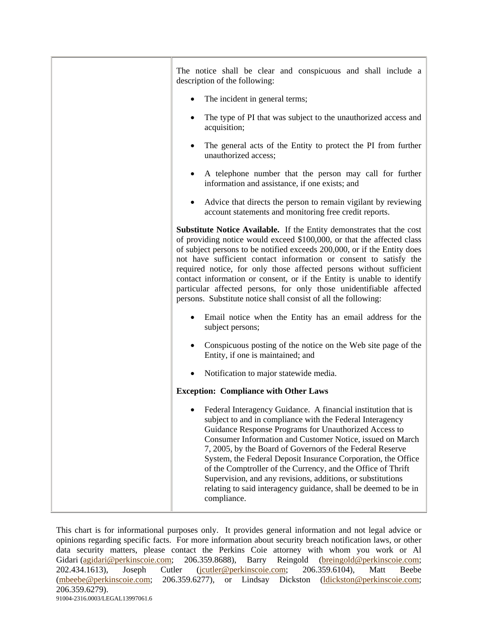| The notice shall be clear and conspicuous and shall include a<br>description of the following:                                                                                                                                                                                                                                                                                                                                                                                                                                                                                                  |
|-------------------------------------------------------------------------------------------------------------------------------------------------------------------------------------------------------------------------------------------------------------------------------------------------------------------------------------------------------------------------------------------------------------------------------------------------------------------------------------------------------------------------------------------------------------------------------------------------|
| The incident in general terms;                                                                                                                                                                                                                                                                                                                                                                                                                                                                                                                                                                  |
| The type of PI that was subject to the unauthorized access and<br>acquisition;                                                                                                                                                                                                                                                                                                                                                                                                                                                                                                                  |
| The general acts of the Entity to protect the PI from further<br>unauthorized access;                                                                                                                                                                                                                                                                                                                                                                                                                                                                                                           |
| A telephone number that the person may call for further<br>information and assistance, if one exists; and                                                                                                                                                                                                                                                                                                                                                                                                                                                                                       |
| Advice that directs the person to remain vigilant by reviewing<br>account statements and monitoring free credit reports.                                                                                                                                                                                                                                                                                                                                                                                                                                                                        |
| Substitute Notice Available. If the Entity demonstrates that the cost<br>of providing notice would exceed \$100,000, or that the affected class<br>of subject persons to be notified exceeds 200,000, or if the Entity does<br>not have sufficient contact information or consent to satisfy the<br>required notice, for only those affected persons without sufficient<br>contact information or consent, or if the Entity is unable to identify<br>particular affected persons, for only those unidentifiable affected<br>persons. Substitute notice shall consist of all the following:      |
| Email notice when the Entity has an email address for the<br>subject persons;                                                                                                                                                                                                                                                                                                                                                                                                                                                                                                                   |
| Conspicuous posting of the notice on the Web site page of the<br>Entity, if one is maintained; and                                                                                                                                                                                                                                                                                                                                                                                                                                                                                              |
| Notification to major statewide media.                                                                                                                                                                                                                                                                                                                                                                                                                                                                                                                                                          |
| <b>Exception: Compliance with Other Laws</b>                                                                                                                                                                                                                                                                                                                                                                                                                                                                                                                                                    |
| Federal Interagency Guidance. A financial institution that is<br>subject to and in compliance with the Federal Interagency<br>Guidance Response Programs for Unauthorized Access to<br>Consumer Information and Customer Notice, issued on March<br>7, 2005, by the Board of Governors of the Federal Reserve<br>System, the Federal Deposit Insurance Corporation, the Office<br>of the Comptroller of the Currency, and the Office of Thrift<br>Supervision, and any revisions, additions, or substitutions<br>relating to said interagency guidance, shall be deemed to be in<br>compliance. |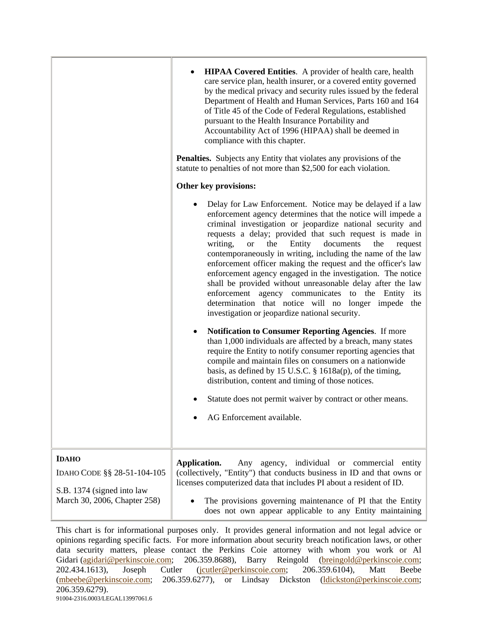|                                                                                                           | <b>HIPAA Covered Entities.</b> A provider of health care, health<br>care service plan, health insurer, or a covered entity governed<br>by the medical privacy and security rules issued by the federal<br>Department of Health and Human Services, Parts 160 and 164<br>of Title 45 of the Code of Federal Regulations, established<br>pursuant to the Health Insurance Portability and<br>Accountability Act of 1996 (HIPAA) shall be deemed in<br>compliance with this chapter.<br><b>Penalties.</b> Subjects any Entity that violates any provisions of the<br>statute to penalties of not more than \$2,500 for each violation.                                                                                                                        |
|-----------------------------------------------------------------------------------------------------------|------------------------------------------------------------------------------------------------------------------------------------------------------------------------------------------------------------------------------------------------------------------------------------------------------------------------------------------------------------------------------------------------------------------------------------------------------------------------------------------------------------------------------------------------------------------------------------------------------------------------------------------------------------------------------------------------------------------------------------------------------------|
|                                                                                                           | Other key provisions:                                                                                                                                                                                                                                                                                                                                                                                                                                                                                                                                                                                                                                                                                                                                      |
|                                                                                                           | Delay for Law Enforcement. Notice may be delayed if a law<br>enforcement agency determines that the notice will impede a<br>criminal investigation or jeopardize national security and<br>requests a delay; provided that such request is made in<br>Entity<br>writing,<br><b>or</b><br>the<br>documents<br>the<br>request<br>contemporaneously in writing, including the name of the law<br>enforcement officer making the request and the officer's law<br>enforcement agency engaged in the investigation. The notice<br>shall be provided without unreasonable delay after the law<br>enforcement agency communicates to the Entity<br>its<br>determination that notice will no longer impede<br>the<br>investigation or jeopardize national security. |
|                                                                                                           | <b>Notification to Consumer Reporting Agencies.</b> If more<br>$\bullet$<br>than 1,000 individuals are affected by a breach, many states<br>require the Entity to notify consumer reporting agencies that<br>compile and maintain files on consumers on a nationwide<br>basis, as defined by 15 U.S.C. $\S$ 1618a(p), of the timing,<br>distribution, content and timing of those notices.                                                                                                                                                                                                                                                                                                                                                                 |
|                                                                                                           | Statute does not permit waiver by contract or other means.                                                                                                                                                                                                                                                                                                                                                                                                                                                                                                                                                                                                                                                                                                 |
|                                                                                                           | AG Enforcement available.                                                                                                                                                                                                                                                                                                                                                                                                                                                                                                                                                                                                                                                                                                                                  |
| <b>IDAHO</b><br>IDAHO CODE §§ 28-51-104-105<br>S.B. 1374 (signed into law<br>March 30, 2006, Chapter 258) | Application.<br>agency, individual or commercial entity<br>Any<br>(collectively, "Entity") that conducts business in ID and that owns or<br>licenses computerized data that includes PI about a resident of ID.                                                                                                                                                                                                                                                                                                                                                                                                                                                                                                                                            |
|                                                                                                           | The provisions governing maintenance of PI that the Entity<br>does not own appear applicable to any Entity maintaining                                                                                                                                                                                                                                                                                                                                                                                                                                                                                                                                                                                                                                     |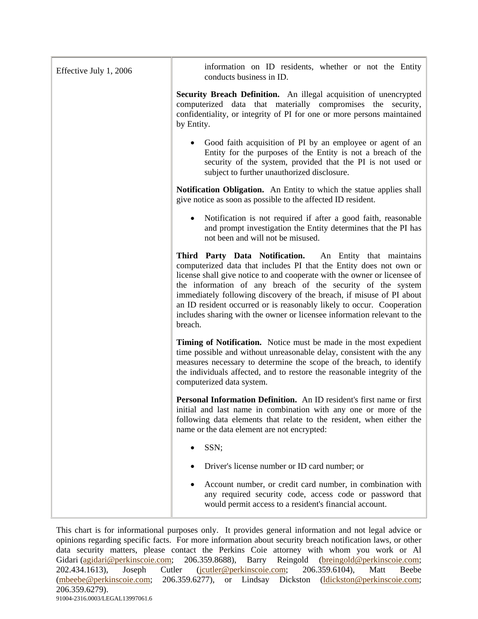| Effective July 1, 2006 | information on ID residents, whether or not the Entity<br>conducts business in ID.                                                                                                                                                                                                                                                                                                                                                                                                                              |
|------------------------|-----------------------------------------------------------------------------------------------------------------------------------------------------------------------------------------------------------------------------------------------------------------------------------------------------------------------------------------------------------------------------------------------------------------------------------------------------------------------------------------------------------------|
|                        | Security Breach Definition. An illegal acquisition of unencrypted<br>computerized data that materially compromises the security,<br>confidentiality, or integrity of PI for one or more persons maintained<br>by Entity.                                                                                                                                                                                                                                                                                        |
|                        | Good faith acquisition of PI by an employee or agent of an<br>Entity for the purposes of the Entity is not a breach of the<br>security of the system, provided that the PI is not used or<br>subject to further unauthorized disclosure.                                                                                                                                                                                                                                                                        |
|                        | Notification Obligation. An Entity to which the statue applies shall<br>give notice as soon as possible to the affected ID resident.                                                                                                                                                                                                                                                                                                                                                                            |
|                        | Notification is not required if after a good faith, reasonable<br>and prompt investigation the Entity determines that the PI has<br>not been and will not be misused.                                                                                                                                                                                                                                                                                                                                           |
|                        | Third Party Data Notification. An Entity that maintains<br>computerized data that includes PI that the Entity does not own or<br>license shall give notice to and cooperate with the owner or licensee of<br>the information of any breach of the security of the system<br>immediately following discovery of the breach, if misuse of PI about<br>an ID resident occurred or is reasonably likely to occur. Cooperation<br>includes sharing with the owner or licensee information relevant to the<br>breach. |
|                        | Timing of Notification. Notice must be made in the most expedient<br>time possible and without unreasonable delay, consistent with the any<br>measures necessary to determine the scope of the breach, to identify<br>the individuals affected, and to restore the reasonable integrity of the<br>computerized data system.                                                                                                                                                                                     |
|                        | Personal Information Definition. An ID resident's first name or first<br>initial and last name in combination with any one or more of the<br>following data elements that relate to the resident, when either the<br>name or the data element are not encrypted:                                                                                                                                                                                                                                                |
|                        | SSN;                                                                                                                                                                                                                                                                                                                                                                                                                                                                                                            |
|                        | Driver's license number or ID card number; or                                                                                                                                                                                                                                                                                                                                                                                                                                                                   |
|                        | Account number, or credit card number, in combination with<br>any required security code, access code or password that<br>would permit access to a resident's financial account.                                                                                                                                                                                                                                                                                                                                |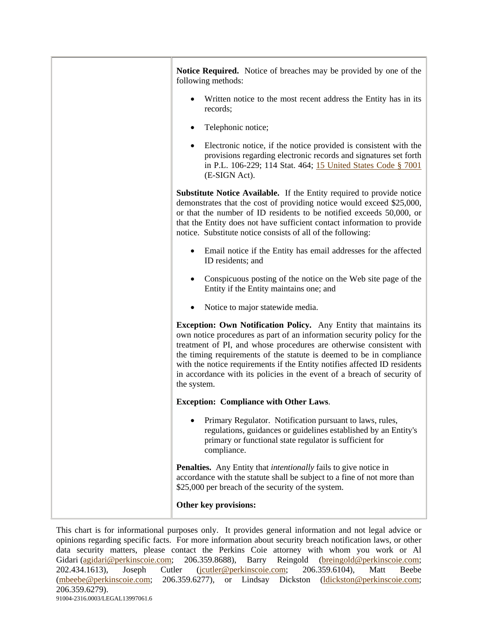| Notice Required. Notice of breaches may be provided by one of the<br>following methods:                                                                                                                                                                                                                                                                                                                                                                                   |
|---------------------------------------------------------------------------------------------------------------------------------------------------------------------------------------------------------------------------------------------------------------------------------------------------------------------------------------------------------------------------------------------------------------------------------------------------------------------------|
| Written notice to the most recent address the Entity has in its<br>records;                                                                                                                                                                                                                                                                                                                                                                                               |
| Telephonic notice;                                                                                                                                                                                                                                                                                                                                                                                                                                                        |
| Electronic notice, if the notice provided is consistent with the<br>٠<br>provisions regarding electronic records and signatures set forth<br>in P.L. 106-229; 114 Stat. 464; 15 United States Code § 7001<br>(E-SIGN Act).                                                                                                                                                                                                                                                |
| <b>Substitute Notice Available.</b> If the Entity required to provide notice<br>demonstrates that the cost of providing notice would exceed \$25,000,<br>or that the number of ID residents to be notified exceeds 50,000, or<br>that the Entity does not have sufficient contact information to provide<br>notice. Substitute notice consists of all of the following:                                                                                                   |
| Email notice if the Entity has email addresses for the affected<br>ID residents; and                                                                                                                                                                                                                                                                                                                                                                                      |
| Conspicuous posting of the notice on the Web site page of the<br>Entity if the Entity maintains one; and                                                                                                                                                                                                                                                                                                                                                                  |
| Notice to major statewide media.                                                                                                                                                                                                                                                                                                                                                                                                                                          |
| <b>Exception: Own Notification Policy.</b> Any Entity that maintains its<br>own notice procedures as part of an information security policy for the<br>treatment of PI, and whose procedures are otherwise consistent with<br>the timing requirements of the statute is deemed to be in compliance<br>with the notice requirements if the Entity notifies affected ID residents<br>in accordance with its policies in the event of a breach of security of<br>the system. |
| <b>Exception: Compliance with Other Laws.</b>                                                                                                                                                                                                                                                                                                                                                                                                                             |
| Primary Regulator. Notification pursuant to laws, rules,<br>regulations, guidances or guidelines established by an Entity's<br>primary or functional state regulator is sufficient for<br>compliance.                                                                                                                                                                                                                                                                     |
| <b>Penalties.</b> Any Entity that <i>intentionally</i> fails to give notice in<br>accordance with the statute shall be subject to a fine of not more than<br>\$25,000 per breach of the security of the system.                                                                                                                                                                                                                                                           |
| Other key provisions:                                                                                                                                                                                                                                                                                                                                                                                                                                                     |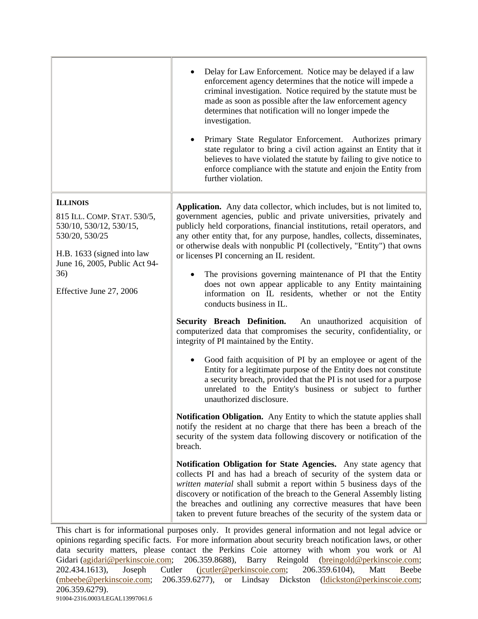|                                                                                                                                                                                              | Delay for Law Enforcement. Notice may be delayed if a law<br>enforcement agency determines that the notice will impede a<br>criminal investigation. Notice required by the statute must be<br>made as soon as possible after the law enforcement agency<br>determines that notification will no longer impede the<br>investigation.<br>Primary State Regulator Enforcement. Authorizes primary<br>state regulator to bring a civil action against an Entity that it<br>believes to have violated the statute by failing to give notice to<br>enforce compliance with the statute and enjoin the Entity from<br>further violation.                                                                                                                                                                                                                                                                                                                                                                                                                                                                                                                                                                                                                                                                                                                                                                                                                                                                                                                                                                                                                                                                                                                                                                                              |
|----------------------------------------------------------------------------------------------------------------------------------------------------------------------------------------------|--------------------------------------------------------------------------------------------------------------------------------------------------------------------------------------------------------------------------------------------------------------------------------------------------------------------------------------------------------------------------------------------------------------------------------------------------------------------------------------------------------------------------------------------------------------------------------------------------------------------------------------------------------------------------------------------------------------------------------------------------------------------------------------------------------------------------------------------------------------------------------------------------------------------------------------------------------------------------------------------------------------------------------------------------------------------------------------------------------------------------------------------------------------------------------------------------------------------------------------------------------------------------------------------------------------------------------------------------------------------------------------------------------------------------------------------------------------------------------------------------------------------------------------------------------------------------------------------------------------------------------------------------------------------------------------------------------------------------------------------------------------------------------------------------------------------------------|
| <b>ILLINOIS</b><br>815 ILL. COMP. STAT. 530/5,<br>530/10, 530/12, 530/15,<br>530/20, 530/25<br>H.B. 1633 (signed into law<br>June 16, 2005, Public Act 94-<br>36)<br>Effective June 27, 2006 | Application. Any data collector, which includes, but is not limited to,<br>government agencies, public and private universities, privately and<br>publicly held corporations, financial institutions, retail operators, and<br>any other entity that, for any purpose, handles, collects, disseminates,<br>or otherwise deals with nonpublic PI (collectively, "Entity") that owns<br>or licenses PI concerning an IL resident.<br>The provisions governing maintenance of PI that the Entity<br>does not own appear applicable to any Entity maintaining<br>information on IL residents, whether or not the Entity<br>conducts business in IL.<br>Security Breach Definition. An unauthorized acquisition of<br>computerized data that compromises the security, confidentiality, or<br>integrity of PI maintained by the Entity.<br>Good faith acquisition of PI by an employee or agent of the<br>Entity for a legitimate purpose of the Entity does not constitute<br>a security breach, provided that the PI is not used for a purpose<br>unrelated to the Entity's business or subject to further<br>unauthorized disclosure.<br><b>Notification Obligation.</b> Any Entity to which the statute applies shall<br>notify the resident at no charge that there has been a breach of the<br>security of the system data following discovery or notification of the<br>breach.<br>Notification Obligation for State Agencies. Any state agency that<br>collects PI and has had a breach of security of the system data or<br>written material shall submit a report within 5 business days of the<br>discovery or notification of the breach to the General Assembly listing<br>the breaches and outlining any corrective measures that have been<br>taken to prevent future breaches of the security of the system data or |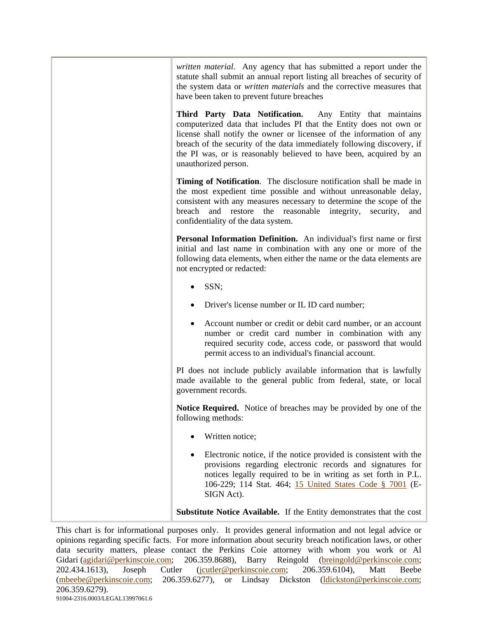| written material. Any agency that has submitted a report under the<br>statute shall submit an annual report listing all breaches of security of<br>the system data or <i>written materials</i> and the corrective measures that<br>have been taken to prevent future breaches                                                                                                  |
|--------------------------------------------------------------------------------------------------------------------------------------------------------------------------------------------------------------------------------------------------------------------------------------------------------------------------------------------------------------------------------|
| Third Party Data Notification. Any Entity that maintains<br>computerized data that includes PI that the Entity does not own or<br>license shall notify the owner or licensee of the information of any<br>breach of the security of the data immediately following discovery, if<br>the PI was, or is reasonably believed to have been, acquired by an<br>unauthorized person. |
| <b>Timing of Notification.</b> The disclosure notification shall be made in<br>the most expedient time possible and without unreasonable delay,<br>consistent with any measures necessary to determine the scope of the<br>and restore the reasonable integrity,<br>breach<br>security,<br>and<br>confidentiality of the data system.                                          |
| Personal Information Definition. An individual's first name or first<br>initial and last name in combination with any one or more of the<br>following data elements, when either the name or the data elements are<br>not encrypted or redacted:                                                                                                                               |
| SSN;                                                                                                                                                                                                                                                                                                                                                                           |
| Driver's license number or IL ID card number;                                                                                                                                                                                                                                                                                                                                  |
| Account number or credit or debit card number, or an account<br>number or credit card number in combination with any<br>required security code, access code, or password that would<br>permit access to an individual's financial account.                                                                                                                                     |
| PI does not include publicly available information that is lawfully<br>made available to the general public from federal, state, or local<br>government records.                                                                                                                                                                                                               |
| Notice Required. Notice of breaches may be provided by one of the<br>following methods:                                                                                                                                                                                                                                                                                        |
| Written notice;                                                                                                                                                                                                                                                                                                                                                                |
| Electronic notice, if the notice provided is consistent with the<br>provisions regarding electronic records and signatures for<br>notices legally required to be in writing as set forth in P.L.<br>106-229; 114 Stat. 464; 15 United States Code § 7001 (E-<br>SIGN Act).                                                                                                     |
| Substitute Notice Available. If the Entity demonstrates that the cost                                                                                                                                                                                                                                                                                                          |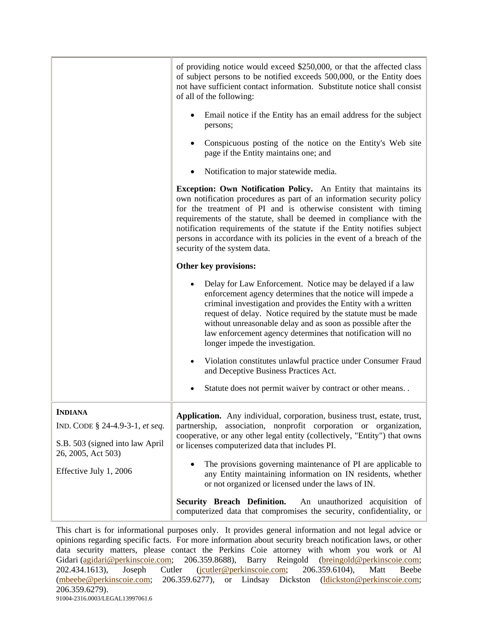|                                                       | of providing notice would exceed \$250,000, or that the affected class<br>of subject persons to be notified exceeds 500,000, or the Entity does<br>not have sufficient contact information. Substitute notice shall consist<br>of all of the following:                                                                                                                                                                                                                   |
|-------------------------------------------------------|---------------------------------------------------------------------------------------------------------------------------------------------------------------------------------------------------------------------------------------------------------------------------------------------------------------------------------------------------------------------------------------------------------------------------------------------------------------------------|
|                                                       | Email notice if the Entity has an email address for the subject<br>persons;                                                                                                                                                                                                                                                                                                                                                                                               |
|                                                       | Conspicuous posting of the notice on the Entity's Web site<br>page if the Entity maintains one; and                                                                                                                                                                                                                                                                                                                                                                       |
|                                                       | Notification to major statewide media.                                                                                                                                                                                                                                                                                                                                                                                                                                    |
|                                                       | Exception: Own Notification Policy. An Entity that maintains its<br>own notification procedures as part of an information security policy<br>for the treatment of PI and is otherwise consistent with timing<br>requirements of the statute, shall be deemed in compliance with the<br>notification requirements of the statute if the Entity notifies subject<br>persons in accordance with its policies in the event of a breach of the<br>security of the system data. |
|                                                       | Other key provisions:                                                                                                                                                                                                                                                                                                                                                                                                                                                     |
|                                                       | Delay for Law Enforcement. Notice may be delayed if a law<br>enforcement agency determines that the notice will impede a<br>criminal investigation and provides the Entity with a written<br>request of delay. Notice required by the statute must be made<br>without unreasonable delay and as soon as possible after the<br>law enforcement agency determines that notification will no<br>longer impede the investigation.                                             |
|                                                       | Violation constitutes unlawful practice under Consumer Fraud<br>and Deceptive Business Practices Act.                                                                                                                                                                                                                                                                                                                                                                     |
|                                                       | Statute does not permit waiver by contract or other means                                                                                                                                                                                                                                                                                                                                                                                                                 |
| <b>INDIANA</b><br>IND. CODE § 24-4.9-3-1, et seq.     | Application. Any individual, corporation, business trust, estate, trust,<br>association, nonprofit corporation or organization,<br>partnership,<br>cooperative, or any other legal entity (collectively, "Entity") that owns                                                                                                                                                                                                                                              |
| S.B. 503 (signed into law April<br>26, 2005, Act 503) | or licenses computerized data that includes PI.                                                                                                                                                                                                                                                                                                                                                                                                                           |
| Effective July 1, 2006                                | The provisions governing maintenance of PI are applicable to<br>any Entity maintaining information on IN residents, whether<br>or not organized or licensed under the laws of IN.                                                                                                                                                                                                                                                                                         |
|                                                       | Security Breach Definition.<br>An unauthorized acquisition of<br>computerized data that compromises the security, confidentiality, or                                                                                                                                                                                                                                                                                                                                     |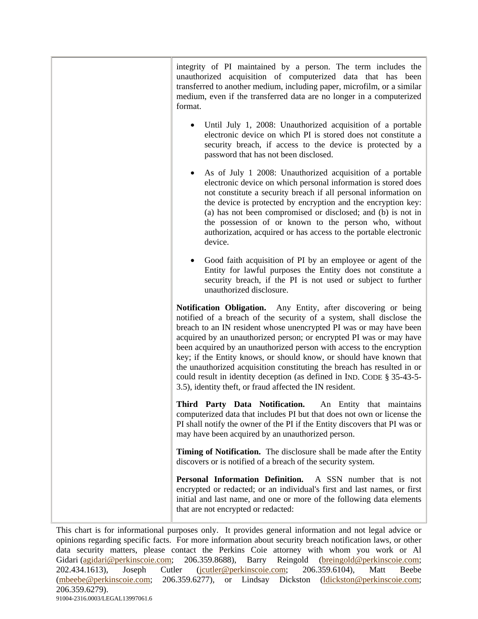| integrity of PI maintained by a person. The term includes the<br>unauthorized acquisition of computerized data that has been<br>transferred to another medium, including paper, microfilm, or a similar<br>medium, even if the transferred data are no longer in a computerized<br>format.                                                                                                                                                                                                                                                                                                                                                            |
|-------------------------------------------------------------------------------------------------------------------------------------------------------------------------------------------------------------------------------------------------------------------------------------------------------------------------------------------------------------------------------------------------------------------------------------------------------------------------------------------------------------------------------------------------------------------------------------------------------------------------------------------------------|
| Until July 1, 2008: Unauthorized acquisition of a portable<br>electronic device on which PI is stored does not constitute a<br>security breach, if access to the device is protected by a<br>password that has not been disclosed.                                                                                                                                                                                                                                                                                                                                                                                                                    |
| As of July 1 2008: Unauthorized acquisition of a portable<br>electronic device on which personal information is stored does<br>not constitute a security breach if all personal information on<br>the device is protected by encryption and the encryption key:<br>(a) has not been compromised or disclosed; and (b) is not in<br>the possession of or known to the person who, without<br>authorization, acquired or has access to the portable electronic<br>device.                                                                                                                                                                               |
| Good faith acquisition of PI by an employee or agent of the<br>Entity for lawful purposes the Entity does not constitute a<br>security breach, if the PI is not used or subject to further<br>unauthorized disclosure.                                                                                                                                                                                                                                                                                                                                                                                                                                |
| Notification Obligation. Any Entity, after discovering or being<br>notified of a breach of the security of a system, shall disclose the<br>breach to an IN resident whose unencrypted PI was or may have been<br>acquired by an unauthorized person; or encrypted PI was or may have<br>been acquired by an unauthorized person with access to the encryption<br>key; if the Entity knows, or should know, or should have known that<br>the unauthorized acquisition constituting the breach has resulted in or<br>could result in identity deception (as defined in IND. CODE § 35-43-5-<br>3.5), identity theft, or fraud affected the IN resident. |
| Third Party Data Notification. An Entity that maintains<br>computerized data that includes PI but that does not own or license the<br>PI shall notify the owner of the PI if the Entity discovers that PI was or<br>may have been acquired by an unauthorized person.                                                                                                                                                                                                                                                                                                                                                                                 |
| Timing of Notification. The disclosure shall be made after the Entity<br>discovers or is notified of a breach of the security system.                                                                                                                                                                                                                                                                                                                                                                                                                                                                                                                 |
| Personal Information Definition.<br>A SSN number that is not<br>encrypted or redacted; or an individual's first and last names, or first<br>initial and last name, and one or more of the following data elements<br>that are not encrypted or redacted:                                                                                                                                                                                                                                                                                                                                                                                              |

This chart is for informational purposes only. It provides general information and not legal advice or opinions regarding specific facts. For more information about security breach notification laws, or other data security matters, please contact the Perkins Coie attorney with whom you work or Al Gidari (agidari@perkinscoie.com; 206.359.8688), Barry Reingold (breingold@perkinscoie.com; 202.434.1613), Joseph Cutler (jcutler@perkinscoie.com; 206.359.6104), Matt Beebe (mbeebe@perkinscoie.com; 206.359.6277), or Lindsay Dickston (ldickston@perkinscoie.com; 206.359.6279). 91004-2316.0003/LEGAL13997061.6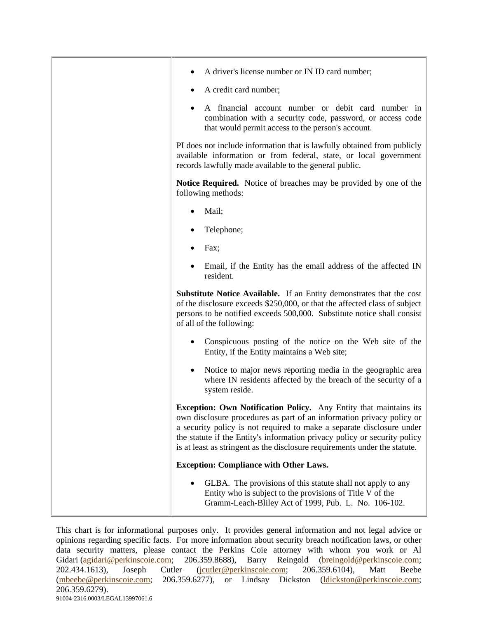| A driver's license number or IN ID card number;                                                                                                                                                                                                                                                                                                                                |
|--------------------------------------------------------------------------------------------------------------------------------------------------------------------------------------------------------------------------------------------------------------------------------------------------------------------------------------------------------------------------------|
| A credit card number;                                                                                                                                                                                                                                                                                                                                                          |
| A financial account number or debit card number in<br>combination with a security code, password, or access code<br>that would permit access to the person's account.                                                                                                                                                                                                          |
| PI does not include information that is lawfully obtained from publicly<br>available information or from federal, state, or local government<br>records lawfully made available to the general public.                                                                                                                                                                         |
| Notice Required. Notice of breaches may be provided by one of the<br>following methods:                                                                                                                                                                                                                                                                                        |
| Mail;                                                                                                                                                                                                                                                                                                                                                                          |
| Telephone;                                                                                                                                                                                                                                                                                                                                                                     |
| Fax;                                                                                                                                                                                                                                                                                                                                                                           |
| Email, if the Entity has the email address of the affected IN<br>resident.                                                                                                                                                                                                                                                                                                     |
| Substitute Notice Available. If an Entity demonstrates that the cost<br>of the disclosure exceeds \$250,000, or that the affected class of subject<br>persons to be notified exceeds 500,000. Substitute notice shall consist<br>of all of the following:                                                                                                                      |
| Conspicuous posting of the notice on the Web site of the<br>Entity, if the Entity maintains a Web site;                                                                                                                                                                                                                                                                        |
| Notice to major news reporting media in the geographic area<br>where IN residents affected by the breach of the security of a<br>system reside.                                                                                                                                                                                                                                |
| Exception: Own Notification Policy. Any Entity that maintains its<br>own disclosure procedures as part of an information privacy policy or<br>a security policy is not required to make a separate disclosure under<br>the statute if the Entity's information privacy policy or security policy<br>is at least as stringent as the disclosure requirements under the statute. |
| <b>Exception: Compliance with Other Laws.</b>                                                                                                                                                                                                                                                                                                                                  |
| GLBA. The provisions of this statute shall not apply to any<br>Entity who is subject to the provisions of Title V of the<br>Gramm-Leach-Bliley Act of 1999, Pub. L. No. 106-102.                                                                                                                                                                                               |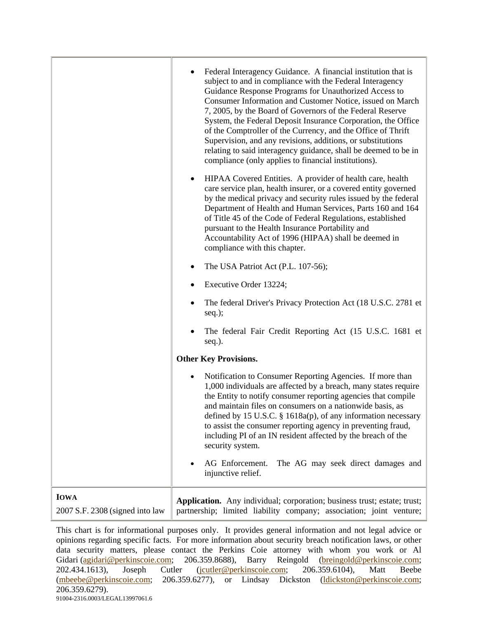|                                                | Federal Interagency Guidance. A financial institution that is<br>subject to and in compliance with the Federal Interagency<br>Guidance Response Programs for Unauthorized Access to<br>Consumer Information and Customer Notice, issued on March<br>7, 2005, by the Board of Governors of the Federal Reserve<br>System, the Federal Deposit Insurance Corporation, the Office<br>of the Comptroller of the Currency, and the Office of Thrift<br>Supervision, and any revisions, additions, or substitutions<br>relating to said interagency guidance, shall be deemed to be in<br>compliance (only applies to financial institutions). |
|------------------------------------------------|------------------------------------------------------------------------------------------------------------------------------------------------------------------------------------------------------------------------------------------------------------------------------------------------------------------------------------------------------------------------------------------------------------------------------------------------------------------------------------------------------------------------------------------------------------------------------------------------------------------------------------------|
|                                                | HIPAA Covered Entities. A provider of health care, health<br>٠<br>care service plan, health insurer, or a covered entity governed<br>by the medical privacy and security rules issued by the federal<br>Department of Health and Human Services, Parts 160 and 164<br>of Title 45 of the Code of Federal Regulations, established<br>pursuant to the Health Insurance Portability and<br>Accountability Act of 1996 (HIPAA) shall be deemed in<br>compliance with this chapter.                                                                                                                                                          |
|                                                | The USA Patriot Act (P.L. 107-56);                                                                                                                                                                                                                                                                                                                                                                                                                                                                                                                                                                                                       |
|                                                | Executive Order 13224;                                                                                                                                                                                                                                                                                                                                                                                                                                                                                                                                                                                                                   |
|                                                | The federal Driver's Privacy Protection Act (18 U.S.C. 2781 et<br>$seq.$ );                                                                                                                                                                                                                                                                                                                                                                                                                                                                                                                                                              |
|                                                | The federal Fair Credit Reporting Act (15 U.S.C. 1681 et<br>seq.).                                                                                                                                                                                                                                                                                                                                                                                                                                                                                                                                                                       |
|                                                | <b>Other Key Provisions.</b>                                                                                                                                                                                                                                                                                                                                                                                                                                                                                                                                                                                                             |
|                                                | Notification to Consumer Reporting Agencies. If more than<br>$\bullet$<br>1,000 individuals are affected by a breach, many states require<br>the Entity to notify consumer reporting agencies that compile<br>and maintain files on consumers on a nationwide basis, as<br>defined by 15 U.S.C. $\S$ 1618a(p), of any information necessary<br>to assist the consumer reporting agency in preventing fraud,<br>including PI of an IN resident affected by the breach of the<br>security system.                                                                                                                                          |
|                                                | AG Enforcement.<br>The AG may seek direct damages and<br>injunctive relief.                                                                                                                                                                                                                                                                                                                                                                                                                                                                                                                                                              |
| <b>IOWA</b><br>2007 S.F. 2308 (signed into law | Application. Any individual; corporation; business trust; estate; trust;<br>partnership; limited liability company; association; joint venture;                                                                                                                                                                                                                                                                                                                                                                                                                                                                                          |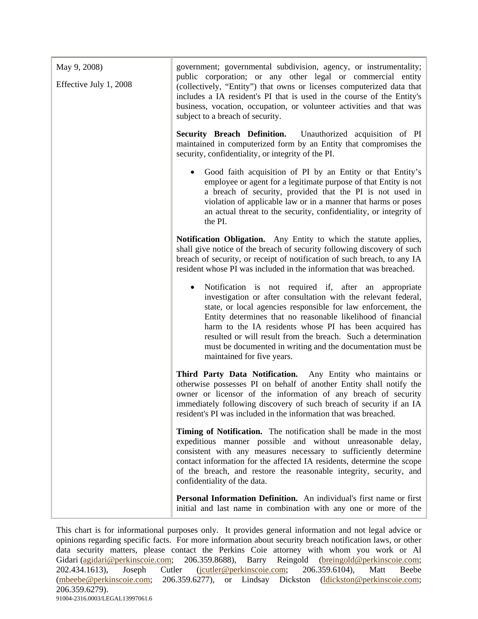| May 9, 2008)<br>Effective July 1, 2008 | government; governmental subdivision, agency, or instrumentality;<br>public corporation; or any other legal or commercial entity<br>(collectively, "Entity") that owns or licenses computerized data that<br>includes a IA resident's PI that is used in the course of the Entity's<br>business, vocation, occupation, or volunteer activities and that was<br>subject to a breach of security.                                                                                   |
|----------------------------------------|-----------------------------------------------------------------------------------------------------------------------------------------------------------------------------------------------------------------------------------------------------------------------------------------------------------------------------------------------------------------------------------------------------------------------------------------------------------------------------------|
|                                        | <b>Security Breach Definition.</b><br>Unauthorized acquisition of PI<br>maintained in computerized form by an Entity that compromises the<br>security, confidentiality, or integrity of the PI.                                                                                                                                                                                                                                                                                   |
|                                        | Good faith acquisition of PI by an Entity or that Entity's<br>employee or agent for a legitimate purpose of that Entity is not<br>a breach of security, provided that the PI is not used in<br>violation of applicable law or in a manner that harms or poses<br>an actual threat to the security, confidentiality, or integrity of<br>the PI.                                                                                                                                    |
|                                        | Notification Obligation. Any Entity to which the statute applies,<br>shall give notice of the breach of security following discovery of such<br>breach of security, or receipt of notification of such breach, to any IA<br>resident whose PI was included in the information that was breached.                                                                                                                                                                                  |
|                                        | Notification is not required if, after an appropriate<br>investigation or after consultation with the relevant federal,<br>state, or local agencies responsible for law enforcement, the<br>Entity determines that no reasonable likelihood of financial<br>harm to the IA residents whose PI has been acquired has<br>resulted or will result from the breach. Such a determination<br>must be documented in writing and the documentation must be<br>maintained for five years. |
|                                        | Third Party Data Notification. Any Entity who maintains or<br>otherwise possesses PI on behalf of another Entity shall notify the<br>owner or licensor of the information of any breach of security<br>immediately following discovery of such breach of security if an IA<br>resident's PI was included in the information that was breached.                                                                                                                                    |
|                                        | Timing of Notification. The notification shall be made in the most<br>expeditious manner possible and without unreasonable delay,<br>consistent with any measures necessary to sufficiently determine<br>contact information for the affected IA residents, determine the scope<br>of the breach, and restore the reasonable integrity, security, and<br>confidentiality of the data.                                                                                             |
|                                        | Personal Information Definition. An individual's first name or first<br>initial and last name in combination with any one or more of the                                                                                                                                                                                                                                                                                                                                          |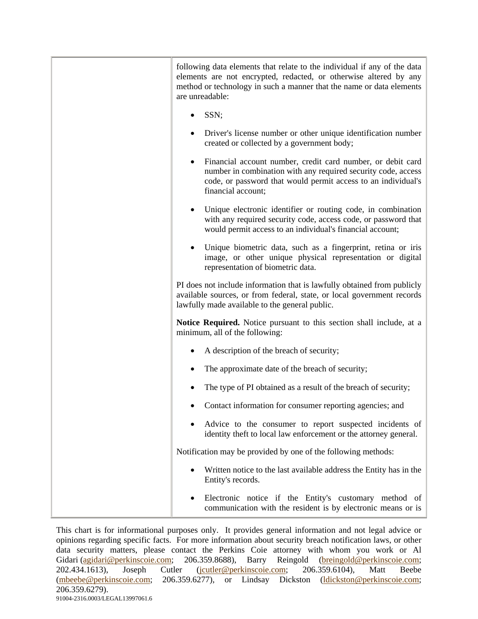| following data elements that relate to the individual if any of the data<br>elements are not encrypted, redacted, or otherwise altered by any<br>method or technology in such a manner that the name or data elements<br>are unreadable: |
|------------------------------------------------------------------------------------------------------------------------------------------------------------------------------------------------------------------------------------------|
| SSN;                                                                                                                                                                                                                                     |
| Driver's license number or other unique identification number<br>created or collected by a government body;                                                                                                                              |
| Financial account number, credit card number, or debit card<br>$\bullet$<br>number in combination with any required security code, access<br>code, or password that would permit access to an individual's<br>financial account;         |
| Unique electronic identifier or routing code, in combination<br>with any required security code, access code, or password that<br>would permit access to an individual's financial account;                                              |
| Unique biometric data, such as a fingerprint, retina or iris<br>image, or other unique physical representation or digital<br>representation of biometric data.                                                                           |
| PI does not include information that is lawfully obtained from publicly<br>available sources, or from federal, state, or local government records<br>lawfully made available to the general public.                                      |
| Notice Required. Notice pursuant to this section shall include, at a<br>minimum, all of the following:                                                                                                                                   |
| A description of the breach of security;                                                                                                                                                                                                 |
| The approximate date of the breach of security;                                                                                                                                                                                          |
| The type of PI obtained as a result of the breach of security;                                                                                                                                                                           |
| Contact information for consumer reporting agencies; and                                                                                                                                                                                 |
| Advice to the consumer to report suspected incidents of<br>identity theft to local law enforcement or the attorney general.                                                                                                              |
| Notification may be provided by one of the following methods:                                                                                                                                                                            |
| Written notice to the last available address the Entity has in the<br>Entity's records.                                                                                                                                                  |
| Electronic notice if the Entity's customary method of<br>communication with the resident is by electronic means or is                                                                                                                    |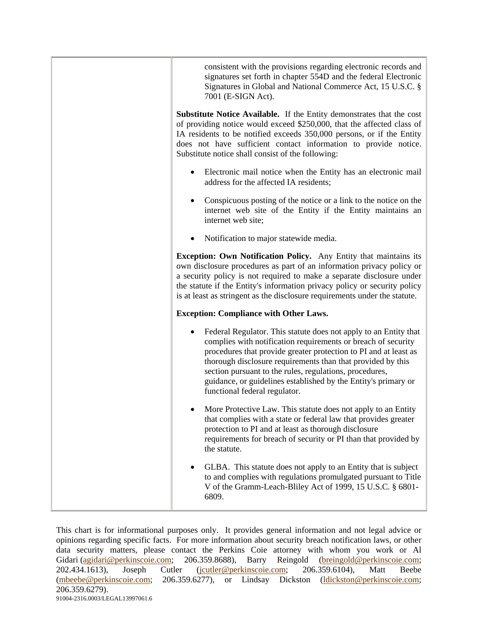| consistent with the provisions regarding electronic records and<br>signatures set forth in chapter 554D and the federal Electronic<br>Signatures in Global and National Commerce Act, 15 U.S.C. §<br>7001 (E-SIGN Act).                                                                                                                                                                                                            |
|------------------------------------------------------------------------------------------------------------------------------------------------------------------------------------------------------------------------------------------------------------------------------------------------------------------------------------------------------------------------------------------------------------------------------------|
| <b>Substitute Notice Available.</b> If the Entity demonstrates that the cost<br>of providing notice would exceed \$250,000, that the affected class of<br>IA residents to be notified exceeds 350,000 persons, or if the Entity<br>does not have sufficient contact information to provide notice.<br>Substitute notice shall consist of the following:                                                                            |
| Electronic mail notice when the Entity has an electronic mail<br>address for the affected IA residents;                                                                                                                                                                                                                                                                                                                            |
| Conspicuous posting of the notice or a link to the notice on the<br>internet web site of the Entity if the Entity maintains an<br>internet web site;                                                                                                                                                                                                                                                                               |
| Notification to major statewide media.                                                                                                                                                                                                                                                                                                                                                                                             |
| <b>Exception: Own Notification Policy.</b> Any Entity that maintains its<br>own disclosure procedures as part of an information privacy policy or<br>a security policy is not required to make a separate disclosure under<br>the statute if the Entity's information privacy policy or security policy<br>is at least as stringent as the disclosure requirements under the statute.                                              |
| <b>Exception: Compliance with Other Laws.</b>                                                                                                                                                                                                                                                                                                                                                                                      |
| Federal Regulator. This statute does not apply to an Entity that<br>complies with notification requirements or breach of security<br>procedures that provide greater protection to PI and at least as<br>thorough disclosure requirements than that provided by this<br>section pursuant to the rules, regulations, procedures,<br>guidance, or guidelines established by the Entity's primary or<br>functional federal regulator. |
| More Protective Law. This statute does not apply to an Entity<br>that complies with a state or federal law that provides greater<br>protection to PI and at least as thorough disclosure<br>requirements for breach of security or PI than that provided by<br>the statute.                                                                                                                                                        |
| GLBA. This statute does not apply to an Entity that is subject<br>to and complies with regulations promulgated pursuant to Title<br>V of the Gramm-Leach-Bliley Act of 1999, 15 U.S.C. § 6801-<br>6809.                                                                                                                                                                                                                            |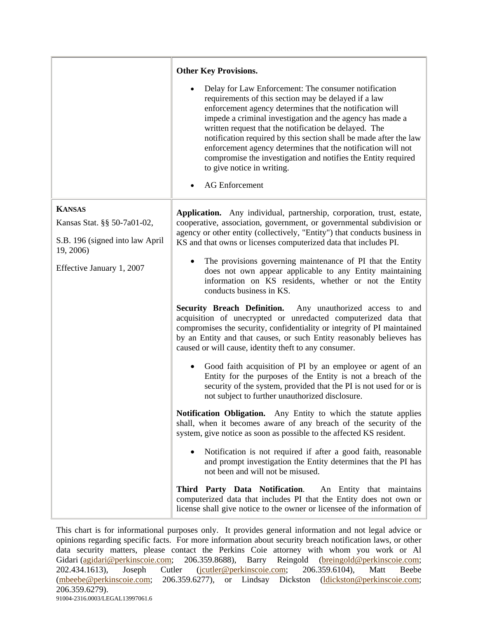|                                        | <b>Other Key Provisions.</b>                                                                                                                                                                                                                                                                                                                                                                                                                                                                                                                                |
|----------------------------------------|-------------------------------------------------------------------------------------------------------------------------------------------------------------------------------------------------------------------------------------------------------------------------------------------------------------------------------------------------------------------------------------------------------------------------------------------------------------------------------------------------------------------------------------------------------------|
|                                        | Delay for Law Enforcement: The consumer notification<br>requirements of this section may be delayed if a law<br>enforcement agency determines that the notification will<br>impede a criminal investigation and the agency has made a<br>written request that the notification be delayed. The<br>notification required by this section shall be made after the law<br>enforcement agency determines that the notification will not<br>compromise the investigation and notifies the Entity required<br>to give notice in writing.<br><b>AG</b> Enforcement |
| <b>KANSAS</b>                          | Application. Any individual, partnership, corporation, trust, estate,                                                                                                                                                                                                                                                                                                                                                                                                                                                                                       |
| Kansas Stat. §§ 50-7a01-02,            | cooperative, association, government, or governmental subdivision or                                                                                                                                                                                                                                                                                                                                                                                                                                                                                        |
| S.B. 196 (signed into law April        | agency or other entity (collectively, "Entity") that conducts business in<br>KS and that owns or licenses computerized data that includes PI.                                                                                                                                                                                                                                                                                                                                                                                                               |
| 19, 2006)<br>Effective January 1, 2007 | The provisions governing maintenance of PI that the Entity<br>does not own appear applicable to any Entity maintaining<br>information on KS residents, whether or not the Entity<br>conducts business in KS.                                                                                                                                                                                                                                                                                                                                                |
|                                        | <b>Security Breach Definition.</b><br>Any unauthorized access to and<br>acquisition of unecrypted or unredacted computerized data that<br>compromises the security, confidentiality or integrity of PI maintained<br>by an Entity and that causes, or such Entity reasonably believes has<br>caused or will cause, identity theft to any consumer.                                                                                                                                                                                                          |
|                                        | Good faith acquisition of PI by an employee or agent of an<br>Entity for the purposes of the Entity is not a breach of the<br>security of the system, provided that the PI is not used for or is<br>not subject to further unauthorized disclosure.                                                                                                                                                                                                                                                                                                         |
|                                        | Notification Obligation. Any Entity to which the statute applies<br>shall, when it becomes aware of any breach of the security of the<br>system, give notice as soon as possible to the affected KS resident.                                                                                                                                                                                                                                                                                                                                               |
|                                        | Notification is not required if after a good faith, reasonable<br>and prompt investigation the Entity determines that the PI has<br>not been and will not be misused.                                                                                                                                                                                                                                                                                                                                                                                       |
|                                        | Third Party Data Notification.<br>An Entity that maintains<br>computerized data that includes PI that the Entity does not own or<br>license shall give notice to the owner or licensee of the information of                                                                                                                                                                                                                                                                                                                                                |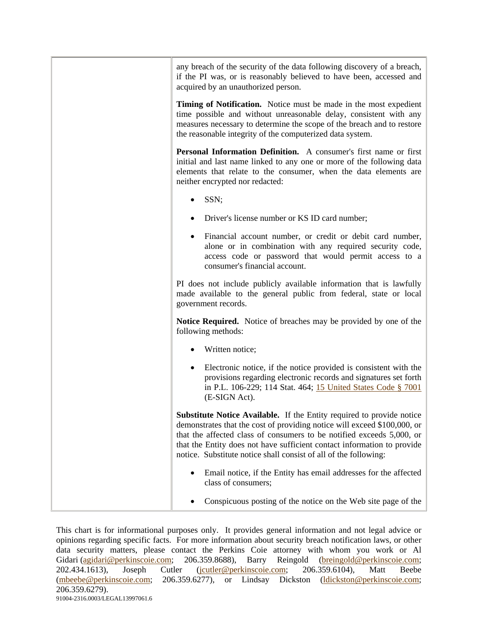| any breach of the security of the data following discovery of a breach,<br>if the PI was, or is reasonably believed to have been, accessed and<br>acquired by an unauthorized person.                                                                                                                                                                                            |
|----------------------------------------------------------------------------------------------------------------------------------------------------------------------------------------------------------------------------------------------------------------------------------------------------------------------------------------------------------------------------------|
| Timing of Notification. Notice must be made in the most expedient<br>time possible and without unreasonable delay, consistent with any<br>measures necessary to determine the scope of the breach and to restore<br>the reasonable integrity of the computerized data system.                                                                                                    |
| Personal Information Definition. A consumer's first name or first<br>initial and last name linked to any one or more of the following data<br>elements that relate to the consumer, when the data elements are<br>neither encrypted nor redacted:                                                                                                                                |
| SSN;                                                                                                                                                                                                                                                                                                                                                                             |
| Driver's license number or KS ID card number;                                                                                                                                                                                                                                                                                                                                    |
| Financial account number, or credit or debit card number,<br>alone or in combination with any required security code,<br>access code or password that would permit access to a<br>consumer's financial account.                                                                                                                                                                  |
| PI does not include publicly available information that is lawfully<br>made available to the general public from federal, state or local<br>government records.                                                                                                                                                                                                                  |
| <b>Notice Required.</b> Notice of breaches may be provided by one of the<br>following methods:                                                                                                                                                                                                                                                                                   |
| Written notice;                                                                                                                                                                                                                                                                                                                                                                  |
| Electronic notice, if the notice provided is consistent with the<br>provisions regarding electronic records and signatures set forth<br>in P.L. 106-229; 114 Stat. 464; 15 United States Code § 7001<br>(E-SIGN Act).                                                                                                                                                            |
| <b>Substitute Notice Available.</b> If the Entity required to provide notice<br>demonstrates that the cost of providing notice will exceed \$100,000, or<br>that the affected class of consumers to be notified exceeds 5,000, or<br>that the Entity does not have sufficient contact information to provide<br>notice. Substitute notice shall consist of all of the following: |
| Email notice, if the Entity has email addresses for the affected<br>class of consumers;                                                                                                                                                                                                                                                                                          |
| Conspicuous posting of the notice on the Web site page of the                                                                                                                                                                                                                                                                                                                    |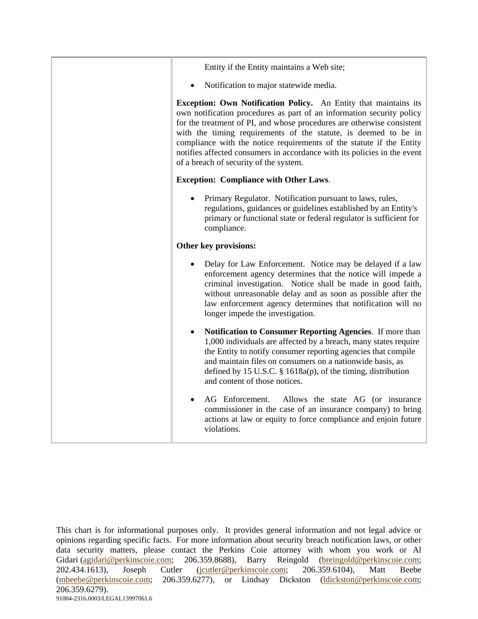| Entity if the Entity maintains a Web site;                                                                                                                                                                                                                                                                                                                                                                                                                                           |
|--------------------------------------------------------------------------------------------------------------------------------------------------------------------------------------------------------------------------------------------------------------------------------------------------------------------------------------------------------------------------------------------------------------------------------------------------------------------------------------|
| Notification to major statewide media.                                                                                                                                                                                                                                                                                                                                                                                                                                               |
| Exception: Own Notification Policy. An Entity that maintains its<br>own notification procedures as part of an information security policy<br>for the treatment of PI, and whose procedures are otherwise consistent<br>with the timing requirements of the statute, is deemed to be in<br>compliance with the notice requirements of the statute if the Entity<br>notifies affected consumers in accordance with its policies in the event<br>of a breach of security of the system. |
| <b>Exception: Compliance with Other Laws.</b>                                                                                                                                                                                                                                                                                                                                                                                                                                        |
| Primary Regulator. Notification pursuant to laws, rules,<br>regulations, guidances or guidelines established by an Entity's<br>primary or functional state or federal regulator is sufficient for<br>compliance.                                                                                                                                                                                                                                                                     |
| Other key provisions:                                                                                                                                                                                                                                                                                                                                                                                                                                                                |
| Delay for Law Enforcement. Notice may be delayed if a law<br>enforcement agency determines that the notice will impede a<br>criminal investigation. Notice shall be made in good faith,<br>without unreasonable delay and as soon as possible after the<br>law enforcement agency determines that notification will no<br>longer impede the investigation.                                                                                                                           |
| Notification to Consumer Reporting Agencies. If more than<br>1,000 individuals are affected by a breach, many states require<br>the Entity to notify consumer reporting agencies that compile<br>and maintain files on consumers on a nationwide basis, as<br>defined by 15 U.S.C. $\S$ 1618a(p), of the timing, distribution<br>and content of those notices.                                                                                                                       |
| AG Enforcement.<br>Allows the state AG (or insurance<br>commissioner in the case of an insurance company) to bring<br>actions at law or equity to force compliance and enjoin future<br>violations.                                                                                                                                                                                                                                                                                  |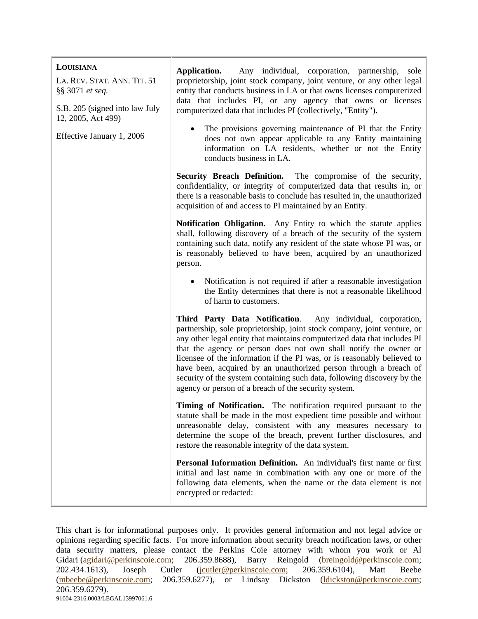| LOUISIANA<br>LA. REV. STAT. ANN. TIT. 51<br>§§ 3071 et seq.<br>S.B. 205 (signed into law July<br>12, 2005, Act 499) | Application.<br>Any individual, corporation, partnership,<br>sole<br>proprietorship, joint stock company, joint venture, or any other legal<br>entity that conducts business in LA or that owns licenses computerized<br>data that includes PI, or any agency that owns or licenses<br>computerized data that includes PI (collectively, "Entity").                                                                                                                                                                                                                        |
|---------------------------------------------------------------------------------------------------------------------|----------------------------------------------------------------------------------------------------------------------------------------------------------------------------------------------------------------------------------------------------------------------------------------------------------------------------------------------------------------------------------------------------------------------------------------------------------------------------------------------------------------------------------------------------------------------------|
| Effective January 1, 2006                                                                                           | The provisions governing maintenance of PI that the Entity<br>does not own appear applicable to any Entity maintaining<br>information on LA residents, whether or not the Entity<br>conducts business in LA.                                                                                                                                                                                                                                                                                                                                                               |
|                                                                                                                     | Security Breach Definition. The compromise of the security,<br>confidentiality, or integrity of computerized data that results in, or<br>there is a reasonable basis to conclude has resulted in, the unauthorized<br>acquisition of and access to PI maintained by an Entity.                                                                                                                                                                                                                                                                                             |
|                                                                                                                     | Notification Obligation. Any Entity to which the statute applies<br>shall, following discovery of a breach of the security of the system<br>containing such data, notify any resident of the state whose PI was, or<br>is reasonably believed to have been, acquired by an unauthorized<br>person.                                                                                                                                                                                                                                                                         |
|                                                                                                                     | Notification is not required if after a reasonable investigation<br>the Entity determines that there is not a reasonable likelihood<br>of harm to customers.                                                                                                                                                                                                                                                                                                                                                                                                               |
|                                                                                                                     | Third Party Data Notification. Any individual, corporation,<br>partnership, sole proprietorship, joint stock company, joint venture, or<br>any other legal entity that maintains computerized data that includes PI<br>that the agency or person does not own shall notify the owner or<br>licensee of the information if the PI was, or is reasonably believed to<br>have been, acquired by an unauthorized person through a breach of<br>security of the system containing such data, following discovery by the<br>agency or person of a breach of the security system. |
|                                                                                                                     | Timing of Notification. The notification required pursuant to the<br>statute shall be made in the most expedient time possible and without<br>unreasonable delay, consistent with any measures necessary to<br>determine the scope of the breach, prevent further disclosures, and<br>restore the reasonable integrity of the data system.                                                                                                                                                                                                                                 |
|                                                                                                                     | Personal Information Definition. An individual's first name or first<br>initial and last name in combination with any one or more of the<br>following data elements, when the name or the data element is not<br>encrypted or redacted:                                                                                                                                                                                                                                                                                                                                    |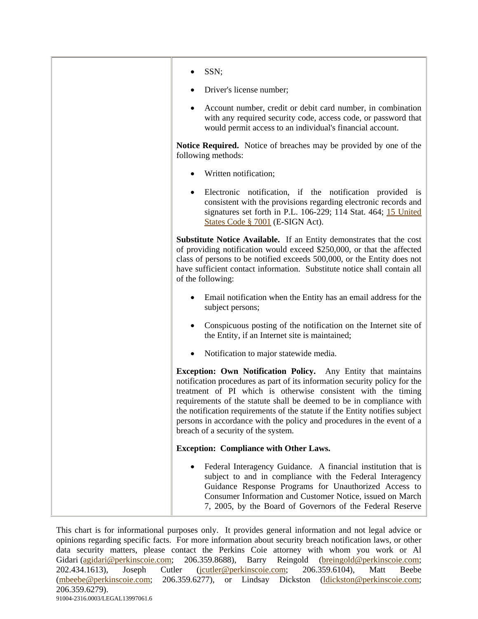| SSN;                                                                                                                                                                                                                                                                                                                                                                                                                                                                                 |
|--------------------------------------------------------------------------------------------------------------------------------------------------------------------------------------------------------------------------------------------------------------------------------------------------------------------------------------------------------------------------------------------------------------------------------------------------------------------------------------|
| Driver's license number;                                                                                                                                                                                                                                                                                                                                                                                                                                                             |
| Account number, credit or debit card number, in combination<br>٠<br>with any required security code, access code, or password that<br>would permit access to an individual's financial account.                                                                                                                                                                                                                                                                                      |
| <b>Notice Required.</b> Notice of breaches may be provided by one of the<br>following methods:                                                                                                                                                                                                                                                                                                                                                                                       |
| Written notification;                                                                                                                                                                                                                                                                                                                                                                                                                                                                |
| Electronic notification, if the notification provided is<br>٠<br>consistent with the provisions regarding electronic records and<br>signatures set forth in P.L. 106-229; 114 Stat. 464; 15 United<br>States Code § 7001 (E-SIGN Act).                                                                                                                                                                                                                                               |
| Substitute Notice Available. If an Entity demonstrates that the cost<br>of providing notification would exceed \$250,000, or that the affected<br>class of persons to be notified exceeds 500,000, or the Entity does not<br>have sufficient contact information. Substitute notice shall contain all<br>of the following:                                                                                                                                                           |
| Email notification when the Entity has an email address for the<br>subject persons;                                                                                                                                                                                                                                                                                                                                                                                                  |
| Conspicuous posting of the notification on the Internet site of<br>the Entity, if an Internet site is maintained;                                                                                                                                                                                                                                                                                                                                                                    |
| Notification to major statewide media.                                                                                                                                                                                                                                                                                                                                                                                                                                               |
| Exception: Own Notification Policy. Any Entity that maintains<br>notification procedures as part of its information security policy for the<br>treatment of PI which is otherwise consistent with the timing<br>requirements of the statute shall be deemed to be in compliance with<br>the notification requirements of the statute if the Entity notifies subject<br>persons in accordance with the policy and procedures in the event of a<br>breach of a security of the system. |
| <b>Exception: Compliance with Other Laws.</b>                                                                                                                                                                                                                                                                                                                                                                                                                                        |
| Federal Interagency Guidance. A financial institution that is<br>subject to and in compliance with the Federal Interagency<br>Guidance Response Programs for Unauthorized Access to<br>Consumer Information and Customer Notice, issued on March<br>7, 2005, by the Board of Governors of the Federal Reserve                                                                                                                                                                        |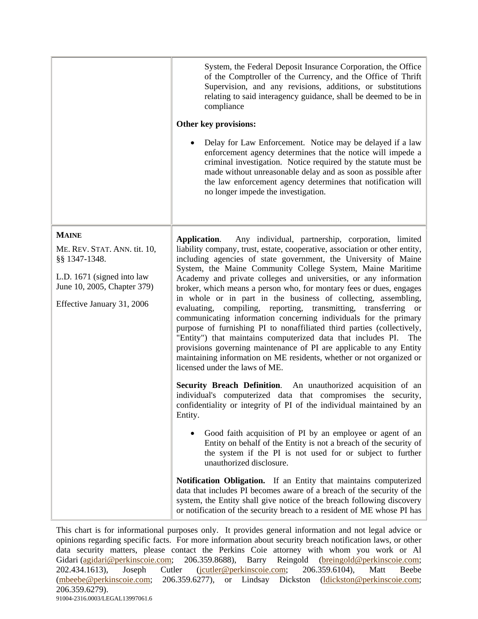|                                                           | System, the Federal Deposit Insurance Corporation, the Office<br>of the Comptroller of the Currency, and the Office of Thrift<br>Supervision, and any revisions, additions, or substitutions<br>relating to said interagency guidance, shall be deemed to be in<br>compliance                                                                                                                                                                                         |
|-----------------------------------------------------------|-----------------------------------------------------------------------------------------------------------------------------------------------------------------------------------------------------------------------------------------------------------------------------------------------------------------------------------------------------------------------------------------------------------------------------------------------------------------------|
|                                                           | Other key provisions:                                                                                                                                                                                                                                                                                                                                                                                                                                                 |
|                                                           | Delay for Law Enforcement. Notice may be delayed if a law<br>enforcement agency determines that the notice will impede a<br>criminal investigation. Notice required by the statute must be<br>made without unreasonable delay and as soon as possible after<br>the law enforcement agency determines that notification will<br>no longer impede the investigation.                                                                                                    |
| <b>MAINE</b>                                              | Any individual, partnership, corporation, limited<br>Application.                                                                                                                                                                                                                                                                                                                                                                                                     |
| ME. REV. STAT. ANN. tit. 10,<br>§§ 1347-1348.             | liability company, trust, estate, cooperative, association or other entity,<br>including agencies of state government, the University of Maine                                                                                                                                                                                                                                                                                                                        |
| L.D. 1671 (signed into law<br>June 10, 2005, Chapter 379) | System, the Maine Community College System, Maine Maritime<br>Academy and private colleges and universities, or any information<br>broker, which means a person who, for montary fees or dues, engages<br>in whole or in part in the business of collecting, assembling,                                                                                                                                                                                              |
| Effective January 31, 2006                                | evaluating, compiling, reporting, transmitting, transferring or<br>communicating information concerning individuals for the primary<br>purpose of furnishing PI to nonaffiliated third parties (collectively,<br>"Entity") that maintains computerized data that includes PI.<br>The<br>provisions governing maintenance of PI are applicable to any Entity<br>maintaining information on ME residents, whether or not organized or<br>licensed under the laws of ME. |
|                                                           | <b>Security Breach Definition.</b> An unauthorized acquisition of an<br>individual's computerized data that compromises the security,<br>confidentiality or integrity of PI of the individual maintained by an<br>Entity.                                                                                                                                                                                                                                             |
|                                                           | Good faith acquisition of PI by an employee or agent of an<br>Entity on behalf of the Entity is not a breach of the security of<br>the system if the PI is not used for or subject to further<br>unauthorized disclosure.                                                                                                                                                                                                                                             |
|                                                           | Notification Obligation. If an Entity that maintains computerized<br>data that includes PI becomes aware of a breach of the security of the<br>system, the Entity shall give notice of the breach following discovery<br>or notification of the security breach to a resident of ME whose PI has                                                                                                                                                                      |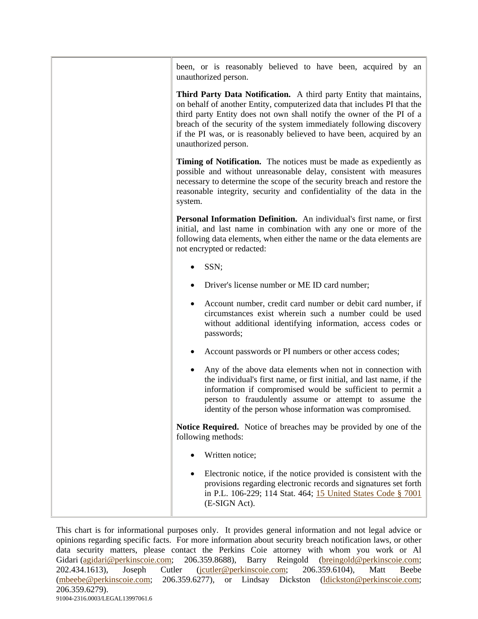| been, or is reasonably believed to have been, acquired by an<br>unauthorized person.                                                                                                                                                                                                                                                                                                              |
|---------------------------------------------------------------------------------------------------------------------------------------------------------------------------------------------------------------------------------------------------------------------------------------------------------------------------------------------------------------------------------------------------|
| Third Party Data Notification. A third party Entity that maintains,<br>on behalf of another Entity, computerized data that includes PI that the<br>third party Entity does not own shall notify the owner of the PI of a<br>breach of the security of the system immediately following discovery<br>if the PI was, or is reasonably believed to have been, acquired by an<br>unauthorized person. |
| <b>Timing of Notification.</b> The notices must be made as expediently as<br>possible and without unreasonable delay, consistent with measures<br>necessary to determine the scope of the security breach and restore the<br>reasonable integrity, security and confidentiality of the data in the<br>system.                                                                                     |
| Personal Information Definition. An individual's first name, or first<br>initial, and last name in combination with any one or more of the<br>following data elements, when either the name or the data elements are<br>not encrypted or redacted:                                                                                                                                                |
| SSN;                                                                                                                                                                                                                                                                                                                                                                                              |
| Driver's license number or ME ID card number;                                                                                                                                                                                                                                                                                                                                                     |
| Account number, credit card number or debit card number, if<br>circumstances exist wherein such a number could be used<br>without additional identifying information, access codes or<br>passwords;                                                                                                                                                                                               |
| Account passwords or PI numbers or other access codes;                                                                                                                                                                                                                                                                                                                                            |
| Any of the above data elements when not in connection with<br>the individual's first name, or first initial, and last name, if the<br>information if compromised would be sufficient to permit a<br>person to fraudulently assume or attempt to assume the<br>identity of the person whose information was compromised.                                                                           |
| Notice Required. Notice of breaches may be provided by one of the<br>following methods:                                                                                                                                                                                                                                                                                                           |
| Written notice;                                                                                                                                                                                                                                                                                                                                                                                   |
| Electronic notice, if the notice provided is consistent with the<br>provisions regarding electronic records and signatures set forth<br>in P.L. 106-229; 114 Stat. 464; 15 United States Code § 7001<br>(E-SIGN Act).                                                                                                                                                                             |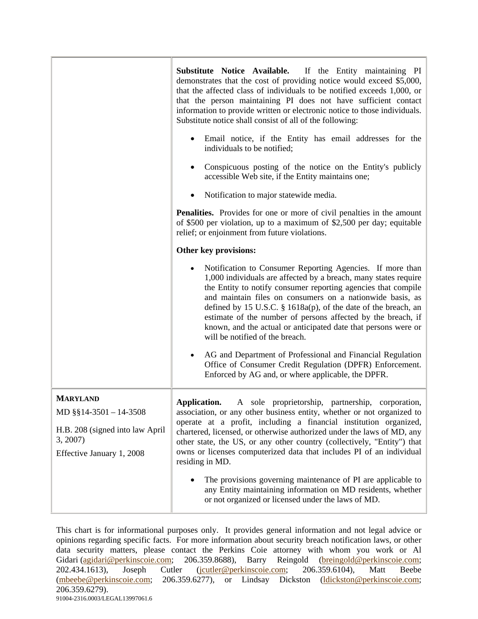|                                                                                                                          | Substitute Notice Available. If the Entity maintaining PI<br>demonstrates that the cost of providing notice would exceed \$5,000,<br>that the affected class of individuals to be notified exceeds 1,000, or<br>that the person maintaining PI does not have sufficient contact<br>information to provide written or electronic notice to those individuals.<br>Substitute notice shall consist of all of the following:                                                                                                              |
|--------------------------------------------------------------------------------------------------------------------------|---------------------------------------------------------------------------------------------------------------------------------------------------------------------------------------------------------------------------------------------------------------------------------------------------------------------------------------------------------------------------------------------------------------------------------------------------------------------------------------------------------------------------------------|
|                                                                                                                          | Email notice, if the Entity has email addresses for the<br>$\bullet$<br>individuals to be notified;                                                                                                                                                                                                                                                                                                                                                                                                                                   |
|                                                                                                                          | Conspicuous posting of the notice on the Entity's publicly<br>٠<br>accessible Web site, if the Entity maintains one;                                                                                                                                                                                                                                                                                                                                                                                                                  |
|                                                                                                                          | Notification to major statewide media.<br>٠                                                                                                                                                                                                                                                                                                                                                                                                                                                                                           |
|                                                                                                                          | <b>Penalities.</b> Provides for one or more of civil penalties in the amount<br>of \$500 per violation, up to a maximum of \$2,500 per day; equitable<br>relief; or enjoinment from future violations.                                                                                                                                                                                                                                                                                                                                |
|                                                                                                                          | Other key provisions:                                                                                                                                                                                                                                                                                                                                                                                                                                                                                                                 |
|                                                                                                                          | Notification to Consumer Reporting Agencies. If more than<br>1,000 individuals are affected by a breach, many states require<br>the Entity to notify consumer reporting agencies that compile<br>and maintain files on consumers on a nationwide basis, as<br>defined by 15 U.S.C. $\S$ 1618a(p), of the date of the breach, an<br>estimate of the number of persons affected by the breach, if<br>known, and the actual or anticipated date that persons were or<br>will be notified of the breach.                                  |
|                                                                                                                          | AG and Department of Professional and Financial Regulation<br>Office of Consumer Credit Regulation (DPFR) Enforcement.<br>Enforced by AG and, or where applicable, the DPFR.                                                                                                                                                                                                                                                                                                                                                          |
| <b>MARYLAND</b><br>MD $\S$ §14-3501 - 14-3508<br>H.B. 208 (signed into law April<br>3, 2007<br>Effective January 1, 2008 | Application.<br>A sole proprietorship,<br>partnership,<br>corporation,<br>association, or any other business entity, whether or not organized to<br>operate at a profit, including a financial institution organized,<br>chartered, licensed, or otherwise authorized under the laws of MD, any<br>other state, the US, or any other country (collectively, "Entity") that<br>owns or licenses computerized data that includes PI of an individual<br>residing in MD.<br>The provisions governing maintenance of PI are applicable to |
|                                                                                                                          | any Entity maintaining information on MD residents, whether<br>or not organized or licensed under the laws of MD.                                                                                                                                                                                                                                                                                                                                                                                                                     |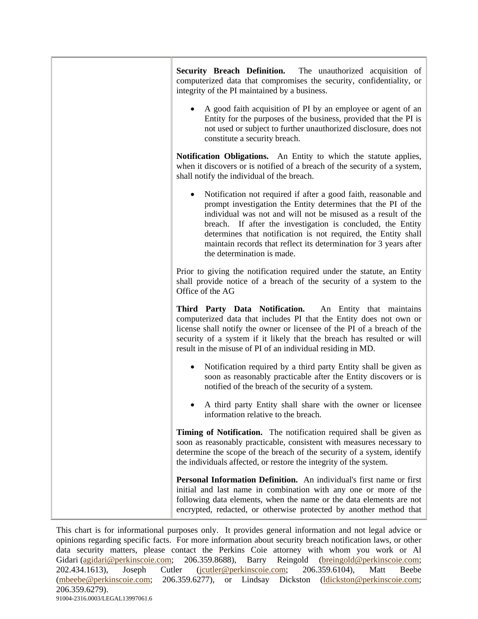| <b>Security Breach Definition.</b> The unauthorized acquisition of<br>computerized data that compromises the security, confidentiality, or<br>integrity of the PI maintained by a business.                                                                                                                                                                                                                                                        |
|----------------------------------------------------------------------------------------------------------------------------------------------------------------------------------------------------------------------------------------------------------------------------------------------------------------------------------------------------------------------------------------------------------------------------------------------------|
| A good faith acquisition of PI by an employee or agent of an<br>Entity for the purposes of the business, provided that the PI is<br>not used or subject to further unauthorized disclosure, does not<br>constitute a security breach.                                                                                                                                                                                                              |
| Notification Obligations. An Entity to which the statute applies,<br>when it discovers or is notified of a breach of the security of a system,<br>shall notify the individual of the breach.                                                                                                                                                                                                                                                       |
| Notification not required if after a good faith, reasonable and<br>$\bullet$<br>prompt investigation the Entity determines that the PI of the<br>individual was not and will not be misused as a result of the<br>breach. If after the investigation is concluded, the Entity<br>determines that notification is not required, the Entity shall<br>maintain records that reflect its determination for 3 years after<br>the determination is made. |
| Prior to giving the notification required under the statute, an Entity<br>shall provide notice of a breach of the security of a system to the<br>Office of the AG                                                                                                                                                                                                                                                                                  |
| Third Party Data Notification. An Entity that maintains<br>computerized data that includes PI that the Entity does not own or<br>license shall notify the owner or licensee of the PI of a breach of the<br>security of a system if it likely that the breach has resulted or will<br>result in the misuse of PI of an individual residing in MD.                                                                                                  |
| Notification required by a third party Entity shall be given as<br>٠<br>soon as reasonably practicable after the Entity discovers or is<br>notified of the breach of the security of a system.                                                                                                                                                                                                                                                     |
| A third party Entity shall share with the owner or licensee<br>information relative to the breach.                                                                                                                                                                                                                                                                                                                                                 |
| Timing of Notification. The notification required shall be given as<br>soon as reasonably practicable, consistent with measures necessary to<br>determine the scope of the breach of the security of a system, identify<br>the individuals affected, or restore the integrity of the system.                                                                                                                                                       |
| Personal Information Definition. An individual's first name or first<br>initial and last name in combination with any one or more of the<br>following data elements, when the name or the data elements are not<br>encrypted, redacted, or otherwise protected by another method that                                                                                                                                                              |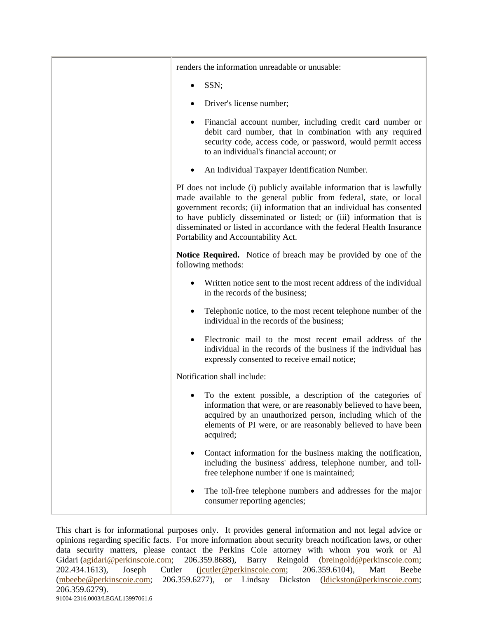| renders the information unreadable or unusable:                                                                                                                                                                                                                                                                                                                                                                  |
|------------------------------------------------------------------------------------------------------------------------------------------------------------------------------------------------------------------------------------------------------------------------------------------------------------------------------------------------------------------------------------------------------------------|
| SSN;                                                                                                                                                                                                                                                                                                                                                                                                             |
| Driver's license number;                                                                                                                                                                                                                                                                                                                                                                                         |
| Financial account number, including credit card number or<br>debit card number, that in combination with any required<br>security code, access code, or password, would permit access<br>to an individual's financial account; or                                                                                                                                                                                |
| An Individual Taxpayer Identification Number.<br>٠                                                                                                                                                                                                                                                                                                                                                               |
| PI does not include (i) publicly available information that is lawfully<br>made available to the general public from federal, state, or local<br>government records; (ii) information that an individual has consented<br>to have publicly disseminated or listed; or (iii) information that is<br>disseminated or listed in accordance with the federal Health Insurance<br>Portability and Accountability Act. |
| <b>Notice Required.</b> Notice of breach may be provided by one of the<br>following methods:                                                                                                                                                                                                                                                                                                                     |
| Written notice sent to the most recent address of the individual<br>in the records of the business;                                                                                                                                                                                                                                                                                                              |
| Telephonic notice, to the most recent telephone number of the<br>individual in the records of the business;                                                                                                                                                                                                                                                                                                      |
| Electronic mail to the most recent email address of the<br>individual in the records of the business if the individual has<br>expressly consented to receive email notice;                                                                                                                                                                                                                                       |
| Notification shall include:                                                                                                                                                                                                                                                                                                                                                                                      |
| To the extent possible, a description of the categories of<br>information that were, or are reasonably believed to have been,<br>acquired by an unauthorized person, including which of the<br>elements of PI were, or are reasonably believed to have been<br>acquired;                                                                                                                                         |
| Contact information for the business making the notification,<br>including the business' address, telephone number, and toll-<br>free telephone number if one is maintained;                                                                                                                                                                                                                                     |
| The toll-free telephone numbers and addresses for the major<br>consumer reporting agencies;                                                                                                                                                                                                                                                                                                                      |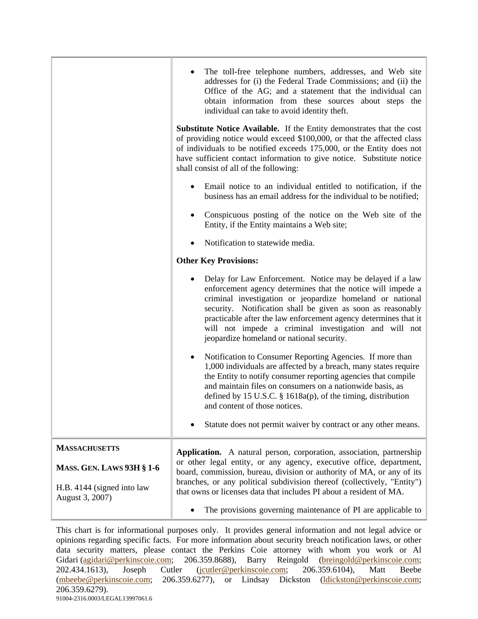|                                               | The toll-free telephone numbers, addresses, and Web site<br>addresses for (i) the Federal Trade Commissions; and (ii) the<br>Office of the AG; and a statement that the individual can<br>obtain information from these sources about steps the<br>individual can take to avoid identity theft.                                                                                                                               |
|-----------------------------------------------|-------------------------------------------------------------------------------------------------------------------------------------------------------------------------------------------------------------------------------------------------------------------------------------------------------------------------------------------------------------------------------------------------------------------------------|
|                                               | Substitute Notice Available. If the Entity demonstrates that the cost<br>of providing notice would exceed \$100,000, or that the affected class<br>of individuals to be notified exceeds 175,000, or the Entity does not<br>have sufficient contact information to give notice. Substitute notice<br>shall consist of all of the following:                                                                                   |
|                                               | Email notice to an individual entitled to notification, if the<br>business has an email address for the individual to be notified;                                                                                                                                                                                                                                                                                            |
|                                               | Conspicuous posting of the notice on the Web site of the<br>Entity, if the Entity maintains a Web site;                                                                                                                                                                                                                                                                                                                       |
|                                               | Notification to statewide media.                                                                                                                                                                                                                                                                                                                                                                                              |
|                                               | <b>Other Key Provisions:</b>                                                                                                                                                                                                                                                                                                                                                                                                  |
|                                               | Delay for Law Enforcement. Notice may be delayed if a law<br>enforcement agency determines that the notice will impede a<br>criminal investigation or jeopardize homeland or national<br>security. Notification shall be given as soon as reasonably<br>practicable after the law enforcement agency determines that it<br>will not impede a criminal investigation and will not<br>jeopardize homeland or national security. |
|                                               | Notification to Consumer Reporting Agencies. If more than<br>1,000 individuals are affected by a breach, many states require<br>the Entity to notify consumer reporting agencies that compile<br>and maintain files on consumers on a nationwide basis, as<br>defined by 15 U.S.C. $\S$ 1618a(p), of the timing, distribution<br>and content of those notices.                                                                |
|                                               | Statute does not permit waiver by contract or any other means.                                                                                                                                                                                                                                                                                                                                                                |
| <b>MASSACHUSETTS</b>                          | Application. A natural person, corporation, association, partnership                                                                                                                                                                                                                                                                                                                                                          |
| <b>MASS. GEN. LAWS 93H § 1-6</b>              | or other legal entity, or any agency, executive office, department,<br>board, commission, bureau, division or authority of MA, or any of its                                                                                                                                                                                                                                                                                  |
| H.B. 4144 (signed into law<br>August 3, 2007) | branches, or any political subdivision thereof (collectively, "Entity")<br>that owns or licenses data that includes PI about a resident of MA.                                                                                                                                                                                                                                                                                |
|                                               | The provisions governing maintenance of PI are applicable to                                                                                                                                                                                                                                                                                                                                                                  |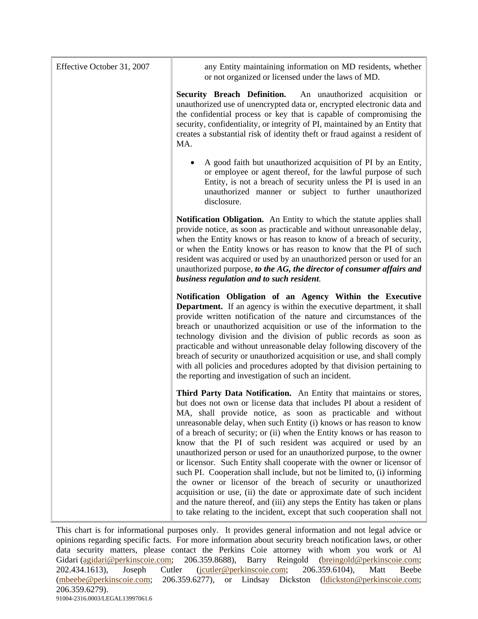| Effective October 31, 2007 | any Entity maintaining information on MD residents, whether<br>or not organized or licensed under the laws of MD.                                                                                                                                                                                                                                                                                                                                                                                                                                                                                                                                                                                                                                                                                                                                                                                                                                                   |
|----------------------------|---------------------------------------------------------------------------------------------------------------------------------------------------------------------------------------------------------------------------------------------------------------------------------------------------------------------------------------------------------------------------------------------------------------------------------------------------------------------------------------------------------------------------------------------------------------------------------------------------------------------------------------------------------------------------------------------------------------------------------------------------------------------------------------------------------------------------------------------------------------------------------------------------------------------------------------------------------------------|
|                            | Security Breach Definition. An unauthorized acquisition or<br>unauthorized use of unencrypted data or, encrypted electronic data and<br>the confidential process or key that is capable of compromising the<br>security, confidentiality, or integrity of PI, maintained by an Entity that<br>creates a substantial risk of identity theft or fraud against a resident of<br>MA.                                                                                                                                                                                                                                                                                                                                                                                                                                                                                                                                                                                    |
|                            | A good faith but unauthorized acquisition of PI by an Entity,<br>or employee or agent thereof, for the lawful purpose of such<br>Entity, is not a breach of security unless the PI is used in an<br>unauthorized manner or subject to further unauthorized<br>disclosure.                                                                                                                                                                                                                                                                                                                                                                                                                                                                                                                                                                                                                                                                                           |
|                            | Notification Obligation. An Entity to which the statute applies shall<br>provide notice, as soon as practicable and without unreasonable delay,<br>when the Entity knows or has reason to know of a breach of security,<br>or when the Entity knows or has reason to know that the PI of such<br>resident was acquired or used by an unauthorized person or used for an<br>unauthorized purpose, to the AG, the director of consumer affairs and<br>business regulation and to such resident.                                                                                                                                                                                                                                                                                                                                                                                                                                                                       |
|                            | Notification Obligation of an Agency Within the Executive<br><b>Department.</b> If an agency is within the executive department, it shall<br>provide written notification of the nature and circumstances of the<br>breach or unauthorized acquisition or use of the information to the<br>technology division and the division of public records as soon as<br>practicable and without unreasonable delay following discovery of the<br>breach of security or unauthorized acquisition or use, and shall comply<br>with all policies and procedures adopted by that division pertaining to<br>the reporting and investigation of such an incident.                                                                                                                                                                                                                                                                                                                 |
|                            | Third Party Data Notification. An Entity that maintains or stores,<br>but does not own or license data that includes PI about a resident of<br>MA, shall provide notice, as soon as practicable and without<br>unreasonable delay, when such Entity (i) knows or has reason to know<br>of a breach of security; or (ii) when the Entity knows or has reason to<br>know that the PI of such resident was acquired or used by an<br>unauthorized person or used for an unauthorized purpose, to the owner<br>or licensor. Such Entity shall cooperate with the owner or licensor of<br>such PI. Cooperation shall include, but not be limited to, (i) informing<br>the owner or licensor of the breach of security or unauthorized<br>acquisition or use, (ii) the date or approximate date of such incident<br>and the nature thereof, and (iii) any steps the Entity has taken or plans<br>to take relating to the incident, except that such cooperation shall not |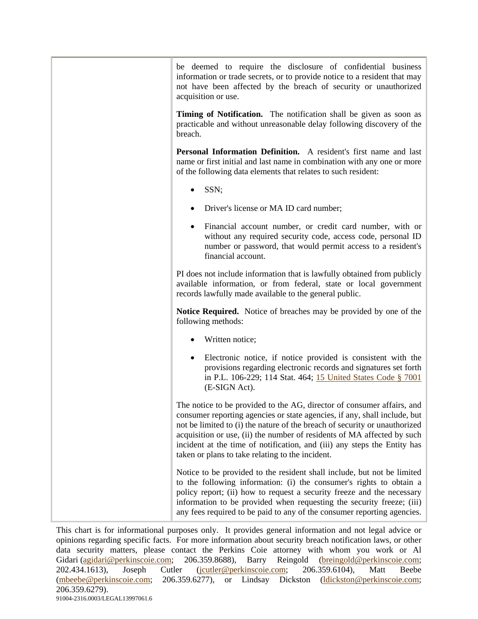| be deemed to require the disclosure of confidential business<br>information or trade secrets, or to provide notice to a resident that may<br>not have been affected by the breach of security or unauthorized<br>acquisition or use.                                                                                                                                                                                                         |
|----------------------------------------------------------------------------------------------------------------------------------------------------------------------------------------------------------------------------------------------------------------------------------------------------------------------------------------------------------------------------------------------------------------------------------------------|
| <b>Timing of Notification.</b> The notification shall be given as soon as<br>practicable and without unreasonable delay following discovery of the<br>breach.                                                                                                                                                                                                                                                                                |
| <b>Personal Information Definition.</b> A resident's first name and last<br>name or first initial and last name in combination with any one or more<br>of the following data elements that relates to such resident:                                                                                                                                                                                                                         |
| SSN;                                                                                                                                                                                                                                                                                                                                                                                                                                         |
| Driver's license or MA ID card number;                                                                                                                                                                                                                                                                                                                                                                                                       |
| Financial account number, or credit card number, with or<br>٠<br>without any required security code, access code, personal ID<br>number or password, that would permit access to a resident's<br>financial account.                                                                                                                                                                                                                          |
| PI does not include information that is lawfully obtained from publicly<br>available information, or from federal, state or local government<br>records lawfully made available to the general public.                                                                                                                                                                                                                                       |
| <b>Notice Required.</b> Notice of breaches may be provided by one of the<br>following methods:                                                                                                                                                                                                                                                                                                                                               |
| Written notice;                                                                                                                                                                                                                                                                                                                                                                                                                              |
| Electronic notice, if notice provided is consistent with the<br>provisions regarding electronic records and signatures set forth<br>in P.L. 106-229; 114 Stat. 464; 15 United States Code § 7001<br>(E-SIGN Act).                                                                                                                                                                                                                            |
| The notice to be provided to the AG, director of consumer affairs, and<br>consumer reporting agencies or state agencies, if any, shall include, but<br>not be limited to (i) the nature of the breach of security or unauthorized<br>acquisition or use, (ii) the number of residents of MA affected by such<br>incident at the time of notification, and (iii) any steps the Entity has<br>taken or plans to take relating to the incident. |
| Notice to be provided to the resident shall include, but not be limited<br>to the following information: (i) the consumer's rights to obtain a<br>policy report; (ii) how to request a security freeze and the necessary<br>information to be provided when requesting the security freeze; (iii)<br>any fees required to be paid to any of the consumer reporting agencies.                                                                 |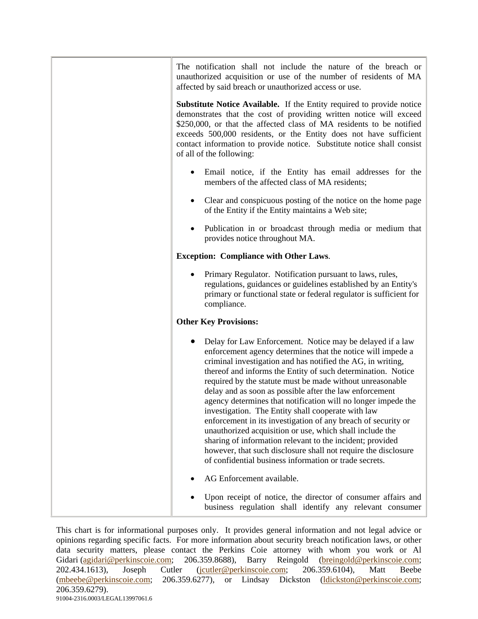| The notification shall not include the nature of the breach or<br>unauthorized acquisition or use of the number of residents of MA<br>affected by said breach or unauthorized access or use.                                                                                                                                                                                                                                                                                                                                                                                                                                                                                                                                                                                                                                 |
|------------------------------------------------------------------------------------------------------------------------------------------------------------------------------------------------------------------------------------------------------------------------------------------------------------------------------------------------------------------------------------------------------------------------------------------------------------------------------------------------------------------------------------------------------------------------------------------------------------------------------------------------------------------------------------------------------------------------------------------------------------------------------------------------------------------------------|
| <b>Substitute Notice Available.</b> If the Entity required to provide notice<br>demonstrates that the cost of providing written notice will exceed<br>\$250,000, or that the affected class of MA residents to be notified<br>exceeds 500,000 residents, or the Entity does not have sufficient<br>contact information to provide notice. Substitute notice shall consist<br>of all of the following:                                                                                                                                                                                                                                                                                                                                                                                                                        |
| Email notice, if the Entity has email addresses for the<br>members of the affected class of MA residents;                                                                                                                                                                                                                                                                                                                                                                                                                                                                                                                                                                                                                                                                                                                    |
| Clear and conspicuous posting of the notice on the home page<br>of the Entity if the Entity maintains a Web site;                                                                                                                                                                                                                                                                                                                                                                                                                                                                                                                                                                                                                                                                                                            |
| Publication in or broadcast through media or medium that<br>provides notice throughout MA.                                                                                                                                                                                                                                                                                                                                                                                                                                                                                                                                                                                                                                                                                                                                   |
| <b>Exception: Compliance with Other Laws.</b>                                                                                                                                                                                                                                                                                                                                                                                                                                                                                                                                                                                                                                                                                                                                                                                |
| Primary Regulator. Notification pursuant to laws, rules,<br>regulations, guidances or guidelines established by an Entity's<br>primary or functional state or federal regulator is sufficient for<br>compliance.                                                                                                                                                                                                                                                                                                                                                                                                                                                                                                                                                                                                             |
| <b>Other Key Provisions:</b>                                                                                                                                                                                                                                                                                                                                                                                                                                                                                                                                                                                                                                                                                                                                                                                                 |
| Delay for Law Enforcement. Notice may be delayed if a law<br>enforcement agency determines that the notice will impede a<br>criminal investigation and has notified the AG, in writing,<br>thereof and informs the Entity of such determination. Notice<br>required by the statute must be made without unreasonable<br>delay and as soon as possible after the law enforcement<br>agency determines that notification will no longer impede the<br>investigation. The Entity shall cooperate with law<br>enforcement in its investigation of any breach of security or<br>unauthorized acquisition or use, which shall include the<br>sharing of information relevant to the incident; provided<br>however, that such disclosure shall not require the disclosure<br>of confidential business information or trade secrets. |
| AG Enforcement available.                                                                                                                                                                                                                                                                                                                                                                                                                                                                                                                                                                                                                                                                                                                                                                                                    |
| Upon receipt of notice, the director of consumer affairs and<br>business regulation shall identify any relevant consumer                                                                                                                                                                                                                                                                                                                                                                                                                                                                                                                                                                                                                                                                                                     |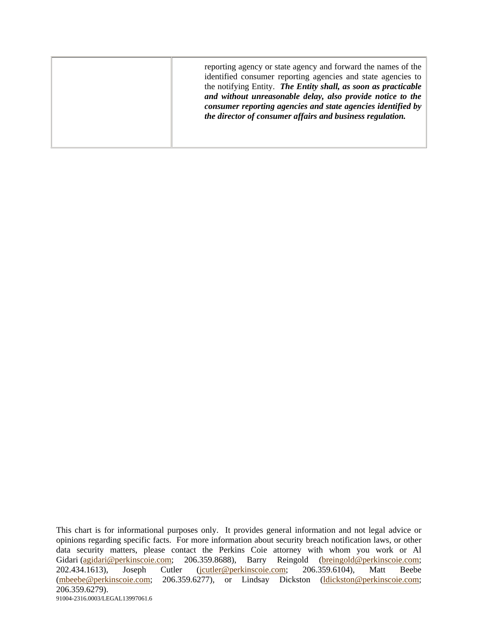| reporting agency or state agency and forward the names of the<br>identified consumer reporting agencies and state agencies to<br>the notifying Entity. The Entity shall, as soon as practicable<br>and without unreasonable delay, also provide notice to the<br>consumer reporting agencies and state agencies identified by<br>the director of consumer affairs and business regulation. |
|--------------------------------------------------------------------------------------------------------------------------------------------------------------------------------------------------------------------------------------------------------------------------------------------------------------------------------------------------------------------------------------------|
|--------------------------------------------------------------------------------------------------------------------------------------------------------------------------------------------------------------------------------------------------------------------------------------------------------------------------------------------------------------------------------------------|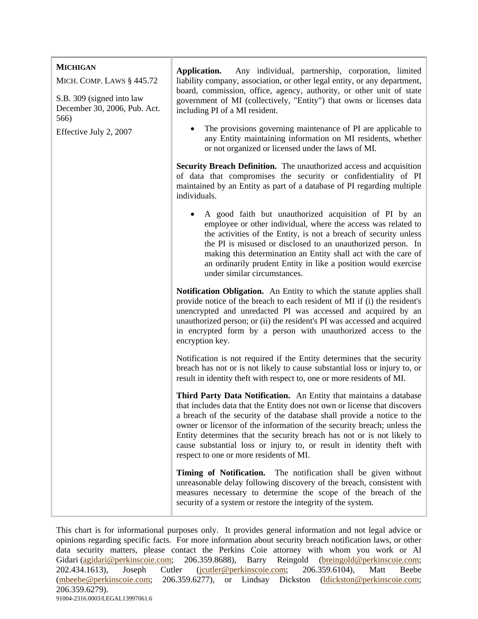| <b>MICHIGAN</b><br>MICH. COMP. LAWS § 445.72                      | Any individual, partnership, corporation, limited<br>Application.<br>liability company, association, or other legal entity, or any department,<br>board, commission, office, agency, authority, or other unit of state<br>government of MI (collectively, "Entity") that owns or licenses data<br>including PI of a MI resident.                                                                                                                                                                   |
|-------------------------------------------------------------------|----------------------------------------------------------------------------------------------------------------------------------------------------------------------------------------------------------------------------------------------------------------------------------------------------------------------------------------------------------------------------------------------------------------------------------------------------------------------------------------------------|
| S.B. 309 (signed into law<br>December 30, 2006, Pub. Act.<br>566) |                                                                                                                                                                                                                                                                                                                                                                                                                                                                                                    |
| Effective July 2, 2007                                            | The provisions governing maintenance of PI are applicable to<br>any Entity maintaining information on MI residents, whether<br>or not organized or licensed under the laws of MI.                                                                                                                                                                                                                                                                                                                  |
|                                                                   | Security Breach Definition. The unauthorized access and acquisition<br>of data that compromises the security or confidentiality of PI<br>maintained by an Entity as part of a database of PI regarding multiple<br>individuals.                                                                                                                                                                                                                                                                    |
|                                                                   | A good faith but unauthorized acquisition of PI by an<br>employee or other individual, where the access was related to<br>the activities of the Entity, is not a breach of security unless<br>the PI is misused or disclosed to an unauthorized person. In<br>making this determination an Entity shall act with the care of<br>an ordinarily prudent Entity in like a position would exercise<br>under similar circumstances.                                                                     |
|                                                                   | <b>Notification Obligation.</b> An Entity to which the statute applies shall<br>provide notice of the breach to each resident of MI if (i) the resident's<br>unencrypted and unredacted PI was accessed and acquired by an<br>unauthorized person; or (ii) the resident's PI was accessed and acquired<br>in encrypted form by a person with unauthorized access to the<br>encryption key.                                                                                                         |
|                                                                   | Notification is not required if the Entity determines that the security<br>breach has not or is not likely to cause substantial loss or injury to, or<br>result in identity theft with respect to, one or more residents of MI.                                                                                                                                                                                                                                                                    |
|                                                                   | Third Party Data Notification. An Entity that maintains a database<br>that includes data that the Entity does not own or license that discovers<br>a breach of the security of the database shall provide a notice to the<br>owner or licensor of the information of the security breach; unless the<br>Entity determines that the security breach has not or is not likely to<br>cause substantial loss or injury to, or result in identity theft with<br>respect to one or more residents of MI. |
|                                                                   | Timing of Notification. The notification shall be given without<br>unreasonable delay following discovery of the breach, consistent with<br>measures necessary to determine the scope of the breach of the<br>security of a system or restore the integrity of the system.                                                                                                                                                                                                                         |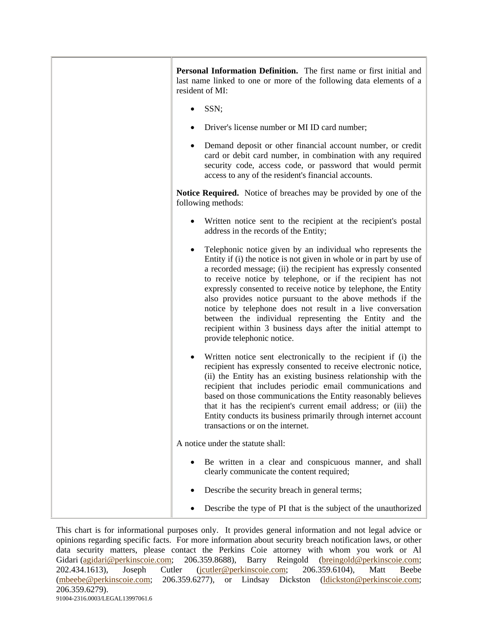| Personal Information Definition. The first name or first initial and<br>last name linked to one or more of the following data elements of a<br>resident of MI:                                                                                                                                                                                                                                                                                                                                                                                                                                                            |
|---------------------------------------------------------------------------------------------------------------------------------------------------------------------------------------------------------------------------------------------------------------------------------------------------------------------------------------------------------------------------------------------------------------------------------------------------------------------------------------------------------------------------------------------------------------------------------------------------------------------------|
| SSN;                                                                                                                                                                                                                                                                                                                                                                                                                                                                                                                                                                                                                      |
| Driver's license number or MI ID card number;                                                                                                                                                                                                                                                                                                                                                                                                                                                                                                                                                                             |
| Demand deposit or other financial account number, or credit<br>card or debit card number, in combination with any required<br>security code, access code, or password that would permit<br>access to any of the resident's financial accounts.                                                                                                                                                                                                                                                                                                                                                                            |
| <b>Notice Required.</b> Notice of breaches may be provided by one of the<br>following methods:                                                                                                                                                                                                                                                                                                                                                                                                                                                                                                                            |
| Written notice sent to the recipient at the recipient's postal<br>address in the records of the Entity;                                                                                                                                                                                                                                                                                                                                                                                                                                                                                                                   |
| Telephonic notice given by an individual who represents the<br>Entity if (i) the notice is not given in whole or in part by use of<br>a recorded message; (ii) the recipient has expressly consented<br>to receive notice by telephone, or if the recipient has not<br>expressly consented to receive notice by telephone, the Entity<br>also provides notice pursuant to the above methods if the<br>notice by telephone does not result in a live conversation<br>between the individual representing the Entity and the<br>recipient within 3 business days after the initial attempt to<br>provide telephonic notice. |
| Written notice sent electronically to the recipient if (i) the<br>recipient has expressly consented to receive electronic notice,<br>(ii) the Entity has an existing business relationship with the<br>recipient that includes periodic email communications and<br>based on those communications the Entity reasonably believes<br>that it has the recipient's current email address; or (iii) the<br>Entity conducts its business primarily through internet account<br>transactions or on the internet.                                                                                                                |
| A notice under the statute shall:                                                                                                                                                                                                                                                                                                                                                                                                                                                                                                                                                                                         |
| Be written in a clear and conspicuous manner, and shall<br>clearly communicate the content required;                                                                                                                                                                                                                                                                                                                                                                                                                                                                                                                      |
| Describe the security breach in general terms;                                                                                                                                                                                                                                                                                                                                                                                                                                                                                                                                                                            |
| Describe the type of PI that is the subject of the unauthorized                                                                                                                                                                                                                                                                                                                                                                                                                                                                                                                                                           |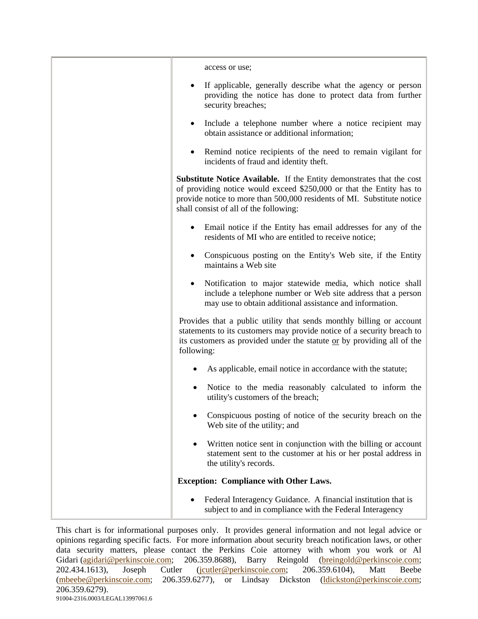| access or use;                                                                                                                                                                                                                                                    |
|-------------------------------------------------------------------------------------------------------------------------------------------------------------------------------------------------------------------------------------------------------------------|
| If applicable, generally describe what the agency or person<br>providing the notice has done to protect data from further<br>security breaches;                                                                                                                   |
| Include a telephone number where a notice recipient may<br>obtain assistance or additional information;                                                                                                                                                           |
| Remind notice recipients of the need to remain vigilant for<br>incidents of fraud and identity theft.                                                                                                                                                             |
| Substitute Notice Available. If the Entity demonstrates that the cost<br>of providing notice would exceed \$250,000 or that the Entity has to<br>provide notice to more than 500,000 residents of MI. Substitute notice<br>shall consist of all of the following: |
| Email notice if the Entity has email addresses for any of the<br>residents of MI who are entitled to receive notice;                                                                                                                                              |
| Conspicuous posting on the Entity's Web site, if the Entity<br>maintains a Web site                                                                                                                                                                               |
| Notification to major statewide media, which notice shall<br>include a telephone number or Web site address that a person<br>may use to obtain additional assistance and information.                                                                             |
| Provides that a public utility that sends monthly billing or account<br>statements to its customers may provide notice of a security breach to<br>its customers as provided under the statute or by providing all of the<br>following:                            |
| As applicable, email notice in accordance with the statute;                                                                                                                                                                                                       |
| Notice to the media reasonably calculated to inform the<br>utility's customers of the breach;                                                                                                                                                                     |
| Conspicuous posting of notice of the security breach on the<br>Web site of the utility; and                                                                                                                                                                       |
| Written notice sent in conjunction with the billing or account<br>statement sent to the customer at his or her postal address in<br>the utility's records.                                                                                                        |
| <b>Exception: Compliance with Other Laws.</b>                                                                                                                                                                                                                     |
| Federal Interagency Guidance. A financial institution that is<br>subject to and in compliance with the Federal Interagency                                                                                                                                        |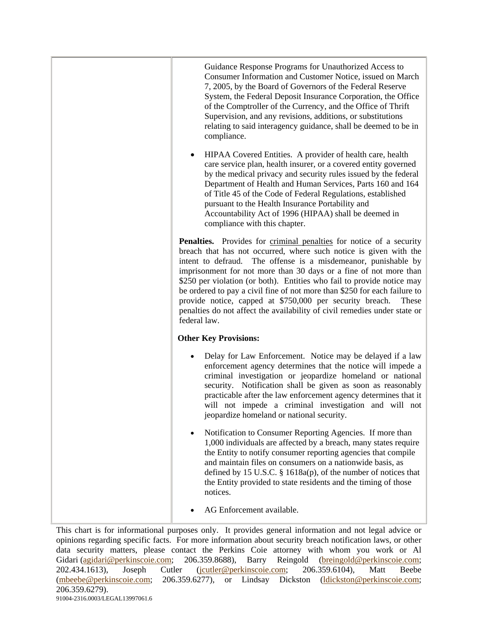| Guidance Response Programs for Unauthorized Access to<br>Consumer Information and Customer Notice, issued on March<br>7, 2005, by the Board of Governors of the Federal Reserve<br>System, the Federal Deposit Insurance Corporation, the Office<br>of the Comptroller of the Currency, and the Office of Thrift<br>Supervision, and any revisions, additions, or substitutions<br>relating to said interagency guidance, shall be deemed to be in<br>compliance.                                                                                                                                                  |
|--------------------------------------------------------------------------------------------------------------------------------------------------------------------------------------------------------------------------------------------------------------------------------------------------------------------------------------------------------------------------------------------------------------------------------------------------------------------------------------------------------------------------------------------------------------------------------------------------------------------|
| HIPAA Covered Entities. A provider of health care, health<br>care service plan, health insurer, or a covered entity governed<br>by the medical privacy and security rules issued by the federal<br>Department of Health and Human Services, Parts 160 and 164<br>of Title 45 of the Code of Federal Regulations, established<br>pursuant to the Health Insurance Portability and<br>Accountability Act of 1996 (HIPAA) shall be deemed in<br>compliance with this chapter.                                                                                                                                         |
| <b>Penalties.</b> Provides for criminal penalties for notice of a security<br>breach that has not occurred, where such notice is given with the<br>intent to defraud.<br>The offense is a misdemeanor, punishable by<br>imprisonment for not more than 30 days or a fine of not more than<br>\$250 per violation (or both). Entities who fail to provide notice may<br>be ordered to pay a civil fine of not more than \$250 for each failure to<br>provide notice, capped at \$750,000 per security breach.<br>These<br>penalties do not affect the availability of civil remedies under state or<br>federal law. |
| <b>Other Key Provisions:</b>                                                                                                                                                                                                                                                                                                                                                                                                                                                                                                                                                                                       |
| Delay for Law Enforcement. Notice may be delayed if a law<br>enforcement agency determines that the notice will impede a<br>criminal investigation or jeopardize homeland or national<br>security. Notification shall be given as soon as reasonably<br>practicable after the law enforcement agency determines that it<br>will not impede a criminal investigation and will not<br>jeopardize homeland or national security.                                                                                                                                                                                      |
| Notification to Consumer Reporting Agencies. If more than<br>1,000 individuals are affected by a breach, many states require<br>the Entity to notify consumer reporting agencies that compile<br>and maintain files on consumers on a nationwide basis, as<br>defined by 15 U.S.C. $\S$ 1618a(p), of the number of notices that<br>the Entity provided to state residents and the timing of those<br>notices.                                                                                                                                                                                                      |
| AG Enforcement available.                                                                                                                                                                                                                                                                                                                                                                                                                                                                                                                                                                                          |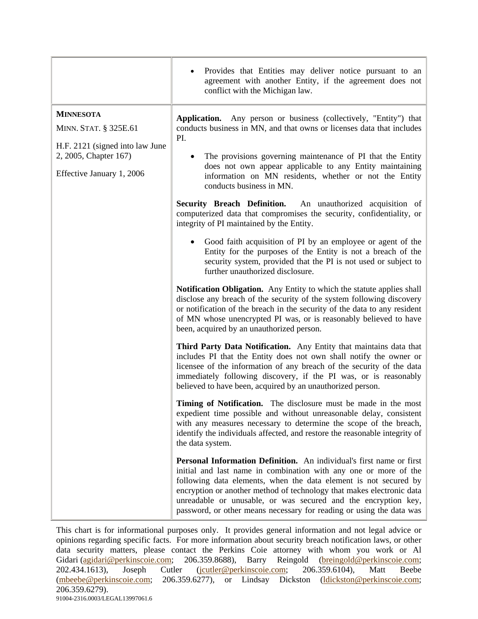|                                                                                                                                    | Provides that Entities may deliver notice pursuant to an<br>agreement with another Entity, if the agreement does not<br>conflict with the Michigan law.                                                                                                                                                                                                                                                                         |
|------------------------------------------------------------------------------------------------------------------------------------|---------------------------------------------------------------------------------------------------------------------------------------------------------------------------------------------------------------------------------------------------------------------------------------------------------------------------------------------------------------------------------------------------------------------------------|
| <b>MINNESOTA</b><br>MINN. STAT. § 325E.61<br>H.F. 2121 (signed into law June<br>2, 2005, Chapter 167)<br>Effective January 1, 2006 | Application.<br>Any person or business (collectively, "Entity") that<br>conducts business in MN, and that owns or licenses data that includes<br>PI.<br>The provisions governing maintenance of PI that the Entity<br>does not own appear applicable to any Entity maintaining<br>information on MN residents, whether or not the Entity<br>conducts business in MN.                                                            |
|                                                                                                                                    | Security Breach Definition. An unauthorized acquisition of<br>computerized data that compromises the security, confidentiality, or<br>integrity of PI maintained by the Entity.                                                                                                                                                                                                                                                 |
|                                                                                                                                    | Good faith acquisition of PI by an employee or agent of the<br>Entity for the purposes of the Entity is not a breach of the<br>security system, provided that the PI is not used or subject to<br>further unauthorized disclosure.                                                                                                                                                                                              |
|                                                                                                                                    | <b>Notification Obligation.</b> Any Entity to which the statute applies shall<br>disclose any breach of the security of the system following discovery<br>or notification of the breach in the security of the data to any resident<br>of MN whose unencrypted PI was, or is reasonably believed to have<br>been, acquired by an unauthorized person.                                                                           |
|                                                                                                                                    | Third Party Data Notification. Any Entity that maintains data that<br>includes PI that the Entity does not own shall notify the owner or<br>licensee of the information of any breach of the security of the data<br>immediately following discovery, if the PI was, or is reasonably<br>believed to have been, acquired by an unauthorized person.                                                                             |
|                                                                                                                                    | Timing of Notification. The disclosure must be made in the most<br>expedient time possible and without unreasonable delay, consistent<br>with any measures necessary to determine the scope of the breach,<br>identify the individuals affected, and restore the reasonable integrity of<br>the data system.                                                                                                                    |
|                                                                                                                                    | Personal Information Definition. An individual's first name or first<br>initial and last name in combination with any one or more of the<br>following data elements, when the data element is not secured by<br>encryption or another method of technology that makes electronic data<br>unreadable or unusable, or was secured and the encryption key,<br>password, or other means necessary for reading or using the data was |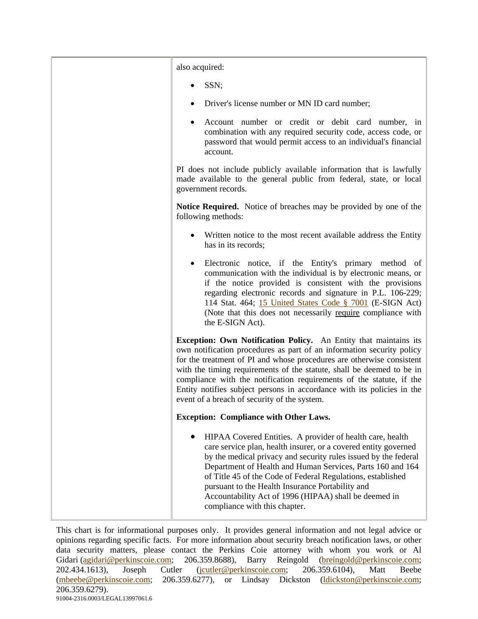| also acquired:                                                                                                                                                                                                                                                                                                                                                                                                                                                                                |
|-----------------------------------------------------------------------------------------------------------------------------------------------------------------------------------------------------------------------------------------------------------------------------------------------------------------------------------------------------------------------------------------------------------------------------------------------------------------------------------------------|
| SSN;                                                                                                                                                                                                                                                                                                                                                                                                                                                                                          |
| Driver's license number or MN ID card number;                                                                                                                                                                                                                                                                                                                                                                                                                                                 |
| Account number or credit or debit card number, in<br>٠<br>combination with any required security code, access code, or<br>password that would permit access to an individual's financial<br>account.                                                                                                                                                                                                                                                                                          |
| PI does not include publicly available information that is lawfully<br>made available to the general public from federal, state, or local<br>government records.                                                                                                                                                                                                                                                                                                                              |
| Notice Required. Notice of breaches may be provided by one of the<br>following methods:                                                                                                                                                                                                                                                                                                                                                                                                       |
| Written notice to the most recent available address the Entity<br>has in its records;                                                                                                                                                                                                                                                                                                                                                                                                         |
| Electronic notice, if the Entity's primary method of<br>$\bullet$<br>communication with the individual is by electronic means, or<br>if the notice provided is consistent with the provisions<br>regarding electronic records and signature in P.L. 106-229;<br>114 Stat. 464; 15 United States Code § 7001 (E-SIGN Act)<br>(Note that this does not necessarily require compliance with<br>the E-SIGN Act).                                                                                  |
| Exception: Own Notification Policy. An Entity that maintains its<br>own notification procedures as part of an information security policy<br>for the treatment of PI and whose procedures are otherwise consistent<br>with the timing requirements of the statute, shall be deemed to be in<br>compliance with the notification requirements of the statute, if the<br>Entity notifies subject persons in accordance with its policies in the<br>event of a breach of security of the system. |
| <b>Exception: Compliance with Other Laws.</b>                                                                                                                                                                                                                                                                                                                                                                                                                                                 |
| HIPAA Covered Entities. A provider of health care, health<br>care service plan, health insurer, or a covered entity governed<br>by the medical privacy and security rules issued by the federal<br>Department of Health and Human Services, Parts 160 and 164<br>of Title 45 of the Code of Federal Regulations, established<br>pursuant to the Health Insurance Portability and<br>Accountability Act of 1996 (HIPAA) shall be deemed in<br>compliance with this chapter.                    |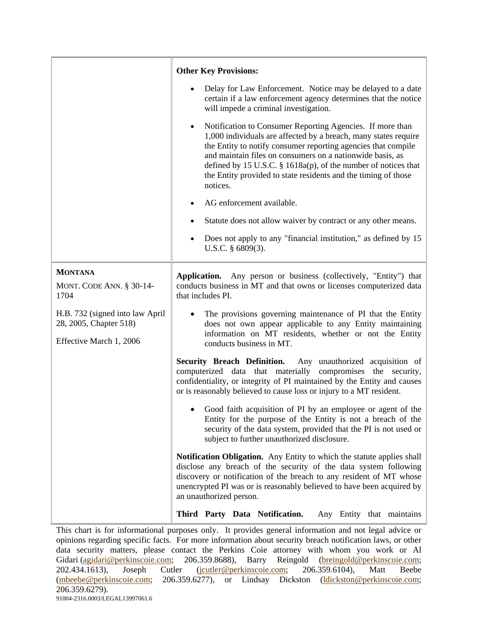|                                                                                      | <b>Other Key Provisions:</b>                                                                                                                                                                                                                                                                                                                                                                                            |
|--------------------------------------------------------------------------------------|-------------------------------------------------------------------------------------------------------------------------------------------------------------------------------------------------------------------------------------------------------------------------------------------------------------------------------------------------------------------------------------------------------------------------|
|                                                                                      | Delay for Law Enforcement. Notice may be delayed to a date<br>certain if a law enforcement agency determines that the notice<br>will impede a criminal investigation.                                                                                                                                                                                                                                                   |
|                                                                                      | Notification to Consumer Reporting Agencies. If more than<br>$\bullet$<br>1,000 individuals are affected by a breach, many states require<br>the Entity to notify consumer reporting agencies that compile<br>and maintain files on consumers on a nationwide basis, as<br>defined by 15 U.S.C. § 1618a(p), of the number of notices that<br>the Entity provided to state residents and the timing of those<br>notices. |
|                                                                                      | AG enforcement available.                                                                                                                                                                                                                                                                                                                                                                                               |
|                                                                                      | Statute does not allow waiver by contract or any other means.                                                                                                                                                                                                                                                                                                                                                           |
|                                                                                      | Does not apply to any "financial institution," as defined by 15<br>٠<br>U.S.C. $§$ 6809(3).                                                                                                                                                                                                                                                                                                                             |
| <b>MONTANA</b><br><b>MONT. CODE ANN. § 30-14-</b><br>1704                            | Application. Any person or business (collectively, "Entity") that<br>conducts business in MT and that owns or licenses computerized data<br>that includes PI.                                                                                                                                                                                                                                                           |
| H.B. 732 (signed into law April<br>28, 2005, Chapter 518)<br>Effective March 1, 2006 | The provisions governing maintenance of PI that the Entity<br>does not own appear applicable to any Entity maintaining<br>information on MT residents, whether or not the Entity<br>conducts business in MT.                                                                                                                                                                                                            |
|                                                                                      | <b>Security Breach Definition.</b><br>Any unauthorized acquisition of<br>computerized data that materially compromises the security,<br>confidentiality, or integrity of PI maintained by the Entity and causes<br>or is reasonably believed to cause loss or injury to a MT resident.                                                                                                                                  |
|                                                                                      | Good faith acquisition of PI by an employee or agent of the<br>Entity for the purpose of the Entity is not a breach of the<br>security of the data system, provided that the PI is not used or<br>subject to further unauthorized disclosure.                                                                                                                                                                           |
|                                                                                      | <b>Notification Obligation.</b> Any Entity to which the statute applies shall<br>disclose any breach of the security of the data system following<br>discovery or notification of the breach to any resident of MT whose<br>unencrypted PI was or is reasonably believed to have been acquired by<br>an unauthorized person.                                                                                            |
|                                                                                      | Third Party Data Notification.<br>Any Entity that maintains                                                                                                                                                                                                                                                                                                                                                             |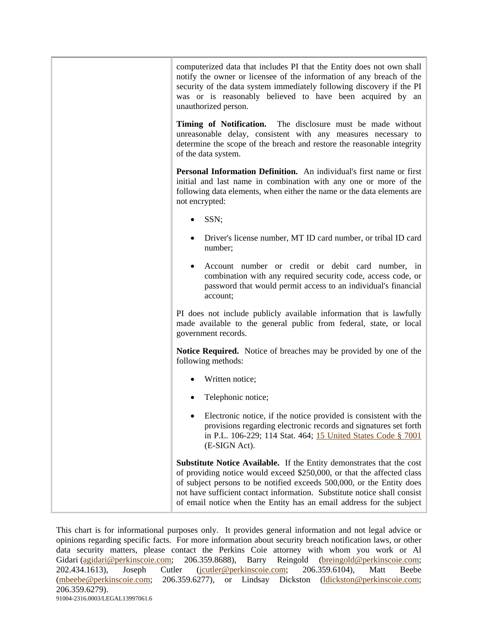| computerized data that includes PI that the Entity does not own shall<br>notify the owner or licensee of the information of any breach of the<br>security of the data system immediately following discovery if the PI<br>was or is reasonably believed to have been acquired by an<br>unauthorized person.                                                                         |
|-------------------------------------------------------------------------------------------------------------------------------------------------------------------------------------------------------------------------------------------------------------------------------------------------------------------------------------------------------------------------------------|
| Timing of Notification. The disclosure must be made without<br>unreasonable delay, consistent with any measures necessary to<br>determine the scope of the breach and restore the reasonable integrity<br>of the data system.                                                                                                                                                       |
| Personal Information Definition. An individual's first name or first<br>initial and last name in combination with any one or more of the<br>following data elements, when either the name or the data elements are<br>not encrypted:                                                                                                                                                |
| SSN;                                                                                                                                                                                                                                                                                                                                                                                |
| Driver's license number, MT ID card number, or tribal ID card<br>number;                                                                                                                                                                                                                                                                                                            |
| Account number or credit or debit card number, in<br>combination with any required security code, access code, or<br>password that would permit access to an individual's financial<br>account;                                                                                                                                                                                     |
| PI does not include publicly available information that is lawfully<br>made available to the general public from federal, state, or local<br>government records.                                                                                                                                                                                                                    |
| <b>Notice Required.</b> Notice of breaches may be provided by one of the<br>following methods:                                                                                                                                                                                                                                                                                      |
| Written notice;                                                                                                                                                                                                                                                                                                                                                                     |
| Telephonic notice;                                                                                                                                                                                                                                                                                                                                                                  |
| Electronic notice, if the notice provided is consistent with the<br>provisions regarding electronic records and signatures set forth<br>in P.L. 106-229; 114 Stat. 464; 15 United States Code § 7001<br>(E-SIGN Act).                                                                                                                                                               |
| <b>Substitute Notice Available.</b> If the Entity demonstrates that the cost<br>of providing notice would exceed \$250,000, or that the affected class<br>of subject persons to be notified exceeds 500,000, or the Entity does<br>not have sufficient contact information. Substitute notice shall consist<br>of email notice when the Entity has an email address for the subject |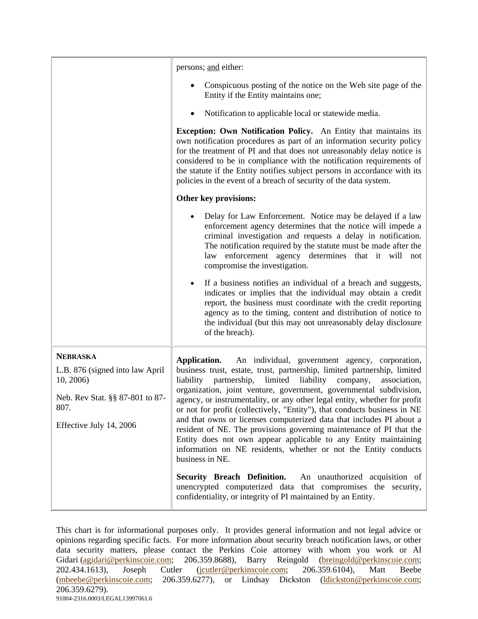|                                                                                                                                       | persons; and either:                                                                                                                                                                                                                                                                                                                                                                                                                                                                                                                                                                                                                                                                                                                                               |
|---------------------------------------------------------------------------------------------------------------------------------------|--------------------------------------------------------------------------------------------------------------------------------------------------------------------------------------------------------------------------------------------------------------------------------------------------------------------------------------------------------------------------------------------------------------------------------------------------------------------------------------------------------------------------------------------------------------------------------------------------------------------------------------------------------------------------------------------------------------------------------------------------------------------|
|                                                                                                                                       | Conspicuous posting of the notice on the Web site page of the<br>Entity if the Entity maintains one;                                                                                                                                                                                                                                                                                                                                                                                                                                                                                                                                                                                                                                                               |
|                                                                                                                                       | Notification to applicable local or statewide media.<br>٠                                                                                                                                                                                                                                                                                                                                                                                                                                                                                                                                                                                                                                                                                                          |
|                                                                                                                                       | Exception: Own Notification Policy. An Entity that maintains its<br>own notification procedures as part of an information security policy<br>for the treatment of PI and that does not unreasonably delay notice is<br>considered to be in compliance with the notification requirements of<br>the statute if the Entity notifies subject persons in accordance with its<br>policies in the event of a breach of security of the data system.                                                                                                                                                                                                                                                                                                                      |
|                                                                                                                                       | Other key provisions:                                                                                                                                                                                                                                                                                                                                                                                                                                                                                                                                                                                                                                                                                                                                              |
|                                                                                                                                       | Delay for Law Enforcement. Notice may be delayed if a law<br>enforcement agency determines that the notice will impede a<br>criminal investigation and requests a delay in notification.<br>The notification required by the statute must be made after the<br>law enforcement agency determines that it will not<br>compromise the investigation.                                                                                                                                                                                                                                                                                                                                                                                                                 |
|                                                                                                                                       | If a business notifies an individual of a breach and suggests,<br>indicates or implies that the individual may obtain a credit<br>report, the business must coordinate with the credit reporting<br>agency as to the timing, content and distribution of notice to<br>the individual (but this may not unreasonably delay disclosure<br>of the breach).                                                                                                                                                                                                                                                                                                                                                                                                            |
| <b>NEBRASKA</b><br>L.B. 876 (signed into law April<br>10, 2006)<br>Neb. Rev Stat. §§ 87-801 to 87-<br>807.<br>Effective July 14, 2006 | An individual, government agency, corporation,<br>Application.<br>business trust, estate, trust, partnership, limited partnership, limited<br>liability<br>partnership,<br>limited<br>liability<br>company,<br>association,<br>organization, joint venture, government, governmental subdivision,<br>agency, or instrumentality, or any other legal entity, whether for profit<br>or not for profit (collectively, "Entity"), that conducts business in NE<br>and that owns or licenses computerized data that includes PI about a<br>resident of NE. The provisions governing maintenance of PI that the<br>Entity does not own appear applicable to any Entity maintaining<br>information on NE residents, whether or not the Entity conducts<br>business in NE. |
|                                                                                                                                       | <b>Security Breach Definition.</b><br>An unauthorized acquisition of<br>unencrypted computerized data that compromises the security,<br>confidentiality, or integrity of PI maintained by an Entity.                                                                                                                                                                                                                                                                                                                                                                                                                                                                                                                                                               |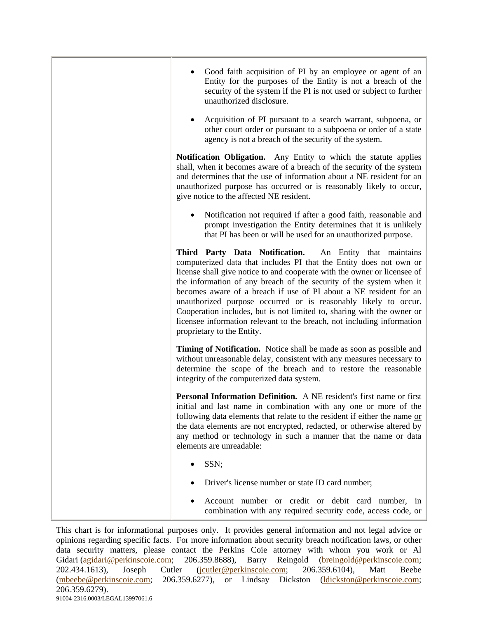| Good faith acquisition of PI by an employee or agent of an<br>Entity for the purposes of the Entity is not a breach of the<br>security of the system if the PI is not used or subject to further<br>unauthorized disclosure.                                                                                                                                                                                                                                                                                                                                                                               |
|------------------------------------------------------------------------------------------------------------------------------------------------------------------------------------------------------------------------------------------------------------------------------------------------------------------------------------------------------------------------------------------------------------------------------------------------------------------------------------------------------------------------------------------------------------------------------------------------------------|
| Acquisition of PI pursuant to a search warrant, subpoena, or<br>other court order or pursuant to a subpoena or order of a state<br>agency is not a breach of the security of the system.                                                                                                                                                                                                                                                                                                                                                                                                                   |
| Notification Obligation. Any Entity to which the statute applies<br>shall, when it becomes aware of a breach of the security of the system<br>and determines that the use of information about a NE resident for an<br>unauthorized purpose has occurred or is reasonably likely to occur,<br>give notice to the affected NE resident.                                                                                                                                                                                                                                                                     |
| Notification not required if after a good faith, reasonable and<br>prompt investigation the Entity determines that it is unlikely<br>that PI has been or will be used for an unauthorized purpose.                                                                                                                                                                                                                                                                                                                                                                                                         |
| Third Party Data Notification. An Entity that maintains<br>computerized data that includes PI that the Entity does not own or<br>license shall give notice to and cooperate with the owner or licensee of<br>the information of any breach of the security of the system when it<br>becomes aware of a breach if use of PI about a NE resident for an<br>unauthorized purpose occurred or is reasonably likely to occur.<br>Cooperation includes, but is not limited to, sharing with the owner or<br>licensee information relevant to the breach, not including information<br>proprietary to the Entity. |
| Timing of Notification. Notice shall be made as soon as possible and<br>without unreasonable delay, consistent with any measures necessary to<br>determine the scope of the breach and to restore the reasonable<br>integrity of the computerized data system.                                                                                                                                                                                                                                                                                                                                             |
| Personal Information Definition. A NE resident's first name or first<br>initial and last name in combination with any one or more of the<br>following data elements that relate to the resident if either the name or<br>the data elements are not encrypted, redacted, or otherwise altered by<br>any method or technology in such a manner that the name or data<br>elements are unreadable:                                                                                                                                                                                                             |
| SSN;                                                                                                                                                                                                                                                                                                                                                                                                                                                                                                                                                                                                       |
| Driver's license number or state ID card number;                                                                                                                                                                                                                                                                                                                                                                                                                                                                                                                                                           |
| Account number or credit or debit card number, in<br>combination with any required security code, access code, or                                                                                                                                                                                                                                                                                                                                                                                                                                                                                          |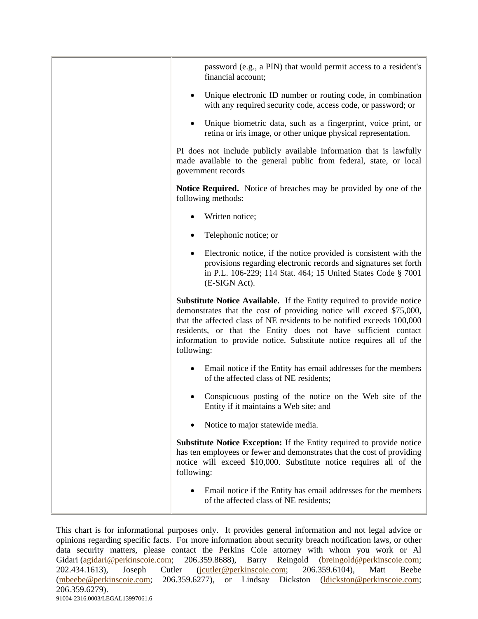| password (e.g., a PIN) that would permit access to a resident's<br>financial account;                                                                                                                                                                                                                                                                                                  |
|----------------------------------------------------------------------------------------------------------------------------------------------------------------------------------------------------------------------------------------------------------------------------------------------------------------------------------------------------------------------------------------|
| Unique electronic ID number or routing code, in combination<br>with any required security code, access code, or password; or                                                                                                                                                                                                                                                           |
| Unique biometric data, such as a fingerprint, voice print, or<br>retina or iris image, or other unique physical representation.                                                                                                                                                                                                                                                        |
| PI does not include publicly available information that is lawfully<br>made available to the general public from federal, state, or local<br>government records                                                                                                                                                                                                                        |
| <b>Notice Required.</b> Notice of breaches may be provided by one of the<br>following methods:                                                                                                                                                                                                                                                                                         |
| Written notice;                                                                                                                                                                                                                                                                                                                                                                        |
| Telephonic notice; or                                                                                                                                                                                                                                                                                                                                                                  |
| Electronic notice, if the notice provided is consistent with the<br>provisions regarding electronic records and signatures set forth<br>in P.L. 106-229; 114 Stat. 464; 15 United States Code § 7001<br>(E-SIGN Act).                                                                                                                                                                  |
| <b>Substitute Notice Available.</b> If the Entity required to provide notice<br>demonstrates that the cost of providing notice will exceed \$75,000,<br>that the affected class of NE residents to be notified exceeds 100,000<br>residents, or that the Entity does not have sufficient contact<br>information to provide notice. Substitute notice requires all of the<br>following: |
| Email notice if the Entity has email addresses for the members<br>of the affected class of NE residents;                                                                                                                                                                                                                                                                               |
| Conspicuous posting of the notice on the Web site of the<br>Entity if it maintains a Web site; and                                                                                                                                                                                                                                                                                     |
| Notice to major statewide media.                                                                                                                                                                                                                                                                                                                                                       |
| Substitute Notice Exception: If the Entity required to provide notice<br>has ten employees or fewer and demonstrates that the cost of providing<br>notice will exceed \$10,000. Substitute notice requires all of the<br>following:                                                                                                                                                    |
| Email notice if the Entity has email addresses for the members<br>of the affected class of NE residents;                                                                                                                                                                                                                                                                               |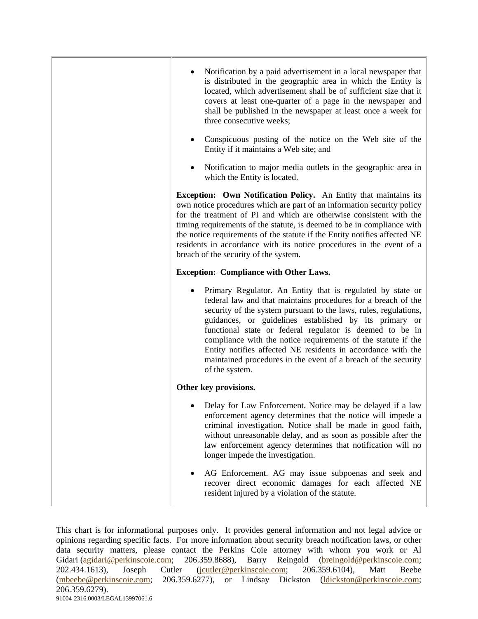| Notification by a paid advertisement in a local newspaper that<br>is distributed in the geographic area in which the Entity is<br>located, which advertisement shall be of sufficient size that it<br>covers at least one-quarter of a page in the newspaper and<br>shall be published in the newspaper at least once a week for<br>three consecutive weeks;<br>Conspicuous posting of the notice on the Web site of the<br>Entity if it maintains a Web site; and                                                                         |
|--------------------------------------------------------------------------------------------------------------------------------------------------------------------------------------------------------------------------------------------------------------------------------------------------------------------------------------------------------------------------------------------------------------------------------------------------------------------------------------------------------------------------------------------|
| Notification to major media outlets in the geographic area in<br>which the Entity is located.                                                                                                                                                                                                                                                                                                                                                                                                                                              |
| <b>Exception: Own Notification Policy.</b> An Entity that maintains its<br>own notice procedures which are part of an information security policy<br>for the treatment of PI and which are otherwise consistent with the<br>timing requirements of the statute, is deemed to be in compliance with<br>the notice requirements of the statute if the Entity notifies affected NE<br>residents in accordance with its notice procedures in the event of a<br>breach of the security of the system.                                           |
| <b>Exception: Compliance with Other Laws.</b>                                                                                                                                                                                                                                                                                                                                                                                                                                                                                              |
| Primary Regulator. An Entity that is regulated by state or<br>federal law and that maintains procedures for a breach of the<br>security of the system pursuant to the laws, rules, regulations,<br>guidances, or guidelines established by its primary or<br>functional state or federal regulator is deemed to be in<br>compliance with the notice requirements of the statute if the<br>Entity notifies affected NE residents in accordance with the<br>maintained procedures in the event of a breach of the security<br>of the system. |
| Other key provisions.                                                                                                                                                                                                                                                                                                                                                                                                                                                                                                                      |
| Delay for Law Enforcement. Notice may be delayed if a law<br>enforcement agency determines that the notice will impede a<br>criminal investigation. Notice shall be made in good faith,<br>without unreasonable delay, and as soon as possible after the<br>law enforcement agency determines that notification will no<br>longer impede the investigation.                                                                                                                                                                                |
| AG Enforcement. AG may issue subpoenas and seek and<br>recover direct economic damages for each affected NE<br>resident injured by a violation of the statute.                                                                                                                                                                                                                                                                                                                                                                             |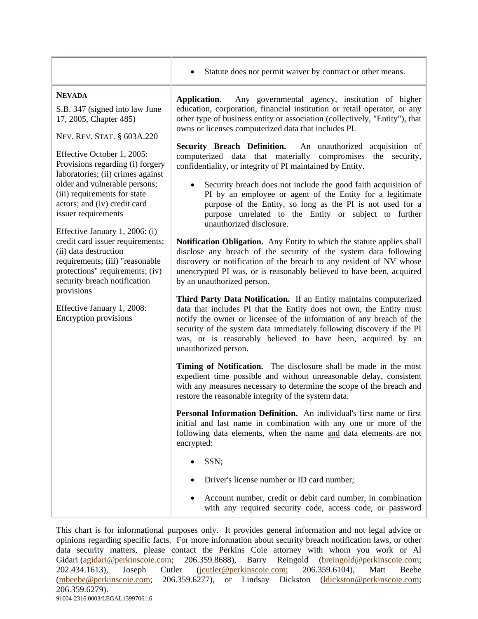|                                                                                                                                                                                                                                                                                                                                                                                                                                                                                                                                                                                                                         | Statute does not permit waiver by contract or other means.                                                                                                                                                                                                                                                                                                                        |
|-------------------------------------------------------------------------------------------------------------------------------------------------------------------------------------------------------------------------------------------------------------------------------------------------------------------------------------------------------------------------------------------------------------------------------------------------------------------------------------------------------------------------------------------------------------------------------------------------------------------------|-----------------------------------------------------------------------------------------------------------------------------------------------------------------------------------------------------------------------------------------------------------------------------------------------------------------------------------------------------------------------------------|
| <b>NEVADA</b><br>S.B. 347 (signed into law June<br>17, 2005, Chapter 485)<br>NEV. REV. STAT. § 603A.220<br>Effective October 1, 2005:<br>Provisions regarding (i) forgery<br>laboratories; (ii) crimes against<br>older and vulnerable persons;<br>(iii) requirements for state<br>actors; and (iv) credit card<br>issuer requirements<br>Effective January 1, 2006: (i)<br>credit card issuer requirements;<br>(ii) data destruction<br>requirements; (iii) "reasonable<br>protections" requirements; (iv)<br>security breach notification<br>provisions<br>Effective January 1, 2008:<br><b>Encryption provisions</b> | Any governmental agency, institution of higher<br>Application.<br>education, corporation, financial institution or retail operator, or any<br>other type of business entity or association (collectively, "Entity"), that<br>owns or licenses computerized data that includes PI.                                                                                                 |
|                                                                                                                                                                                                                                                                                                                                                                                                                                                                                                                                                                                                                         | <b>Security Breach Definition.</b><br>An unauthorized acquisition of<br>computerized data that materially compromises the<br>security,<br>confidentiality, or integrity of PI maintained by Entity.                                                                                                                                                                               |
|                                                                                                                                                                                                                                                                                                                                                                                                                                                                                                                                                                                                                         | Security breach does not include the good faith acquisition of<br>$\bullet$<br>PI by an employee or agent of the Entity for a legitimate<br>purpose of the Entity, so long as the PI is not used for a<br>purpose unrelated to the Entity or subject to further<br>unauthorized disclosure.                                                                                       |
|                                                                                                                                                                                                                                                                                                                                                                                                                                                                                                                                                                                                                         | Notification Obligation. Any Entity to which the statute applies shall<br>disclose any breach of the security of the system data following<br>discovery or notification of the breach to any resident of NV whose<br>unencrypted PI was, or is reasonably believed to have been, acquired<br>by an unauthorized person.                                                           |
|                                                                                                                                                                                                                                                                                                                                                                                                                                                                                                                                                                                                                         | Third Party Data Notification. If an Entity maintains computerized<br>data that includes PI that the Entity does not own, the Entity must<br>notify the owner or licensee of the information of any breach of the<br>security of the system data immediately following discovery if the PI<br>was, or is reasonably believed to have been, acquired by an<br>unauthorized person. |
|                                                                                                                                                                                                                                                                                                                                                                                                                                                                                                                                                                                                                         | Timing of Notification. The disclosure shall be made in the most<br>expedient time possible and without unreasonable delay, consistent<br>with any measures necessary to determine the scope of the breach and<br>restore the reasonable integrity of the system data.                                                                                                            |
|                                                                                                                                                                                                                                                                                                                                                                                                                                                                                                                                                                                                                         | Personal Information Definition. An individual's first name or first<br>initial and last name in combination with any one or more of the<br>following data elements, when the name and data elements are not<br>encrypted:                                                                                                                                                        |
|                                                                                                                                                                                                                                                                                                                                                                                                                                                                                                                                                                                                                         | SSN;                                                                                                                                                                                                                                                                                                                                                                              |
|                                                                                                                                                                                                                                                                                                                                                                                                                                                                                                                                                                                                                         | Driver's license number or ID card number;                                                                                                                                                                                                                                                                                                                                        |
|                                                                                                                                                                                                                                                                                                                                                                                                                                                                                                                                                                                                                         | Account number, credit or debit card number, in combination<br>with any required security code, access code, or password                                                                                                                                                                                                                                                          |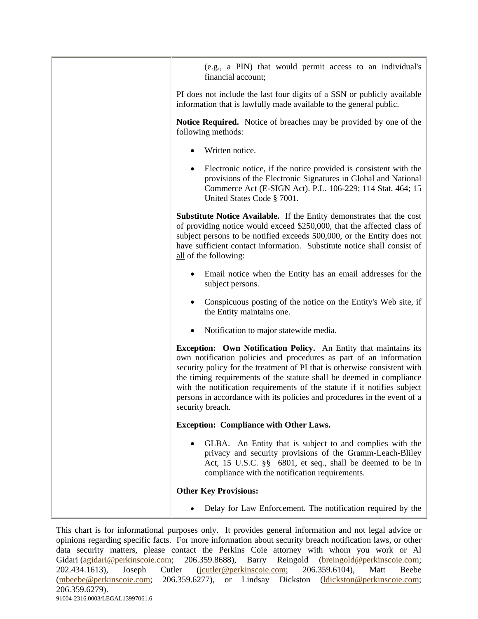| (e.g., a PIN) that would permit access to an individual's<br>financial account;                                                                                                                                                                                                                                                                                                                                                                                                |
|--------------------------------------------------------------------------------------------------------------------------------------------------------------------------------------------------------------------------------------------------------------------------------------------------------------------------------------------------------------------------------------------------------------------------------------------------------------------------------|
| PI does not include the last four digits of a SSN or publicly available<br>information that is lawfully made available to the general public.                                                                                                                                                                                                                                                                                                                                  |
| <b>Notice Required.</b> Notice of breaches may be provided by one of the<br>following methods:                                                                                                                                                                                                                                                                                                                                                                                 |
| Written notice.                                                                                                                                                                                                                                                                                                                                                                                                                                                                |
| Electronic notice, if the notice provided is consistent with the<br>provisions of the Electronic Signatures in Global and National<br>Commerce Act (E-SIGN Act). P.L. 106-229; 114 Stat. 464; 15<br>United States Code § 7001.                                                                                                                                                                                                                                                 |
| <b>Substitute Notice Available.</b> If the Entity demonstrates that the cost<br>of providing notice would exceed \$250,000, that the affected class of<br>subject persons to be notified exceeds 500,000, or the Entity does not<br>have sufficient contact information. Substitute notice shall consist of<br>all of the following:                                                                                                                                           |
| Email notice when the Entity has an email addresses for the<br>subject persons.                                                                                                                                                                                                                                                                                                                                                                                                |
| Conspicuous posting of the notice on the Entity's Web site, if<br>the Entity maintains one.                                                                                                                                                                                                                                                                                                                                                                                    |
| Notification to major statewide media.                                                                                                                                                                                                                                                                                                                                                                                                                                         |
| <b>Exception: Own Notification Policy.</b> An Entity that maintains its<br>own notification policies and procedures as part of an information<br>security policy for the treatment of PI that is otherwise consistent with<br>the timing requirements of the statute shall be deemed in compliance<br>with the notification requirements of the statute if it notifies subject<br>persons in accordance with its policies and procedures in the event of a<br>security breach. |
| <b>Exception: Compliance with Other Laws.</b>                                                                                                                                                                                                                                                                                                                                                                                                                                  |
| GLBA. An Entity that is subject to and complies with the<br>privacy and security provisions of the Gramm-Leach-Bliley<br>Act, 15 U.S.C. §§ 6801, et seq., shall be deemed to be in<br>compliance with the notification requirements.                                                                                                                                                                                                                                           |
| <b>Other Key Provisions:</b>                                                                                                                                                                                                                                                                                                                                                                                                                                                   |
| Delay for Law Enforcement. The notification required by the                                                                                                                                                                                                                                                                                                                                                                                                                    |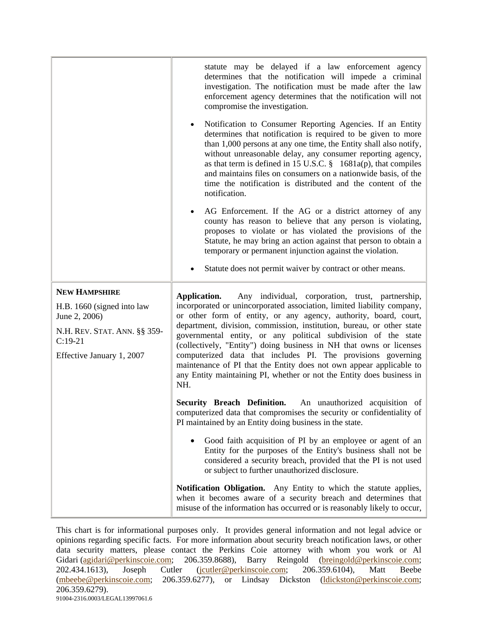|                                           | statute may be delayed if a law enforcement agency<br>determines that the notification will impede a criminal<br>investigation. The notification must be made after the law<br>enforcement agency determines that the notification will not<br>compromise the investigation.                                                                                                                                                                                                                      |
|-------------------------------------------|---------------------------------------------------------------------------------------------------------------------------------------------------------------------------------------------------------------------------------------------------------------------------------------------------------------------------------------------------------------------------------------------------------------------------------------------------------------------------------------------------|
|                                           | Notification to Consumer Reporting Agencies. If an Entity<br>٠<br>determines that notification is required to be given to more<br>than 1,000 persons at any one time, the Entity shall also notify,<br>without unreasonable delay, any consumer reporting agency,<br>as that term is defined in 15 U.S.C. $\frac{8}{9}$ 1681a(p), that compiles<br>and maintains files on consumers on a nationwide basis, of the<br>time the notification is distributed and the content of the<br>notification. |
|                                           | AG Enforcement. If the AG or a district attorney of any<br>county has reason to believe that any person is violating,<br>proposes to violate or has violated the provisions of the<br>Statute, he may bring an action against that person to obtain a<br>temporary or permanent injunction against the violation.<br>Statute does not permit waiver by contract or other means.                                                                                                                   |
|                                           |                                                                                                                                                                                                                                                                                                                                                                                                                                                                                                   |
| <b>NEW HAMPSHIRE</b>                      | Application.<br>Any individual, corporation, trust, partnership,                                                                                                                                                                                                                                                                                                                                                                                                                                  |
| H.B. 1660 (signed into law                | incorporated or unincorporated association, limited liability company,                                                                                                                                                                                                                                                                                                                                                                                                                            |
| June 2, 2006)                             | or other form of entity, or any agency, authority, board, court,                                                                                                                                                                                                                                                                                                                                                                                                                                  |
| N.H. REV. STAT. ANN. §§ 359-<br>$C:19-21$ | department, division, commission, institution, bureau, or other state<br>governmental entity, or any political subdivision of the state                                                                                                                                                                                                                                                                                                                                                           |
| Effective January 1, 2007                 | (collectively, "Entity") doing business in NH that owns or licenses<br>computerized data that includes PI. The provisions governing<br>maintenance of PI that the Entity does not own appear applicable to<br>any Entity maintaining PI, whether or not the Entity does business in<br>NH.                                                                                                                                                                                                        |
|                                           | Security Breach Definition.<br>An unauthorized acquisition of<br>computerized data that compromises the security or confidentiality of<br>PI maintained by an Entity doing business in the state.                                                                                                                                                                                                                                                                                                 |
|                                           | Good faith acquisition of PI by an employee or agent of an<br>Entity for the purposes of the Entity's business shall not be<br>considered a security breach, provided that the PI is not used<br>or subject to further unauthorized disclosure.                                                                                                                                                                                                                                                   |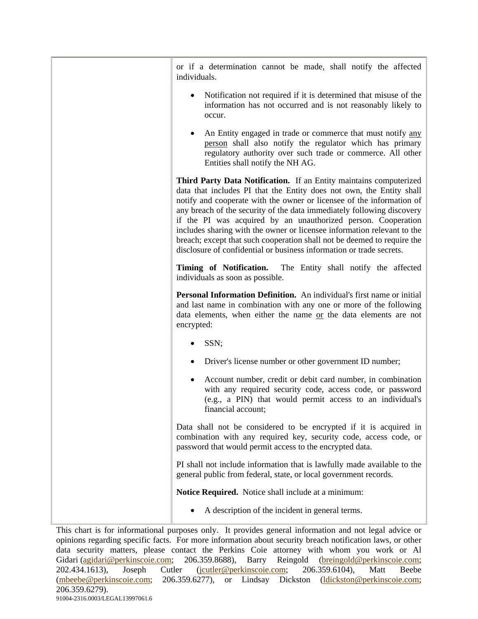| or if a determination cannot be made, shall notify the affected<br>individuals.                                                                                                                                                                                                                                                                                                                                                                                                                                                                                                              |
|----------------------------------------------------------------------------------------------------------------------------------------------------------------------------------------------------------------------------------------------------------------------------------------------------------------------------------------------------------------------------------------------------------------------------------------------------------------------------------------------------------------------------------------------------------------------------------------------|
| Notification not required if it is determined that misuse of the<br>information has not occurred and is not reasonably likely to<br>occur.                                                                                                                                                                                                                                                                                                                                                                                                                                                   |
| An Entity engaged in trade or commerce that must notify any<br>person shall also notify the regulator which has primary<br>regulatory authority over such trade or commerce. All other<br>Entities shall notify the NH AG.                                                                                                                                                                                                                                                                                                                                                                   |
| Third Party Data Notification. If an Entity maintains computerized<br>data that includes PI that the Entity does not own, the Entity shall<br>notify and cooperate with the owner or licensee of the information of<br>any breach of the security of the data immediately following discovery<br>if the PI was acquired by an unauthorized person. Cooperation<br>includes sharing with the owner or licensee information relevant to the<br>breach; except that such cooperation shall not be deemed to require the<br>disclosure of confidential or business information or trade secrets. |
| Timing of Notification. The Entity shall notify the affected<br>individuals as soon as possible.                                                                                                                                                                                                                                                                                                                                                                                                                                                                                             |
| Personal Information Definition. An individual's first name or initial<br>and last name in combination with any one or more of the following<br>data elements, when either the name or the data elements are not<br>encrypted:                                                                                                                                                                                                                                                                                                                                                               |
| SSN;                                                                                                                                                                                                                                                                                                                                                                                                                                                                                                                                                                                         |
| Driver's license number or other government ID number;                                                                                                                                                                                                                                                                                                                                                                                                                                                                                                                                       |
| Account number, credit or debit card number, in combination<br>with any required security code, access code, or password<br>(e.g., a PIN) that would permit access to an individual's<br>financial account;                                                                                                                                                                                                                                                                                                                                                                                  |
| Data shall not be considered to be encrypted if it is acquired in<br>combination with any required key, security code, access code, or<br>password that would permit access to the encrypted data.                                                                                                                                                                                                                                                                                                                                                                                           |
| PI shall not include information that is lawfully made available to the<br>general public from federal, state, or local government records.                                                                                                                                                                                                                                                                                                                                                                                                                                                  |
| Notice Required. Notice shall include at a minimum:                                                                                                                                                                                                                                                                                                                                                                                                                                                                                                                                          |
| A description of the incident in general terms.                                                                                                                                                                                                                                                                                                                                                                                                                                                                                                                                              |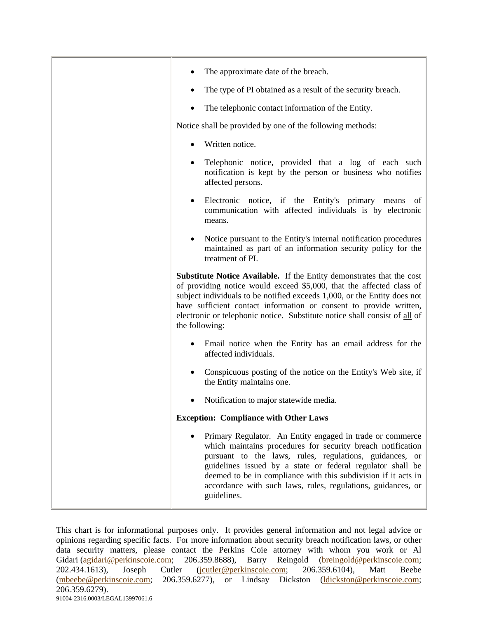| The approximate date of the breach.                                                                                                                                                                                                                                                                                                                                                                |
|----------------------------------------------------------------------------------------------------------------------------------------------------------------------------------------------------------------------------------------------------------------------------------------------------------------------------------------------------------------------------------------------------|
| The type of PI obtained as a result of the security breach.                                                                                                                                                                                                                                                                                                                                        |
| The telephonic contact information of the Entity.                                                                                                                                                                                                                                                                                                                                                  |
| Notice shall be provided by one of the following methods:                                                                                                                                                                                                                                                                                                                                          |
| Written notice.<br>$\bullet$                                                                                                                                                                                                                                                                                                                                                                       |
| Telephonic notice, provided that a log of each such<br>٠<br>notification is kept by the person or business who notifies<br>affected persons.                                                                                                                                                                                                                                                       |
| Electronic notice, if the Entity's primary means<br>of<br>$\bullet$<br>communication with affected individuals is by electronic<br>means.                                                                                                                                                                                                                                                          |
| Notice pursuant to the Entity's internal notification procedures<br>maintained as part of an information security policy for the<br>treatment of PI.                                                                                                                                                                                                                                               |
| Substitute Notice Available. If the Entity demonstrates that the cost<br>of providing notice would exceed \$5,000, that the affected class of<br>subject individuals to be notified exceeds 1,000, or the Entity does not<br>have sufficient contact information or consent to provide written,<br>electronic or telephonic notice. Substitute notice shall consist of all of<br>the following:    |
| Email notice when the Entity has an email address for the<br>affected individuals.                                                                                                                                                                                                                                                                                                                 |
| Conspicuous posting of the notice on the Entity's Web site, if<br>the Entity maintains one.                                                                                                                                                                                                                                                                                                        |
| Notification to major statewide media.                                                                                                                                                                                                                                                                                                                                                             |
| <b>Exception: Compliance with Other Laws</b>                                                                                                                                                                                                                                                                                                                                                       |
| Primary Regulator. An Entity engaged in trade or commerce<br>which maintains procedures for security breach notification<br>pursuant to the laws, rules, regulations, guidances, or<br>guidelines issued by a state or federal regulator shall be<br>deemed to be in compliance with this subdivision if it acts in<br>accordance with such laws, rules, regulations, guidances, or<br>guidelines. |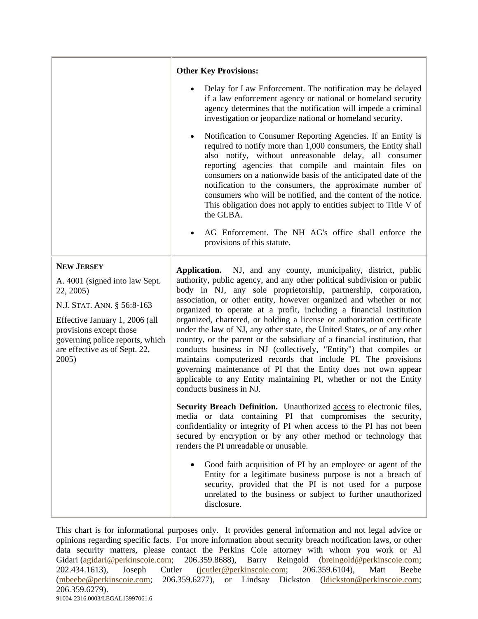|                                                                                                                                                                                                                                          | <b>Other Key Provisions:</b><br>Delay for Law Enforcement. The notification may be delayed<br>if a law enforcement agency or national or homeland security<br>agency determines that the notification will impede a criminal<br>investigation or jeopardize national or homeland security.<br>Notification to Consumer Reporting Agencies. If an Entity is<br>required to notify more than 1,000 consumers, the Entity shall<br>also notify, without unreasonable delay, all consumer<br>reporting agencies that compile and maintain files on<br>consumers on a nationwide basis of the anticipated date of the<br>notification to the consumers, the approximate number of<br>consumers who will be notified, and the content of the notice.<br>This obligation does not apply to entities subject to Title V of<br>the GLBA.                                                                                                                                                                  |
|------------------------------------------------------------------------------------------------------------------------------------------------------------------------------------------------------------------------------------------|--------------------------------------------------------------------------------------------------------------------------------------------------------------------------------------------------------------------------------------------------------------------------------------------------------------------------------------------------------------------------------------------------------------------------------------------------------------------------------------------------------------------------------------------------------------------------------------------------------------------------------------------------------------------------------------------------------------------------------------------------------------------------------------------------------------------------------------------------------------------------------------------------------------------------------------------------------------------------------------------------|
| <b>NEW JERSEY</b><br>A. 4001 (signed into law Sept.<br>22, 2005)<br>N.J. STAT. ANN. § 56:8-163<br>Effective January 1, 2006 (all<br>provisions except those<br>governing police reports, which<br>are effective as of Sept. 22,<br>2005) | AG Enforcement. The NH AG's office shall enforce the<br>provisions of this statute.<br>Application. NJ, and any county, municipality, district, public<br>authority, public agency, and any other political subdivision or public<br>body in NJ, any sole proprietorship, partnership, corporation,<br>association, or other entity, however organized and whether or not<br>organized to operate at a profit, including a financial institution<br>organized, chartered, or holding a license or authorization certificate<br>under the law of NJ, any other state, the United States, or of any other<br>country, or the parent or the subsidiary of a financial institution, that<br>conducts business in NJ (collectively, "Entity") that compiles or<br>maintains computerized records that include PI. The provisions<br>governing maintenance of PI that the Entity does not own appear<br>applicable to any Entity maintaining PI, whether or not the Entity<br>conducts business in NJ. |
|                                                                                                                                                                                                                                          | Security Breach Definition. Unauthorized access to electronic files,<br>media or data containing PI that compromises the security,<br>confidentiality or integrity of PI when access to the PI has not been<br>secured by encryption or by any other method or technology that<br>renders the PI unreadable or unusable.<br>Good faith acquisition of PI by an employee or agent of the<br>Entity for a legitimate business purpose is not a breach of<br>security, provided that the PI is not used for a purpose<br>unrelated to the business or subject to further unauthorized<br>disclosure.                                                                                                                                                                                                                                                                                                                                                                                                |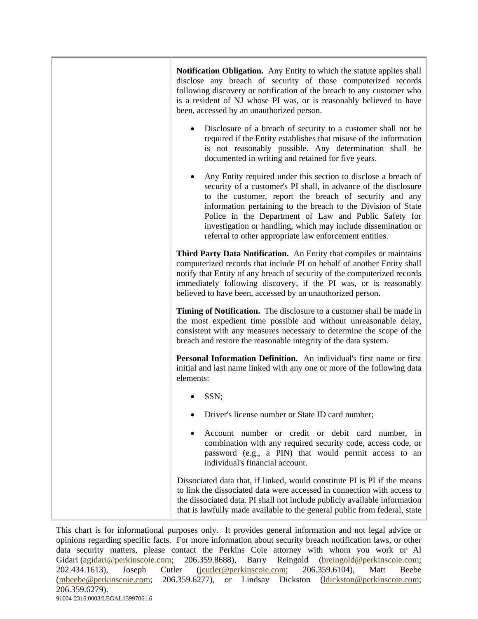| <b>Notification Obligation.</b> Any Entity to which the statute applies shall<br>disclose any breach of security of those computerized records<br>following discovery or notification of the breach to any customer who<br>is a resident of NJ whose PI was, or is reasonably believed to have<br>been, accessed by an unauthorized person.                                                                                                       |
|---------------------------------------------------------------------------------------------------------------------------------------------------------------------------------------------------------------------------------------------------------------------------------------------------------------------------------------------------------------------------------------------------------------------------------------------------|
| Disclosure of a breach of security to a customer shall not be<br>required if the Entity establishes that misuse of the information<br>is not reasonably possible. Any determination shall be<br>documented in writing and retained for five years.                                                                                                                                                                                                |
| Any Entity required under this section to disclose a breach of<br>security of a customer's PI shall, in advance of the disclosure<br>to the customer, report the breach of security and any<br>information pertaining to the breach to the Division of State<br>Police in the Department of Law and Public Safety for<br>investigation or handling, which may include dissemination or<br>referral to other appropriate law enforcement entities. |
| Third Party Data Notification. An Entity that compiles or maintains<br>computerized records that include PI on behalf of another Entity shall<br>notify that Entity of any breach of security of the computerized records<br>immediately following discovery, if the PI was, or is reasonably<br>believed to have been, accessed by an unauthorized person.                                                                                       |
| <b>Timing of Notification.</b> The disclosure to a customer shall be made in<br>the most expedient time possible and without unreasonable delay,<br>consistent with any measures necessary to determine the scope of the<br>breach and restore the reasonable integrity of the data system.                                                                                                                                                       |
| Personal Information Definition. An individual's first name or first<br>initial and last name linked with any one or more of the following data<br>elements:                                                                                                                                                                                                                                                                                      |
| SSN;                                                                                                                                                                                                                                                                                                                                                                                                                                              |
| Driver's license number or State ID card number;                                                                                                                                                                                                                                                                                                                                                                                                  |
| Account number or credit or debit card number, in<br>combination with any required security code, access code, or<br>password (e.g., a PIN) that would permit access to an<br>individual's financial account.                                                                                                                                                                                                                                     |
| Dissociated data that, if linked, would constitute PI is PI if the means<br>to link the dissociated data were accessed in connection with access to<br>the dissociated data. PI shall not include publicly available information<br>that is lawfully made available to the general public from federal, state                                                                                                                                     |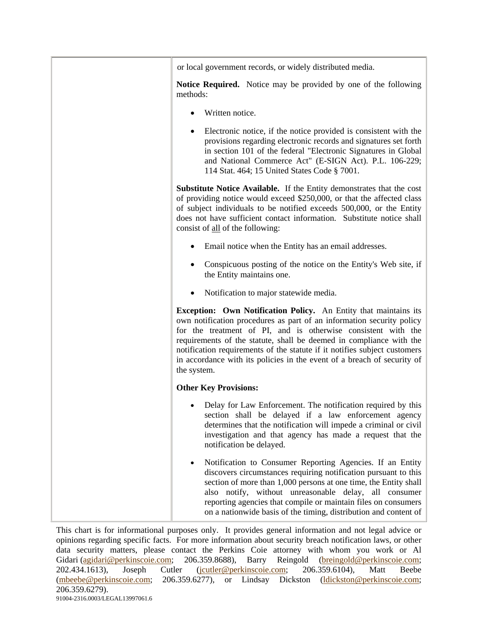| or local government records, or widely distributed media.                                                                                                                                                                                                                                                                                                                                                                                                       |
|-----------------------------------------------------------------------------------------------------------------------------------------------------------------------------------------------------------------------------------------------------------------------------------------------------------------------------------------------------------------------------------------------------------------------------------------------------------------|
| <b>Notice Required.</b> Notice may be provided by one of the following<br>methods:                                                                                                                                                                                                                                                                                                                                                                              |
| Written notice.                                                                                                                                                                                                                                                                                                                                                                                                                                                 |
| Electronic notice, if the notice provided is consistent with the<br>$\bullet$<br>provisions regarding electronic records and signatures set forth<br>in section 101 of the federal "Electronic Signatures in Global<br>and National Commerce Act" (E-SIGN Act). P.L. 106-229;<br>114 Stat. 464; 15 United States Code § 7001.                                                                                                                                   |
| Substitute Notice Available. If the Entity demonstrates that the cost<br>of providing notice would exceed \$250,000, or that the affected class<br>of subject individuals to be notified exceeds 500,000, or the Entity<br>does not have sufficient contact information. Substitute notice shall<br>consist of all of the following:                                                                                                                            |
| Email notice when the Entity has an email addresses.                                                                                                                                                                                                                                                                                                                                                                                                            |
| Conspicuous posting of the notice on the Entity's Web site, if<br>the Entity maintains one.                                                                                                                                                                                                                                                                                                                                                                     |
| Notification to major statewide media.                                                                                                                                                                                                                                                                                                                                                                                                                          |
| <b>Exception:</b> Own Notification Policy. An Entity that maintains its<br>own notification procedures as part of an information security policy<br>for the treatment of PI, and is otherwise consistent with the<br>requirements of the statute, shall be deemed in compliance with the<br>notification requirements of the statute if it notifies subject customers<br>in accordance with its policies in the event of a breach of security of<br>the system. |
| <b>Other Key Provisions:</b>                                                                                                                                                                                                                                                                                                                                                                                                                                    |
| Delay for Law Enforcement. The notification required by this<br>section shall be delayed if a law enforcement agency<br>determines that the notification will impede a criminal or civil<br>investigation and that agency has made a request that the<br>notification be delayed.                                                                                                                                                                               |
| Notification to Consumer Reporting Agencies. If an Entity<br>$\bullet$<br>discovers circumstances requiring notification pursuant to this<br>section of more than 1,000 persons at one time, the Entity shall<br>also notify, without unreasonable delay, all consumer<br>reporting agencies that compile or maintain files on consumers<br>on a nationwide basis of the timing, distribution and content of                                                    |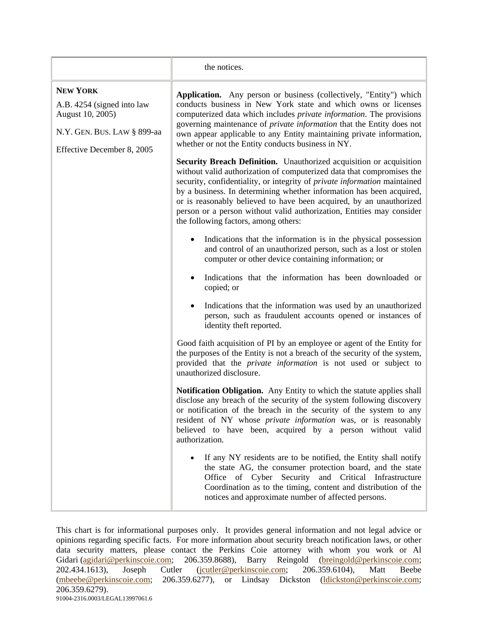|                                                                                                                                | the notices.                                                                                                                                                                                                                                                                                                                                                                                                                                                                                     |
|--------------------------------------------------------------------------------------------------------------------------------|--------------------------------------------------------------------------------------------------------------------------------------------------------------------------------------------------------------------------------------------------------------------------------------------------------------------------------------------------------------------------------------------------------------------------------------------------------------------------------------------------|
| <b>NEW YORK</b><br>A.B. 4254 (signed into law<br>August 10, 2005)<br>N.Y. GEN. BUS. LAW § 899-aa<br>Effective December 8, 2005 | Application. Any person or business (collectively, "Entity") which<br>conducts business in New York state and which owns or licenses<br>computerized data which includes <i>private information</i> . The provisions<br>governing maintenance of <i>private information</i> that the Entity does not<br>own appear applicable to any Entity maintaining private information,<br>whether or not the Entity conducts business in NY.                                                               |
|                                                                                                                                | <b>Security Breach Definition.</b> Unauthorized acquisition or acquisition<br>without valid authorization of computerized data that compromises the<br>security, confidentiality, or integrity of private information maintained<br>by a business. In determining whether information has been acquired,<br>or is reasonably believed to have been acquired, by an unauthorized<br>person or a person without valid authorization, Entities may consider<br>the following factors, among others: |
|                                                                                                                                | Indications that the information is in the physical possession<br>and control of an unauthorized person, such as a lost or stolen<br>computer or other device containing information; or                                                                                                                                                                                                                                                                                                         |
|                                                                                                                                | Indications that the information has been downloaded or<br>copied; or                                                                                                                                                                                                                                                                                                                                                                                                                            |
|                                                                                                                                | Indications that the information was used by an unauthorized<br>person, such as fraudulent accounts opened or instances of<br>identity theft reported.                                                                                                                                                                                                                                                                                                                                           |
|                                                                                                                                | Good faith acquisition of PI by an employee or agent of the Entity for<br>the purposes of the Entity is not a breach of the security of the system,<br>provided that the <i>private information</i> is not used or subject to<br>unauthorized disclosure.                                                                                                                                                                                                                                        |
|                                                                                                                                | Notification Obligation. Any Entity to which the statute applies shall<br>disclose any breach of the security of the system following discovery<br>or notification of the breach in the security of the system to any<br>resident of NY whose <i>private information</i> was, or is reasonably<br>believed to have been, acquired by a person without valid<br>authorization.                                                                                                                    |
|                                                                                                                                | If any NY residents are to be notified, the Entity shall notify<br>the state AG, the consumer protection board, and the state<br>Office of Cyber Security and Critical Infrastructure<br>Coordination as to the timing, content and distribution of the<br>notices and approximate number of affected persons.                                                                                                                                                                                   |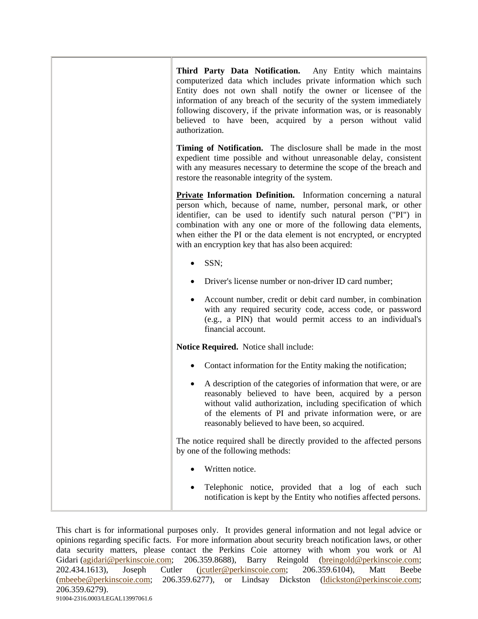| Third Party Data Notification. Any Entity which maintains<br>computerized data which includes private information which such<br>Entity does not own shall notify the owner or licensee of the<br>information of any breach of the security of the system immediately<br>following discovery, if the private information was, or is reasonably<br>believed to have been, acquired by a person without valid<br>authorization. |
|------------------------------------------------------------------------------------------------------------------------------------------------------------------------------------------------------------------------------------------------------------------------------------------------------------------------------------------------------------------------------------------------------------------------------|
| Timing of Notification. The disclosure shall be made in the most<br>expedient time possible and without unreasonable delay, consistent<br>with any measures necessary to determine the scope of the breach and<br>restore the reasonable integrity of the system.                                                                                                                                                            |
| <b>Private Information Definition.</b> Information concerning a natural<br>person which, because of name, number, personal mark, or other<br>identifier, can be used to identify such natural person ("PI") in<br>combination with any one or more of the following data elements,<br>when either the PI or the data element is not encrypted, or encrypted<br>with an encryption key that has also been acquired:           |
| SSN;                                                                                                                                                                                                                                                                                                                                                                                                                         |
| Driver's license number or non-driver ID card number;                                                                                                                                                                                                                                                                                                                                                                        |
| Account number, credit or debit card number, in combination<br>with any required security code, access code, or password<br>(e.g., a PIN) that would permit access to an individual's<br>financial account.                                                                                                                                                                                                                  |
| Notice Required. Notice shall include:                                                                                                                                                                                                                                                                                                                                                                                       |
| Contact information for the Entity making the notification;                                                                                                                                                                                                                                                                                                                                                                  |
| A description of the categories of information that were, or are<br>reasonably believed to have been, acquired by a person<br>without valid authorization, including specification of which<br>of the elements of PI and private information were, or are<br>reasonably believed to have been, so acquired.                                                                                                                  |
| The notice required shall be directly provided to the affected persons<br>by one of the following methods:                                                                                                                                                                                                                                                                                                                   |
| Written notice.                                                                                                                                                                                                                                                                                                                                                                                                              |
| Telephonic notice, provided that a log of each such<br>notification is kept by the Entity who notifies affected persons.                                                                                                                                                                                                                                                                                                     |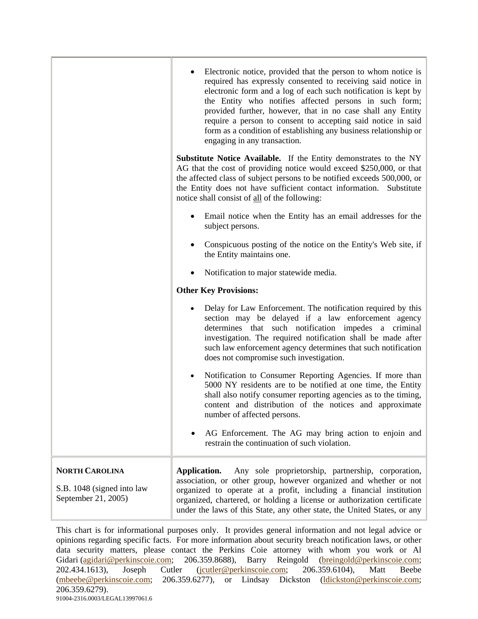|                                                                            | Electronic notice, provided that the person to whom notice is<br>required has expressly consented to receiving said notice in<br>electronic form and a log of each such notification is kept by<br>the Entity who notifies affected persons in such form;<br>provided further, however, that in no case shall any Entity<br>require a person to consent to accepting said notice in said<br>form as a condition of establishing any business relationship or<br>engaging in any transaction. |
|----------------------------------------------------------------------------|----------------------------------------------------------------------------------------------------------------------------------------------------------------------------------------------------------------------------------------------------------------------------------------------------------------------------------------------------------------------------------------------------------------------------------------------------------------------------------------------|
|                                                                            | <b>Substitute Notice Available.</b> If the Entity demonstrates to the NY<br>AG that the cost of providing notice would exceed \$250,000, or that<br>the affected class of subject persons to be notified exceeds 500,000, or<br>the Entity does not have sufficient contact information. Substitute<br>notice shall consist of all of the following:                                                                                                                                         |
|                                                                            | Email notice when the Entity has an email addresses for the<br>subject persons.                                                                                                                                                                                                                                                                                                                                                                                                              |
|                                                                            | Conspicuous posting of the notice on the Entity's Web site, if<br>the Entity maintains one.                                                                                                                                                                                                                                                                                                                                                                                                  |
|                                                                            | Notification to major statewide media.                                                                                                                                                                                                                                                                                                                                                                                                                                                       |
|                                                                            | <b>Other Key Provisions:</b>                                                                                                                                                                                                                                                                                                                                                                                                                                                                 |
|                                                                            | Delay for Law Enforcement. The notification required by this<br>section may be delayed if a law enforcement agency<br>determines that such notification impedes a criminal<br>investigation. The required notification shall be made after<br>such law enforcement agency determines that such notification<br>does not compromise such investigation.                                                                                                                                       |
|                                                                            | Notification to Consumer Reporting Agencies. If more than<br>5000 NY residents are to be notified at one time, the Entity<br>shall also notify consumer reporting agencies as to the timing,<br>content and distribution of the notices and approximate<br>number of affected persons.                                                                                                                                                                                                       |
|                                                                            | AG Enforcement. The AG may bring action to enjoin and<br>restrain the continuation of such violation.                                                                                                                                                                                                                                                                                                                                                                                        |
| <b>NORTH CAROLINA</b><br>S.B. 1048 (signed into law<br>September 21, 2005) | Application.<br>Any sole proprietorship, partnership, corporation,<br>association, or other group, however organized and whether or not<br>organized to operate at a profit, including a financial institution<br>organized, chartered, or holding a license or authorization certificate<br>under the laws of this State, any other state, the United States, or any                                                                                                                        |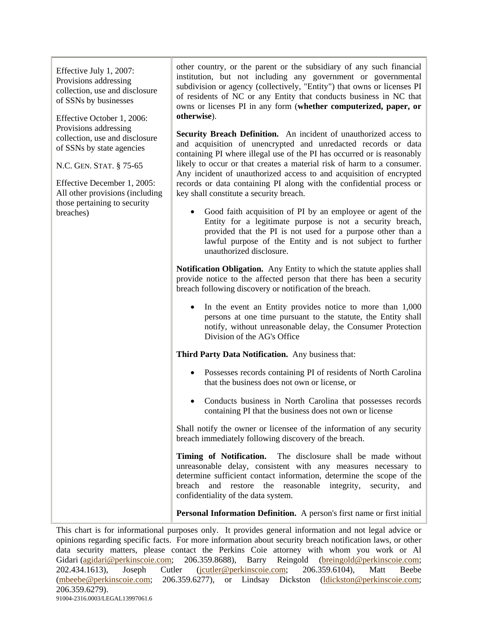Effective July 1, 2007: Provisions addressing collection, use and disclosure of SSNs by businesses

Effective October 1, 2006; Provisions addressing collection, use and disclosure of SSNs by state agencies

N.C. GEN. STAT. § 75-65

Effective December 1, 2005: All other provisions (including those pertaining to security breaches)

other country, or the parent or the subsidiary of any such financial institution, but not including any government or governmental subdivision or agency (collectively, "Entity") that owns or licenses PI of residents of NC or any Entity that conducts business in NC that owns or licenses PI in any form (**whether computerized, paper, or otherwise**).

**Security Breach Definition.** An incident of unauthorized access to and acquisition of unencrypted and unredacted records or data containing PI where illegal use of the PI has occurred or is reasonably likely to occur or that creates a material risk of harm to a consumer. Any incident of unauthorized access to and acquisition of encrypted records or data containing PI along with the confidential process or key shall constitute a security breach.

Good faith acquisition of PI by an employee or agent of the Entity for a legitimate purpose is not a security breach, provided that the PI is not used for a purpose other than a lawful purpose of the Entity and is not subject to further unauthorized disclosure.

**Notification Obligation.** Any Entity to which the statute applies shall provide notice to the affected person that there has been a security breach following discovery or notification of the breach.

In the event an Entity provides notice to more than  $1,000$ persons at one time pursuant to the statute, the Entity shall notify, without unreasonable delay, the Consumer Protection Division of the AG's Office

**Third Party Data Notification.** Any business that:

- Possesses records containing PI of residents of North Carolina that the business does not own or license, or
- Conducts business in North Carolina that possesses records containing PI that the business does not own or license

Shall notify the owner or licensee of the information of any security breach immediately following discovery of the breach.

**Timing of Notification.** The disclosure shall be made without unreasonable delay, consistent with any measures necessary to determine sufficient contact information, determine the scope of the breach and restore the reasonable integrity, security, and confidentiality of the data system.

**Personal Information Definition.** A person's first name or first initial

This chart is for informational purposes only. It provides general information and not legal advice or opinions regarding specific facts. For more information about security breach notification laws, or other data security matters, please contact the Perkins Coie attorney with whom you work or Al Gidari (agidari@perkinscoie.com; 206.359.8688), Barry Reingold (breingold@perkinscoie.com; 202.434.1613), Joseph Cutler (jcutler@perkinscoie.com; 206.359.6104), Matt Beebe (mbeebe@perkinscoie.com; 206.359.6277), or Lindsay Dickston (ldickston@perkinscoie.com; 206.359.6279). 91004-2316.0003/LEGAL13997061.6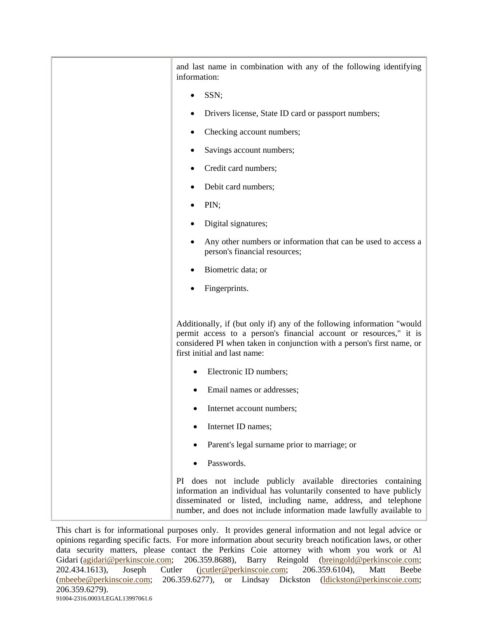| and last name in combination with any of the following identifying<br>information:                                                                                                                                                                                             |
|--------------------------------------------------------------------------------------------------------------------------------------------------------------------------------------------------------------------------------------------------------------------------------|
| SSN;                                                                                                                                                                                                                                                                           |
| Drivers license, State ID card or passport numbers;                                                                                                                                                                                                                            |
| Checking account numbers;                                                                                                                                                                                                                                                      |
| Savings account numbers;                                                                                                                                                                                                                                                       |
| Credit card numbers;                                                                                                                                                                                                                                                           |
| Debit card numbers;                                                                                                                                                                                                                                                            |
| PIN;                                                                                                                                                                                                                                                                           |
| Digital signatures;                                                                                                                                                                                                                                                            |
| Any other numbers or information that can be used to access a<br>person's financial resources;                                                                                                                                                                                 |
| Biometric data; or                                                                                                                                                                                                                                                             |
| Fingerprints.                                                                                                                                                                                                                                                                  |
| Additionally, if (but only if) any of the following information "would<br>permit access to a person's financial account or resources," it is<br>considered PI when taken in conjunction with a person's first name, or<br>first initial and last name:                         |
| Electronic ID numbers;                                                                                                                                                                                                                                                         |
| Email names or addresses;                                                                                                                                                                                                                                                      |
| Internet account numbers;                                                                                                                                                                                                                                                      |
| Internet ID names;                                                                                                                                                                                                                                                             |
| Parent's legal surname prior to marriage; or                                                                                                                                                                                                                                   |
| Passwords.                                                                                                                                                                                                                                                                     |
| PI does not include publicly available directories containing<br>information an individual has voluntarily consented to have publicly<br>disseminated or listed, including name, address, and telephone<br>number, and does not include information made lawfully available to |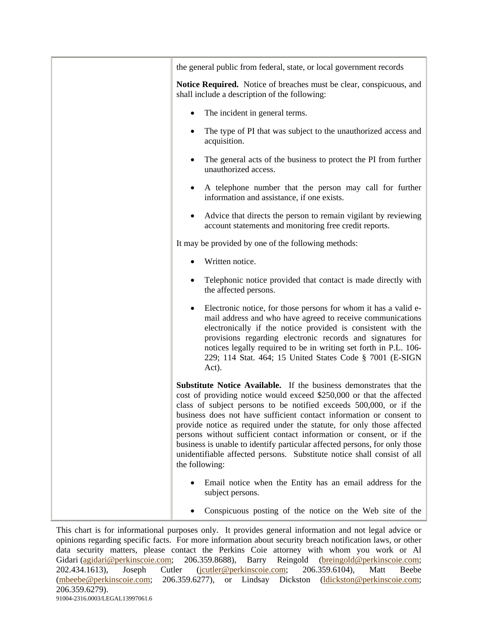| the general public from federal, state, or local government records                                                                                                                                                                                                                                                                                                                                                                                                                                                                                                                                                 |
|---------------------------------------------------------------------------------------------------------------------------------------------------------------------------------------------------------------------------------------------------------------------------------------------------------------------------------------------------------------------------------------------------------------------------------------------------------------------------------------------------------------------------------------------------------------------------------------------------------------------|
| Notice Required. Notice of breaches must be clear, conspicuous, and<br>shall include a description of the following:                                                                                                                                                                                                                                                                                                                                                                                                                                                                                                |
| The incident in general terms.                                                                                                                                                                                                                                                                                                                                                                                                                                                                                                                                                                                      |
| The type of PI that was subject to the unauthorized access and<br>acquisition.                                                                                                                                                                                                                                                                                                                                                                                                                                                                                                                                      |
| The general acts of the business to protect the PI from further<br>٠<br>unauthorized access.                                                                                                                                                                                                                                                                                                                                                                                                                                                                                                                        |
| A telephone number that the person may call for further<br>information and assistance, if one exists.                                                                                                                                                                                                                                                                                                                                                                                                                                                                                                               |
| Advice that directs the person to remain vigilant by reviewing<br>account statements and monitoring free credit reports.                                                                                                                                                                                                                                                                                                                                                                                                                                                                                            |
| It may be provided by one of the following methods:                                                                                                                                                                                                                                                                                                                                                                                                                                                                                                                                                                 |
| Written notice.                                                                                                                                                                                                                                                                                                                                                                                                                                                                                                                                                                                                     |
| Telephonic notice provided that contact is made directly with<br>the affected persons.                                                                                                                                                                                                                                                                                                                                                                                                                                                                                                                              |
| Electronic notice, for those persons for whom it has a valid e-<br>٠<br>mail address and who have agreed to receive communications<br>electronically if the notice provided is consistent with the<br>provisions regarding electronic records and signatures for<br>notices legally required to be in writing set forth in P.L. 106-<br>229; 114 Stat. 464; 15 United States Code § 7001 (E-SIGN<br>Act).                                                                                                                                                                                                           |
| Substitute Notice Available. If the business demonstrates that the<br>cost of providing notice would exceed \$250,000 or that the affected<br>class of subject persons to be notified exceeds 500,000, or if the<br>business does not have sufficient contact information or consent to<br>provide notice as required under the statute, for only those affected<br>persons without sufficient contact information or consent, or if the<br>business is unable to identify particular affected persons, for only those<br>unidentifiable affected persons. Substitute notice shall consist of all<br>the following: |
| Email notice when the Entity has an email address for the<br>subject persons.                                                                                                                                                                                                                                                                                                                                                                                                                                                                                                                                       |
| Conspicuous posting of the notice on the Web site of the                                                                                                                                                                                                                                                                                                                                                                                                                                                                                                                                                            |

This chart is for informational purposes only. It provides general information and not legal advice or opinions regarding specific facts. For more information about security breach notification laws, or other data security matters, please contact the Perkins Coie attorney with whom you work or Al Gidari (agidari@perkinscoie.com; 206.359.8688), Barry Reingold (breingold@perkinscoie.com; 202.434.1613), Joseph Cutler (jcutler@perkinscoie.com; 206.359.6104), Matt Beebe (mbeebe@perkinscoie.com; 206.359.6277), or Lindsay Dickston (ldickston@perkinscoie.com; 206.359.6279). 91004-2316.0003/LEGAL13997061.6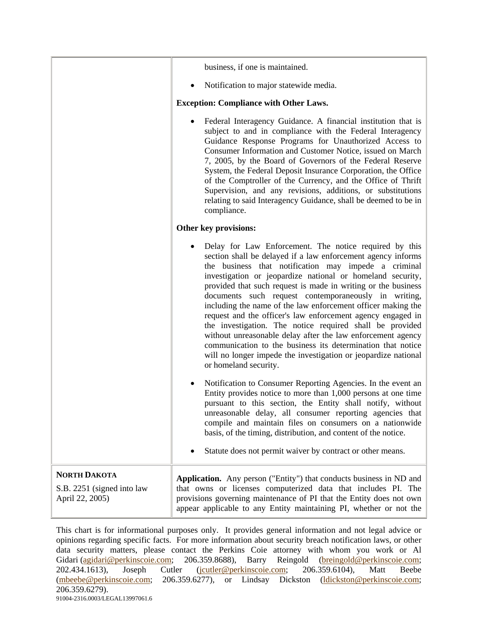|                                                                      | business, if one is maintained.                                                                                                                                                                                                                                                                                                                                                                                                                                                                                                                                                                                                                                                                                                                                                           |
|----------------------------------------------------------------------|-------------------------------------------------------------------------------------------------------------------------------------------------------------------------------------------------------------------------------------------------------------------------------------------------------------------------------------------------------------------------------------------------------------------------------------------------------------------------------------------------------------------------------------------------------------------------------------------------------------------------------------------------------------------------------------------------------------------------------------------------------------------------------------------|
|                                                                      | Notification to major statewide media.                                                                                                                                                                                                                                                                                                                                                                                                                                                                                                                                                                                                                                                                                                                                                    |
|                                                                      | <b>Exception: Compliance with Other Laws.</b>                                                                                                                                                                                                                                                                                                                                                                                                                                                                                                                                                                                                                                                                                                                                             |
|                                                                      | Federal Interagency Guidance. A financial institution that is<br>subject to and in compliance with the Federal Interagency<br>Guidance Response Programs for Unauthorized Access to<br>Consumer Information and Customer Notice, issued on March<br>7, 2005, by the Board of Governors of the Federal Reserve<br>System, the Federal Deposit Insurance Corporation, the Office<br>of the Comptroller of the Currency, and the Office of Thrift<br>Supervision, and any revisions, additions, or substitutions<br>relating to said Interagency Guidance, shall be deemed to be in<br>compliance.                                                                                                                                                                                           |
|                                                                      | Other key provisions:                                                                                                                                                                                                                                                                                                                                                                                                                                                                                                                                                                                                                                                                                                                                                                     |
|                                                                      | Delay for Law Enforcement. The notice required by this<br>section shall be delayed if a law enforcement agency informs<br>the business that notification may impede a criminal<br>investigation or jeopardize national or homeland security,<br>provided that such request is made in writing or the business<br>documents such request contemporaneously in writing,<br>including the name of the law enforcement officer making the<br>request and the officer's law enforcement agency engaged in<br>the investigation. The notice required shall be provided<br>without unreasonable delay after the law enforcement agency<br>communication to the business its determination that notice<br>will no longer impede the investigation or jeopardize national<br>or homeland security. |
|                                                                      | Notification to Consumer Reporting Agencies. In the event an<br>Entity provides notice to more than 1,000 persons at one time<br>pursuant to this section, the Entity shall notify, without<br>unreasonable delay, all consumer reporting agencies that<br>compile and maintain files on consumers on a nationwide<br>basis, of the timing, distribution, and content of the notice.<br>Statute does not permit waiver by contract or other means.                                                                                                                                                                                                                                                                                                                                        |
| <b>NORTH DAKOTA</b><br>S.B. 2251 (signed into law<br>April 22, 2005) | <b>Application.</b> Any person ("Entity") that conducts business in ND and<br>that owns or licenses computerized data that includes PI. The<br>provisions governing maintenance of PI that the Entity does not own<br>appear applicable to any Entity maintaining PI, whether or not the                                                                                                                                                                                                                                                                                                                                                                                                                                                                                                  |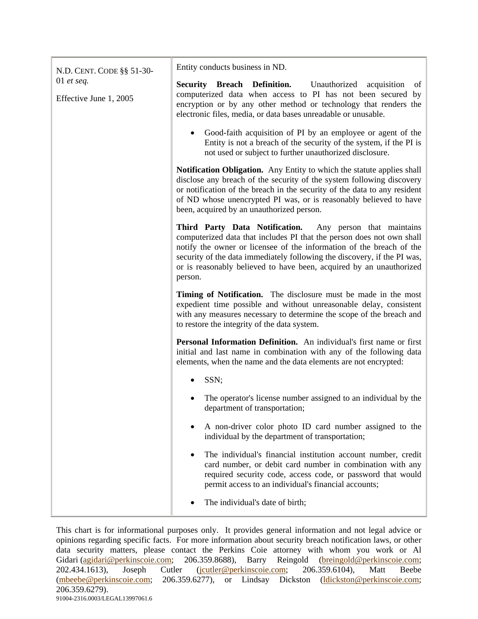| N.D. CENT. CODE §§ 51-30-            | Entity conducts business in ND.                                                                                                                                                                                                                                                                                                                                         |
|--------------------------------------|-------------------------------------------------------------------------------------------------------------------------------------------------------------------------------------------------------------------------------------------------------------------------------------------------------------------------------------------------------------------------|
| 01 et seq.<br>Effective June 1, 2005 | <b>Security Breach Definition.</b> Unauthorized acquisition<br>of<br>computerized data when access to PI has not been secured by<br>encryption or by any other method or technology that renders the<br>electronic files, media, or data bases unreadable or unusable.                                                                                                  |
|                                      | Good-faith acquisition of PI by an employee or agent of the<br>Entity is not a breach of the security of the system, if the PI is<br>not used or subject to further unauthorized disclosure.                                                                                                                                                                            |
|                                      | Notification Obligation. Any Entity to which the statute applies shall<br>disclose any breach of the security of the system following discovery<br>or notification of the breach in the security of the data to any resident<br>of ND whose unencrypted PI was, or is reasonably believed to have<br>been, acquired by an unauthorized person.                          |
|                                      | Third Party Data Notification. Any person that maintains<br>computerized data that includes PI that the person does not own shall<br>notify the owner or licensee of the information of the breach of the<br>security of the data immediately following the discovery, if the PI was,<br>or is reasonably believed to have been, acquired by an unauthorized<br>person. |
|                                      | Timing of Notification. The disclosure must be made in the most<br>expedient time possible and without unreasonable delay, consistent<br>with any measures necessary to determine the scope of the breach and<br>to restore the integrity of the data system.                                                                                                           |
|                                      | Personal Information Definition. An individual's first name or first<br>initial and last name in combination with any of the following data<br>elements, when the name and the data elements are not encrypted:                                                                                                                                                         |
|                                      | SSN;<br>$\bullet$                                                                                                                                                                                                                                                                                                                                                       |
|                                      | The operator's license number assigned to an individual by the<br>department of transportation;                                                                                                                                                                                                                                                                         |
|                                      | A non-driver color photo ID card number assigned to the<br>individual by the department of transportation;                                                                                                                                                                                                                                                              |
|                                      | The individual's financial institution account number, credit<br>٠<br>card number, or debit card number in combination with any<br>required security code, access code, or password that would<br>permit access to an individual's financial accounts;                                                                                                                  |
|                                      | The individual's date of birth;                                                                                                                                                                                                                                                                                                                                         |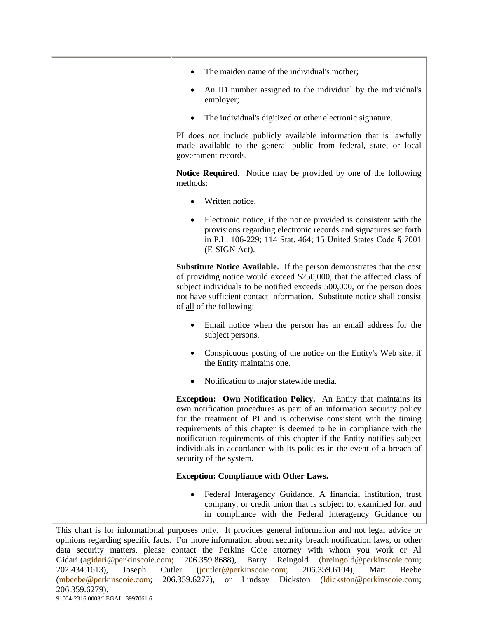| The maiden name of the individual's mother;                                                                                                                                                                                                                                                                                                                                                                                                                               |
|---------------------------------------------------------------------------------------------------------------------------------------------------------------------------------------------------------------------------------------------------------------------------------------------------------------------------------------------------------------------------------------------------------------------------------------------------------------------------|
| An ID number assigned to the individual by the individual's<br>٠<br>employer;                                                                                                                                                                                                                                                                                                                                                                                             |
| The individual's digitized or other electronic signature.<br>٠                                                                                                                                                                                                                                                                                                                                                                                                            |
| PI does not include publicly available information that is lawfully<br>made available to the general public from federal, state, or local<br>government records.                                                                                                                                                                                                                                                                                                          |
| <b>Notice Required.</b> Notice may be provided by one of the following<br>methods:                                                                                                                                                                                                                                                                                                                                                                                        |
| Written notice.                                                                                                                                                                                                                                                                                                                                                                                                                                                           |
| Electronic notice, if the notice provided is consistent with the<br>provisions regarding electronic records and signatures set forth<br>in P.L. 106-229; 114 Stat. 464; 15 United States Code § 7001<br>(E-SIGN Act).                                                                                                                                                                                                                                                     |
| <b>Substitute Notice Available.</b> If the person demonstrates that the cost<br>of providing notice would exceed \$250,000, that the affected class of<br>subject individuals to be notified exceeds 500,000, or the person does<br>not have sufficient contact information. Substitute notice shall consist<br>of all of the following:                                                                                                                                  |
| Email notice when the person has an email address for the<br>subject persons.                                                                                                                                                                                                                                                                                                                                                                                             |
| Conspicuous posting of the notice on the Entity's Web site, if<br>the Entity maintains one.                                                                                                                                                                                                                                                                                                                                                                               |
| Notification to major statewide media.                                                                                                                                                                                                                                                                                                                                                                                                                                    |
| Exception: Own Notification Policy. An Entity that maintains its<br>own notification procedures as part of an information security policy<br>for the treatment of PI and is otherwise consistent with the timing<br>requirements of this chapter is deemed to be in compliance with the<br>notification requirements of this chapter if the Entity notifies subject<br>individuals in accordance with its policies in the event of a breach of<br>security of the system. |
| <b>Exception: Compliance with Other Laws.</b>                                                                                                                                                                                                                                                                                                                                                                                                                             |
| Federal Interagency Guidance. A financial institution, trust<br>company, or credit union that is subject to, examined for, and<br>in compliance with the Federal Interagency Guidance on                                                                                                                                                                                                                                                                                  |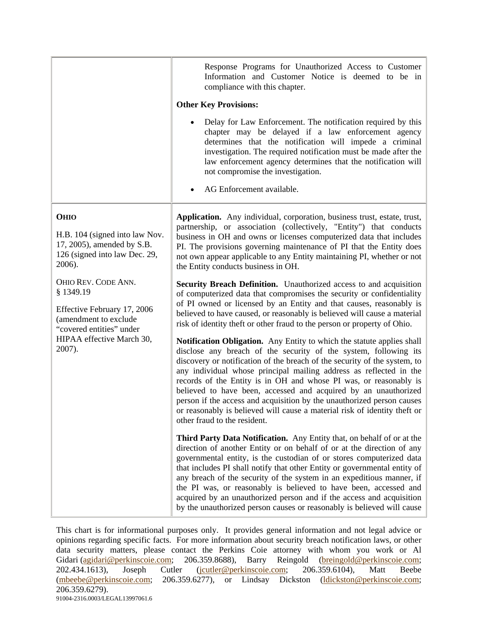|                                                                                                                                                            | Response Programs for Unauthorized Access to Customer<br>Information and Customer Notice is deemed to be in<br>compliance with this chapter.                                                                                                                                                                                                                                                                                                                                                                                                                                                                                 |
|------------------------------------------------------------------------------------------------------------------------------------------------------------|------------------------------------------------------------------------------------------------------------------------------------------------------------------------------------------------------------------------------------------------------------------------------------------------------------------------------------------------------------------------------------------------------------------------------------------------------------------------------------------------------------------------------------------------------------------------------------------------------------------------------|
|                                                                                                                                                            | <b>Other Key Provisions:</b>                                                                                                                                                                                                                                                                                                                                                                                                                                                                                                                                                                                                 |
|                                                                                                                                                            | Delay for Law Enforcement. The notification required by this<br>chapter may be delayed if a law enforcement agency<br>determines that the notification will impede a criminal<br>investigation. The required notification must be made after the<br>law enforcement agency determines that the notification will<br>not compromise the investigation.<br>AG Enforcement available.                                                                                                                                                                                                                                           |
| <b>OHIO</b>                                                                                                                                                | Application. Any individual, corporation, business trust, estate, trust,                                                                                                                                                                                                                                                                                                                                                                                                                                                                                                                                                     |
| H.B. 104 (signed into law Nov.<br>17, 2005), amended by S.B.<br>126 (signed into law Dec. 29,<br>2006).                                                    | partnership, or association (collectively, "Entity") that conducts<br>business in OH and owns or licenses computerized data that includes<br>PI. The provisions governing maintenance of PI that the Entity does<br>not own appear applicable to any Entity maintaining PI, whether or not<br>the Entity conducts business in OH.                                                                                                                                                                                                                                                                                            |
| OHIO REV. CODE ANN.<br>§1349.19<br>Effective February 17, 2006<br>(amendment to exclude<br>"covered entities" under<br>HIPAA effective March 30,<br>2007). | Security Breach Definition. Unauthorized access to and acquisition<br>of computerized data that compromises the security or confidentiality<br>of PI owned or licensed by an Entity and that causes, reasonably is<br>believed to have caused, or reasonably is believed will cause a material<br>risk of identity theft or other fraud to the person or property of Ohio.                                                                                                                                                                                                                                                   |
|                                                                                                                                                            | Notification Obligation. Any Entity to which the statute applies shall<br>disclose any breach of the security of the system, following its<br>discovery or notification of the breach of the security of the system, to<br>any individual whose principal mailing address as reflected in the<br>records of the Entity is in OH and whose PI was, or reasonably is<br>believed to have been, accessed and acquired by an unauthorized<br>person if the access and acquisition by the unauthorized person causes<br>or reasonably is believed will cause a material risk of identity theft or<br>other fraud to the resident. |
|                                                                                                                                                            | Third Party Data Notification. Any Entity that, on behalf of or at the<br>direction of another Entity or on behalf of or at the direction of any<br>governmental entity, is the custodian of or stores computerized data<br>that includes PI shall notify that other Entity or governmental entity of<br>any breach of the security of the system in an expeditious manner, if<br>the PI was, or reasonably is believed to have been, accessed and<br>acquired by an unauthorized person and if the access and acquisition<br>by the unauthorized person causes or reasonably is believed will cause                         |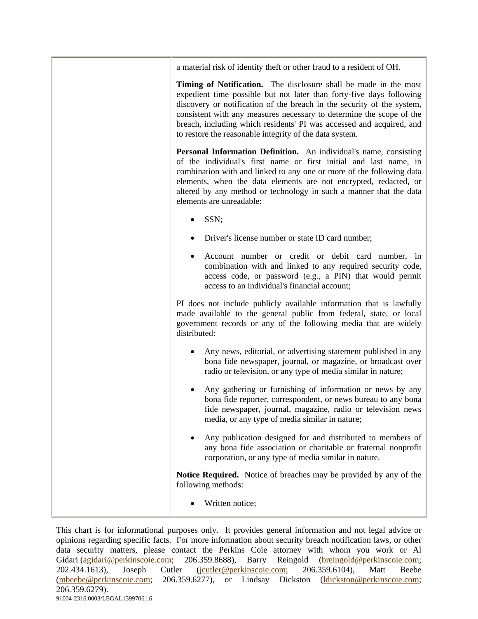a material risk of identity theft or other fraud to a resident of OH.

**Timing of Notification.** The disclosure shall be made in the most expedient time possible but not later than forty-five days following discovery or notification of the breach in the security of the system, consistent with any measures necessary to determine the scope of the breach, including which residents' PI was accessed and acquired, and to restore the reasonable integrity of the data system.

**Personal Information Definition.** An individual's name, consisting of the individual's first name or first initial and last name, in combination with and linked to any one or more of the following data elements, when the data elements are not encrypted, redacted, or altered by any method or technology in such a manner that the data elements are unreadable:

- SSN;
- Driver's license number or state ID card number;
- Account number or credit or debit card number, in combination with and linked to any required security code, access code, or password (e.g., a PIN) that would permit access to an individual's financial account;

PI does not include publicly available information that is lawfully made available to the general public from federal, state, or local government records or any of the following media that are widely distributed:

- Any news, editorial, or advertising statement published in any bona fide newspaper, journal, or magazine, or broadcast over radio or television, or any type of media similar in nature;
- Any gathering or furnishing of information or news by any bona fide reporter, correspondent, or news bureau to any bona fide newspaper, journal, magazine, radio or television news media, or any type of media similar in nature;
- Any publication designed for and distributed to members of any bona fide association or charitable or fraternal nonprofit corporation, or any type of media similar in nature.

**Notice Required.** Notice of breaches may be provided by any of the following methods:

• Written notice: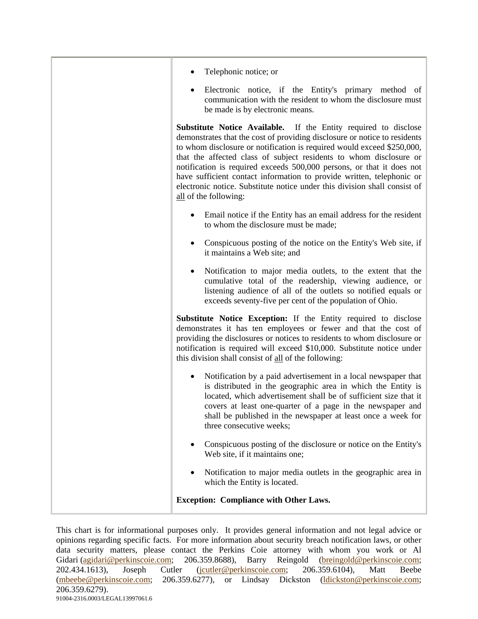| Telephonic notice; or                                                                                                                                                                                                                                                                                                                                                                                                                                                                                                                                       |
|-------------------------------------------------------------------------------------------------------------------------------------------------------------------------------------------------------------------------------------------------------------------------------------------------------------------------------------------------------------------------------------------------------------------------------------------------------------------------------------------------------------------------------------------------------------|
| Electronic notice, if the Entity's primary method of<br>communication with the resident to whom the disclosure must<br>be made is by electronic means.                                                                                                                                                                                                                                                                                                                                                                                                      |
| <b>Substitute Notice Available.</b> If the Entity required to disclose<br>demonstrates that the cost of providing disclosure or notice to residents<br>to whom disclosure or notification is required would exceed \$250,000,<br>that the affected class of subject residents to whom disclosure or<br>notification is required exceeds 500,000 persons, or that it does not<br>have sufficient contact information to provide written, telephonic or<br>electronic notice. Substitute notice under this division shall consist of<br>all of the following: |
| Email notice if the Entity has an email address for the resident<br>to whom the disclosure must be made;                                                                                                                                                                                                                                                                                                                                                                                                                                                    |
| Conspicuous posting of the notice on the Entity's Web site, if<br>٠<br>it maintains a Web site; and                                                                                                                                                                                                                                                                                                                                                                                                                                                         |
| Notification to major media outlets, to the extent that the<br>٠<br>cumulative total of the readership, viewing audience, or<br>listening audience of all of the outlets so notified equals or<br>exceeds seventy-five per cent of the population of Ohio.                                                                                                                                                                                                                                                                                                  |
| Substitute Notice Exception: If the Entity required to disclose<br>demonstrates it has ten employees or fewer and that the cost of<br>providing the disclosures or notices to residents to whom disclosure or<br>notification is required will exceed \$10,000. Substitute notice under<br>this division shall consist of all of the following:                                                                                                                                                                                                             |
| Notification by a paid advertisement in a local newspaper that<br>$\bullet$<br>is distributed in the geographic area in which the Entity is<br>located, which advertisement shall be of sufficient size that it<br>covers at least one-quarter of a page in the newspaper and<br>shall be published in the newspaper at least once a week for<br>three consecutive weeks;                                                                                                                                                                                   |
| Conspicuous posting of the disclosure or notice on the Entity's<br>Web site, if it maintains one;                                                                                                                                                                                                                                                                                                                                                                                                                                                           |
| Notification to major media outlets in the geographic area in<br>which the Entity is located.                                                                                                                                                                                                                                                                                                                                                                                                                                                               |
| <b>Exception: Compliance with Other Laws.</b>                                                                                                                                                                                                                                                                                                                                                                                                                                                                                                               |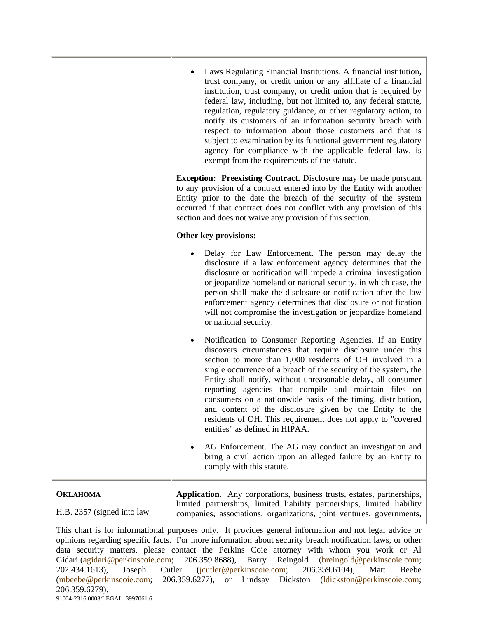|                                               | Laws Regulating Financial Institutions. A financial institution,<br>trust company, or credit union or any affiliate of a financial<br>institution, trust company, or credit union that is required by<br>federal law, including, but not limited to, any federal statute,<br>regulation, regulatory guidance, or other regulatory action, to<br>notify its customers of an information security breach with<br>respect to information about those customers and that is<br>subject to examination by its functional government regulatory<br>agency for compliance with the applicable federal law, is<br>exempt from the requirements of the statute. |
|-----------------------------------------------|--------------------------------------------------------------------------------------------------------------------------------------------------------------------------------------------------------------------------------------------------------------------------------------------------------------------------------------------------------------------------------------------------------------------------------------------------------------------------------------------------------------------------------------------------------------------------------------------------------------------------------------------------------|
|                                               | <b>Exception: Preexisting Contract.</b> Disclosure may be made pursuant<br>to any provision of a contract entered into by the Entity with another<br>Entity prior to the date the breach of the security of the system<br>occurred if that contract does not conflict with any provision of this<br>section and does not waive any provision of this section.                                                                                                                                                                                                                                                                                          |
|                                               | Other key provisions:                                                                                                                                                                                                                                                                                                                                                                                                                                                                                                                                                                                                                                  |
|                                               | Delay for Law Enforcement. The person may delay the<br>disclosure if a law enforcement agency determines that the<br>disclosure or notification will impede a criminal investigation<br>or jeopardize homeland or national security, in which case, the<br>person shall make the disclosure or notification after the law<br>enforcement agency determines that disclosure or notification<br>will not compromise the investigation or jeopardize homeland<br>or national security.                                                                                                                                                                    |
|                                               | Notification to Consumer Reporting Agencies. If an Entity<br>discovers circumstances that require disclosure under this<br>section to more than 1,000 residents of OH involved in a<br>single occurrence of a breach of the security of the system, the<br>Entity shall notify, without unreasonable delay, all consumer<br>reporting agencies that compile and maintain files on<br>consumers on a nationwide basis of the timing, distribution,<br>and content of the disclosure given by the Entity to the<br>residents of OH. This requirement does not apply to "covered<br>entities" as defined in HIPAA.                                        |
|                                               | AG Enforcement. The AG may conduct an investigation and<br>bring a civil action upon an alleged failure by an Entity to<br>comply with this statute.                                                                                                                                                                                                                                                                                                                                                                                                                                                                                                   |
| <b>OKLAHOMA</b><br>H.B. 2357 (signed into law | Application. Any corporations, business trusts, estates, partnerships,<br>limited partnerships, limited liability partnerships, limited liability<br>companies, associations, organizations, joint ventures, governments,                                                                                                                                                                                                                                                                                                                                                                                                                              |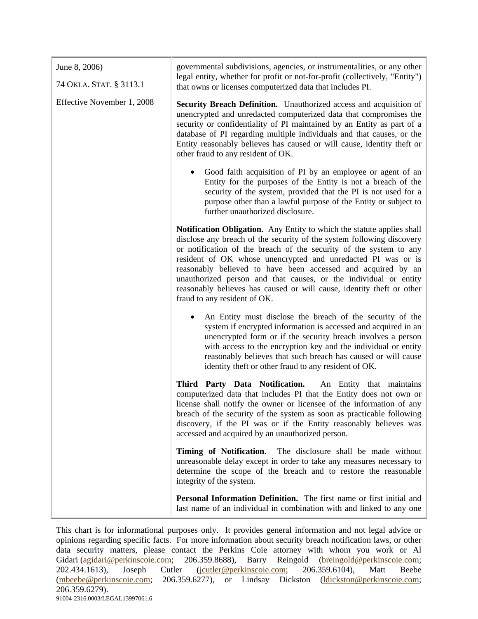| June 8, 2006)<br>74 OKLA. STAT. § 3113.1 | governmental subdivisions, agencies, or instrumentalities, or any other<br>legal entity, whether for profit or not-for-profit (collectively, "Entity")<br>that owns or licenses computerized data that includes PI.                                                                                                                                                                                                                                                                                                                |
|------------------------------------------|------------------------------------------------------------------------------------------------------------------------------------------------------------------------------------------------------------------------------------------------------------------------------------------------------------------------------------------------------------------------------------------------------------------------------------------------------------------------------------------------------------------------------------|
| Effective November 1, 2008               | <b>Security Breach Definition.</b> Unauthorized access and acquisition of<br>unencrypted and unredacted computerized data that compromises the<br>security or confidentiality of PI maintained by an Entity as part of a<br>database of PI regarding multiple individuals and that causes, or the<br>Entity reasonably believes has caused or will cause, identity theft or<br>other fraud to any resident of OK.                                                                                                                  |
|                                          | Good faith acquisition of PI by an employee or agent of an<br>Entity for the purposes of the Entity is not a breach of the<br>security of the system, provided that the PI is not used for a<br>purpose other than a lawful purpose of the Entity or subject to<br>further unauthorized disclosure.                                                                                                                                                                                                                                |
|                                          | Notification Obligation. Any Entity to which the statute applies shall<br>disclose any breach of the security of the system following discovery<br>or notification of the breach of the security of the system to any<br>resident of OK whose unencrypted and unredacted PI was or is<br>reasonably believed to have been accessed and acquired by an<br>unauthorized person and that causes, or the individual or entity<br>reasonably believes has caused or will cause, identity theft or other<br>fraud to any resident of OK. |
|                                          | An Entity must disclose the breach of the security of the<br>$\bullet$<br>system if encrypted information is accessed and acquired in an<br>unencrypted form or if the security breach involves a person<br>with access to the encryption key and the individual or entity<br>reasonably believes that such breach has caused or will cause<br>identity theft or other fraud to any resident of OK.                                                                                                                                |
|                                          | Third Party Data Notification. An Entity that maintains<br>computerized data that includes PI that the Entity does not own or<br>license shall notify the owner or licensee of the information of any<br>breach of the security of the system as soon as practicable following<br>discovery, if the PI was or if the Entity reasonably believes was<br>accessed and acquired by an unauthorized person.                                                                                                                            |
|                                          | Timing of Notification.<br>The disclosure shall be made without<br>unreasonable delay except in order to take any measures necessary to<br>determine the scope of the breach and to restore the reasonable<br>integrity of the system.                                                                                                                                                                                                                                                                                             |
|                                          | Personal Information Definition. The first name or first initial and<br>last name of an individual in combination with and linked to any one                                                                                                                                                                                                                                                                                                                                                                                       |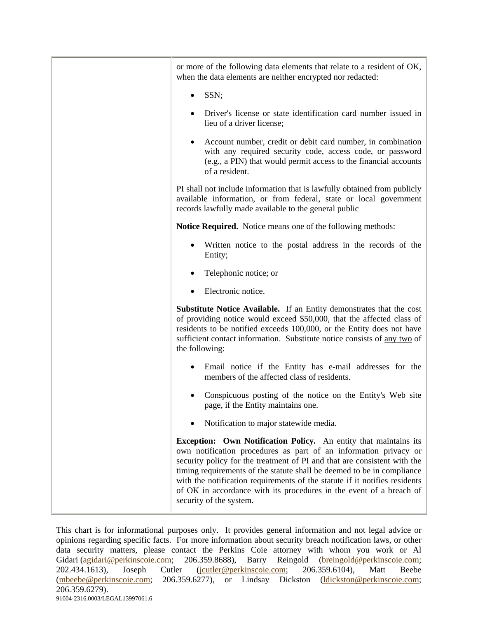| or more of the following data elements that relate to a resident of OK,<br>when the data elements are neither encrypted nor redacted:                                                                                                                                                                                                                                                                                                                                      |
|----------------------------------------------------------------------------------------------------------------------------------------------------------------------------------------------------------------------------------------------------------------------------------------------------------------------------------------------------------------------------------------------------------------------------------------------------------------------------|
| SSN;                                                                                                                                                                                                                                                                                                                                                                                                                                                                       |
| Driver's license or state identification card number issued in<br>lieu of a driver license;                                                                                                                                                                                                                                                                                                                                                                                |
| Account number, credit or debit card number, in combination<br>with any required security code, access code, or password<br>(e.g., a PIN) that would permit access to the financial accounts<br>of a resident.                                                                                                                                                                                                                                                             |
| PI shall not include information that is lawfully obtained from publicly<br>available information, or from federal, state or local government<br>records lawfully made available to the general public                                                                                                                                                                                                                                                                     |
| Notice Required. Notice means one of the following methods:                                                                                                                                                                                                                                                                                                                                                                                                                |
| Written notice to the postal address in the records of the<br>Entity;                                                                                                                                                                                                                                                                                                                                                                                                      |
| Telephonic notice; or                                                                                                                                                                                                                                                                                                                                                                                                                                                      |
| Electronic notice.                                                                                                                                                                                                                                                                                                                                                                                                                                                         |
| <b>Substitute Notice Available.</b> If an Entity demonstrates that the cost<br>of providing notice would exceed \$50,000, that the affected class of<br>residents to be notified exceeds 100,000, or the Entity does not have<br>sufficient contact information. Substitute notice consists of any two of<br>the following:                                                                                                                                                |
| Email notice if the Entity has e-mail addresses for the<br>members of the affected class of residents.                                                                                                                                                                                                                                                                                                                                                                     |
| Conspicuous posting of the notice on the Entity's Web site<br>page, if the Entity maintains one.                                                                                                                                                                                                                                                                                                                                                                           |
| Notification to major statewide media.                                                                                                                                                                                                                                                                                                                                                                                                                                     |
| Exception: Own Notification Policy. An entity that maintains its<br>own notification procedures as part of an information privacy or<br>security policy for the treatment of PI and that are consistent with the<br>timing requirements of the statute shall be deemed to be in compliance<br>with the notification requirements of the statute if it notifies residents<br>of OK in accordance with its procedures in the event of a breach of<br>security of the system. |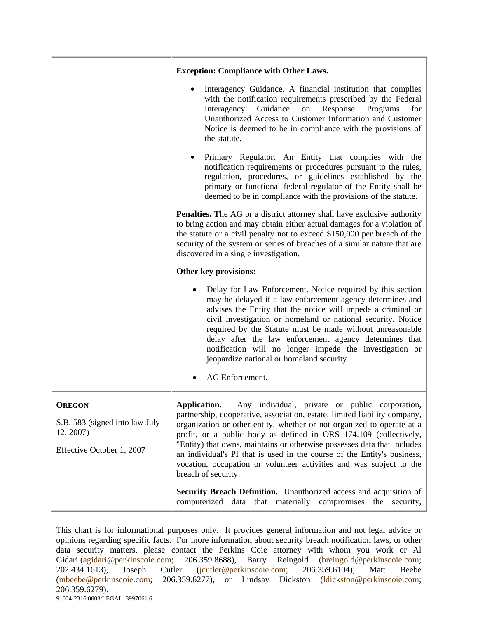|                                             | <b>Exception: Compliance with Other Laws.</b>                                                                                                                                                                                                                                                                                                                                                                                                                                                                          |
|---------------------------------------------|------------------------------------------------------------------------------------------------------------------------------------------------------------------------------------------------------------------------------------------------------------------------------------------------------------------------------------------------------------------------------------------------------------------------------------------------------------------------------------------------------------------------|
|                                             | Interagency Guidance. A financial institution that complies<br>with the notification requirements prescribed by the Federal<br>Guidance<br>Interagency<br>Response<br>Programs<br>for<br>${\rm on}$<br>Unauthorized Access to Customer Information and Customer<br>Notice is deemed to be in compliance with the provisions of<br>the statute.                                                                                                                                                                         |
|                                             | Primary Regulator. An Entity that complies with the<br>notification requirements or procedures pursuant to the rules,<br>regulation, procedures, or guidelines established by the<br>primary or functional federal regulator of the Entity shall be<br>deemed to be in compliance with the provisions of the statute.                                                                                                                                                                                                  |
|                                             | <b>Penalties.</b> The AG or a district attorney shall have exclusive authority<br>to bring action and may obtain either actual damages for a violation of<br>the statute or a civil penalty not to exceed \$150,000 per breach of the<br>security of the system or series of breaches of a similar nature that are<br>discovered in a single investigation.                                                                                                                                                            |
|                                             | Other key provisions:                                                                                                                                                                                                                                                                                                                                                                                                                                                                                                  |
|                                             | Delay for Law Enforcement. Notice required by this section<br>$\bullet$<br>may be delayed if a law enforcement agency determines and<br>advises the Entity that the notice will impede a criminal or<br>civil investigation or homeland or national security. Notice<br>required by the Statute must be made without unreasonable<br>delay after the law enforcement agency determines that<br>notification will no longer impede the investigation or<br>jeopardize national or homeland security.<br>AG Enforcement. |
| <b>OREGON</b>                               | Any individual, private or public corporation,<br>Application.                                                                                                                                                                                                                                                                                                                                                                                                                                                         |
| S.B. 583 (signed into law July<br>12, 2007) | partnership, cooperative, association, estate, limited liability company,<br>organization or other entity, whether or not organized to operate at a<br>profit, or a public body as defined in ORS 174.109 (collectively,                                                                                                                                                                                                                                                                                               |
| Effective October 1, 2007                   | "Entity) that owns, maintains or otherwise possesses data that includes<br>an individual's PI that is used in the course of the Entity's business,<br>vocation, occupation or volunteer activities and was subject to the<br>breach of security.                                                                                                                                                                                                                                                                       |
|                                             | Security Breach Definition. Unauthorized access and acquisition of<br>computerized data that materially compromises the security,                                                                                                                                                                                                                                                                                                                                                                                      |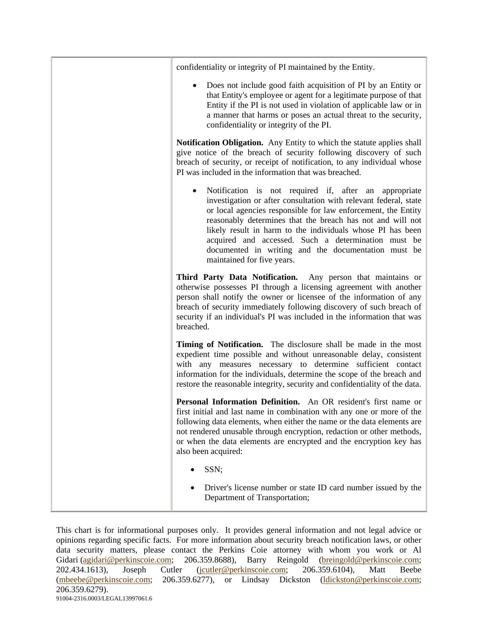| confidentiality or integrity of PI maintained by the Entity.                                                                                                                                                                                                                                                                                                                                                                                                                    |
|---------------------------------------------------------------------------------------------------------------------------------------------------------------------------------------------------------------------------------------------------------------------------------------------------------------------------------------------------------------------------------------------------------------------------------------------------------------------------------|
| Does not include good faith acquisition of PI by an Entity or<br>that Entity's employee or agent for a legitimate purpose of that<br>Entity if the PI is not used in violation of applicable law or in<br>a manner that harms or poses an actual threat to the security,<br>confidentiality or integrity of the PI.                                                                                                                                                             |
| Notification Obligation. Any Entity to which the statute applies shall<br>give notice of the breach of security following discovery of such<br>breach of security, or receipt of notification, to any individual whose<br>PI was included in the information that was breached.                                                                                                                                                                                                 |
| Notification is not required if, after an appropriate<br>$\bullet$<br>investigation or after consultation with relevant federal, state<br>or local agencies responsible for law enforcement, the Entity<br>reasonably determines that the breach has not and will not<br>likely result in harm to the individuals whose PI has been<br>acquired and accessed. Such a determination must be<br>documented in writing and the documentation must be<br>maintained for five years. |
| Third Party Data Notification. Any person that maintains or<br>otherwise possesses PI through a licensing agreement with another<br>person shall notify the owner or licensee of the information of any<br>breach of security immediately following discovery of such breach of<br>security if an individual's PI was included in the information that was<br>breached.                                                                                                         |
| Timing of Notification. The disclosure shall be made in the most<br>expedient time possible and without unreasonable delay, consistent<br>with any measures necessary to determine sufficient contact<br>information for the individuals, determine the scope of the breach and<br>restore the reasonable integrity, security and confidentiality of the data.                                                                                                                  |
| Personal Information Definition. An OR resident's first name or<br>first initial and last name in combination with any one or more of the<br>following data elements, when either the name or the data elements are<br>not rendered unusable through encryption, redaction or other methods,<br>or when the data elements are encrypted and the encryption key has<br>also been acquired:                                                                                       |
| SSN;                                                                                                                                                                                                                                                                                                                                                                                                                                                                            |
| Driver's license number or state ID card number issued by the<br>Department of Transportation;                                                                                                                                                                                                                                                                                                                                                                                  |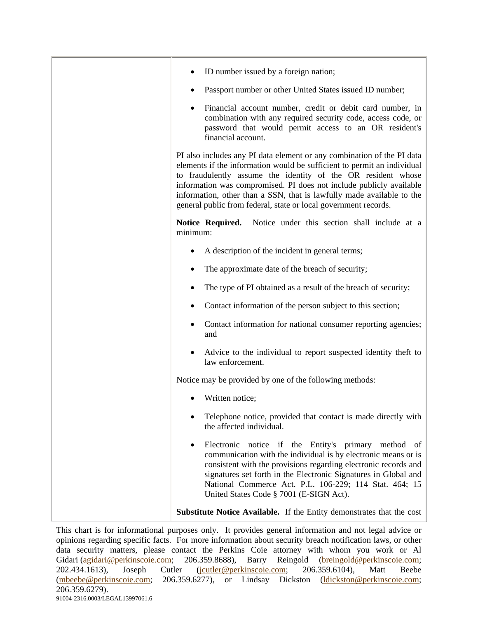| ID number issued by a foreign nation;                                                                                                                                                                                                                                                                                                                                                                                                |
|--------------------------------------------------------------------------------------------------------------------------------------------------------------------------------------------------------------------------------------------------------------------------------------------------------------------------------------------------------------------------------------------------------------------------------------|
| Passport number or other United States issued ID number;<br>٠                                                                                                                                                                                                                                                                                                                                                                        |
| Financial account number, credit or debit card number, in<br>combination with any required security code, access code, or<br>password that would permit access to an OR resident's<br>financial account.                                                                                                                                                                                                                             |
| PI also includes any PI data element or any combination of the PI data<br>elements if the information would be sufficient to permit an individual<br>to fraudulently assume the identity of the OR resident whose<br>information was compromised. PI does not include publicly available<br>information, other than a SSN, that is lawfully made available to the<br>general public from federal, state or local government records. |
| Notice Required.<br>Notice under this section shall include at a<br>minimum:                                                                                                                                                                                                                                                                                                                                                         |
| A description of the incident in general terms;                                                                                                                                                                                                                                                                                                                                                                                      |
| The approximate date of the breach of security;                                                                                                                                                                                                                                                                                                                                                                                      |
| The type of PI obtained as a result of the breach of security;                                                                                                                                                                                                                                                                                                                                                                       |
| Contact information of the person subject to this section;                                                                                                                                                                                                                                                                                                                                                                           |
| Contact information for national consumer reporting agencies;<br>and                                                                                                                                                                                                                                                                                                                                                                 |
| Advice to the individual to report suspected identity theft to<br>law enforcement.                                                                                                                                                                                                                                                                                                                                                   |
| Notice may be provided by one of the following methods:                                                                                                                                                                                                                                                                                                                                                                              |
| Written notice;                                                                                                                                                                                                                                                                                                                                                                                                                      |
| Telephone notice, provided that contact is made directly with<br>the affected individual.                                                                                                                                                                                                                                                                                                                                            |
| Electronic notice if the Entity's primary method of<br>communication with the individual is by electronic means or is<br>consistent with the provisions regarding electronic records and<br>signatures set forth in the Electronic Signatures in Global and<br>National Commerce Act. P.L. 106-229; 114 Stat. 464; 15<br>United States Code § 7001 (E-SIGN Act).                                                                     |
| <b>Substitute Notice Available.</b> If the Entity demonstrates that the cost                                                                                                                                                                                                                                                                                                                                                         |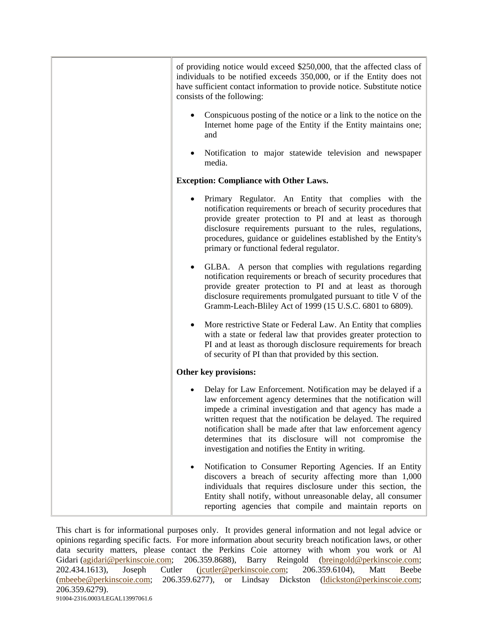| of providing notice would exceed \$250,000, that the affected class of<br>individuals to be notified exceeds 350,000, or if the Entity does not<br>have sufficient contact information to provide notice. Substitute notice<br>consists of the following:                                                                                                                                                                                  |
|--------------------------------------------------------------------------------------------------------------------------------------------------------------------------------------------------------------------------------------------------------------------------------------------------------------------------------------------------------------------------------------------------------------------------------------------|
| Conspicuous posting of the notice or a link to the notice on the<br>Internet home page of the Entity if the Entity maintains one;<br>and                                                                                                                                                                                                                                                                                                   |
| Notification to major statewide television and newspaper<br>media.                                                                                                                                                                                                                                                                                                                                                                         |
| <b>Exception: Compliance with Other Laws.</b>                                                                                                                                                                                                                                                                                                                                                                                              |
| Primary Regulator. An Entity that complies with the<br>notification requirements or breach of security procedures that<br>provide greater protection to PI and at least as thorough<br>disclosure requirements pursuant to the rules, regulations,<br>procedures, guidance or guidelines established by the Entity's<br>primary or functional federal regulator.                                                                           |
| GLBA. A person that complies with regulations regarding<br>notification requirements or breach of security procedures that<br>provide greater protection to PI and at least as thorough<br>disclosure requirements promulgated pursuant to title V of the<br>Gramm-Leach-Bliley Act of 1999 (15 U.S.C. 6801 to 6809).                                                                                                                      |
| More restrictive State or Federal Law. An Entity that complies<br>with a state or federal law that provides greater protection to<br>PI and at least as thorough disclosure requirements for breach<br>of security of PI than that provided by this section.                                                                                                                                                                               |
| Other key provisions:                                                                                                                                                                                                                                                                                                                                                                                                                      |
| Delay for Law Enforcement. Notification may be delayed if a<br>law enforcement agency determines that the notification will<br>impede a criminal investigation and that agency has made a<br>written request that the notification be delayed. The required<br>notification shall be made after that law enforcement agency<br>determines that its disclosure will not compromise the<br>investigation and notifies the Entity in writing. |
| Notification to Consumer Reporting Agencies. If an Entity<br>discovers a breach of security affecting more than 1,000<br>individuals that requires disclosure under this section, the<br>Entity shall notify, without unreasonable delay, all consumer<br>reporting agencies that compile and maintain reports on                                                                                                                          |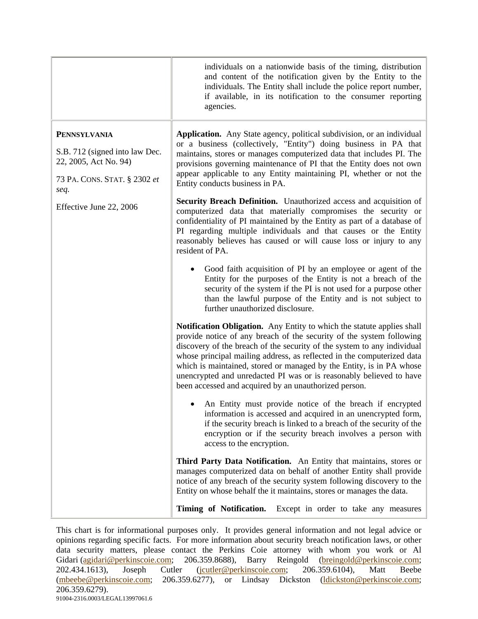|                                                                                                                                                   | individuals on a nationwide basis of the timing, distribution<br>and content of the notification given by the Entity to the<br>individuals. The Entity shall include the police report number,<br>if available, in its notification to the consumer reporting<br>agencies.                                                                                                                                                                                                                                  |
|---------------------------------------------------------------------------------------------------------------------------------------------------|-------------------------------------------------------------------------------------------------------------------------------------------------------------------------------------------------------------------------------------------------------------------------------------------------------------------------------------------------------------------------------------------------------------------------------------------------------------------------------------------------------------|
| <b>PENNSYLVANIA</b><br>S.B. 712 (signed into law Dec.<br>22, 2005, Act No. 94)<br>73 PA. CONS. STAT. § 2302 et<br>seq.<br>Effective June 22, 2006 | Application. Any State agency, political subdivision, or an individual<br>or a business (collectively, "Entity") doing business in PA that<br>maintains, stores or manages computerized data that includes PI. The<br>provisions governing maintenance of PI that the Entity does not own<br>appear applicable to any Entity maintaining PI, whether or not the<br>Entity conducts business in PA.                                                                                                          |
|                                                                                                                                                   | <b>Security Breach Definition.</b> Unauthorized access and acquisition of<br>computerized data that materially compromises the security or<br>confidentiality of PI maintained by the Entity as part of a database of<br>PI regarding multiple individuals and that causes or the Entity<br>reasonably believes has caused or will cause loss or injury to any<br>resident of PA.                                                                                                                           |
|                                                                                                                                                   | Good faith acquisition of PI by an employee or agent of the<br>Entity for the purposes of the Entity is not a breach of the<br>security of the system if the PI is not used for a purpose other<br>than the lawful purpose of the Entity and is not subject to<br>further unauthorized disclosure.                                                                                                                                                                                                          |
|                                                                                                                                                   | Notification Obligation. Any Entity to which the statute applies shall<br>provide notice of any breach of the security of the system following<br>discovery of the breach of the security of the system to any individual<br>whose principal mailing address, as reflected in the computerized data<br>which is maintained, stored or managed by the Entity, is in PA whose<br>unencrypted and unredacted PI was or is reasonably believed to have<br>been accessed and acquired by an unauthorized person. |
|                                                                                                                                                   | • An Entity must provide notice of the breach if encrypted<br>information is accessed and acquired in an unencrypted form,<br>if the security breach is linked to a breach of the security of the<br>encryption or if the security breach involves a person with<br>access to the encryption.                                                                                                                                                                                                               |
|                                                                                                                                                   | Third Party Data Notification. An Entity that maintains, stores or<br>manages computerized data on behalf of another Entity shall provide<br>notice of any breach of the security system following discovery to the<br>Entity on whose behalf the it maintains, stores or manages the data.                                                                                                                                                                                                                 |
|                                                                                                                                                   | Timing of Notification.<br>Except in order to take any measures                                                                                                                                                                                                                                                                                                                                                                                                                                             |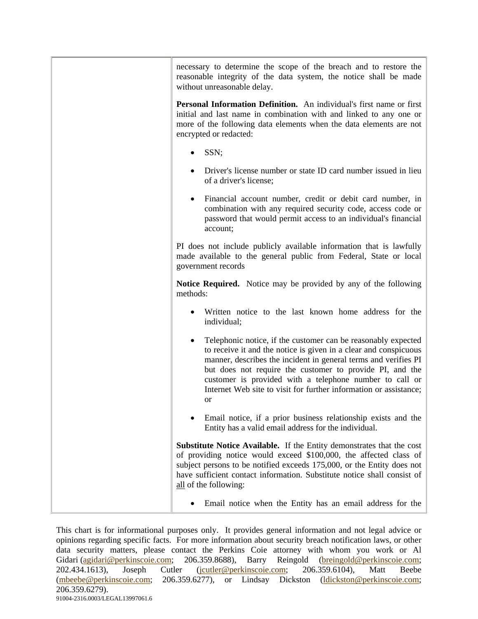| necessary to determine the scope of the breach and to restore the<br>reasonable integrity of the data system, the notice shall be made<br>without unreasonable delay.                                                                                                                                                                                                                                               |
|---------------------------------------------------------------------------------------------------------------------------------------------------------------------------------------------------------------------------------------------------------------------------------------------------------------------------------------------------------------------------------------------------------------------|
| Personal Information Definition. An individual's first name or first<br>initial and last name in combination with and linked to any one or<br>more of the following data elements when the data elements are not<br>encrypted or redacted:                                                                                                                                                                          |
| SSN;                                                                                                                                                                                                                                                                                                                                                                                                                |
| Driver's license number or state ID card number issued in lieu<br>of a driver's license;                                                                                                                                                                                                                                                                                                                            |
| Financial account number, credit or debit card number, in<br>٠<br>combination with any required security code, access code or<br>password that would permit access to an individual's financial<br>account;                                                                                                                                                                                                         |
| PI does not include publicly available information that is lawfully<br>made available to the general public from Federal, State or local<br>government records                                                                                                                                                                                                                                                      |
| <b>Notice Required.</b> Notice may be provided by any of the following<br>methods:                                                                                                                                                                                                                                                                                                                                  |
| Written notice to the last known home address for the<br>individual;                                                                                                                                                                                                                                                                                                                                                |
| Telephonic notice, if the customer can be reasonably expected<br>$\bullet$<br>to receive it and the notice is given in a clear and conspicuous<br>manner, describes the incident in general terms and verifies PI<br>but does not require the customer to provide PI, and the<br>customer is provided with a telephone number to call or<br>Internet Web site to visit for further information or assistance;<br>or |
| Email notice, if a prior business relationship exists and the<br>Entity has a valid email address for the individual.                                                                                                                                                                                                                                                                                               |
| <b>Substitute Notice Available.</b> If the Entity demonstrates that the cost<br>of providing notice would exceed \$100,000, the affected class of<br>subject persons to be notified exceeds 175,000, or the Entity does not<br>have sufficient contact information. Substitute notice shall consist of<br>all of the following:                                                                                     |
| Email notice when the Entity has an email address for the                                                                                                                                                                                                                                                                                                                                                           |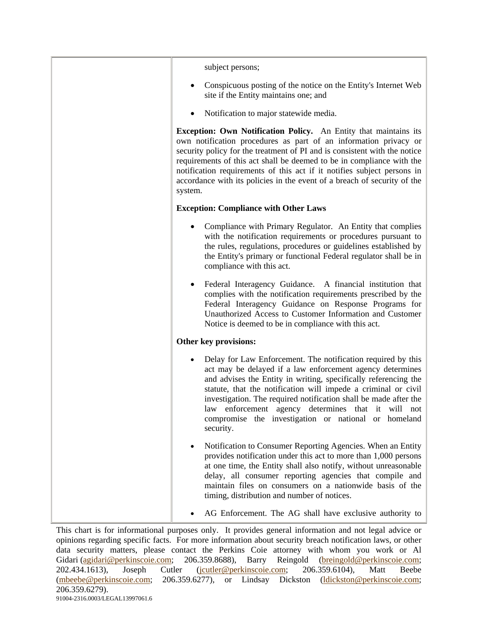| subject persons;                                                                                                                                                                                                                                                                                                                                                                                                                                                    |
|---------------------------------------------------------------------------------------------------------------------------------------------------------------------------------------------------------------------------------------------------------------------------------------------------------------------------------------------------------------------------------------------------------------------------------------------------------------------|
| Conspicuous posting of the notice on the Entity's Internet Web<br>site if the Entity maintains one; and                                                                                                                                                                                                                                                                                                                                                             |
| Notification to major statewide media.                                                                                                                                                                                                                                                                                                                                                                                                                              |
| <b>Exception: Own Notification Policy.</b> An Entity that maintains its<br>own notification procedures as part of an information privacy or<br>security policy for the treatment of PI and is consistent with the notice<br>requirements of this act shall be deemed to be in compliance with the<br>notification requirements of this act if it notifies subject persons in<br>accordance with its policies in the event of a breach of security of the<br>system. |
| <b>Exception: Compliance with Other Laws</b>                                                                                                                                                                                                                                                                                                                                                                                                                        |
| Compliance with Primary Regulator. An Entity that complies<br>with the notification requirements or procedures pursuant to<br>the rules, regulations, procedures or guidelines established by<br>the Entity's primary or functional Federal regulator shall be in<br>compliance with this act.                                                                                                                                                                      |
| Federal Interagency Guidance.<br>A financial institution that<br>complies with the notification requirements prescribed by the<br>Federal Interagency Guidance on Response Programs for<br>Unauthorized Access to Customer Information and Customer<br>Notice is deemed to be in compliance with this act.                                                                                                                                                          |
| Other key provisions:                                                                                                                                                                                                                                                                                                                                                                                                                                               |
| Delay for Law Enforcement. The notification required by this<br>act may be delayed if a law enforcement agency determines<br>and advises the Entity in writing, specifically referencing the<br>statute, that the notification will impede a criminal or civil<br>investigation. The required notification shall be made after the<br>enforcement agency determines that it will not<br>law<br>compromise the investigation or national or homeland<br>security.    |
| Notification to Consumer Reporting Agencies. When an Entity<br>provides notification under this act to more than 1,000 persons<br>at one time, the Entity shall also notify, without unreasonable<br>delay, all consumer reporting agencies that compile and<br>maintain files on consumers on a nationwide basis of the<br>timing, distribution and number of notices.                                                                                             |
| AG Enforcement. The AG shall have exclusive authority to                                                                                                                                                                                                                                                                                                                                                                                                            |
|                                                                                                                                                                                                                                                                                                                                                                                                                                                                     |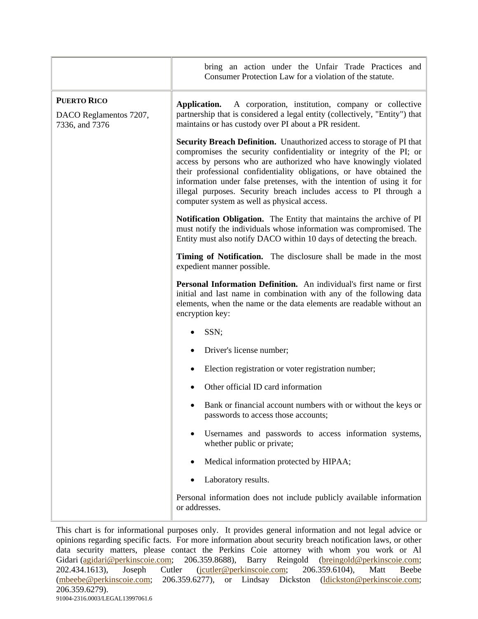|                                                                | bring an action under the Unfair Trade Practices and<br>Consumer Protection Law for a violation of the statute.                                                                                                                                                                                                                                                                                                                                                                       |
|----------------------------------------------------------------|---------------------------------------------------------------------------------------------------------------------------------------------------------------------------------------------------------------------------------------------------------------------------------------------------------------------------------------------------------------------------------------------------------------------------------------------------------------------------------------|
| <b>PUERTO RICO</b><br>DACO Reglamentos 7207,<br>7336, and 7376 | A corporation, institution, company or collective<br>Application.<br>partnership that is considered a legal entity (collectively, "Entity") that<br>maintains or has custody over PI about a PR resident.                                                                                                                                                                                                                                                                             |
|                                                                | Security Breach Definition. Unauthorized access to storage of PI that<br>compromises the security confidentiality or integrity of the PI; or<br>access by persons who are authorized who have knowingly violated<br>their professional confidentiality obligations, or have obtained the<br>information under false pretenses, with the intention of using it for<br>illegal purposes. Security breach includes access to PI through a<br>computer system as well as physical access. |
|                                                                | Notification Obligation. The Entity that maintains the archive of PI<br>must notify the individuals whose information was compromised. The<br>Entity must also notify DACO within 10 days of detecting the breach.                                                                                                                                                                                                                                                                    |
|                                                                | Timing of Notification. The disclosure shall be made in the most<br>expedient manner possible.                                                                                                                                                                                                                                                                                                                                                                                        |
|                                                                | Personal Information Definition. An individual's first name or first<br>initial and last name in combination with any of the following data<br>elements, when the name or the data elements are readable without an<br>encryption key:                                                                                                                                                                                                                                                |
|                                                                | SSN;                                                                                                                                                                                                                                                                                                                                                                                                                                                                                  |
|                                                                | Driver's license number;                                                                                                                                                                                                                                                                                                                                                                                                                                                              |
|                                                                | Election registration or voter registration number;<br>٠                                                                                                                                                                                                                                                                                                                                                                                                                              |
|                                                                | Other official ID card information                                                                                                                                                                                                                                                                                                                                                                                                                                                    |
|                                                                | Bank or financial account numbers with or without the keys or<br>passwords to access those accounts;                                                                                                                                                                                                                                                                                                                                                                                  |
|                                                                | Usernames and passwords to access information systems,<br>whether public or private;                                                                                                                                                                                                                                                                                                                                                                                                  |
|                                                                | Medical information protected by HIPAA;                                                                                                                                                                                                                                                                                                                                                                                                                                               |
|                                                                | Laboratory results.                                                                                                                                                                                                                                                                                                                                                                                                                                                                   |
|                                                                | Personal information does not include publicly available information<br>or addresses.                                                                                                                                                                                                                                                                                                                                                                                                 |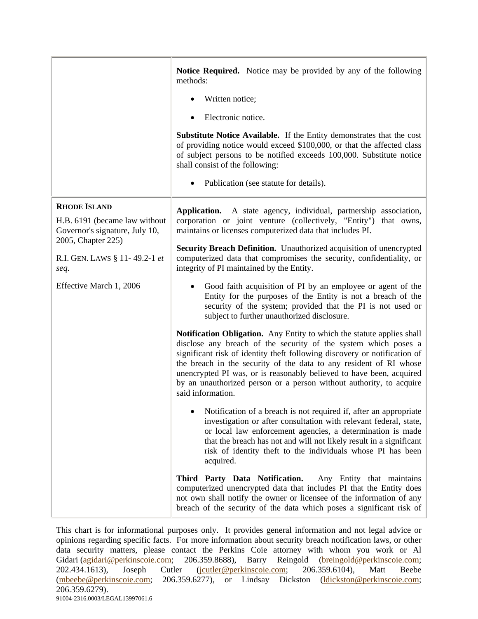|                                                                                                              | Notice Required. Notice may be provided by any of the following<br>methods:<br>Written notice;<br>Electronic notice.<br>Substitute Notice Available. If the Entity demonstrates that the cost<br>of providing notice would exceed \$100,000, or that the affected class<br>of subject persons to be notified exceeds 100,000. Substitute notice<br>shall consist of the following:<br>Publication (see statute for details).                                     |
|--------------------------------------------------------------------------------------------------------------|------------------------------------------------------------------------------------------------------------------------------------------------------------------------------------------------------------------------------------------------------------------------------------------------------------------------------------------------------------------------------------------------------------------------------------------------------------------|
| <b>RHODE ISLAND</b><br>H.B. 6191 (became law without<br>Governor's signature, July 10,<br>2005, Chapter 225) | Application. A state agency, individual, partnership association,<br>corporation or joint venture (collectively, "Entity")<br>that owns,<br>maintains or licenses computerized data that includes PI.                                                                                                                                                                                                                                                            |
| R.I. GEN. LAWS § 11-49.2-1 et<br>seq.                                                                        | Security Breach Definition. Unauthorized acquisition of unencrypted<br>computerized data that compromises the security, confidentiality, or<br>integrity of PI maintained by the Entity.                                                                                                                                                                                                                                                                         |
| Effective March 1, 2006                                                                                      | Good faith acquisition of PI by an employee or agent of the<br>Entity for the purposes of the Entity is not a breach of the<br>security of the system; provided that the PI is not used or<br>subject to further unauthorized disclosure.                                                                                                                                                                                                                        |
|                                                                                                              | Notification Obligation. Any Entity to which the statute applies shall<br>disclose any breach of the security of the system which poses a<br>significant risk of identity theft following discovery or notification of<br>the breach in the security of the data to any resident of RI whose<br>unencrypted PI was, or is reasonably believed to have been, acquired<br>by an unauthorized person or a person without authority, to acquire<br>said information. |
|                                                                                                              | Notification of a breach is not required if, after an appropriate<br>investigation or after consultation with relevant federal, state,<br>or local law enforcement agencies, a determination is made<br>that the breach has not and will not likely result in a significant<br>risk of identity theft to the individuals whose PI has been<br>acquired.                                                                                                          |
|                                                                                                              | Third Party Data Notification.<br>Any Entity that maintains<br>computerized unencrypted data that includes PI that the Entity does<br>not own shall notify the owner or licensee of the information of any<br>breach of the security of the data which poses a significant risk of                                                                                                                                                                               |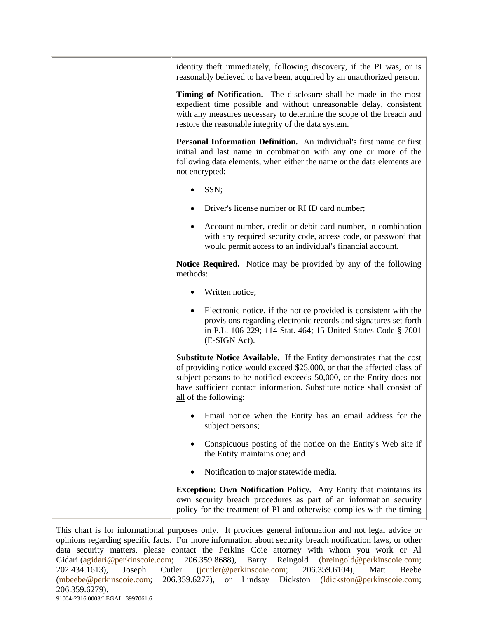| identity theft immediately, following discovery, if the PI was, or is<br>reasonably believed to have been, acquired by an unauthorized person.<br>Timing of Notification. The disclosure shall be made in the most<br>expedient time possible and without unreasonable delay, consistent<br>with any measures necessary to determine the scope of the breach and<br>restore the reasonable integrity of the data system. |
|--------------------------------------------------------------------------------------------------------------------------------------------------------------------------------------------------------------------------------------------------------------------------------------------------------------------------------------------------------------------------------------------------------------------------|
| Personal Information Definition. An individual's first name or first<br>initial and last name in combination with any one or more of the<br>following data elements, when either the name or the data elements are<br>not encrypted:                                                                                                                                                                                     |
| SSN;                                                                                                                                                                                                                                                                                                                                                                                                                     |
| Driver's license number or RI ID card number;                                                                                                                                                                                                                                                                                                                                                                            |
| Account number, credit or debit card number, in combination<br>with any required security code, access code, or password that<br>would permit access to an individual's financial account.                                                                                                                                                                                                                               |
| <b>Notice Required.</b> Notice may be provided by any of the following<br>methods:                                                                                                                                                                                                                                                                                                                                       |
| Written notice;                                                                                                                                                                                                                                                                                                                                                                                                          |
| Electronic notice, if the notice provided is consistent with the<br>provisions regarding electronic records and signatures set forth<br>in P.L. 106-229; 114 Stat. 464; 15 United States Code § 7001<br>(E-SIGN Act).                                                                                                                                                                                                    |
| <b>Substitute Notice Available.</b> If the Entity demonstrates that the cost<br>of providing notice would exceed \$25,000, or that the affected class of<br>subject persons to be notified exceeds 50,000, or the Entity does not<br>have sufficient contact information. Substitute notice shall consist of<br>all of the following:                                                                                    |
| Email notice when the Entity has an email address for the<br>subject persons;                                                                                                                                                                                                                                                                                                                                            |
| Conspicuous posting of the notice on the Entity's Web site if<br>the Entity maintains one; and                                                                                                                                                                                                                                                                                                                           |
| Notification to major statewide media.                                                                                                                                                                                                                                                                                                                                                                                   |
| Exception: Own Notification Policy. Any Entity that maintains its<br>own security breach procedures as part of an information security<br>policy for the treatment of PI and otherwise complies with the timing                                                                                                                                                                                                          |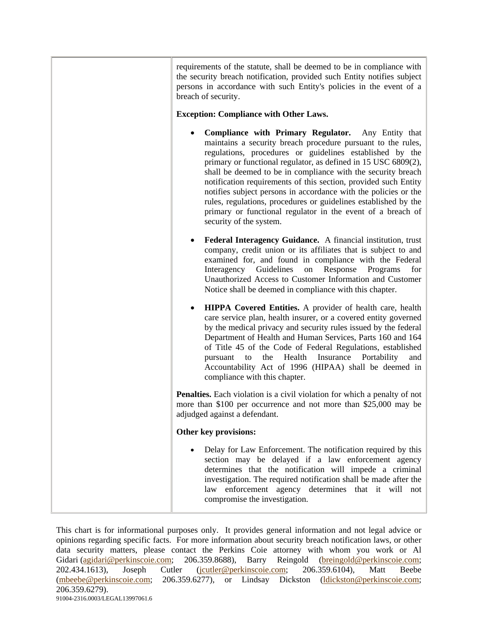| requirements of the statute, shall be deemed to be in compliance with<br>the security breach notification, provided such Entity notifies subject<br>persons in accordance with such Entity's policies in the event of a<br>breach of security.                                                                                                                                                                                                                                                                                                                                                                         |
|------------------------------------------------------------------------------------------------------------------------------------------------------------------------------------------------------------------------------------------------------------------------------------------------------------------------------------------------------------------------------------------------------------------------------------------------------------------------------------------------------------------------------------------------------------------------------------------------------------------------|
| <b>Exception: Compliance with Other Laws.</b>                                                                                                                                                                                                                                                                                                                                                                                                                                                                                                                                                                          |
| Compliance with Primary Regulator.<br>Any Entity that<br>maintains a security breach procedure pursuant to the rules,<br>regulations, procedures or guidelines established by the<br>primary or functional regulator, as defined in 15 USC 6809(2),<br>shall be deemed to be in compliance with the security breach<br>notification requirements of this section, provided such Entity<br>notifies subject persons in accordance with the policies or the<br>rules, regulations, procedures or guidelines established by the<br>primary or functional regulator in the event of a breach of<br>security of the system. |
| Federal Interagency Guidance. A financial institution, trust<br>company, credit union or its affiliates that is subject to and<br>examined for, and found in compliance with the Federal<br>Response<br>Interagency Guidelines<br>Programs<br>on<br>for<br>Unauthorized Access to Customer Information and Customer<br>Notice shall be deemed in compliance with this chapter.                                                                                                                                                                                                                                         |
| HIPPA Covered Entities. A provider of health care, health<br>care service plan, health insurer, or a covered entity governed<br>by the medical privacy and security rules issued by the federal<br>Department of Health and Human Services, Parts 160 and 164<br>of Title 45 of the Code of Federal Regulations, established<br>the<br>Health<br>Insurance<br>Portability<br>pursuant<br>to<br>and<br>Accountability Act of 1996 (HIPAA) shall be deemed in<br>compliance with this chapter.                                                                                                                           |
| <b>Penalties.</b> Each violation is a civil violation for which a penalty of not<br>more than \$100 per occurrence and not more than \$25,000 may be<br>adjudged against a defendant.                                                                                                                                                                                                                                                                                                                                                                                                                                  |
| Other key provisions:                                                                                                                                                                                                                                                                                                                                                                                                                                                                                                                                                                                                  |
| Delay for Law Enforcement. The notification required by this<br>section may be delayed if a law enforcement agency<br>determines that the notification will impede a criminal<br>investigation. The required notification shall be made after the<br>law enforcement agency determines that it will not<br>compromise the investigation.                                                                                                                                                                                                                                                                               |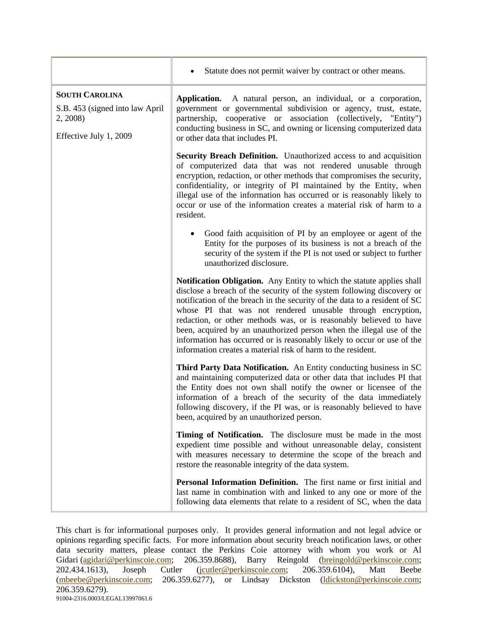|                                                                                                | Statute does not permit waiver by contract or other means.                                                                                                                                                                                                                                                                                                                                                                                                                                                                                                                                    |
|------------------------------------------------------------------------------------------------|-----------------------------------------------------------------------------------------------------------------------------------------------------------------------------------------------------------------------------------------------------------------------------------------------------------------------------------------------------------------------------------------------------------------------------------------------------------------------------------------------------------------------------------------------------------------------------------------------|
| <b>SOUTH CAROLINA</b><br>S.B. 453 (signed into law April<br>2, 2008)<br>Effective July 1, 2009 | A natural person, an individual, or a corporation,<br>Application.<br>government or governmental subdivision or agency, trust, estate,<br>partnership, cooperative or association (collectively, "Entity")<br>conducting business in SC, and owning or licensing computerized data<br>or other data that includes PI.                                                                                                                                                                                                                                                                         |
|                                                                                                | <b>Security Breach Definition.</b> Unauthorized access to and acquisition<br>of computerized data that was not rendered unusable through<br>encryption, redaction, or other methods that compromises the security,<br>confidentiality, or integrity of PI maintained by the Entity, when<br>illegal use of the information has occurred or is reasonably likely to<br>occur or use of the information creates a material risk of harm to a<br>resident.                                                                                                                                       |
|                                                                                                | Good faith acquisition of PI by an employee or agent of the<br>Entity for the purposes of its business is not a breach of the<br>security of the system if the PI is not used or subject to further<br>unauthorized disclosure.                                                                                                                                                                                                                                                                                                                                                               |
|                                                                                                | <b>Notification Obligation.</b> Any Entity to which the statute applies shall<br>disclose a breach of the security of the system following discovery or<br>notification of the breach in the security of the data to a resident of SC<br>whose PI that was not rendered unusable through encryption,<br>redaction, or other methods was, or is reasonably believed to have<br>been, acquired by an unauthorized person when the illegal use of the<br>information has occurred or is reasonably likely to occur or use of the<br>information creates a material risk of harm to the resident. |
|                                                                                                | Third Party Data Notification. An Entity conducting business in SC<br>and maintaining computerized data or other data that includes PI that<br>the Entity does not own shall notify the owner or licensee of the<br>information of a breach of the security of the data immediately<br>following discovery, if the PI was, or is reasonably believed to have<br>been, acquired by an unauthorized person.                                                                                                                                                                                     |
|                                                                                                | Timing of Notification. The disclosure must be made in the most<br>expedient time possible and without unreasonable delay, consistent<br>with measures necessary to determine the scope of the breach and<br>restore the reasonable integrity of the data system.                                                                                                                                                                                                                                                                                                                             |
|                                                                                                | Personal Information Definition. The first name or first initial and<br>last name in combination with and linked to any one or more of the<br>following data elements that relate to a resident of SC, when the data                                                                                                                                                                                                                                                                                                                                                                          |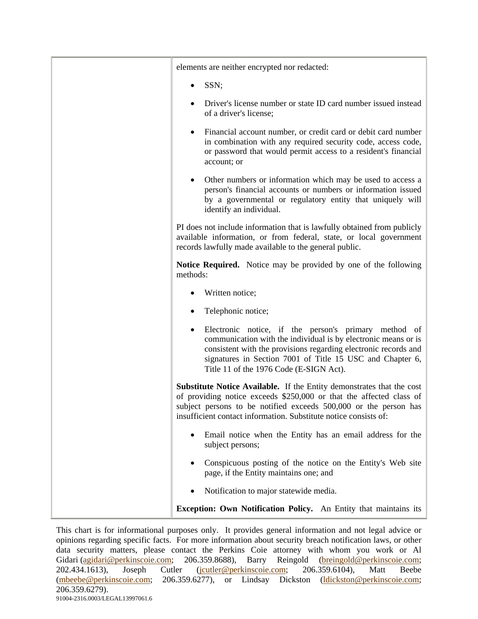| elements are neither encrypted nor redacted:                                                                                                                                                                                                                                                           |
|--------------------------------------------------------------------------------------------------------------------------------------------------------------------------------------------------------------------------------------------------------------------------------------------------------|
| SSN;                                                                                                                                                                                                                                                                                                   |
| Driver's license number or state ID card number issued instead<br>of a driver's license;                                                                                                                                                                                                               |
| Financial account number, or credit card or debit card number<br>٠<br>in combination with any required security code, access code,<br>or password that would permit access to a resident's financial<br>account; or                                                                                    |
| Other numbers or information which may be used to access a<br>$\bullet$<br>person's financial accounts or numbers or information issued<br>by a governmental or regulatory entity that uniquely will<br>identify an individual.                                                                        |
| PI does not include information that is lawfully obtained from publicly<br>available information, or from federal, state, or local government<br>records lawfully made available to the general public.                                                                                                |
| <b>Notice Required.</b> Notice may be provided by one of the following<br>methods:                                                                                                                                                                                                                     |
| Written notice;                                                                                                                                                                                                                                                                                        |
| Telephonic notice;                                                                                                                                                                                                                                                                                     |
| Electronic notice, if the person's primary method of<br>٠<br>communication with the individual is by electronic means or is<br>consistent with the provisions regarding electronic records and<br>signatures in Section 7001 of Title 15 USC and Chapter 6,<br>Title 11 of the 1976 Code (E-SIGN Act). |
| Substitute Notice Available. If the Entity demonstrates that the cost<br>of providing notice exceeds \$250,000 or that the affected class of<br>subject persons to be notified exceeds 500,000 or the person has<br>insufficient contact information. Substitute notice consists of:                   |
| Email notice when the Entity has an email address for the<br>subject persons;                                                                                                                                                                                                                          |
| Conspicuous posting of the notice on the Entity's Web site<br>page, if the Entity maintains one; and                                                                                                                                                                                                   |
| Notification to major statewide media.                                                                                                                                                                                                                                                                 |
| Exception: Own Notification Policy. An Entity that maintains its                                                                                                                                                                                                                                       |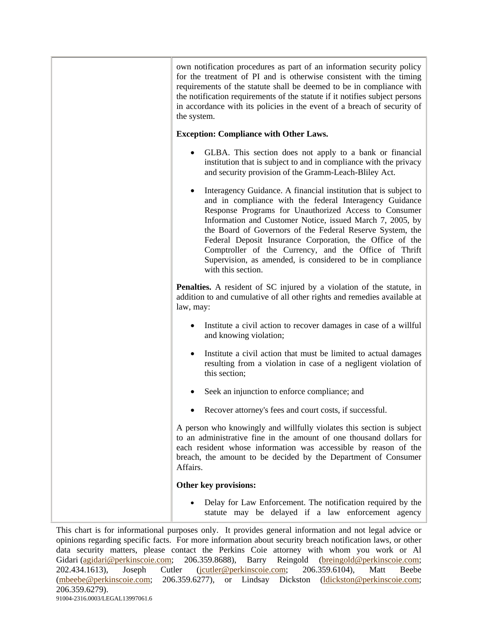| own notification procedures as part of an information security policy<br>for the treatment of PI and is otherwise consistent with the timing<br>requirements of the statute shall be deemed to be in compliance with<br>the notification requirements of the statute if it notifies subject persons<br>in accordance with its policies in the event of a breach of security of<br>the system.                                                                                                                                |
|------------------------------------------------------------------------------------------------------------------------------------------------------------------------------------------------------------------------------------------------------------------------------------------------------------------------------------------------------------------------------------------------------------------------------------------------------------------------------------------------------------------------------|
| <b>Exception: Compliance with Other Laws.</b>                                                                                                                                                                                                                                                                                                                                                                                                                                                                                |
| GLBA. This section does not apply to a bank or financial<br>institution that is subject to and in compliance with the privacy<br>and security provision of the Gramm-Leach-Bliley Act.                                                                                                                                                                                                                                                                                                                                       |
| Interagency Guidance. A financial institution that is subject to<br>٠<br>and in compliance with the federal Interagency Guidance<br>Response Programs for Unauthorized Access to Consumer<br>Information and Customer Notice, issued March 7, 2005, by<br>the Board of Governors of the Federal Reserve System, the<br>Federal Deposit Insurance Corporation, the Office of the<br>Comptroller of the Currency, and the Office of Thrift<br>Supervision, as amended, is considered to be in compliance<br>with this section. |
| Penalties. A resident of SC injured by a violation of the statute, in<br>addition to and cumulative of all other rights and remedies available at<br>law, may:                                                                                                                                                                                                                                                                                                                                                               |
| Institute a civil action to recover damages in case of a willful<br>and knowing violation;                                                                                                                                                                                                                                                                                                                                                                                                                                   |
| Institute a civil action that must be limited to actual damages<br>resulting from a violation in case of a negligent violation of<br>this section;                                                                                                                                                                                                                                                                                                                                                                           |
| Seek an injunction to enforce compliance; and                                                                                                                                                                                                                                                                                                                                                                                                                                                                                |
| Recover attorney's fees and court costs, if successful.                                                                                                                                                                                                                                                                                                                                                                                                                                                                      |
| A person who knowingly and willfully violates this section is subject<br>to an administrative fine in the amount of one thousand dollars for<br>each resident whose information was accessible by reason of the<br>breach, the amount to be decided by the Department of Consumer<br>Affairs.                                                                                                                                                                                                                                |
| Other key provisions:                                                                                                                                                                                                                                                                                                                                                                                                                                                                                                        |
| Delay for Law Enforcement. The notification required by the<br>statute may be delayed if a law enforcement agency                                                                                                                                                                                                                                                                                                                                                                                                            |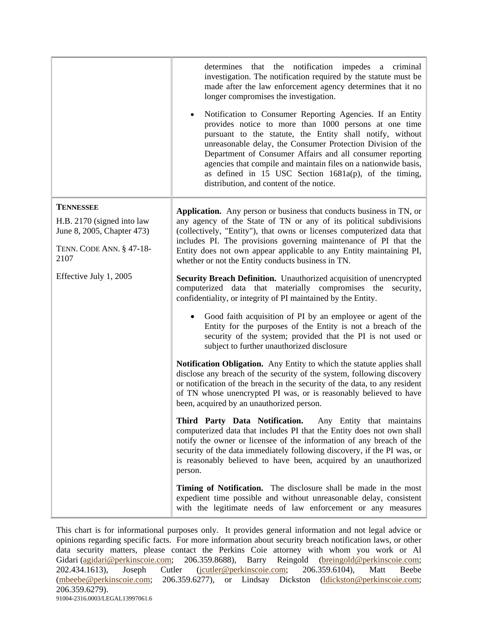|                                                                                                                  | determines that the notification<br>impedes<br>a criminal<br>investigation. The notification required by the statute must be<br>made after the law enforcement agency determines that it no<br>longer compromises the investigation.<br>Notification to Consumer Reporting Agencies. If an Entity<br>$\bullet$<br>provides notice to more than 1000 persons at one time<br>pursuant to the statute, the Entity shall notify, without<br>unreasonable delay, the Consumer Protection Division of the<br>Department of Consumer Affairs and all consumer reporting<br>agencies that compile and maintain files on a nationwide basis,<br>as defined in 15 USC Section $1681a(p)$ , of the timing,<br>distribution, and content of the notice. |
|------------------------------------------------------------------------------------------------------------------|---------------------------------------------------------------------------------------------------------------------------------------------------------------------------------------------------------------------------------------------------------------------------------------------------------------------------------------------------------------------------------------------------------------------------------------------------------------------------------------------------------------------------------------------------------------------------------------------------------------------------------------------------------------------------------------------------------------------------------------------|
| <b>TENNESSEE</b><br>H.B. 2170 (signed into law<br>June 8, 2005, Chapter 473)<br>TENN. CODE ANN. § 47-18-<br>2107 | Application. Any person or business that conducts business in TN, or<br>any agency of the State of TN or any of its political subdivisions<br>(collectively, "Entity"), that owns or licenses computerized data that<br>includes PI. The provisions governing maintenance of PI that the<br>Entity does not own appear applicable to any Entity maintaining PI,<br>whether or not the Entity conducts business in TN.                                                                                                                                                                                                                                                                                                                       |
| Effective July 1, 2005                                                                                           | Security Breach Definition. Unauthorized acquisition of unencrypted<br>computerized data that materially compromises the<br>security,<br>confidentiality, or integrity of PI maintained by the Entity.                                                                                                                                                                                                                                                                                                                                                                                                                                                                                                                                      |
|                                                                                                                  | Good faith acquisition of PI by an employee or agent of the<br>Entity for the purposes of the Entity is not a breach of the<br>security of the system; provided that the PI is not used or<br>subject to further unauthorized disclosure                                                                                                                                                                                                                                                                                                                                                                                                                                                                                                    |
|                                                                                                                  | Notification Obligation. Any Entity to which the statute applies shall<br>disclose any breach of the security of the system, following discovery<br>or notification of the breach in the security of the data, to any resident<br>of TN whose unencrypted PI was, or is reasonably believed to have<br>been, acquired by an unauthorized person.                                                                                                                                                                                                                                                                                                                                                                                            |
|                                                                                                                  | Third Party Data Notification. Any Entity that maintains<br>computerized data that includes PI that the Entity does not own shall<br>notify the owner or licensee of the information of any breach of the<br>security of the data immediately following discovery, if the PI was, or<br>is reasonably believed to have been, acquired by an unauthorized<br>person.                                                                                                                                                                                                                                                                                                                                                                         |
|                                                                                                                  | Timing of Notification. The disclosure shall be made in the most<br>expedient time possible and without unreasonable delay, consistent<br>with the legitimate needs of law enforcement or any measures                                                                                                                                                                                                                                                                                                                                                                                                                                                                                                                                      |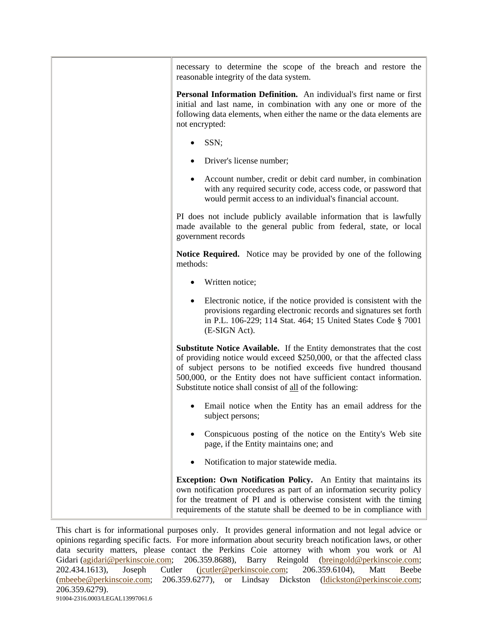| necessary to determine the scope of the breach and restore the<br>reasonable integrity of the data system.                                                                                                                                                                                                                                                    |
|---------------------------------------------------------------------------------------------------------------------------------------------------------------------------------------------------------------------------------------------------------------------------------------------------------------------------------------------------------------|
| Personal Information Definition. An individual's first name or first<br>initial and last name, in combination with any one or more of the<br>following data elements, when either the name or the data elements are<br>not encrypted:                                                                                                                         |
| SSN;                                                                                                                                                                                                                                                                                                                                                          |
| Driver's license number;                                                                                                                                                                                                                                                                                                                                      |
| Account number, credit or debit card number, in combination<br>with any required security code, access code, or password that<br>would permit access to an individual's financial account.                                                                                                                                                                    |
| PI does not include publicly available information that is lawfully<br>made available to the general public from federal, state, or local<br>government records                                                                                                                                                                                               |
| <b>Notice Required.</b> Notice may be provided by one of the following<br>methods:                                                                                                                                                                                                                                                                            |
| Written notice;                                                                                                                                                                                                                                                                                                                                               |
| Electronic notice, if the notice provided is consistent with the<br>provisions regarding electronic records and signatures set forth<br>in P.L. 106-229; 114 Stat. 464; 15 United States Code § 7001<br>(E-SIGN Act).                                                                                                                                         |
| <b>Substitute Notice Available.</b> If the Entity demonstrates that the cost<br>of providing notice would exceed \$250,000, or that the affected class<br>of subject persons to be notified exceeds five hundred thousand<br>500,000, or the Entity does not have sufficient contact information.<br>Substitute notice shall consist of all of the following: |
| Email notice when the Entity has an email address for the<br>subject persons;                                                                                                                                                                                                                                                                                 |
| Conspicuous posting of the notice on the Entity's Web site<br>page, if the Entity maintains one; and                                                                                                                                                                                                                                                          |
| Notification to major statewide media.                                                                                                                                                                                                                                                                                                                        |
| Exception: Own Notification Policy. An Entity that maintains its<br>own notification procedures as part of an information security policy<br>for the treatment of PI and is otherwise consistent with the timing<br>requirements of the statute shall be deemed to be in compliance with                                                                      |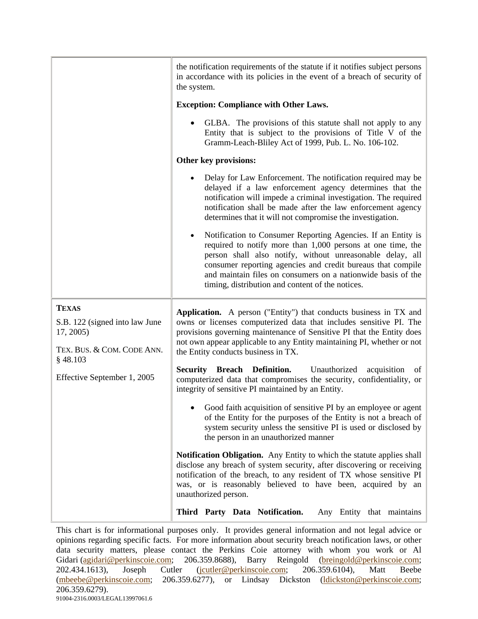|                                                                                           | the notification requirements of the statute if it notifies subject persons<br>in accordance with its policies in the event of a breach of security of<br>the system.                                                                                                                                                                                                       |
|-------------------------------------------------------------------------------------------|-----------------------------------------------------------------------------------------------------------------------------------------------------------------------------------------------------------------------------------------------------------------------------------------------------------------------------------------------------------------------------|
|                                                                                           | <b>Exception: Compliance with Other Laws.</b>                                                                                                                                                                                                                                                                                                                               |
|                                                                                           | GLBA. The provisions of this statute shall not apply to any<br>Entity that is subject to the provisions of Title V of the<br>Gramm-Leach-Bliley Act of 1999, Pub. L. No. 106-102.                                                                                                                                                                                           |
|                                                                                           | Other key provisions:                                                                                                                                                                                                                                                                                                                                                       |
|                                                                                           | Delay for Law Enforcement. The notification required may be<br>delayed if a law enforcement agency determines that the<br>notification will impede a criminal investigation. The required<br>notification shall be made after the law enforcement agency<br>determines that it will not compromise the investigation.                                                       |
|                                                                                           | Notification to Consumer Reporting Agencies. If an Entity is<br>required to notify more than 1,000 persons at one time, the<br>person shall also notify, without unreasonable delay, all<br>consumer reporting agencies and credit bureaus that compile<br>and maintain files on consumers on a nationwide basis of the<br>timing, distribution and content of the notices. |
| <b>TEXAS</b><br>S.B. 122 (signed into law June<br>17, 2005)<br>TEX. BUS. & COM. CODE ANN. | Application. A person ("Entity") that conducts business in TX and<br>owns or licenses computerized data that includes sensitive PI. The<br>provisions governing maintenance of Sensitive PI that the Entity does<br>not own appear applicable to any Entity maintaining PI, whether or not<br>the Entity conducts business in TX.                                           |
| $§$ 48.103<br>Effective September 1, 2005                                                 | <b>Security Breach Definition.</b><br>Unauthorized<br>acquisition<br>of<br>computerized data that compromises the security, confidentiality, or<br>integrity of sensitive PI maintained by an Entity.                                                                                                                                                                       |
|                                                                                           | Good faith acquisition of sensitive PI by an employee or agent<br>of the Entity for the purposes of the Entity is not a breach of<br>system security unless the sensitive PI is used or disclosed by<br>the person in an unauthorized manner                                                                                                                                |
|                                                                                           | Notification Obligation. Any Entity to which the statute applies shall<br>disclose any breach of system security, after discovering or receiving<br>notification of the breach, to any resident of TX whose sensitive PI<br>was, or is reasonably believed to have been, acquired by an<br>unauthorized person.                                                             |
|                                                                                           | Third Party Data Notification.<br>Any Entity that maintains                                                                                                                                                                                                                                                                                                                 |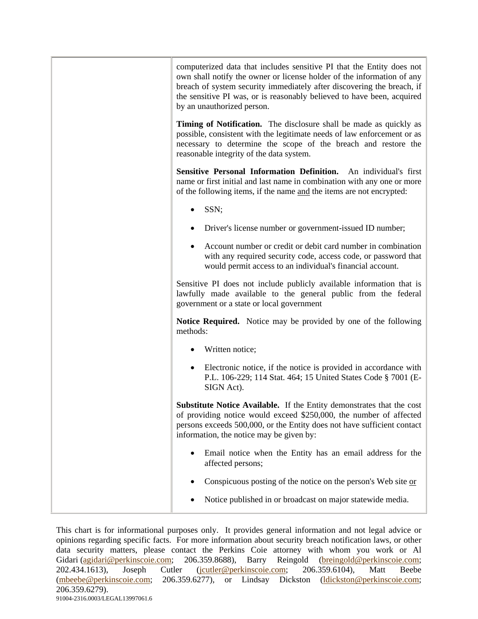| computerized data that includes sensitive PI that the Entity does not<br>own shall notify the owner or license holder of the information of any<br>breach of system security immediately after discovering the breach, if<br>the sensitive PI was, or is reasonably believed to have been, acquired<br>by an unauthorized person. |
|-----------------------------------------------------------------------------------------------------------------------------------------------------------------------------------------------------------------------------------------------------------------------------------------------------------------------------------|
| Timing of Notification. The disclosure shall be made as quickly as<br>possible, consistent with the legitimate needs of law enforcement or as<br>necessary to determine the scope of the breach and restore the<br>reasonable integrity of the data system.                                                                       |
| Sensitive Personal Information Definition. An individual's first<br>name or first initial and last name in combination with any one or more<br>of the following items, if the name and the items are not encrypted:                                                                                                               |
| SSN;                                                                                                                                                                                                                                                                                                                              |
| Driver's license number or government-issued ID number;                                                                                                                                                                                                                                                                           |
| Account number or credit or debit card number in combination<br>with any required security code, access code, or password that<br>would permit access to an individual's financial account.                                                                                                                                       |
| Sensitive PI does not include publicly available information that is<br>lawfully made available to the general public from the federal<br>government or a state or local government                                                                                                                                               |
| <b>Notice Required.</b> Notice may be provided by one of the following<br>methods:                                                                                                                                                                                                                                                |
| Written notice;                                                                                                                                                                                                                                                                                                                   |
| Electronic notice, if the notice is provided in accordance with<br>٠<br>P.L. 106-229; 114 Stat. 464; 15 United States Code § 7001 (E-<br>SIGN Act).                                                                                                                                                                               |
| Substitute Notice Available. If the Entity demonstrates that the cost<br>of providing notice would exceed \$250,000, the number of affected<br>persons exceeds 500,000, or the Entity does not have sufficient contact<br>information, the notice may be given by:                                                                |
| Email notice when the Entity has an email address for the<br>affected persons;                                                                                                                                                                                                                                                    |
| Conspicuous posting of the notice on the person's Web site or                                                                                                                                                                                                                                                                     |
| Notice published in or broadcast on major statewide media.                                                                                                                                                                                                                                                                        |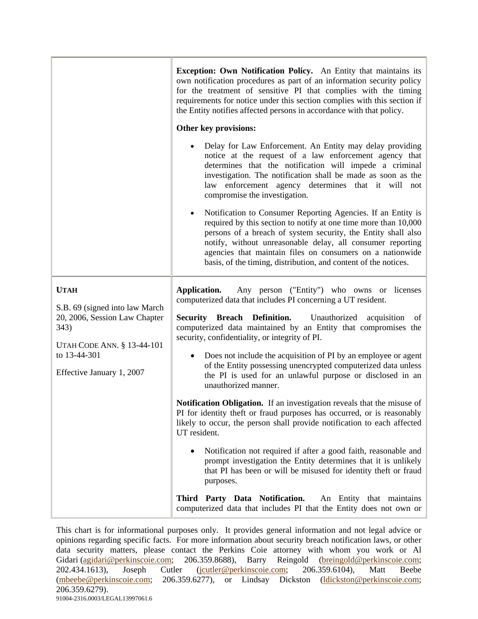|                                                                                                                                                                          | <b>Exception: Own Notification Policy.</b> An Entity that maintains its<br>own notification procedures as part of an information security policy<br>for the treatment of sensitive PI that complies with the timing<br>requirements for notice under this section complies with this section if<br>the Entity notifies affected persons in accordance with that policy.<br>Other key provisions:<br>Delay for Law Enforcement. An Entity may delay providing<br>notice at the request of a law enforcement agency that<br>determines that the notification will impede a criminal<br>investigation. The notification shall be made as soon as the<br>law enforcement agency determines that it will not<br>compromise the investigation.<br>Notification to Consumer Reporting Agencies. If an Entity is<br>٠<br>required by this section to notify at one time more than 10,000<br>persons of a breach of system security, the Entity shall also<br>notify, without unreasonable delay, all consumer reporting<br>agencies that maintain files on consumers on a nationwide<br>basis, of the timing, distribution, and content of the notices.         |
|--------------------------------------------------------------------------------------------------------------------------------------------------------------------------|---------------------------------------------------------------------------------------------------------------------------------------------------------------------------------------------------------------------------------------------------------------------------------------------------------------------------------------------------------------------------------------------------------------------------------------------------------------------------------------------------------------------------------------------------------------------------------------------------------------------------------------------------------------------------------------------------------------------------------------------------------------------------------------------------------------------------------------------------------------------------------------------------------------------------------------------------------------------------------------------------------------------------------------------------------------------------------------------------------------------------------------------------------|
| <b>UTAH</b><br>S.B. 69 (signed into law March<br>20, 2006, Session Law Chapter<br>343)<br><b>UTAH CODE ANN. § 13-44-101</b><br>to 13-44-301<br>Effective January 1, 2007 | Application.<br>Any person ("Entity") who owns or licenses<br>computerized data that includes PI concerning a UT resident.<br><b>Security Breach Definition.</b> Unauthorized<br>acquisition<br>of<br>computerized data maintained by an Entity that compromises the<br>security, confidentiality, or integrity of PI.<br>Does not include the acquisition of PI by an employee or agent<br>of the Entity possessing unencrypted computerized data unless<br>the PI is used for an unlawful purpose or disclosed in an<br>unauthorized manner.<br>Notification Obligation. If an investigation reveals that the misuse of<br>PI for identity theft or fraud purposes has occurred, or is reasonably<br>likely to occur, the person shall provide notification to each affected<br>UT resident.<br>Notification not required if after a good faith, reasonable and<br>prompt investigation the Entity determines that it is unlikely<br>that PI has been or will be misused for identity theft or fraud<br>purposes.<br>Third Party Data Notification.<br>An Entity that maintains<br>computerized data that includes PI that the Entity does not own or |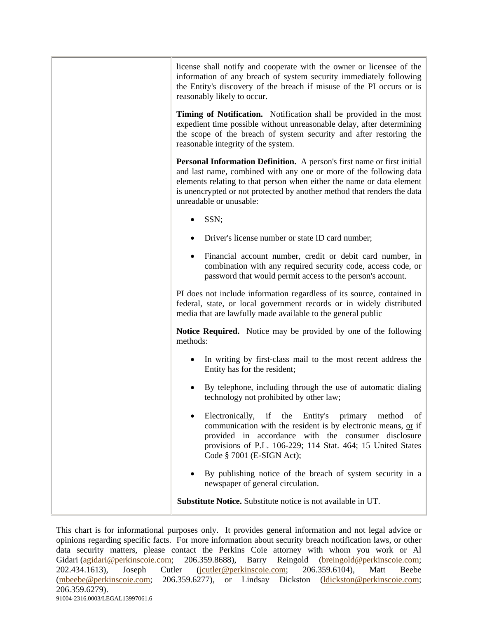| license shall notify and cooperate with the owner or licensee of the<br>information of any breach of system security immediately following<br>the Entity's discovery of the breach if misuse of the PI occurs or is<br>reasonably likely to occur.                                                                                  |
|-------------------------------------------------------------------------------------------------------------------------------------------------------------------------------------------------------------------------------------------------------------------------------------------------------------------------------------|
| Timing of Notification. Notification shall be provided in the most<br>expedient time possible without unreasonable delay, after determining<br>the scope of the breach of system security and after restoring the<br>reasonable integrity of the system.                                                                            |
| <b>Personal Information Definition.</b> A person's first name or first initial<br>and last name, combined with any one or more of the following data<br>elements relating to that person when either the name or data element<br>is unencrypted or not protected by another method that renders the data<br>unreadable or unusable: |
| SSN;                                                                                                                                                                                                                                                                                                                                |
| Driver's license number or state ID card number;                                                                                                                                                                                                                                                                                    |
| Financial account number, credit or debit card number, in<br>combination with any required security code, access code, or<br>password that would permit access to the person's account.                                                                                                                                             |
| PI does not include information regardless of its source, contained in<br>federal, state, or local government records or in widely distributed<br>media that are lawfully made available to the general public                                                                                                                      |
| <b>Notice Required.</b> Notice may be provided by one of the following<br>methods:                                                                                                                                                                                                                                                  |
| In writing by first-class mail to the most recent address the<br>Entity has for the resident;                                                                                                                                                                                                                                       |
| By telephone, including through the use of automatic dialing<br>technology not prohibited by other law;                                                                                                                                                                                                                             |
| Electronically,<br>if<br>the Entity's primary<br>method<br>of<br>communication with the resident is by electronic means, or if<br>provided in accordance with the consumer disclosure<br>provisions of P.L. 106-229; 114 Stat. 464; 15 United States<br>Code § 7001 (E-SIGN Act);                                                   |
| By publishing notice of the breach of system security in a<br>newspaper of general circulation.                                                                                                                                                                                                                                     |
| Substitute Notice. Substitute notice is not available in UT.                                                                                                                                                                                                                                                                        |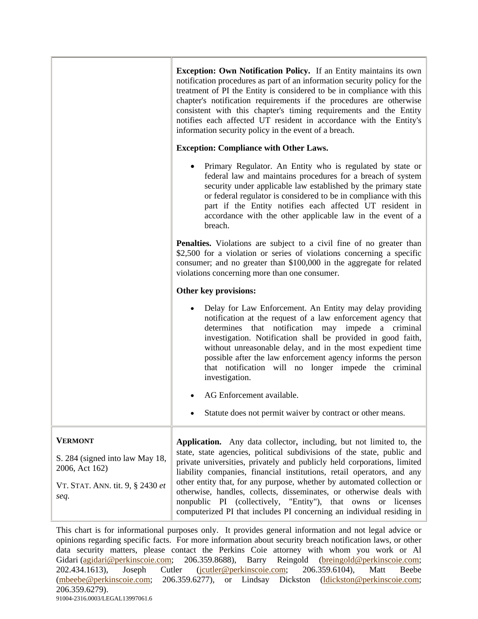| <b>Exception: Own Notification Policy.</b> If an Entity maintains its own<br>notification procedures as part of an information security policy for the<br>treatment of PI the Entity is considered to be in compliance with this<br>chapter's notification requirements if the procedures are otherwise<br>consistent with this chapter's timing requirements and the Entity<br>notifies each affected UT resident in accordance with the Entity's<br>information security policy in the event of a breach.                                                                                  |
|----------------------------------------------------------------------------------------------------------------------------------------------------------------------------------------------------------------------------------------------------------------------------------------------------------------------------------------------------------------------------------------------------------------------------------------------------------------------------------------------------------------------------------------------------------------------------------------------|
| <b>Exception: Compliance with Other Laws.</b>                                                                                                                                                                                                                                                                                                                                                                                                                                                                                                                                                |
| Primary Regulator. An Entity who is regulated by state or<br>federal law and maintains procedures for a breach of system<br>security under applicable law established by the primary state<br>or federal regulator is considered to be in compliance with this<br>part if the Entity notifies each affected UT resident in<br>accordance with the other applicable law in the event of a<br>breach.                                                                                                                                                                                          |
| <b>Penalties.</b> Violations are subject to a civil fine of no greater than<br>\$2,500 for a violation or series of violations concerning a specific<br>consumer; and no greater than \$100,000 in the aggregate for related<br>violations concerning more than one consumer.                                                                                                                                                                                                                                                                                                                |
| Other key provisions:                                                                                                                                                                                                                                                                                                                                                                                                                                                                                                                                                                        |
| Delay for Law Enforcement. An Entity may delay providing<br>$\bullet$<br>notification at the request of a law enforcement agency that<br>determines that notification may impede a criminal<br>investigation. Notification shall be provided in good faith,<br>without unreasonable delay, and in the most expedient time<br>possible after the law enforcement agency informs the person<br>that notification will no longer impede the criminal<br>investigation.                                                                                                                          |
| AG Enforcement available.                                                                                                                                                                                                                                                                                                                                                                                                                                                                                                                                                                    |
| Statute does not permit waiver by contract or other means.                                                                                                                                                                                                                                                                                                                                                                                                                                                                                                                                   |
| Application. Any data collector, including, but not limited to, the<br>state, state agencies, political subdivisions of the state, public and<br>private universities, privately and publicly held corporations, limited<br>liability companies, financial institutions, retail operators, and any<br>other entity that, for any purpose, whether by automated collection or<br>otherwise, handles, collects, disseminates, or otherwise deals with<br>nonpublic PI (collectively, "Entity"), that owns or licenses<br>computerized PI that includes PI concerning an individual residing in |
|                                                                                                                                                                                                                                                                                                                                                                                                                                                                                                                                                                                              |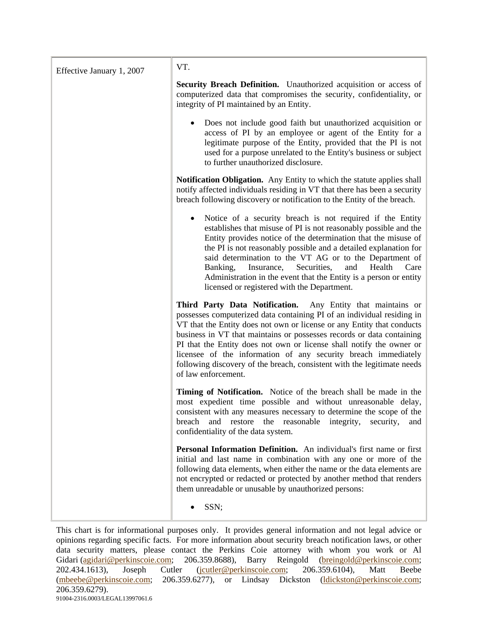| Effective January 1, 2007 | VT.                                                                                                                                                                                                                                                                                                                                                                                                                                                                                                                                  |
|---------------------------|--------------------------------------------------------------------------------------------------------------------------------------------------------------------------------------------------------------------------------------------------------------------------------------------------------------------------------------------------------------------------------------------------------------------------------------------------------------------------------------------------------------------------------------|
|                           | <b>Security Breach Definition.</b> Unauthorized acquisition or access of<br>computerized data that compromises the security, confidentiality, or<br>integrity of PI maintained by an Entity.                                                                                                                                                                                                                                                                                                                                         |
|                           | Does not include good faith but unauthorized acquisition or<br>access of PI by an employee or agent of the Entity for a<br>legitimate purpose of the Entity, provided that the PI is not<br>used for a purpose unrelated to the Entity's business or subject<br>to further unauthorized disclosure.                                                                                                                                                                                                                                  |
|                           | <b>Notification Obligation.</b> Any Entity to which the statute applies shall<br>notify affected individuals residing in VT that there has been a security<br>breach following discovery or notification to the Entity of the breach.                                                                                                                                                                                                                                                                                                |
|                           | Notice of a security breach is not required if the Entity<br>$\bullet$<br>establishes that misuse of PI is not reasonably possible and the<br>Entity provides notice of the determination that the misuse of<br>the PI is not reasonably possible and a detailed explanation for<br>said determination to the VT AG or to the Department of<br>Banking,<br>Insurance, Securities,<br>and<br>Health<br>Care<br>Administration in the event that the Entity is a person or entity<br>licensed or registered with the Department.       |
|                           | Third Party Data Notification. Any Entity that maintains or<br>possesses computerized data containing PI of an individual residing in<br>VT that the Entity does not own or license or any Entity that conducts<br>business in VT that maintains or possesses records or data containing<br>PI that the Entity does not own or license shall notify the owner or<br>licensee of the information of any security breach immediately<br>following discovery of the breach, consistent with the legitimate needs<br>of law enforcement. |
|                           | Timing of Notification. Notice of the breach shall be made in the<br>most expedient time possible and without unreasonable delay,<br>consistent with any measures necessary to determine the scope of the<br>and restore the reasonable integrity,<br>breach<br>security,<br>and<br>confidentiality of the data system.                                                                                                                                                                                                              |
|                           | Personal Information Definition. An individual's first name or first<br>initial and last name in combination with any one or more of the<br>following data elements, when either the name or the data elements are<br>not encrypted or redacted or protected by another method that renders<br>them unreadable or unusable by unauthorized persons:                                                                                                                                                                                  |
|                           | SSN;                                                                                                                                                                                                                                                                                                                                                                                                                                                                                                                                 |

This chart is for informational purposes only. It provides general information and not legal advice or opinions regarding specific facts. For more information about security breach notification laws, or other data security matters, please contact the Perkins Coie attorney with whom you work or Al Gidari (agidari@perkinscoie.com; 206.359.8688), Barry Reingold (breingold@perkinscoie.com; 202.434.1613), Joseph Cutler (jcutler@perkinscoie.com; 206.359.6104), Matt Beebe (mbeebe@perkinscoie.com; 206.359.6277), or Lindsay Dickston (ldickston@perkinscoie.com; 206.359.6279). 91004-2316.0003/LEGAL13997061.6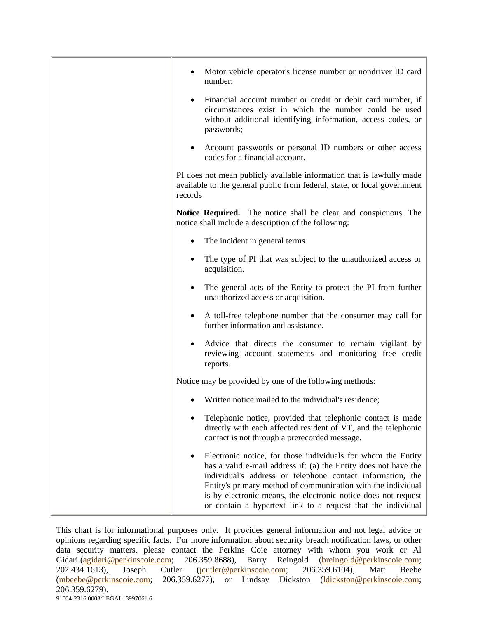| Motor vehicle operator's license number or nondriver ID card<br>number;                                                                                                                                                                                                                                                                                                                         |
|-------------------------------------------------------------------------------------------------------------------------------------------------------------------------------------------------------------------------------------------------------------------------------------------------------------------------------------------------------------------------------------------------|
| Financial account number or credit or debit card number, if<br>circumstances exist in which the number could be used<br>without additional identifying information, access codes, or<br>passwords;                                                                                                                                                                                              |
| Account passwords or personal ID numbers or other access<br>codes for a financial account.                                                                                                                                                                                                                                                                                                      |
| PI does not mean publicly available information that is lawfully made<br>available to the general public from federal, state, or local government<br>records                                                                                                                                                                                                                                    |
| <b>Notice Required.</b> The notice shall be clear and conspicuous. The<br>notice shall include a description of the following:                                                                                                                                                                                                                                                                  |
| The incident in general terms.                                                                                                                                                                                                                                                                                                                                                                  |
| The type of PI that was subject to the unauthorized access or<br>acquisition.                                                                                                                                                                                                                                                                                                                   |
| The general acts of the Entity to protect the PI from further<br>unauthorized access or acquisition.                                                                                                                                                                                                                                                                                            |
| A toll-free telephone number that the consumer may call for<br>further information and assistance.                                                                                                                                                                                                                                                                                              |
| Advice that directs the consumer to remain vigilant by<br>reviewing account statements and monitoring free credit<br>reports.                                                                                                                                                                                                                                                                   |
| Notice may be provided by one of the following methods:                                                                                                                                                                                                                                                                                                                                         |
| Written notice mailed to the individual's residence;                                                                                                                                                                                                                                                                                                                                            |
| Telephonic notice, provided that telephonic contact is made<br>directly with each affected resident of VT, and the telephonic<br>contact is not through a prerecorded message.                                                                                                                                                                                                                  |
| Electronic notice, for those individuals for whom the Entity<br>has a valid e-mail address if: (a) the Entity does not have the<br>individual's address or telephone contact information, the<br>Entity's primary method of communication with the individual<br>is by electronic means, the electronic notice does not request<br>or contain a hypertext link to a request that the individual |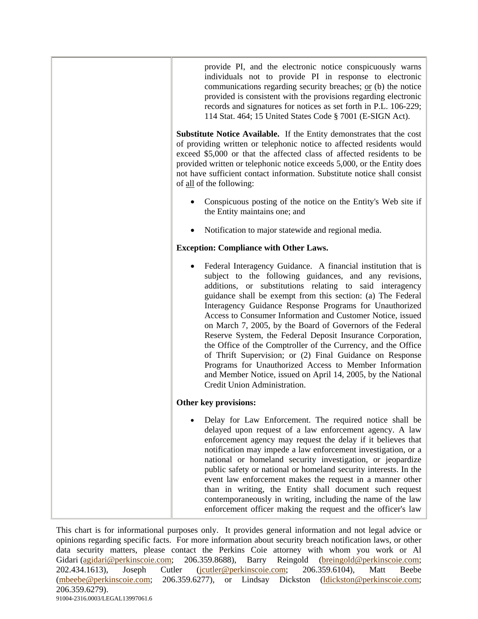| provide PI, and the electronic notice conspicuously warns<br>individuals not to provide PI in response to electronic<br>communications regarding security breaches; or (b) the notice<br>provided is consistent with the provisions regarding electronic<br>records and signatures for notices as set forth in P.L. 106-229;<br>114 Stat. 464; 15 United States Code § 7001 (E-SIGN Act).                                                                                                                                                                                                                                                                                                                                                                                                      |
|------------------------------------------------------------------------------------------------------------------------------------------------------------------------------------------------------------------------------------------------------------------------------------------------------------------------------------------------------------------------------------------------------------------------------------------------------------------------------------------------------------------------------------------------------------------------------------------------------------------------------------------------------------------------------------------------------------------------------------------------------------------------------------------------|
| <b>Substitute Notice Available.</b> If the Entity demonstrates that the cost<br>of providing written or telephonic notice to affected residents would<br>exceed \$5,000 or that the affected class of affected residents to be<br>provided written or telephonic notice exceeds 5,000, or the Entity does<br>not have sufficient contact information. Substitute notice shall consist<br>of all of the following:                                                                                                                                                                                                                                                                                                                                                                              |
| Conspicuous posting of the notice on the Entity's Web site if<br>the Entity maintains one; and                                                                                                                                                                                                                                                                                                                                                                                                                                                                                                                                                                                                                                                                                                 |
| Notification to major statewide and regional media.                                                                                                                                                                                                                                                                                                                                                                                                                                                                                                                                                                                                                                                                                                                                            |
| <b>Exception: Compliance with Other Laws.</b>                                                                                                                                                                                                                                                                                                                                                                                                                                                                                                                                                                                                                                                                                                                                                  |
| Federal Interagency Guidance. A financial institution that is<br>subject to the following guidances, and any revisions,<br>additions, or substitutions relating to said interagency<br>guidance shall be exempt from this section: (a) The Federal<br>Interagency Guidance Response Programs for Unauthorized<br>Access to Consumer Information and Customer Notice, issued<br>on March 7, 2005, by the Board of Governors of the Federal<br>Reserve System, the Federal Deposit Insurance Corporation,<br>the Office of the Comptroller of the Currency, and the Office<br>of Thrift Supervision; or (2) Final Guidance on Response<br>Programs for Unauthorized Access to Member Information<br>and Member Notice, issued on April 14, 2005, by the National<br>Credit Union Administration. |
| Other key provisions:                                                                                                                                                                                                                                                                                                                                                                                                                                                                                                                                                                                                                                                                                                                                                                          |
| Delay for Law Enforcement. The required notice shall be<br>delayed upon request of a law enforcement agency. A law<br>enforcement agency may request the delay if it believes that<br>notification may impede a law enforcement investigation, or a<br>national or homeland security investigation, or jeopardize<br>public safety or national or homeland security interests. In the<br>event law enforcement makes the request in a manner other<br>than in writing, the Entity shall document such request<br>contemporaneously in writing, including the name of the law<br>enforcement officer making the request and the officer's law                                                                                                                                                   |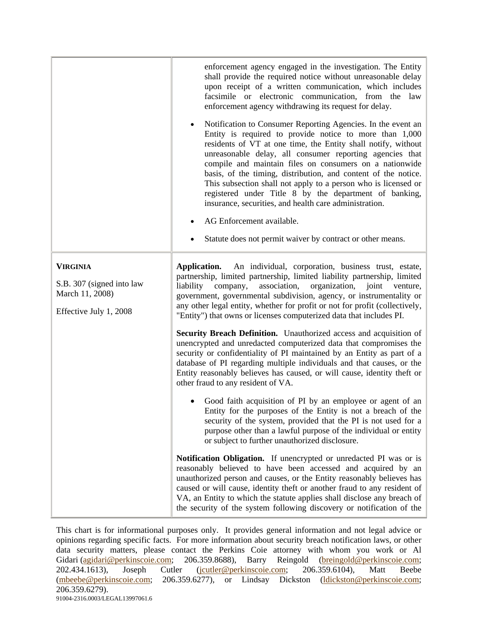|                                                                                           | enforcement agency engaged in the investigation. The Entity<br>shall provide the required notice without unreasonable delay<br>upon receipt of a written communication, which includes<br>facsimile or electronic communication, from the law<br>enforcement agency withdrawing its request for delay.                                                                                                                                                                                                                                                                                                                                                                          |
|-------------------------------------------------------------------------------------------|---------------------------------------------------------------------------------------------------------------------------------------------------------------------------------------------------------------------------------------------------------------------------------------------------------------------------------------------------------------------------------------------------------------------------------------------------------------------------------------------------------------------------------------------------------------------------------------------------------------------------------------------------------------------------------|
|                                                                                           | Notification to Consumer Reporting Agencies. In the event an<br>$\bullet$<br>Entity is required to provide notice to more than 1,000<br>residents of VT at one time, the Entity shall notify, without<br>unreasonable delay, all consumer reporting agencies that<br>compile and maintain files on consumers on a nationwide<br>basis, of the timing, distribution, and content of the notice.<br>This subsection shall not apply to a person who is licensed or<br>registered under Title 8 by the department of banking,<br>insurance, securities, and health care administration.<br>AG Enforcement available.<br>Statute does not permit waiver by contract or other means. |
|                                                                                           |                                                                                                                                                                                                                                                                                                                                                                                                                                                                                                                                                                                                                                                                                 |
| <b>VIRGINIA</b><br>S.B. 307 (signed into law<br>March 11, 2008)<br>Effective July 1, 2008 | Application.<br>An individual, corporation, business trust, estate,<br>partnership, limited partnership, limited liability partnership, limited<br>company,<br>association,<br>liability<br>organization,<br>joint<br>venture,<br>government, governmental subdivision, agency, or instrumentality or<br>any other legal entity, whether for profit or not for profit (collectively,<br>"Entity") that owns or licenses computerized data that includes PI.                                                                                                                                                                                                                     |
|                                                                                           | Security Breach Definition. Unauthorized access and acquisition of<br>unencrypted and unredacted computerized data that compromises the<br>security or confidentiality of PI maintained by an Entity as part of a<br>database of PI regarding multiple individuals and that causes, or the<br>Entity reasonably believes has caused, or will cause, identity theft or<br>other fraud to any resident of VA.                                                                                                                                                                                                                                                                     |
|                                                                                           | Good faith acquisition of PI by an employee or agent of an<br>Entity for the purposes of the Entity is not a breach of the<br>security of the system, provided that the PI is not used for a<br>purpose other than a lawful purpose of the individual or entity<br>or subject to further unauthorized disclosure.                                                                                                                                                                                                                                                                                                                                                               |
|                                                                                           | Notification Obligation. If unencrypted or unredacted PI was or is<br>reasonably believed to have been accessed and acquired by an<br>unauthorized person and causes, or the Entity reasonably believes has<br>caused or will cause, identity theft or another fraud to any resident of<br>VA, an Entity to which the statute applies shall disclose any breach of<br>the security of the system following discovery or notification of the                                                                                                                                                                                                                                     |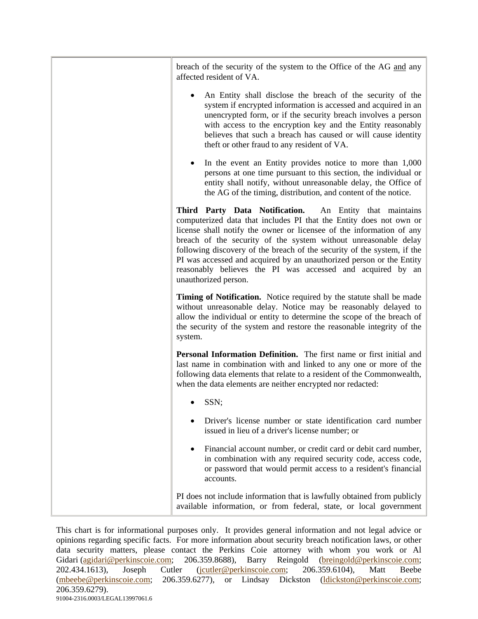| breach of the security of the system to the Office of the AG and any<br>affected resident of VA.                                                                                                                                                                                                                                                                                                                                                                                                                  |
|-------------------------------------------------------------------------------------------------------------------------------------------------------------------------------------------------------------------------------------------------------------------------------------------------------------------------------------------------------------------------------------------------------------------------------------------------------------------------------------------------------------------|
| An Entity shall disclose the breach of the security of the<br>system if encrypted information is accessed and acquired in an<br>unencrypted form, or if the security breach involves a person<br>with access to the encryption key and the Entity reasonably<br>believes that such a breach has caused or will cause identity<br>theft or other fraud to any resident of VA.                                                                                                                                      |
| In the event an Entity provides notice to more than 1,000<br>persons at one time pursuant to this section, the individual or<br>entity shall notify, without unreasonable delay, the Office of<br>the AG of the timing, distribution, and content of the notice.                                                                                                                                                                                                                                                  |
| Third Party Data Notification. An Entity that maintains<br>computerized data that includes PI that the Entity does not own or<br>license shall notify the owner or licensee of the information of any<br>breach of the security of the system without unreasonable delay<br>following discovery of the breach of the security of the system, if the<br>PI was accessed and acquired by an unauthorized person or the Entity<br>reasonably believes the PI was accessed and acquired by an<br>unauthorized person. |
| Timing of Notification. Notice required by the statute shall be made<br>without unreasonable delay. Notice may be reasonably delayed to<br>allow the individual or entity to determine the scope of the breach of<br>the security of the system and restore the reasonable integrity of the<br>system.                                                                                                                                                                                                            |
| Personal Information Definition. The first name or first initial and<br>last name in combination with and linked to any one or more of the<br>following data elements that relate to a resident of the Commonwealth,<br>when the data elements are neither encrypted nor redacted:                                                                                                                                                                                                                                |
| SSN;                                                                                                                                                                                                                                                                                                                                                                                                                                                                                                              |
| Driver's license number or state identification card number<br>issued in lieu of a driver's license number; or                                                                                                                                                                                                                                                                                                                                                                                                    |
| Financial account number, or credit card or debit card number,<br>in combination with any required security code, access code,<br>or password that would permit access to a resident's financial<br>accounts.                                                                                                                                                                                                                                                                                                     |
| PI does not include information that is lawfully obtained from publicly<br>available information, or from federal, state, or local government                                                                                                                                                                                                                                                                                                                                                                     |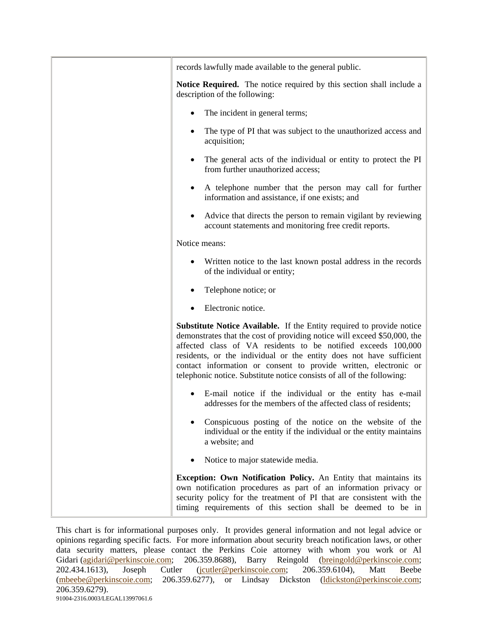| records lawfully made available to the general public.                                                                                                                                                                                                                                                                                                                                                                                         |
|------------------------------------------------------------------------------------------------------------------------------------------------------------------------------------------------------------------------------------------------------------------------------------------------------------------------------------------------------------------------------------------------------------------------------------------------|
| <b>Notice Required.</b> The notice required by this section shall include a<br>description of the following:                                                                                                                                                                                                                                                                                                                                   |
| The incident in general terms;                                                                                                                                                                                                                                                                                                                                                                                                                 |
| The type of PI that was subject to the unauthorized access and<br>$\bullet$<br>acquisition;                                                                                                                                                                                                                                                                                                                                                    |
| The general acts of the individual or entity to protect the PI<br>$\bullet$<br>from further unauthorized access;                                                                                                                                                                                                                                                                                                                               |
| A telephone number that the person may call for further<br>٠<br>information and assistance, if one exists; and                                                                                                                                                                                                                                                                                                                                 |
| Advice that directs the person to remain vigilant by reviewing<br>$\bullet$<br>account statements and monitoring free credit reports.                                                                                                                                                                                                                                                                                                          |
| Notice means:                                                                                                                                                                                                                                                                                                                                                                                                                                  |
| Written notice to the last known postal address in the records<br>of the individual or entity;                                                                                                                                                                                                                                                                                                                                                 |
| Telephone notice; or                                                                                                                                                                                                                                                                                                                                                                                                                           |
| Electronic notice.<br>$\bullet$                                                                                                                                                                                                                                                                                                                                                                                                                |
| <b>Substitute Notice Available.</b> If the Entity required to provide notice<br>demonstrates that the cost of providing notice will exceed \$50,000, the<br>affected class of VA residents to be notified exceeds 100,000<br>residents, or the individual or the entity does not have sufficient<br>contact information or consent to provide written, electronic or<br>telephonic notice. Substitute notice consists of all of the following: |
| E-mail notice if the individual or the entity has e-mail<br>addresses for the members of the affected class of residents;                                                                                                                                                                                                                                                                                                                      |
| Conspicuous posting of the notice on the website of the<br>individual or the entity if the individual or the entity maintains<br>a website; and                                                                                                                                                                                                                                                                                                |
| Notice to major statewide media.                                                                                                                                                                                                                                                                                                                                                                                                               |
| <b>Exception: Own Notification Policy.</b> An Entity that maintains its<br>own notification procedures as part of an information privacy or<br>security policy for the treatment of PI that are consistent with the<br>timing requirements of this section shall be deemed to be in                                                                                                                                                            |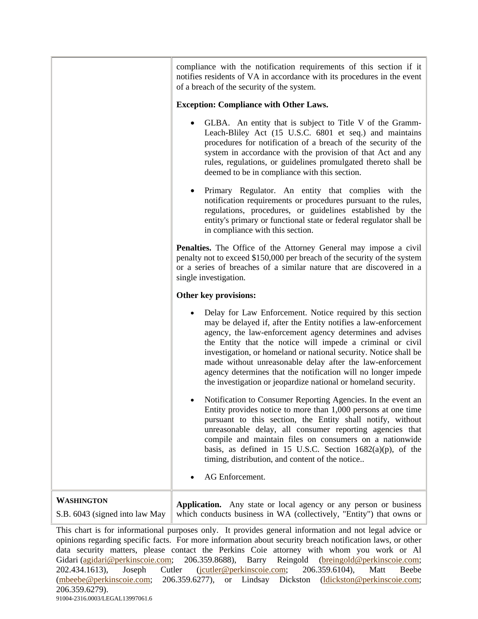|                                                     | compliance with the notification requirements of this section if it<br>notifies residents of VA in accordance with its procedures in the event<br>of a breach of the security of the system.                                                                                                                                                                                                                                                                                                                                |
|-----------------------------------------------------|-----------------------------------------------------------------------------------------------------------------------------------------------------------------------------------------------------------------------------------------------------------------------------------------------------------------------------------------------------------------------------------------------------------------------------------------------------------------------------------------------------------------------------|
|                                                     | <b>Exception: Compliance with Other Laws.</b>                                                                                                                                                                                                                                                                                                                                                                                                                                                                               |
|                                                     | GLBA. An entity that is subject to Title V of the Gramm-<br>Leach-Bliley Act (15 U.S.C. 6801 et seq.) and maintains<br>procedures for notification of a breach of the security of the<br>system in accordance with the provision of that Act and any<br>rules, regulations, or guidelines promulgated thereto shall be<br>deemed to be in compliance with this section.                                                                                                                                                     |
|                                                     | Primary Regulator. An entity that complies with the<br>notification requirements or procedures pursuant to the rules,<br>regulations, procedures, or guidelines established by the<br>entity's primary or functional state or federal regulator shall be<br>in compliance with this section.                                                                                                                                                                                                                                |
|                                                     | <b>Penalties.</b> The Office of the Attorney General may impose a civil<br>penalty not to exceed \$150,000 per breach of the security of the system<br>or a series of breaches of a similar nature that are discovered in a<br>single investigation.                                                                                                                                                                                                                                                                        |
|                                                     | Other key provisions:                                                                                                                                                                                                                                                                                                                                                                                                                                                                                                       |
|                                                     | Delay for Law Enforcement. Notice required by this section<br>may be delayed if, after the Entity notifies a law-enforcement<br>agency, the law-enforcement agency determines and advises<br>the Entity that the notice will impede a criminal or civil<br>investigation, or homeland or national security. Notice shall be<br>made without unreasonable delay after the law-enforcement<br>agency determines that the notification will no longer impede<br>the investigation or jeopardize national or homeland security. |
|                                                     | Notification to Consumer Reporting Agencies. In the event an<br>Entity provides notice to more than 1,000 persons at one time<br>pursuant to this section, the Entity shall notify, without<br>unreasonable delay, all consumer reporting agencies that<br>compile and maintain files on consumers on a nationwide<br>basis, as defined in 15 U.S.C. Section $1682(a)(p)$ , of the<br>timing, distribution, and content of the notice<br>AG Enforcement.                                                                    |
|                                                     |                                                                                                                                                                                                                                                                                                                                                                                                                                                                                                                             |
| <b>WASHINGTON</b><br>S.B. 6043 (signed into law May | Application. Any state or local agency or any person or business<br>which conducts business in WA (collectively, "Entity") that owns or                                                                                                                                                                                                                                                                                                                                                                                     |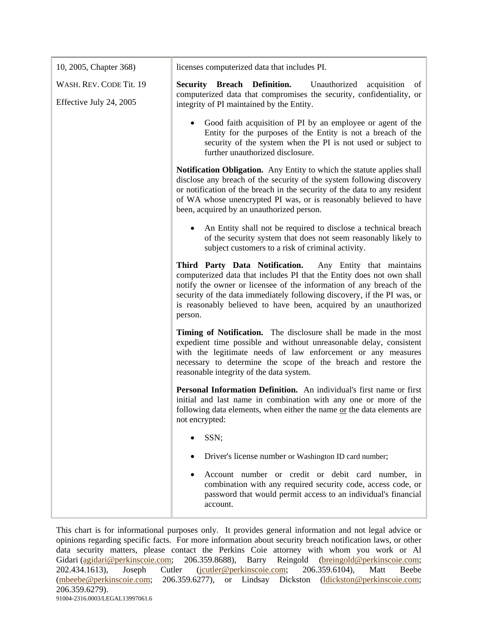| 10, 2005, Chapter 368)                             | licenses computerized data that includes PI.                                                                                                                                                                                                                                                                                                                        |
|----------------------------------------------------|---------------------------------------------------------------------------------------------------------------------------------------------------------------------------------------------------------------------------------------------------------------------------------------------------------------------------------------------------------------------|
| WASH. REV. CODE Tit. 19<br>Effective July 24, 2005 | <b>Security Breach Definition.</b><br>Unauthorized acquisition<br>of<br>computerized data that compromises the security, confidentiality, or<br>integrity of PI maintained by the Entity.                                                                                                                                                                           |
|                                                    | Good faith acquisition of PI by an employee or agent of the<br>Entity for the purposes of the Entity is not a breach of the<br>security of the system when the PI is not used or subject to<br>further unauthorized disclosure.                                                                                                                                     |
|                                                    | <b>Notification Obligation.</b> Any Entity to which the statute applies shall<br>disclose any breach of the security of the system following discovery<br>or notification of the breach in the security of the data to any resident<br>of WA whose unencrypted PI was, or is reasonably believed to have<br>been, acquired by an unauthorized person.               |
|                                                    | An Entity shall not be required to disclose a technical breach<br>of the security system that does not seem reasonably likely to<br>subject customers to a risk of criminal activity.                                                                                                                                                                               |
|                                                    | Third Party Data Notification. Any Entity that maintains<br>computerized data that includes PI that the Entity does not own shall<br>notify the owner or licensee of the information of any breach of the<br>security of the data immediately following discovery, if the PI was, or<br>is reasonably believed to have been, acquired by an unauthorized<br>person. |
|                                                    | Timing of Notification. The disclosure shall be made in the most<br>expedient time possible and without unreasonable delay, consistent<br>with the legitimate needs of law enforcement or any measures<br>necessary to determine the scope of the breach and restore the<br>reasonable integrity of the data system.                                                |
|                                                    | Personal Information Definition. An individual's first name or first<br>initial and last name in combination with any one or more of the<br>following data elements, when either the name or the data elements are<br>not encrypted:                                                                                                                                |
|                                                    | SSN;                                                                                                                                                                                                                                                                                                                                                                |
|                                                    | Driver's license number or Washington ID card number;                                                                                                                                                                                                                                                                                                               |
|                                                    | Account number or credit or debit card number, in<br>combination with any required security code, access code, or<br>password that would permit access to an individual's financial<br>account.                                                                                                                                                                     |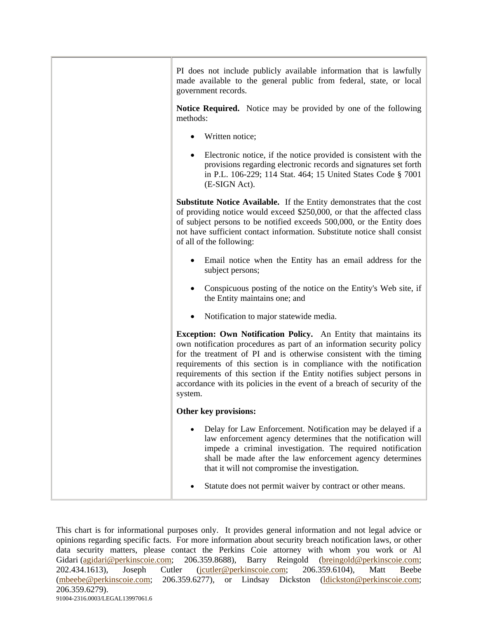| PI does not include publicly available information that is lawfully<br>made available to the general public from federal, state, or local<br>government records.                                                                                                                                                                                                                                                                                                |
|-----------------------------------------------------------------------------------------------------------------------------------------------------------------------------------------------------------------------------------------------------------------------------------------------------------------------------------------------------------------------------------------------------------------------------------------------------------------|
| <b>Notice Required.</b> Notice may be provided by one of the following<br>methods:                                                                                                                                                                                                                                                                                                                                                                              |
| Written notice;                                                                                                                                                                                                                                                                                                                                                                                                                                                 |
| Electronic notice, if the notice provided is consistent with the<br>provisions regarding electronic records and signatures set forth<br>in P.L. 106-229; 114 Stat. 464; 15 United States Code § 7001<br>(E-SIGN Act).                                                                                                                                                                                                                                           |
| <b>Substitute Notice Available.</b> If the Entity demonstrates that the cost<br>of providing notice would exceed \$250,000, or that the affected class<br>of subject persons to be notified exceeds 500,000, or the Entity does<br>not have sufficient contact information. Substitute notice shall consist<br>of all of the following:                                                                                                                         |
| Email notice when the Entity has an email address for the<br>subject persons;                                                                                                                                                                                                                                                                                                                                                                                   |
| Conspicuous posting of the notice on the Entity's Web site, if<br>the Entity maintains one; and                                                                                                                                                                                                                                                                                                                                                                 |
| Notification to major statewide media.                                                                                                                                                                                                                                                                                                                                                                                                                          |
| <b>Exception: Own Notification Policy.</b> An Entity that maintains its<br>own notification procedures as part of an information security policy<br>for the treatment of PI and is otherwise consistent with the timing<br>requirements of this section is in compliance with the notification<br>requirements of this section if the Entity notifies subject persons in<br>accordance with its policies in the event of a breach of security of the<br>system. |
| Other key provisions:                                                                                                                                                                                                                                                                                                                                                                                                                                           |
| Delay for Law Enforcement. Notification may be delayed if a<br>law enforcement agency determines that the notification will<br>impede a criminal investigation. The required notification<br>shall be made after the law enforcement agency determines<br>that it will not compromise the investigation.                                                                                                                                                        |
| Statute does not permit waiver by contract or other means.                                                                                                                                                                                                                                                                                                                                                                                                      |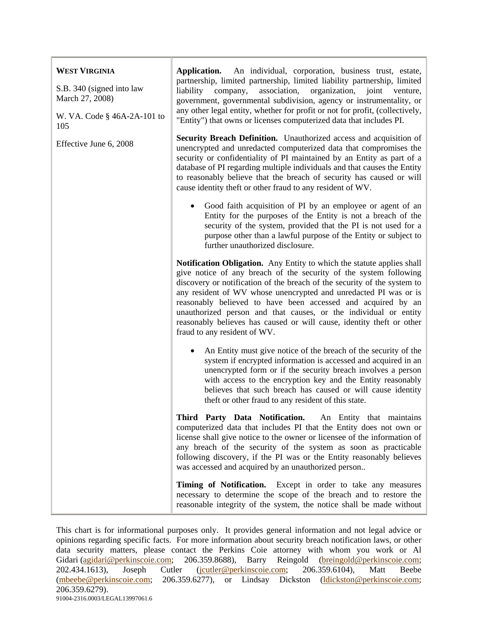| <b>WEST VIRGINIA</b>                         | Application.<br>An individual, corporation, business trust, estate,                                                                                                                                                                                                                                                                                                                                                                                                                                                                             |
|----------------------------------------------|-------------------------------------------------------------------------------------------------------------------------------------------------------------------------------------------------------------------------------------------------------------------------------------------------------------------------------------------------------------------------------------------------------------------------------------------------------------------------------------------------------------------------------------------------|
| S.B. 340 (signed into law<br>March 27, 2008) | partnership, limited partnership, limited liability partnership, limited<br>liability<br>association,<br>organization,<br>company,<br>joint<br>venture,<br>government, governmental subdivision, agency or instrumentality, or<br>any other legal entity, whether for profit or not for profit, (collectively,<br>"Entity") that owns or licenses computerized data that includes PI.                                                                                                                                                           |
| W. VA. Code $\S$ 46A-2A-101 to<br>105        |                                                                                                                                                                                                                                                                                                                                                                                                                                                                                                                                                 |
| Effective June 6, 2008                       | Security Breach Definition. Unauthorized access and acquisition of<br>unencrypted and unredacted computerized data that compromises the<br>security or confidentiality of PI maintained by an Entity as part of a<br>database of PI regarding multiple individuals and that causes the Entity<br>to reasonably believe that the breach of security has caused or will<br>cause identity theft or other fraud to any resident of WV.                                                                                                             |
|                                              | Good faith acquisition of PI by an employee or agent of an<br>Entity for the purposes of the Entity is not a breach of the<br>security of the system, provided that the PI is not used for a<br>purpose other than a lawful purpose of the Entity or subject to<br>further unauthorized disclosure.                                                                                                                                                                                                                                             |
|                                              | <b>Notification Obligation.</b> Any Entity to which the statute applies shall<br>give notice of any breach of the security of the system following<br>discovery or notification of the breach of the security of the system to<br>any resident of WV whose unencrypted and unredacted PI was or is<br>reasonably believed to have been accessed and acquired by an<br>unauthorized person and that causes, or the individual or entity<br>reasonably believes has caused or will cause, identity theft or other<br>fraud to any resident of WV. |
|                                              | An Entity must give notice of the breach of the security of the<br>system if encrypted information is accessed and acquired in an<br>unencrypted form or if the security breach involves a person<br>with access to the encryption key and the Entity reasonably<br>believes that such breach has caused or will cause identity<br>theft or other fraud to any resident of this state.                                                                                                                                                          |
|                                              | Third Party Data Notification. An Entity that maintains<br>computerized data that includes PI that the Entity does not own or<br>license shall give notice to the owner or licensee of the information of<br>any breach of the security of the system as soon as practicable<br>following discovery, if the PI was or the Entity reasonably believes<br>was accessed and acquired by an unauthorized person                                                                                                                                     |
|                                              | Timing of Notification. Except in order to take any measures<br>necessary to determine the scope of the breach and to restore the<br>reasonable integrity of the system, the notice shall be made without                                                                                                                                                                                                                                                                                                                                       |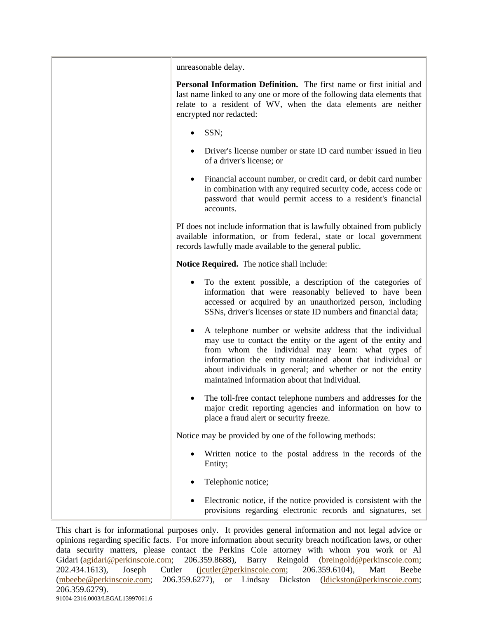| unreasonable delay.                                                                                                                                                                                                                                                                                                                                          |
|--------------------------------------------------------------------------------------------------------------------------------------------------------------------------------------------------------------------------------------------------------------------------------------------------------------------------------------------------------------|
| Personal Information Definition. The first name or first initial and<br>last name linked to any one or more of the following data elements that<br>relate to a resident of WV, when the data elements are neither<br>encrypted nor redacted:                                                                                                                 |
| SSN;                                                                                                                                                                                                                                                                                                                                                         |
| Driver's license number or state ID card number issued in lieu<br>of a driver's license; or                                                                                                                                                                                                                                                                  |
| Financial account number, or credit card, or debit card number<br>٠<br>in combination with any required security code, access code or<br>password that would permit access to a resident's financial<br>accounts.                                                                                                                                            |
| PI does not include information that is lawfully obtained from publicly<br>available information, or from federal, state or local government<br>records lawfully made available to the general public.                                                                                                                                                       |
| Notice Required. The notice shall include:                                                                                                                                                                                                                                                                                                                   |
| To the extent possible, a description of the categories of<br>٠<br>information that were reasonably believed to have been<br>accessed or acquired by an unauthorized person, including<br>SSNs, driver's licenses or state ID numbers and financial data;                                                                                                    |
| A telephone number or website address that the individual<br>may use to contact the entity or the agent of the entity and<br>from whom the individual may learn: what types of<br>information the entity maintained about that individual or<br>about individuals in general; and whether or not the entity<br>maintained information about that individual. |
| The toll-free contact telephone numbers and addresses for the<br>major credit reporting agencies and information on how to<br>place a fraud alert or security freeze.                                                                                                                                                                                        |
| Notice may be provided by one of the following methods:                                                                                                                                                                                                                                                                                                      |
| Written notice to the postal address in the records of the<br>Entity;                                                                                                                                                                                                                                                                                        |
| Telephonic notice;                                                                                                                                                                                                                                                                                                                                           |
| Electronic notice, if the notice provided is consistent with the<br>provisions regarding electronic records and signatures, set                                                                                                                                                                                                                              |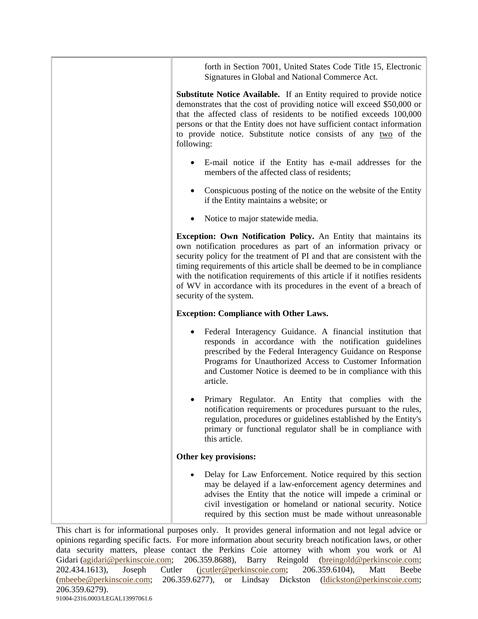forth in Section 7001, United States Code Title 15, Electronic Signatures in Global and National Commerce Act.

**Substitute Notice Available.** If an Entity required to provide notice demonstrates that the cost of providing notice will exceed \$50,000 or that the affected class of residents to be notified exceeds 100,000 persons or that the Entity does not have sufficient contact information to provide notice. Substitute notice consists of any two of the following:

- E-mail notice if the Entity has e-mail addresses for the members of the affected class of residents;
- Conspicuous posting of the notice on the website of the Entity if the Entity maintains a website; or
- Notice to major statewide media.

**Exception: Own Notification Policy.** An Entity that maintains its own notification procedures as part of an information privacy or security policy for the treatment of PI and that are consistent with the timing requirements of this article shall be deemed to be in compliance with the notification requirements of this article if it notifies residents of WV in accordance with its procedures in the event of a breach of security of the system.

## **Exception: Compliance with Other Laws.**

- Federal Interagency Guidance. A financial institution that responds in accordance with the notification guidelines prescribed by the Federal Interagency Guidance on Response Programs for Unauthorized Access to Customer Information and Customer Notice is deemed to be in compliance with this article.
- Primary Regulator. An Entity that complies with the notification requirements or procedures pursuant to the rules, regulation, procedures or guidelines established by the Entity's primary or functional regulator shall be in compliance with this article.

## **Other key provisions:**

• Delay for Law Enforcement. Notice required by this section may be delayed if a law-enforcement agency determines and advises the Entity that the notice will impede a criminal or civil investigation or homeland or national security. Notice required by this section must be made without unreasonable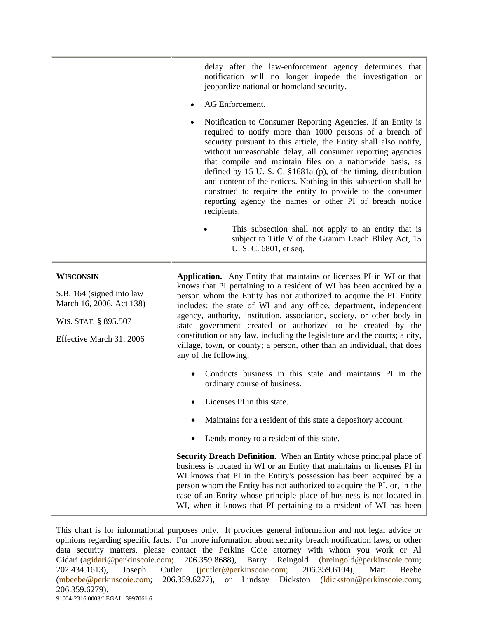|                                                                                                                               | delay after the law-enforcement agency determines that<br>notification will no longer impede the investigation or<br>jeopardize national or homeland security.                                                                                                                                                                                                                                                                                                                                                                                                                                                           |  |
|-------------------------------------------------------------------------------------------------------------------------------|--------------------------------------------------------------------------------------------------------------------------------------------------------------------------------------------------------------------------------------------------------------------------------------------------------------------------------------------------------------------------------------------------------------------------------------------------------------------------------------------------------------------------------------------------------------------------------------------------------------------------|--|
|                                                                                                                               | AG Enforcement.                                                                                                                                                                                                                                                                                                                                                                                                                                                                                                                                                                                                          |  |
|                                                                                                                               | Notification to Consumer Reporting Agencies. If an Entity is<br>required to notify more than 1000 persons of a breach of<br>security pursuant to this article, the Entity shall also notify,<br>without unreasonable delay, all consumer reporting agencies<br>that compile and maintain files on a nationwide basis, as<br>defined by 15 U.S.C. $\S 1681a$ (p), of the timing, distribution<br>and content of the notices. Nothing in this subsection shall be<br>construed to require the entity to provide to the consumer<br>reporting agency the names or other PI of breach notice<br>recipients.                  |  |
|                                                                                                                               | This subsection shall not apply to an entity that is<br>subject to Title V of the Gramm Leach Bliley Act, 15<br>U. S. C. 6801, et seq.                                                                                                                                                                                                                                                                                                                                                                                                                                                                                   |  |
| <b>WISCONSIN</b><br>S.B. 164 (signed into law<br>March 16, 2006, Act 138)<br>WIS. STAT. § 895.507<br>Effective March 31, 2006 | <b>Application.</b> Any Entity that maintains or licenses PI in WI or that<br>knows that PI pertaining to a resident of WI has been acquired by a<br>person whom the Entity has not authorized to acquire the PI. Entity<br>includes: the state of WI and any office, department, independent<br>agency, authority, institution, association, society, or other body in<br>state government created or authorized to be created by the<br>constitution or any law, including the legislature and the courts; a city,<br>village, town, or county; a person, other than an individual, that does<br>any of the following: |  |
|                                                                                                                               | Conducts business in this state and maintains PI in the<br>ordinary course of business.                                                                                                                                                                                                                                                                                                                                                                                                                                                                                                                                  |  |
|                                                                                                                               | Licenses PI in this state.                                                                                                                                                                                                                                                                                                                                                                                                                                                                                                                                                                                               |  |
|                                                                                                                               | Maintains for a resident of this state a depository account.                                                                                                                                                                                                                                                                                                                                                                                                                                                                                                                                                             |  |
|                                                                                                                               | Lends money to a resident of this state.                                                                                                                                                                                                                                                                                                                                                                                                                                                                                                                                                                                 |  |
|                                                                                                                               | Security Breach Definition. When an Entity whose principal place of<br>business is located in WI or an Entity that maintains or licenses PI in<br>WI knows that PI in the Entity's possession has been acquired by a<br>person whom the Entity has not authorized to acquire the PI, or, in the<br>case of an Entity whose principle place of business is not located in<br>WI, when it knows that PI pertaining to a resident of WI has been                                                                                                                                                                            |  |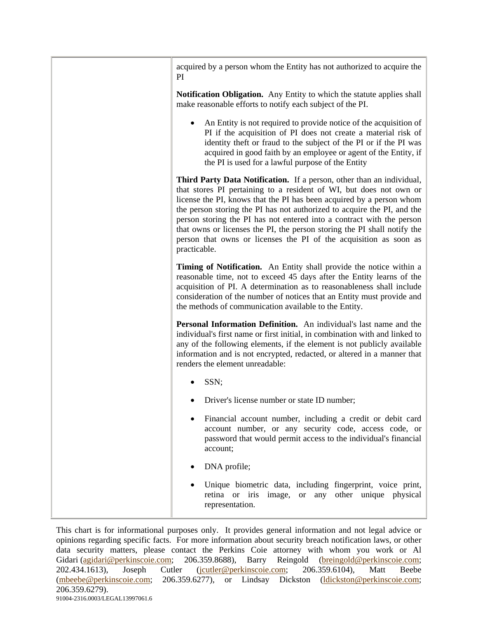| acquired by a person whom the Entity has not authorized to acquire the<br>PI                                                                                                                                                                                                                                                                                                                                                                                                                                                             |
|------------------------------------------------------------------------------------------------------------------------------------------------------------------------------------------------------------------------------------------------------------------------------------------------------------------------------------------------------------------------------------------------------------------------------------------------------------------------------------------------------------------------------------------|
| <b>Notification Obligation.</b> Any Entity to which the statute applies shall<br>make reasonable efforts to notify each subject of the PI.                                                                                                                                                                                                                                                                                                                                                                                               |
| An Entity is not required to provide notice of the acquisition of<br>PI if the acquisition of PI does not create a material risk of<br>identity theft or fraud to the subject of the PI or if the PI was<br>acquired in good faith by an employee or agent of the Entity, if<br>the PI is used for a lawful purpose of the Entity                                                                                                                                                                                                        |
| Third Party Data Notification. If a person, other than an individual,<br>that stores PI pertaining to a resident of WI, but does not own or<br>license the PI, knows that the PI has been acquired by a person whom<br>the person storing the PI has not authorized to acquire the PI, and the<br>person storing the PI has not entered into a contract with the person<br>that owns or licenses the PI, the person storing the PI shall notify the<br>person that owns or licenses the PI of the acquisition as soon as<br>practicable. |
| Timing of Notification. An Entity shall provide the notice within a<br>reasonable time, not to exceed 45 days after the Entity learns of the<br>acquisition of PI. A determination as to reasonableness shall include<br>consideration of the number of notices that an Entity must provide and<br>the methods of communication available to the Entity.                                                                                                                                                                                 |
| Personal Information Definition. An individual's last name and the<br>individual's first name or first initial, in combination with and linked to<br>any of the following elements, if the element is not publicly available<br>information and is not encrypted, redacted, or altered in a manner that<br>renders the element unreadable:                                                                                                                                                                                               |
| SSN;                                                                                                                                                                                                                                                                                                                                                                                                                                                                                                                                     |
| Driver's license number or state ID number;                                                                                                                                                                                                                                                                                                                                                                                                                                                                                              |
| Financial account number, including a credit or debit card<br>account number, or any security code, access code, or<br>password that would permit access to the individual's financial<br>account;                                                                                                                                                                                                                                                                                                                                       |
| DNA profile;                                                                                                                                                                                                                                                                                                                                                                                                                                                                                                                             |
| Unique biometric data, including fingerprint, voice print,<br>retina or iris image, or any other unique physical<br>representation.                                                                                                                                                                                                                                                                                                                                                                                                      |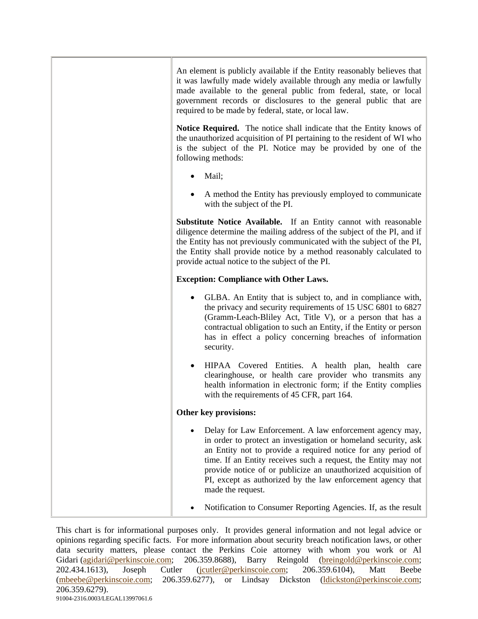| An element is publicly available if the Entity reasonably believes that<br>it was lawfully made widely available through any media or lawfully<br>made available to the general public from federal, state, or local<br>government records or disclosures to the general public that are<br>required to be made by federal, state, or local law.                                                                  |
|-------------------------------------------------------------------------------------------------------------------------------------------------------------------------------------------------------------------------------------------------------------------------------------------------------------------------------------------------------------------------------------------------------------------|
| Notice Required. The notice shall indicate that the Entity knows of<br>the unauthorized acquisition of PI pertaining to the resident of WI who<br>is the subject of the PI. Notice may be provided by one of the<br>following methods:                                                                                                                                                                            |
| Mail;                                                                                                                                                                                                                                                                                                                                                                                                             |
| A method the Entity has previously employed to communicate<br>with the subject of the PI.                                                                                                                                                                                                                                                                                                                         |
| Substitute Notice Available. If an Entity cannot with reasonable<br>diligence determine the mailing address of the subject of the PI, and if<br>the Entity has not previously communicated with the subject of the PI,<br>the Entity shall provide notice by a method reasonably calculated to<br>provide actual notice to the subject of the PI.                                                                 |
| <b>Exception: Compliance with Other Laws.</b>                                                                                                                                                                                                                                                                                                                                                                     |
| GLBA. An Entity that is subject to, and in compliance with,<br>the privacy and security requirements of 15 USC 6801 to 6827<br>(Gramm-Leach-Bliley Act, Title V), or a person that has a<br>contractual obligation to such an Entity, if the Entity or person<br>has in effect a policy concerning breaches of information<br>security.                                                                           |
| HIPAA Covered Entities. A health plan, health care<br>clearinghouse, or health care provider who transmits any<br>health information in electronic form; if the Entity complies<br>with the requirements of 45 CFR, part 164.                                                                                                                                                                                     |
| Other key provisions:                                                                                                                                                                                                                                                                                                                                                                                             |
| Delay for Law Enforcement. A law enforcement agency may,<br>in order to protect an investigation or homeland security, ask<br>an Entity not to provide a required notice for any period of<br>time. If an Entity receives such a request, the Entity may not<br>provide notice of or publicize an unauthorized acquisition of<br>PI, except as authorized by the law enforcement agency that<br>made the request. |
| Notification to Consumer Reporting Agencies. If, as the result                                                                                                                                                                                                                                                                                                                                                    |
|                                                                                                                                                                                                                                                                                                                                                                                                                   |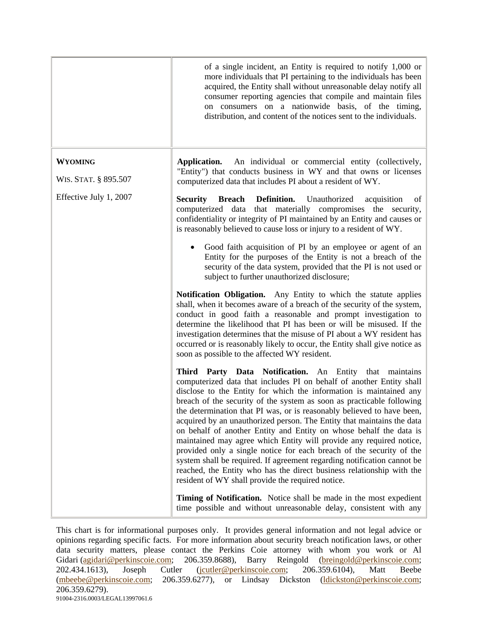|                                        | of a single incident, an Entity is required to notify 1,000 or<br>more individuals that PI pertaining to the individuals has been<br>acquired, the Entity shall without unreasonable delay notify all<br>consumer reporting agencies that compile and maintain files<br>on consumers on a nationwide basis, of the timing,<br>distribution, and content of the notices sent to the individuals.                                                                                                                                                                                                                                                                                                                                                                                                                                                                  |
|----------------------------------------|------------------------------------------------------------------------------------------------------------------------------------------------------------------------------------------------------------------------------------------------------------------------------------------------------------------------------------------------------------------------------------------------------------------------------------------------------------------------------------------------------------------------------------------------------------------------------------------------------------------------------------------------------------------------------------------------------------------------------------------------------------------------------------------------------------------------------------------------------------------|
| <b>WYOMING</b><br>WIS. STAT. § 895.507 | Application.<br>An individual or commercial entity (collectively,<br>"Entity") that conducts business in WY and that owns or licenses<br>computerized data that includes PI about a resident of WY.                                                                                                                                                                                                                                                                                                                                                                                                                                                                                                                                                                                                                                                              |
| Effective July 1, 2007                 | Definition.<br><b>Security</b><br><b>Breach</b><br>Unauthorized<br>acquisition<br>of<br>computerized data that materially compromises the security,<br>confidentiality or integrity of PI maintained by an Entity and causes or<br>is reasonably believed to cause loss or injury to a resident of WY.<br>Good faith acquisition of PI by an employee or agent of an<br>Entity for the purposes of the Entity is not a breach of the<br>security of the data system, provided that the PI is not used or<br>subject to further unauthorized disclosure;                                                                                                                                                                                                                                                                                                          |
|                                        | Notification Obligation. Any Entity to which the statute applies<br>shall, when it becomes aware of a breach of the security of the system,<br>conduct in good faith a reasonable and prompt investigation to<br>determine the likelihood that PI has been or will be misused. If the<br>investigation determines that the misuse of PI about a WY resident has<br>occurred or is reasonably likely to occur, the Entity shall give notice as<br>soon as possible to the affected WY resident.                                                                                                                                                                                                                                                                                                                                                                   |
|                                        | Third Party Data Notification. An Entity that maintains<br>computerized data that includes PI on behalf of another Entity shall<br>disclose to the Entity for which the information is maintained any<br>breach of the security of the system as soon as practicable following<br>the determination that PI was, or is reasonably believed to have been,<br>acquired by an unauthorized person. The Entity that maintains the data<br>on behalf of another Entity and Entity on whose behalf the data is<br>maintained may agree which Entity will provide any required notice,<br>provided only a single notice for each breach of the security of the<br>system shall be required. If agreement regarding notification cannot be<br>reached, the Entity who has the direct business relationship with the<br>resident of WY shall provide the required notice. |
|                                        | Timing of Notification. Notice shall be made in the most expedient<br>time possible and without unreasonable delay, consistent with any                                                                                                                                                                                                                                                                                                                                                                                                                                                                                                                                                                                                                                                                                                                          |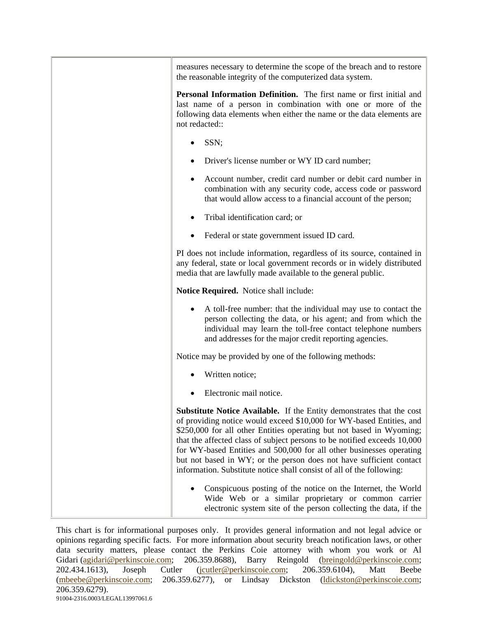| measures necessary to determine the scope of the breach and to restore<br>the reasonable integrity of the computerized data system.                                                                                                                                                                                                                                                                                                                                                                                              |
|----------------------------------------------------------------------------------------------------------------------------------------------------------------------------------------------------------------------------------------------------------------------------------------------------------------------------------------------------------------------------------------------------------------------------------------------------------------------------------------------------------------------------------|
| Personal Information Definition. The first name or first initial and<br>last name of a person in combination with one or more of the<br>following data elements when either the name or the data elements are<br>not redacted::                                                                                                                                                                                                                                                                                                  |
| SSN;                                                                                                                                                                                                                                                                                                                                                                                                                                                                                                                             |
| Driver's license number or WY ID card number;                                                                                                                                                                                                                                                                                                                                                                                                                                                                                    |
| Account number, credit card number or debit card number in<br>combination with any security code, access code or password<br>that would allow access to a financial account of the person;                                                                                                                                                                                                                                                                                                                                       |
| Tribal identification card; or                                                                                                                                                                                                                                                                                                                                                                                                                                                                                                   |
| Federal or state government issued ID card.                                                                                                                                                                                                                                                                                                                                                                                                                                                                                      |
| PI does not include information, regardless of its source, contained in<br>any federal, state or local government records or in widely distributed<br>media that are lawfully made available to the general public.                                                                                                                                                                                                                                                                                                              |
| Notice Required. Notice shall include:                                                                                                                                                                                                                                                                                                                                                                                                                                                                                           |
| A toll-free number: that the individual may use to contact the<br>person collecting the data, or his agent; and from which the<br>individual may learn the toll-free contact telephone numbers<br>and addresses for the major credit reporting agencies.                                                                                                                                                                                                                                                                         |
| Notice may be provided by one of the following methods:                                                                                                                                                                                                                                                                                                                                                                                                                                                                          |
| Written notice;                                                                                                                                                                                                                                                                                                                                                                                                                                                                                                                  |
| Electronic mail notice.                                                                                                                                                                                                                                                                                                                                                                                                                                                                                                          |
| <b>Substitute Notice Available.</b> If the Entity demonstrates that the cost<br>of providing notice would exceed \$10,000 for WY-based Entities, and<br>\$250,000 for all other Entities operating but not based in Wyoming;<br>that the affected class of subject persons to be notified exceeds 10,000<br>for WY-based Entities and 500,000 for all other businesses operating<br>but not based in WY; or the person does not have sufficient contact<br>information. Substitute notice shall consist of all of the following: |
| Conspicuous posting of the notice on the Internet, the World<br>Wide Web or a similar proprietary or common carrier<br>electronic system site of the person collecting the data, if the                                                                                                                                                                                                                                                                                                                                          |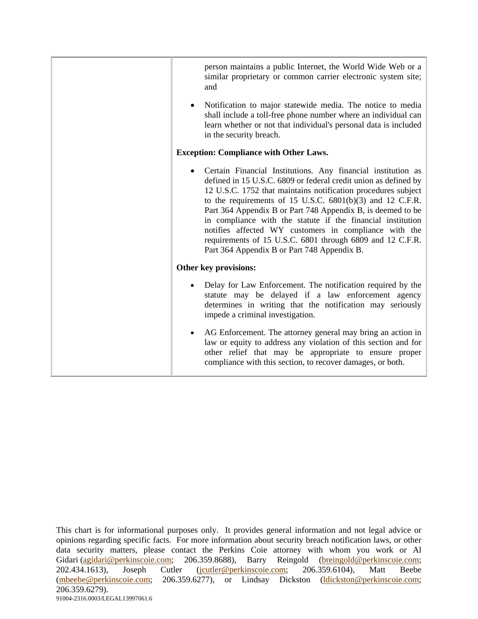| person maintains a public Internet, the World Wide Web or a<br>similar proprietary or common carrier electronic system site;<br>and                                                                                                                                                                                                                                                                                                                                                                                                                                |  |
|--------------------------------------------------------------------------------------------------------------------------------------------------------------------------------------------------------------------------------------------------------------------------------------------------------------------------------------------------------------------------------------------------------------------------------------------------------------------------------------------------------------------------------------------------------------------|--|
| Notification to major statewide media. The notice to media<br>shall include a toll-free phone number where an individual can<br>learn whether or not that individual's personal data is included<br>in the security breach.                                                                                                                                                                                                                                                                                                                                        |  |
| <b>Exception: Compliance with Other Laws.</b>                                                                                                                                                                                                                                                                                                                                                                                                                                                                                                                      |  |
| Certain Financial Institutions. Any financial institution as<br>defined in 15 U.S.C. 6809 or federal credit union as defined by<br>12 U.S.C. 1752 that maintains notification procedures subject<br>to the requirements of 15 U.S.C. $6801(b)(3)$ and 12 C.F.R.<br>Part 364 Appendix B or Part 748 Appendix B, is deemed to be<br>in compliance with the statute if the financial institution<br>notifies affected WY customers in compliance with the<br>requirements of 15 U.S.C. 6801 through 6809 and 12 C.F.R.<br>Part 364 Appendix B or Part 748 Appendix B. |  |
| Other key provisions:                                                                                                                                                                                                                                                                                                                                                                                                                                                                                                                                              |  |
| Delay for Law Enforcement. The notification required by the<br>statute may be delayed if a law enforcement agency<br>determines in writing that the notification may seriously<br>impede a criminal investigation.                                                                                                                                                                                                                                                                                                                                                 |  |
| AG Enforcement. The attorney general may bring an action in<br>law or equity to address any violation of this section and for<br>other relief that may be appropriate to ensure proper<br>compliance with this section, to recover damages, or both.                                                                                                                                                                                                                                                                                                               |  |
|                                                                                                                                                                                                                                                                                                                                                                                                                                                                                                                                                                    |  |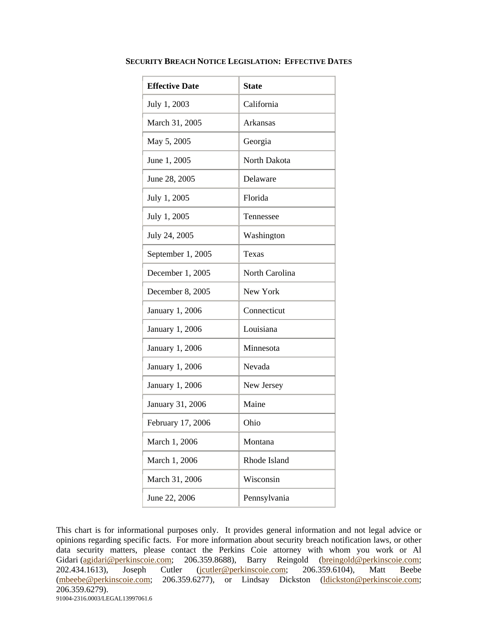| <b>Effective Date</b> | <b>State</b>        |
|-----------------------|---------------------|
| July 1, 2003          | California          |
| March 31, 2005        | Arkansas            |
| May 5, 2005           | Georgia             |
| June 1, 2005          | <b>North Dakota</b> |
| June 28, 2005         | Delaware            |
| July 1, 2005          | Florida             |
| July 1, 2005          | Tennessee           |
| July 24, 2005         | Washington          |
| September 1, 2005     | Texas               |
| December 1, 2005      | North Carolina      |
| December 8, 2005      | New York            |
| January 1, 2006       | Connecticut         |
| January 1, 2006       | Louisiana           |
| January 1, 2006       | Minnesota           |
| January 1, 2006       | Nevada              |
| January 1, 2006       | New Jersey          |
| January 31, 2006      | Maine               |
| February 17, 2006     | Ohio                |
| March 1, 2006         | Montana             |
| March 1, 2006         | Rhode Island        |
| March 31, 2006        | Wisconsin           |
| June 22, 2006         | Pennsylvania        |

## **SECURITY BREACH NOTICE LEGISLATION: EFFECTIVE DATES**